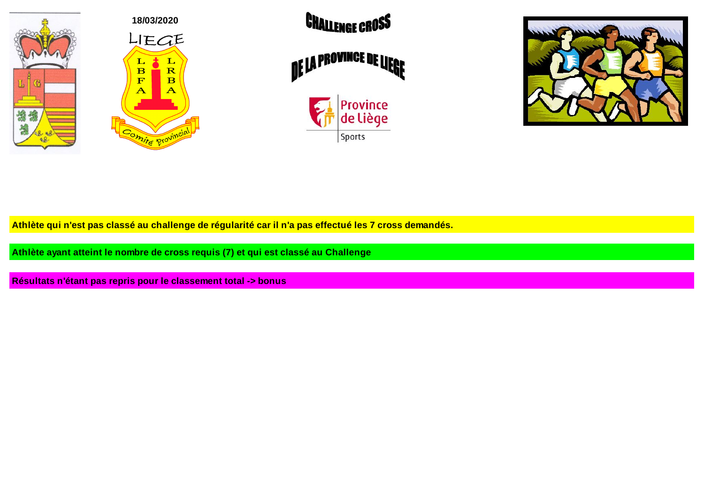







Athlète qui n'est pas classé au challenge de régularité car il n'a pas effectué les 7 cross demandés.

**Athlète ayant atteint le nombre de cross requis (7) et qui est classé au Challenge**

**Résultats n'étant pas repris pour le classement total -> bonus**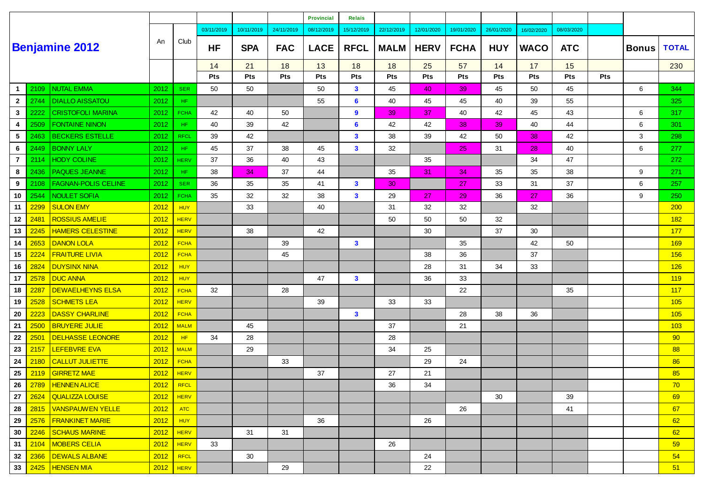|                |      |                            |      |             |            |            |            | <b>Provincial</b> | <b>Relais</b> |             |             |             |            |             |            |            |              |              |
|----------------|------|----------------------------|------|-------------|------------|------------|------------|-------------------|---------------|-------------|-------------|-------------|------------|-------------|------------|------------|--------------|--------------|
|                |      |                            |      |             | 03/11/2019 | 10/11/2019 | 24/11/2019 | 08/12/2019        | 15/12/2019    | 22/12/2019  | 12/01/2020  | 19/01/2020  | 26/01/2020 | 16/02/2020  | 08/03/2020 |            |              |              |
|                |      | <b>Benjamine 2012</b>      | An   | Club        | <b>HF</b>  | <b>SPA</b> | <b>FAC</b> | <b>LACE</b>       | <b>RFCL</b>   | <b>MALM</b> | <b>HERV</b> | <b>FCHA</b> | <b>HUY</b> | <b>WACO</b> | <b>ATC</b> |            | <b>Bonus</b> | <b>TOTAL</b> |
|                |      |                            |      |             | 14         | 21         | 18         | 13                | 18            | 18          | 25          | 57          | 14         | 17          | 15         |            |              | 230          |
|                |      |                            |      |             | Pts        | Pts        | <b>Pts</b> | Pts               | Pts           | Pts         | Pts         | Pts         | Pts        | <b>Pts</b>  | <b>Pts</b> | <b>Pts</b> |              |              |
| -1             | 2109 | <b>NUTAL EMMA</b>          | 2012 | <b>SER</b>  | 50         | 50         |            | 50                | $\mathbf{3}$  | 45          | 40          | 39          | 45         | 50          | 45         |            | 6            | 344          |
| $\overline{2}$ | 2744 | <b>DIALLO AISSATOU</b>     | 2012 | HF.         |            |            |            | 55                | 6             | 40          | 45          | 45          | 40         | 39          | 55         |            |              | 325          |
| $\mathbf{3}$   | 2222 | <b>CRISTOFOLI MARINA</b>   | 2012 | <b>FCHA</b> | 42         | 40         | 50         |                   | 9             | 39          | 37          | 40          | 42         | 45          | 43         |            | 6            | 317          |
| 4              | 2509 | <b>FONTAINE NINON</b>      | 2012 | HF.         | 40         | 39         | 42         |                   | 6             | 42          | 42          | 38          | 39         | 40          | 44         |            | 6            | 301          |
| 5              | 2463 | <b>BECKERS ESTELLE</b>     | 2012 | <b>RFCL</b> | 39         | 42         |            |                   | $\mathbf{3}$  | 38          | 39          | 42          | 50         | 38          | 42         |            | 3            | 298          |
| 6              | 2449 | <b>BONNY LALY</b>          | 2012 | HF.         | 45         | 37         | 38         | 45                | $\mathbf{3}$  | 32          |             | 25          | 31         | 28          | 40         |            | 6            | 277          |
| $\overline{7}$ | 2114 | <b>HODY COLINE</b>         | 2012 | <b>HERV</b> | 37         | 36         | 40         | 43                |               |             | 35          |             |            | 34          | 47         |            |              | 272          |
| 8              | 2436 | PAQUES JEANNE              | 2012 | HF.         | 38         | 34         | 37         | 44                |               | 35          | 31          | 34          | 35         | 35          | 38         |            | 9            | 271          |
| 9              | 2108 | <b>FAGNAN-POLIS CELINE</b> | 2012 | <b>SER</b>  | 36         | 35         | 35         | 41                | $\mathbf{3}$  | 30          |             | 27          | 33         | 31          | 37         |            | 6            | 257          |
| 10             | 2544 | <b>NOULET SOFIA</b>        | 2012 | <b>FCHA</b> | 35         | 32         | 32         | 38                | $\mathbf{3}$  | 29          | 27          | 29          | 36         | 27          | 36         |            | 9            | 250          |
| 11             | 2299 | <b>SULON EMY</b>           | 2012 | <b>HUY</b>  |            | 33         |            | 40                |               | 31          | 32          | 32          |            | 32          |            |            |              | 200          |
| 12             | 2481 | <b>ROSSIUS AMELIE</b>      | 2012 | <b>HERV</b> |            |            |            |                   |               | 50          | 50          | 50          | 32         |             |            |            |              | 182          |
| 13             | 2245 | <b>HAMERS CELESTINE</b>    | 2012 | <b>HERV</b> |            | 38         |            | 42                |               |             | 30          |             | 37         | 30          |            |            |              | 177          |
| 14             | 2653 | <b>DANON LOLA</b>          | 2012 | <b>FCHA</b> |            |            | 39         |                   | $\mathbf{3}$  |             |             | 35          |            | 42          | 50         |            |              | 169          |
| 15             | 2224 | <b>FRAITURE LIVIA</b>      | 2012 | <b>FCHA</b> |            |            | 45         |                   |               |             | 38          | 36          |            | 37          |            |            |              | 156          |
| 16             | 2824 | <b>DUYSINX NINA</b>        | 2012 | <b>HUY</b>  |            |            |            |                   |               |             | 28          | 31          | 34         | 33          |            |            |              | 126          |
| 17             | 2578 | <b>DUC ANNA</b>            | 2012 | <b>HUY</b>  |            |            |            | 47                | $\mathbf{3}$  |             | 36          | 33          |            |             |            |            |              | 119          |
| 18             | 2287 | <b>DEWAELHEYNS ELSA</b>    | 2012 | <b>FCHA</b> | 32         |            | 28         |                   |               |             |             | 22          |            |             | 35         |            |              | 117          |
| 19             | 2528 | <b>SCHMETS LEA</b>         | 2012 | <b>HERV</b> |            |            |            | 39                |               | 33          | 33          |             |            |             |            |            |              | 105          |
| 20             | 2223 | <b>DASSY CHARLINE</b>      | 2012 | <b>FCHA</b> |            |            |            |                   | $\mathbf{3}$  |             |             | 28          | 38         | 36          |            |            |              | 105          |
| 21             | 2500 | <b>BRUYERE JULIE</b>       | 2012 | <b>MALM</b> |            | 45         |            |                   |               | 37          |             | 21          |            |             |            |            |              | 103          |
| 22             | 2501 | <b>DELHASSE LEONORE</b>    | 2012 | HF          | 34         | 28         |            |                   |               | 28          |             |             |            |             |            |            |              | 90           |
| 23             | 2157 | <b>LEFEBVRE EVA</b>        | 2012 | <b>MALM</b> |            | 29         |            |                   |               | 34          | 25          |             |            |             |            |            |              | 88           |
| 24             | 2180 | <b>CALLUT JULIETTE</b>     | 2012 | <b>FCHA</b> |            |            | 33         |                   |               |             | 29          | 24          |            |             |            |            |              | 86           |
| 25             | 2119 | <b>GIRRETZ MAE</b>         | 2012 | <b>HERV</b> |            |            |            | 37                |               | 27          | 21          |             |            |             |            |            |              | 85           |
| 26             |      | 2789   HENNEN ALICE        | 2012 | RFCL        |            |            |            |                   |               | 36          | 34          |             |            |             |            |            |              | 70           |
| 27             |      | 2624   QUALIZZA LOUISE     | 2012 | <b>HERV</b> |            |            |            |                   |               |             |             |             | 30         |             | 39         |            |              | 69           |
| 28             | 2815 | <b>VANSPAUWEN YELLE</b>    | 2012 | <b>ATC</b>  |            |            |            |                   |               |             |             | 26          |            |             | 41         |            |              | 67           |
| 29             | 2576 | <b>FRANKINET MARIE</b>     | 2012 | <b>HUY</b>  |            |            |            | 36                |               |             | 26          |             |            |             |            |            |              | 62           |
| 30             | 2246 | <b>SCHAUS MARINE</b>       | 2012 | <b>HERV</b> |            | 31         | 31         |                   |               |             |             |             |            |             |            |            |              | 62           |
| 31             | 2104 | <b>MOBERS CELIA</b>        | 2012 | <b>HERV</b> | 33         |            |            |                   |               | 26          |             |             |            |             |            |            |              | 59           |
| 32             | 2366 | DEWALS ALBANE              | 2012 | RFCL        |            | 30         |            |                   |               |             | 24          |             |            |             |            |            |              | 54           |
| 33             |      | 2425   HENSEN MIA          | 2012 | HERV        |            |            | 29         |                   |               |             | 22          |             |            |             |            |            |              | 51           |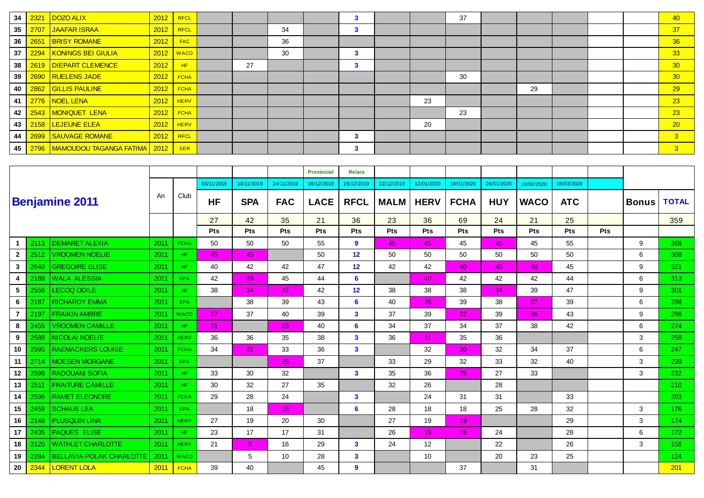| 2321 |                                                                                                                                                                                                                                                 | RFCL        |                                                                                               |    |    | 3 |    | 37 |    |  | 40             |
|------|-------------------------------------------------------------------------------------------------------------------------------------------------------------------------------------------------------------------------------------------------|-------------|-----------------------------------------------------------------------------------------------|----|----|---|----|----|----|--|----------------|
|      | 2012                                                                                                                                                                                                                                            | <b>RFCL</b> |                                                                                               |    | 34 | 3 |    |    |    |  | 37             |
|      | 2012                                                                                                                                                                                                                                            | <b>FAC</b>  |                                                                                               |    | 36 |   |    |    |    |  | 36             |
|      |                                                                                                                                                                                                                                                 | <b>WACO</b> |                                                                                               |    | 30 | 3 |    |    |    |  | 33             |
|      | 2012                                                                                                                                                                                                                                            | HF          |                                                                                               | 27 |    | 3 |    |    |    |  | 30             |
|      |                                                                                                                                                                                                                                                 | <b>FCHA</b> |                                                                                               |    |    |   |    | 30 |    |  | 30             |
|      |                                                                                                                                                                                                                                                 | <b>FCHA</b> |                                                                                               |    |    |   |    |    | 29 |  | 29             |
|      | 2012                                                                                                                                                                                                                                            | <b>HERV</b> |                                                                                               |    |    |   | 23 |    |    |  | 23             |
|      |                                                                                                                                                                                                                                                 | <b>FCHA</b> |                                                                                               |    |    |   |    | 23 |    |  | 23             |
|      |                                                                                                                                                                                                                                                 | <b>HERV</b> |                                                                                               |    |    |   | 20 |    |    |  | $\sqrt{20}$    |
|      |                                                                                                                                                                                                                                                 | <b>RFCL</b> |                                                                                               |    |    | 3 |    |    |    |  | 3 <sup>°</sup> |
|      |                                                                                                                                                                                                                                                 | <b>SER</b>  |                                                                                               |    |    | 3 |    |    |    |  | 3 <sup>°</sup> |
|      | DOZO ALIX<br>2707 JAAFAR ISRAA<br>2651 BRISY ROMANE<br>2294   KONINGS BEI GIULIA<br>2619   DIEPART CLEMENCE<br>2690 RUELENS JADE<br>2862 GILLIS PAULINE<br>2776   NOEL LENA<br>2543 MONIQUET LENA<br>2158   LEJEUNE ELEA<br>2699 SAUVAGE ROMANE |             | 2012<br>2012<br>2012<br>2012<br>2012<br>2012<br>2012<br>2796   MAMOUDOU TAGANGA FATIMA   2012 |    |    |   |    |    |    |  |                |

|                |      |                          |      |             |            |            |                 | Provincial  | <b>Relais</b>           |             |                  |             |            |             |            |            |              |              |
|----------------|------|--------------------------|------|-------------|------------|------------|-----------------|-------------|-------------------------|-------------|------------------|-------------|------------|-------------|------------|------------|--------------|--------------|
|                |      |                          |      |             | 03/11/2019 | 10/11/2019 | 24/11/2019      | 08/12/2019  | 15/12/2019              | 22/12/2019  | 12/01/2020       | 19/01/2020  | 26/01/2020 | 16/02/2020  | 08/03/2020 |            |              |              |
|                |      | <b>Benjamine 2011</b>    | An   | Club        | <b>HF</b>  | <b>SPA</b> | <b>FAC</b>      | <b>LACE</b> | <b>RFCL</b>             | <b>MALM</b> | <b>HERV</b>      | <b>FCHA</b> | <b>HUY</b> | <b>WACO</b> | <b>ATC</b> |            | <b>Bonus</b> | <b>TOTAL</b> |
|                |      |                          |      |             | 27         | 42         | 35              | 21          | 36                      | 23          | 36               | 69          | 24         | 21          | 25         |            |              | 359          |
|                |      |                          |      |             | Pts        | <b>Pts</b> | Pts             | <b>Pts</b>  | Pts                     | <b>Pts</b>  | Pts              | <b>Pts</b>  | Pts        | Pts         | Pts        | <b>Pts</b> |              |              |
| 1              | 2113 | <b>DEMARET ALEXIA</b>    | 2011 | <b>FCHA</b> | 50         | 50         | 50              | 55          | 9                       | 45          | 45               | 45          | 45         | 45          | 55         |            | 9            | 368          |
| $\overline{2}$ | 2512 | <b>VROOMEN NOELIE</b>    | 2011 | HF.         | 45         | 45         |                 | 50          | 12                      | 50          | 50               | 50          | 50         | 50          | 50         |            | 6            | 368          |
| 3              | 2640 | <b>GREGOIRE ELISE</b>    | 2011 | HF.         | 40         | 42         | 42              | 47          | 12                      | 42          | 42               | 40          | 40         | 40          | 45         |            | 9            | 321          |
| 4              | 2188 | <b>WALA ALESSIA</b>      | 2011 | <b>SPA</b>  | 42         | 39         | 45              | 44          | 6                       |             | 40               | 42          | 42         | 42          | 44         |            | 6            | 313          |
| 5              | 2556 | <b>LECOQ ODILE</b>       | 2011 | HF.         | 38         | 34         | 37              | 42          | 12 <sup>2</sup>         | 38          | 38               | 38          | 34         | 39          | 47         |            | 9            | 301          |
| 6              | 2187 | <b>RICHARDY EMMA</b>     | 2011 | <b>SPA</b>  |            | 38         | 39              | 43          | 6                       | 40          | 35               | 39          | 38         | 37          | 39         |            | 6            | 288          |
| 7              | 2197 | <b>FRAIKIN AMBRE</b>     | 2011 | <b>WACO</b> | 37         | 37         | 40              | 39          | $\overline{\mathbf{3}}$ | 37          | 39               | 22          | 39         | 36          | 43         |            | 9            | 286          |
| 8              | 2455 | <b>VROOMEN CAMILLE</b>   | 2011 | HF.         | 31         |            | 25 <sub>1</sub> | 40          | 6                       | 34          | 37               | 34          | 37         | 38          | 42         |            | 6            | 274          |
| 9              | 2588 | <b>NICOLAI NOELIE</b>    | 2011 | <b>HERV</b> | 36         | 36         | 35              | 38          | $\overline{\mathbf{3}}$ | 36          | 31               | 35          | 36         |             |            |            | 3            | 258          |
| 10             | 2595 | <b>RAEMACKERS LOUISE</b> | 2011 | <b>FCHA</b> | 34         | 31         | 33              | 36          | $\mathbf{3}$            |             | 32               | 30          | 32         | 34          | 37         |            | 6            | 247          |
| 11             | 2714 | <b>MOESEN MORGANE</b>    | 2011 | <b>SPA</b>  |            |            | 26              | 37          |                         | 33          | 29               | 32          | 33         | 32          | 40         |            | 3            | 239          |
| 12             | 2598 | <b>RADOUANI SOFIA</b>    | 2011 | HF.         | 33         | 30         | 32              |             | $\mathbf{3}$            | 35          | 36               | 25          | 27         | 33          |            |            | 3            | 232          |
| 13             | 2511 | <b>FRAITURE CAMILLE</b>  | 2011 | HF.         | 30         | 32         | 27              | 35          |                         | 32          | 26               |             | 28         |             |            |            |              | 210          |
| 14             | 2596 | <b>RAMET ELEONORE</b>    | 2011 | <b>FCHA</b> | 29         | 28         | 24              |             | $\mathbf{3}$            |             | 24               | 31          | 31         |             | 33         |            |              | 203          |
| 15             | 2458 | <b>SCHAUS LEA</b>        | 2011 | <b>SPA</b>  |            | 18         | 15 <sub>1</sub> |             | 6                       | 28          | 18               | 18          | 25         | 28          | 32         |            | 3            | 176          |
| 16             | 2148 | <b>PLUSQUIN LINA</b>     | 2011 | <b>HERV</b> | 27         | 19         | 20              | 30          |                         | 27          | 19               | 19          |            |             | 29         |            | 3            | 174          |
| 17             | 2435 | <b>PAQUES ELISE</b>      | 2011 | HF.         | 23         | 17         | 17              | 31          |                         | 26          | 15 <sub>15</sub> | 16          | 24         |             | 28         |            | 6            | 172          |
| 18             | 2120 | <b>WATHLET CHARLOTTE</b> | 2011 | <b>HERV</b> | 21         | 8          | 16              | 29          | $\mathbf{3}$            | 24          | 12               |             | 22         |             | 26         |            | 3            | 156          |
| 19             | 2284 | BELLAVIA-POLAK CHARLOTTE | 2011 | <b>WACO</b> |            | 5          | 10 <sup>1</sup> | 28          | $\overline{\mathbf{3}}$ |             | 10               |             | 20         | 23          | 25         |            |              | 124          |
| 20             | 2344 | <b>LORENT LOLA</b>       | 2011 | <b>FCHA</b> | 39         | 40         |                 | 45          | 9                       |             |                  | 37          |            | 31          |            |            |              | 201          |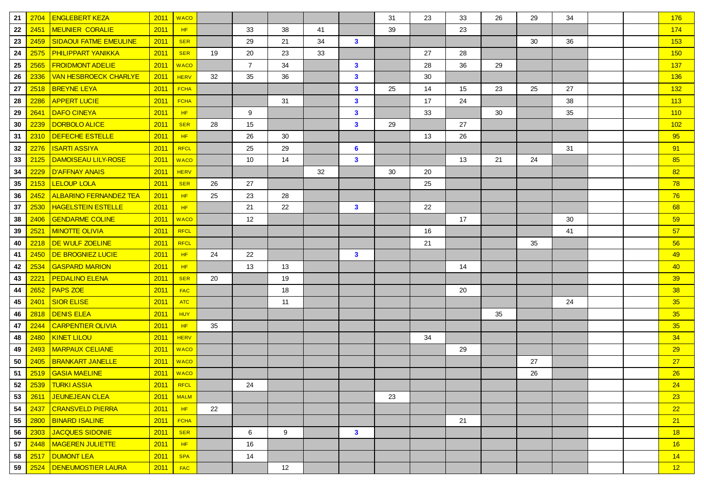| 21 | 2704 | <b>ENGLEBERT KEZA</b>         | 2011        | <b>WACO</b> |    |                |    |    |              | 31 | 23 | 33 | 26 | 29 | 34 |  | 176 |
|----|------|-------------------------------|-------------|-------------|----|----------------|----|----|--------------|----|----|----|----|----|----|--|-----|
| 22 | 2451 | <b>MEUNIER CORALIE</b>        | 2011        | HF          |    | 33             | 38 | 41 |              | 39 |    | 23 |    |    |    |  | 174 |
| 23 | 2459 | <b>SIDAOUI FATME EMEULINE</b> | 2011        | <b>SER</b>  |    | 29             | 21 | 34 | $\mathbf{3}$ |    |    |    |    | 30 | 36 |  | 153 |
| 24 | 2575 | <b>PHILIPPART YANIKKA</b>     | 2011        | <b>SER</b>  | 19 | 20             | 23 | 33 |              |    | 27 | 28 |    |    |    |  | 150 |
| 25 | 2565 | <b>FROIDMONT ADELIE</b>       | 2011        | <b>WACO</b> |    | $\overline{7}$ | 34 |    | $\mathbf{3}$ |    | 28 | 36 | 29 |    |    |  | 137 |
| 26 | 2336 | <b>VAN HESBROECK CHARLYE</b>  | 2011        | <b>HERV</b> | 32 | 35             | 36 |    | $\mathbf{3}$ |    | 30 |    |    |    |    |  | 136 |
| 27 | 2518 | <b>BREYNE LEYA</b>            | 2011        | <b>FCHA</b> |    |                |    |    | $\mathbf{3}$ | 25 | 14 | 15 | 23 | 25 | 27 |  | 132 |
| 28 | 2286 | <b>APPERT LUCIE</b>           | 2011        | <b>FCHA</b> |    |                | 31 |    | $\mathbf{3}$ |    | 17 | 24 |    |    | 38 |  | 113 |
| 29 | 2641 | <b>DAFO CINEYA</b>            | 2011        | HF          |    | 9              |    |    | $\mathbf{3}$ |    | 33 |    | 30 |    | 35 |  | 110 |
| 30 | 2239 | DORBOLO ALICE                 | 2011        | <b>SER</b>  | 28 | 15             |    |    | $\mathbf{3}$ | 29 |    | 27 |    |    |    |  | 102 |
| 31 | 2310 | DEFECHE ESTELLE               | 2011        | HF          |    | 26             | 30 |    |              |    | 13 | 26 |    |    |    |  | 95  |
| 32 | 2276 | <b>ISARTI ASSIYA</b>          | 2011        | <b>RFCL</b> |    | 25             | 29 |    | 6            |    |    |    |    |    | 31 |  | 91  |
| 33 | 2125 | DAMOISEAU LILY-ROSE           | 2011        | <b>WACO</b> |    | 10             | 14 |    | $\mathbf{3}$ |    |    | 13 | 21 | 24 |    |  | 85  |
| 34 | 2229 | <b>D'AFFNAY ANAIS</b>         | 2011        | <b>HERV</b> |    |                |    | 32 |              | 30 | 20 |    |    |    |    |  | 82  |
| 35 | 2153 | <b>LELOUP LOLA</b>            | 2011        | <b>SER</b>  | 26 | 27             |    |    |              |    | 25 |    |    |    |    |  | 78  |
| 36 | 2452 | <b>ALBARINO FERNANDEZ TEA</b> | 2011        | HF          | 25 | 23             | 28 |    |              |    |    |    |    |    |    |  | 76  |
| 37 | 2530 | <b>HAGELSTEIN ESTELLE</b>     | 2011        | HF          |    | 21             | 22 |    | $\mathbf{3}$ |    | 22 |    |    |    |    |  | 68  |
| 38 | 2406 | <b>GENDARME COLINE</b>        | 2011        | <b>WACO</b> |    | 12             |    |    |              |    |    | 17 |    |    | 30 |  | 59  |
| 39 | 2521 | <b>MINOTTE OLIVIA</b>         | 2011        | RFCL        |    |                |    |    |              |    | 16 |    |    |    | 41 |  | 57  |
| 40 | 2218 | <b>DE WULF ZOELINE</b>        | 2011        | <b>RFCL</b> |    |                |    |    |              |    | 21 |    |    | 35 |    |  | 56  |
| 41 | 2450 | DE BROGNIEZ LUCIE             | 2011        | HF          | 24 | 22             |    |    | $\mathbf{3}$ |    |    |    |    |    |    |  | 49  |
| 42 | 2534 | <b>GASPARD MARION</b>         | 2011        | HF.         |    | 13             | 13 |    |              |    |    | 14 |    |    |    |  | 40  |
| 43 | 2221 | <b>PEDALINO ELENA</b>         | 2011        | <b>SER</b>  | 20 |                | 19 |    |              |    |    |    |    |    |    |  | 39  |
| 44 | 2652 | <b>PAPS ZOE</b>               | 2011        | <b>FAC</b>  |    |                | 18 |    |              |    |    | 20 |    |    |    |  | 38  |
| 45 | 2401 | <b>SIOR ELISE</b>             | 2011        | <b>ATC</b>  |    |                | 11 |    |              |    |    |    |    |    | 24 |  | 35  |
| 46 | 2818 | <b>DENIS ELEA</b>             | 2011        | <b>HUY</b>  |    |                |    |    |              |    |    |    | 35 |    |    |  | 35  |
| 47 | 2244 | <b>CARPENTIER OLIVIA</b>      | 2011        | HF          | 35 |                |    |    |              |    |    |    |    |    |    |  | 35  |
| 48 | 2480 | <b>KINET LILOU</b>            | 2011        | <b>HERV</b> |    |                |    |    |              |    | 34 |    |    |    |    |  | 34  |
| 49 | 2493 | <b>MARPAUX CELIANE</b>        | 2011        | <b>WACO</b> |    |                |    |    |              |    |    | 29 |    |    |    |  | 29  |
| 50 | 2405 | <b>BRANKART JANELLE</b>       | 2011        | <b>WACO</b> |    |                |    |    |              |    |    |    |    | 27 |    |  | 27  |
| 51 | 2519 | <b>GASIA MAELINE</b>          | 2011        | <b>WACO</b> |    |                |    |    |              |    |    |    |    | 26 |    |  | 26  |
| 52 |      | 2539 TURKI ASSIA              | $2011$ RFCL |             |    | 24             |    |    |              |    |    |    |    |    |    |  | 24  |
| 53 | 2611 | <b>JEUNEJEAN CLEA</b>         | 2011        | <b>MALM</b> |    |                |    |    |              | 23 |    |    |    |    |    |  | 23  |
| 54 | 2437 | <b>CRANSVELD PIERRA</b>       | 2011        | HF          | 22 |                |    |    |              |    |    |    |    |    |    |  | 22  |
| 55 | 2800 | <b>BINARD ISALINE</b>         | 2011        | <b>FCHA</b> |    |                |    |    |              |    |    | 21 |    |    |    |  | 21  |
| 56 | 2303 | JACQUES SIDONIE               | 2011        | <b>SER</b>  |    | 6              | 9  |    | $\mathbf{3}$ |    |    |    |    |    |    |  | 18  |
| 57 | 2448 | <b>MAGEREN JULIETTE</b>       | 2011        | HF          |    | 16             |    |    |              |    |    |    |    |    |    |  | 16  |
| 58 | 2517 | <b>DUMONT LEA</b>             | 2011        | <b>SPA</b>  |    | 14             |    |    |              |    |    |    |    |    |    |  | 14  |
| 59 | 2524 | <b>DENEUMOSTIER LAURA</b>     | 2011        | <b>FAC</b>  |    |                | 12 |    |              |    |    |    |    |    |    |  | 12  |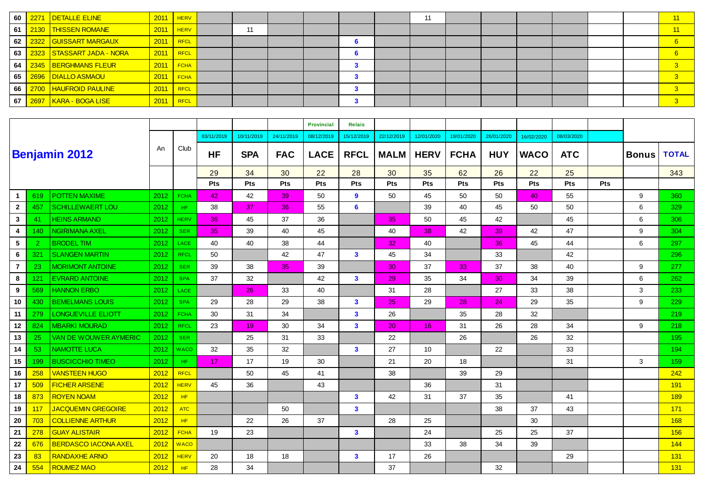| 60 | 2271 DETALLE ELINE        | 2011 | <b>HERV</b> |    |  |  | 11 |  |  |  | 11 |
|----|---------------------------|------|-------------|----|--|--|----|--|--|--|----|
| 61 | 2130   THISSEN ROMANE     | 2011 | <b>HERV</b> | 11 |  |  |    |  |  |  | 11 |
| 62 | 2322 GUISSART MARGAUX     | 2011 | RFCL        |    |  |  |    |  |  |  |    |
| 63 | 2323 STASSART JADA - NORA | 2011 | <b>RFCL</b> |    |  |  |    |  |  |  |    |
| 64 | 2345 BERGHMANS FLEUR      | 2011 | <b>FCHA</b> |    |  |  |    |  |  |  |    |
| 65 | 2696   DIALLO ASMAOU      | 2011 | <b>FCHA</b> |    |  |  |    |  |  |  |    |
| 66 | 2700 HAUFROID PAULINE     | 2011 | <b>RFCL</b> |    |  |  |    |  |  |  |    |
| 67 | 2697   KARA - BOGA LISE   | 2011 | <b>RFCL</b> |    |  |  |    |  |  |  |    |

|                 |                |                             |      |             |            |            |            | <b>Provincial</b> | <b>Relais</b>           |             |                 |             |            |             |            |            |              |                  |
|-----------------|----------------|-----------------------------|------|-------------|------------|------------|------------|-------------------|-------------------------|-------------|-----------------|-------------|------------|-------------|------------|------------|--------------|------------------|
|                 |                |                             |      |             | 03/11/2019 | 10/11/2019 | 24/11/2019 | 08/12/2019        | 15/12/2019              | 22/12/2019  | 12/01/2020      | 19/01/2020  | 26/01/2020 | 16/02/2020  | 08/03/2020 |            |              |                  |
|                 |                | <b>Benjamin 2012</b>        | An   | Club        | <b>HF</b>  | <b>SPA</b> | <b>FAC</b> | <b>LACE</b>       | <b>RFCL</b>             | <b>MALM</b> | <b>HERV</b>     | <b>FCHA</b> | <b>HUY</b> | <b>WACO</b> | <b>ATC</b> |            | <b>Bonus</b> | <b>TOTAL</b>     |
|                 |                |                             |      |             | 29         | 34         | 30         | 22                | 28                      | 30          | 35              | 62          | 26         | 22          | 25         |            |              | 343              |
|                 |                |                             |      |             | Pts        | Pts        | <b>Pts</b> | Pts               | Pts                     | Pts         | Pts             | Pts         | Pts        | <b>Pts</b>  | Pts        | <b>Pts</b> |              |                  |
| $\mathbf{1}$    | 619            | POTTEN MAXIME               | 2012 | <b>FCHA</b> | 42         | 42         | 39         | 50                | 9                       | 50          | 45              | 50          | 50         | 40          | 55         |            | 9            | 360              |
| $\overline{2}$  | 457            | <b>SCHILLEWAERT LOU</b>     | 2012 | HF.         | 38         | 37         | 36         | 55                | 6                       |             | 39              | 40          | 45         | 50          | 50         |            | 6            | 329              |
| $\mathbf{3}$    | 41             | <b>HEINS ARMAND</b>         | 2012 | <b>HERV</b> | 36         | 45         | 37         | 36                |                         | 35          | 50              | 45          | 42         |             | 45         |            | 6            | 306              |
| 4               | 140            | NGIRIMANA AXEL              | 2012 | <b>SER</b>  | 35         | 39         | 40         | 45                |                         | 40          | 38              | 42          | 39         | 42          | 47         |            | 9            | 304              |
| $5\phantom{.0}$ | $\overline{2}$ | <b>BRODEL TIM</b>           | 2012 | <b>LACE</b> | 40         | 40         | 38         | 44                |                         | 32          | 40              |             | 36         | 45          | 44         |            | 6            | 297              |
| $6\phantom{.}6$ | 321            | <b>SLANGEN MARTIN</b>       | 2012 | <b>RFCL</b> | 50         |            | 42         | 47                | $\mathbf{3}$            | 45          | 34              |             | 33         |             | 42         |            |              | 296              |
| $\overline{7}$  | 23             | <b>MORIMONT ANTOINE</b>     | 2012 | <b>SER</b>  | 39         | 38         | 35         | 39                |                         | 30          | 37              | 33          | 37         | 38          | 40         |            | 9            | 277              |
| 8               | 121            | <b>EVRARD ANTOINE</b>       | 2012 | <b>SPA</b>  | 37         | 32         |            | 42                | $\mathbf{3}$            | 29          | 35              | 34          | 30         | 34          | 39         |            | 6            | 262              |
| 9               | 569            | <b>HANNON ERBO</b>          | 2012 | LACE        |            | 26         | 33         | 40                |                         | 31          | 28              |             | 27         | 33          | 38         |            | 3            | 233              |
| 10              | 430            | <b>BEMELMANS LOUIS</b>      | 2012 | <b>SPA</b>  | 29         | 28         | 29         | 38                | $\mathbf{3}$            | 25          | 29              | 28          | 24         | 29          | 35         |            | 9            | 229              |
| 11              | 279            | <b>LONGUEVILLE ELIOTT</b>   | 2012 | <b>FCHA</b> | 30         | 31         | 34         |                   | $\overline{\mathbf{3}}$ | 26          |                 | 35          | 28         | 32          |            |            |              | 219              |
| 12              | 824            | <b>MBARKI MOURAD</b>        | 2012 | <b>RFCL</b> | 23         | 19         | 30         | 34                | $\overline{\mathbf{3}}$ | 20          | 16              | 31          | 26         | 28          | 34         |            | 9            | 218              |
| 13              | 25             | VAN DE WOUWER AYMERIC       | 2012 | <b>SER</b>  |            | 25         | 31         | 33                |                         | 22          |                 | 26          |            | 26          | 32         |            |              | 195 <sub>1</sub> |
| 14              | 53             | <b>NAMOTTE LUCA</b>         | 2012 | <b>WACO</b> | 32         | 35         | 32         |                   | $\mathbf{3}$            | 27          | 10 <sup>°</sup> |             | 22         |             | 33         |            |              | 194              |
| 15              | 199            | <b>BUSCICCHIO TIMEO</b>     | 2012 | HF.         | 17         | 17         | 19         | 30                |                         | 21          | 20              | 18          |            |             | 31         |            | 3            | 159              |
| 16              | 258            | <b>VANSTEEN HUGO</b>        | 2012 | <b>RFCL</b> |            | 50         | 45         | 41                |                         | 38          |                 | 39          | 29         |             |            |            |              | 242              |
| 17              | 509            | <b>FICHER ARSENE</b>        | 2012 | <b>HERV</b> | 45         | 36         |            | 43                |                         |             | 36              |             | 31         |             |            |            |              | 191              |
| 18              | 873            | <b>ROYEN NOAM</b>           | 2012 | HF          |            |            |            |                   | $\mathbf{3}$            | 42          | 31              | 37          | 35         |             | 41         |            |              | 189              |
| 19              | 117            | <b>JACQUEMIN GREGOIRE</b>   | 2012 | <b>ATC</b>  |            |            | 50         |                   | $\mathbf{3}$            |             |                 |             | 38         | 37          | 43         |            |              | 171              |
| 20              | 703            | <b>COLLIENNE ARTHUR</b>     | 2012 | HF.         |            | 22         | 26         | 37                |                         | 28          | 25              |             |            | 30          |            |            |              | 168              |
| 21              | 278            | <b>GUAY ALISTAIR</b>        | 2012 | <b>FCHA</b> | 19         | 23         |            |                   | $\mathbf{3}$            |             | 24              |             | 25         | 25          | 37         |            |              | 156              |
| 22              | 676            | <b>BERDASCO IACONA AXEL</b> | 2012 | <b>WACO</b> |            |            |            |                   |                         |             | 33              | 38          | 34         | 39          |            |            |              | 144              |
| 23              | 83             | <b>RANDAXHE ARNO</b>        | 2012 | <b>HERV</b> | 20         | 18         | 18         |                   | $\mathbf{3}$            | 17          | 26              |             |            |             | 29         |            |              | 131              |
| 24              | 554            | <b>ROUMEZ MAO</b>           | 2012 | <b>HF</b>   | 28         | 34         |            |                   |                         | 37          |                 |             | 32         |             |            |            |              | 131              |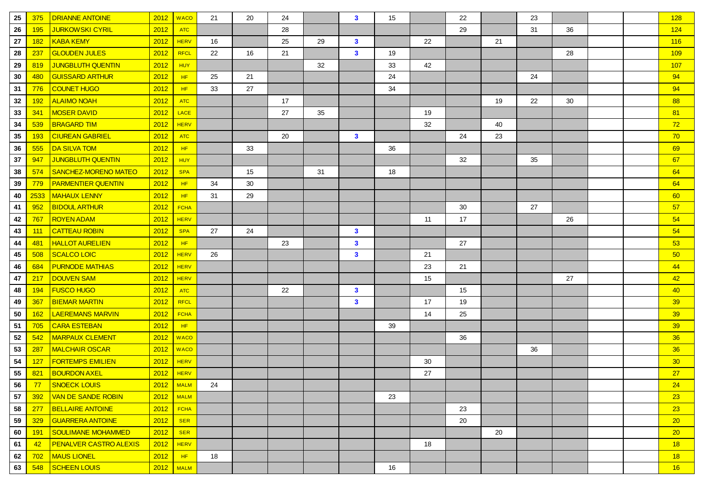| 25 | 375        | <b>DRIANNE ANTOINE</b>        | 2012               | <b>WACO</b> | 21 | 20 | 24 |    | $\mathbf{3}$ | 15 |    | 22 |    | 23 |    |  | 128             |
|----|------------|-------------------------------|--------------------|-------------|----|----|----|----|--------------|----|----|----|----|----|----|--|-----------------|
| 26 | 195        | <b>JURKOWSKI CYRIL</b>        | 2012               | <b>ATC</b>  |    |    | 28 |    |              |    |    | 29 |    | 31 | 36 |  | 124             |
| 27 | <b>182</b> | <b>KABA KEMY</b>              | 2012               | <b>HERV</b> | 16 |    | 25 | 29 | $\mathbf{3}$ |    | 22 |    | 21 |    |    |  | 116             |
| 28 | 237        | <b>GLOUDEN JULES</b>          | 2012               | <b>RFCL</b> | 22 | 16 | 21 |    | $\mathbf{3}$ | 19 |    |    |    |    | 28 |  | 109             |
| 29 | 819        | <b>JUNGBLUTH QUENTIN</b>      | 2012               | <b>HUY</b>  |    |    |    | 32 |              | 33 | 42 |    |    |    |    |  | 107             |
| 30 | 480        | <b>GUISSARD ARTHUR</b>        | 2012               | HF          | 25 | 21 |    |    |              | 24 |    |    |    | 24 |    |  | 94              |
| 31 | 776        | <b>COUNET HUGO</b>            | 2012               | HF          | 33 | 27 |    |    |              | 34 |    |    |    |    |    |  | 94              |
| 32 | <b>192</b> | <b>ALAIMO NOAH</b>            | 2012               | <b>ATC</b>  |    |    | 17 |    |              |    |    |    | 19 | 22 | 30 |  | 88              |
| 33 | 341        | <b>MOSER DAVID</b>            | 2012               | LACE        |    |    | 27 | 35 |              |    | 19 |    |    |    |    |  | 81              |
| 34 | 539        | <b>BRAGARD TIM</b>            | 2012               | <b>HERV</b> |    |    |    |    |              |    | 32 |    | 40 |    |    |  | 72              |
| 35 | 193        | <b>CIUREAN GABRIEL</b>        | 2012               | <b>ATC</b>  |    |    | 20 |    | $\mathbf{3}$ |    |    | 24 | 23 |    |    |  | 70              |
| 36 | 555        | <b>DA SILVA TOM</b>           | 2012               | HF          |    | 33 |    |    |              | 36 |    |    |    |    |    |  | 69              |
| 37 | 947        | <b>JUNGBLUTH QUENTIN</b>      | 2012               | <b>HUY</b>  |    |    |    |    |              |    |    | 32 |    | 35 |    |  | 67              |
| 38 | 574        | SANCHEZ-MORENO MATEO          | 2012               | <b>SPA</b>  |    | 15 |    | 31 |              | 18 |    |    |    |    |    |  | 64              |
| 39 | 779        | <b>PARMENTIER QUENTIN</b>     | 2012               | HF.         | 34 | 30 |    |    |              |    |    |    |    |    |    |  | 64              |
| 40 | 2533       | <b>MAHAUX LENNY</b>           | 2012               | HF          | 31 | 29 |    |    |              |    |    |    |    |    |    |  | 60              |
| 41 | 952        | <b>BIDOUL ARTHUR</b>          | 2012               | <b>FCHA</b> |    |    |    |    |              |    |    | 30 |    | 27 |    |  | 57              |
| 42 | 767        | <b>ROYEN ADAM</b>             | 2012               | <b>HERV</b> |    |    |    |    |              |    | 11 | 17 |    |    | 26 |  | 54              |
| 43 | 111        | <b>CATTEAU ROBIN</b>          | 2012               | <b>SPA</b>  | 27 | 24 |    |    | $\mathbf{3}$ |    |    |    |    |    |    |  | 54              |
| 44 | 481        | <b>HALLOT AURELIEN</b>        | 2012               | HF          |    |    | 23 |    | $\mathbf{3}$ |    |    | 27 |    |    |    |  | 53              |
| 45 | 508        | <b>SCALCO LOIC</b>            | 2012               | <b>HERV</b> | 26 |    |    |    | $\mathbf{3}$ |    | 21 |    |    |    |    |  | 50              |
| 46 | 684        | <b>PURNODE MATHIAS</b>        | 2012               | <b>HERV</b> |    |    |    |    |              |    | 23 | 21 |    |    |    |  | 44              |
| 47 | 217        | <b>DOUVEN SAM</b>             | 2012               | <b>HERV</b> |    |    |    |    |              |    | 15 |    |    |    | 27 |  | 42              |
| 48 | 194        | <b>FUSCO HUGO</b>             | 2012               | <b>ATC</b>  |    |    | 22 |    | $\mathbf{3}$ |    |    | 15 |    |    |    |  | 40              |
| 49 | 367        | <b>BIEMAR MARTIN</b>          | 2012               | <b>RFCL</b> |    |    |    |    | $\mathbf{3}$ |    | 17 | 19 |    |    |    |  | 39              |
| 50 | 162        | <b>LAEREMANS MARVIN</b>       | 2012               | <b>FCHA</b> |    |    |    |    |              |    | 14 | 25 |    |    |    |  | 39              |
| 51 | 705        | <b>CARA ESTEBAN</b>           | 2012               | HF          |    |    |    |    |              | 39 |    |    |    |    |    |  | 39              |
| 52 | 542        | <b>MARPAUX CLEMENT</b>        | 2012               | <b>WACO</b> |    |    |    |    |              |    |    | 36 |    |    |    |  | 36              |
| 53 | 287        | <b>MALCHAIR OSCAR</b>         | 2012               | <b>WACO</b> |    |    |    |    |              |    |    |    |    | 36 |    |  | 36              |
| 54 | 127        | <b>FORTEMPS EMILIEN</b>       | 2012               | <b>HERV</b> |    |    |    |    |              |    | 30 |    |    |    |    |  | 30 <sub>2</sub> |
| 55 | 821        | <b>BOURDON AXEL</b>           | 2012               | <b>HERV</b> |    |    |    |    |              |    | 27 |    |    |    |    |  | 27              |
| 56 |            | <mark>77 SNOECK LOUIS</mark>  | $\sqrt{2012}$ MALM |             | 24 |    |    |    |              |    |    |    |    |    |    |  | 24              |
| 57 | 392        | VAN DE SANDE ROBIN            |                    | $2012$ MALM |    |    |    |    |              | 23 |    |    |    |    |    |  | 23              |
| 58 | 277        | <b>BELLAIRE ANTOINE</b>       | 2012               | <b>FCHA</b> |    |    |    |    |              |    |    | 23 |    |    |    |  | 23              |
| 59 | 329        | <b>GUARRERA ANTOINE</b>       | 2012               | <b>SER</b>  |    |    |    |    |              |    |    | 20 |    |    |    |  | 20 <sup>2</sup> |
| 60 | 191        | SOULIMANE MOHAMMED            | 2012               | <b>SER</b>  |    |    |    |    |              |    |    |    | 20 |    |    |  | 20 <sup>2</sup> |
| 61 | $-42$      | <b>PENALVER CASTRO ALEXIS</b> | 2012               | <b>HERV</b> |    |    |    |    |              |    | 18 |    |    |    |    |  | 18              |
| 62 | 702        | <b>MAUS LIONEL</b>            | 2012               | HF          | 18 |    |    |    |              |    |    |    |    |    |    |  | 18              |
| 63 | 548        | SCHEEN LOUIS                  |                    | $2012$ MALM |    |    |    |    |              | 16 |    |    |    |    |    |  | 16              |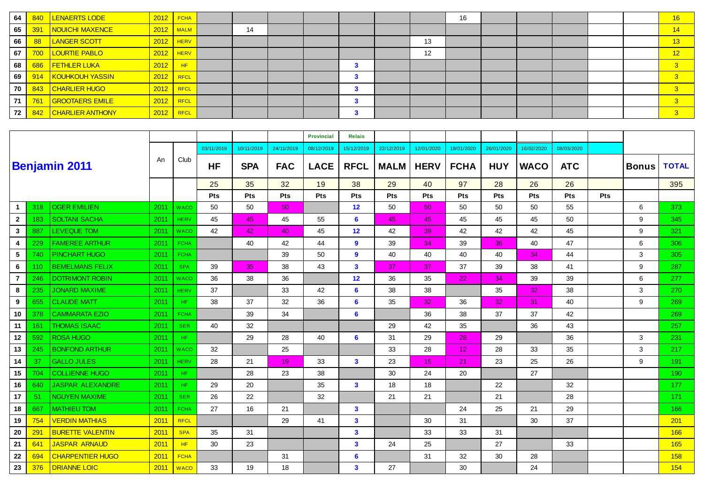| 64 | 840 | <b>LENAERTS LODE</b>    | 2012        | <b>FCHA</b> |    |  |  |    | 16 |  |  | 16                      |
|----|-----|-------------------------|-------------|-------------|----|--|--|----|----|--|--|-------------------------|
| 65 | 391 | NOUICHI MAXENCE         |             | $2012$ MALM | 14 |  |  |    |    |  |  | 14                      |
| 66 |     | <b>LANGER SCOTT</b>     | $2012$ HERV |             |    |  |  | 13 |    |  |  | 13                      |
| 67 | 700 | <b>LOURTIE PABLO</b>    | $2012$ HERV |             |    |  |  | 12 |    |  |  | 12                      |
| 68 | 686 | <b>FETHLER LUKA</b>     | 2012        | HF          |    |  |  |    |    |  |  | 3                       |
| 69 | 914 | KOUHKOUH YASSIN         | 2012        | RFCL        |    |  |  |    |    |  |  | 3                       |
| 70 | 843 | <b>CHARLIER HUGO</b>    | 2012        | RFCL        |    |  |  |    |    |  |  | 3                       |
| 71 | 761 | <b>GROOTAERS EMILE</b>  | 2012 RFCL   |             |    |  |  |    |    |  |  | 3                       |
| 72 | 842 | <b>CHARLIER ANTHONY</b> | $2012$ RFCL |             |    |  |  |    |    |  |  | $\overline{\mathbf{3}}$ |

|                         |     |                         |      |             |            |            |                 | <b>Provincial</b> | <b>Relais</b>           |             |                 |                 |            |             |            |     |              |              |
|-------------------------|-----|-------------------------|------|-------------|------------|------------|-----------------|-------------------|-------------------------|-------------|-----------------|-----------------|------------|-------------|------------|-----|--------------|--------------|
|                         |     |                         |      |             | 03/11/2019 | 10/11/2019 | 24/11/2019      | 08/12/2019        | 15/12/2019              | 22/12/2019  | 12/01/2020      | 19/01/2020      | 26/01/2020 | 16/02/2020  | 08/03/2020 |     |              |              |
|                         |     | <b>Benjamin 2011</b>    | An   | Club        | <b>HF</b>  | <b>SPA</b> | <b>FAC</b>      | <b>LACE</b>       | <b>RFCL</b>             | <b>MALM</b> | <b>HERV</b>     | <b>FCHA</b>     | <b>HUY</b> | <b>WACO</b> | <b>ATC</b> |     | <b>Bonus</b> | <b>TOTAL</b> |
|                         |     |                         |      |             | 25         | 35         | 32              | 19                | 38                      | 29          | 40              | 97              | 28         | 26          | 26         |     |              | 395          |
|                         |     |                         |      |             | Pts        | Pts        | Pts             | <b>Pts</b>        | Pts                     | <b>Pts</b>  | Pts             | <b>Pts</b>      | Pts        | <b>Pts</b>  | Pts        | Pts |              |              |
| -1                      | 318 | <b>OGER EMILIEN</b>     | 2011 | <b>WACO</b> | 50         | 50         | 50 <sub>1</sub> |                   | 12                      | 50          | 50 <sup>°</sup> | 50              | 50         | 50          | 55         |     | 6            | 373          |
| $\overline{2}$          | 183 | <b>SOLTANI SACHA</b>    | 2011 | <b>HERV</b> | 45         | 45         | 45              | 55                | 6                       | 45          | 45              | 45              | 45         | 45          | 50         |     | 9            | 345          |
| $\mathbf{3}$            | 887 | LEVEQUE TOM             | 2011 | <b>WACO</b> | 42         | 42         | 40              | 45                | 12                      | 42          | 39              | 42              | 42         | 42          | 45         |     | 9            | 321          |
| $\overline{\mathbf{4}}$ | 229 | <b>FAMEREE ARTHUR</b>   | 2011 | <b>FCHA</b> |            | 40         | 42              | 44                | 9                       | 39          | 34              | 39              | 36         | 40          | 47         |     | 6            | 306          |
| 5                       | 740 | PINCHART HUGO           | 2011 | <b>FCHA</b> |            |            | 39              | 50                | 9                       | 40          | 40              | 40              | 40         | 34          | 44         |     | 3            | 305          |
| 6                       | 110 | <b>BEMELMANS FELIX</b>  | 2011 | <b>SPA</b>  | 39         | 35         | 38              | 43                | $\overline{\mathbf{3}}$ | 37          | 37              | 37              | 39         | 38          | 41         |     | 9            | 287          |
| $\overline{7}$          | 246 | <b>DOTRIMONT ROBIN</b>  | 2011 | <b>WACO</b> | 36         | 38         | 36              |                   | 12                      | 36          | 35              | 22              | 34         | 39          | 39         |     | 6            | 277          |
| 8                       | 235 | <b>JONARD MAXIME</b>    | 2011 | <b>HERV</b> | 37         |            | 33              | 42                | 6                       | 38          | 38              |                 | 35         | 32          | 38         |     | 3            | 270          |
| 9                       | 655 | <b>CLAUDE MATT</b>      | 2011 | HF.         | 38         | 37         | 32              | 36                | 6                       | 35          | 32 <sub>2</sub> | 36              | 32         | 31          | 40         |     | 9            | 269          |
| 10                      | 378 | <b>CAMMARATA EZIO</b>   | 2011 | <b>FCHA</b> |            | 39         | 34              |                   | 6                       |             | 36              | 38              | 37         | 37          | 42         |     |              | 269          |
| 11                      | 161 | <b>THOMAS ISAAC</b>     | 2011 | <b>SER</b>  | 40         | 32         |                 |                   |                         | 29          | 42              | 35              |            | 36          | 43         |     |              | 257          |
| 12                      | 592 | <b>ROSA HUGO</b>        | 2011 | HF.         |            | 29         | 28              | 40                | 6                       | 31          | 29              | 28              | 29         |             | 36         |     | 3            | 231          |
| 13                      | 245 | <b>BONFOND ARTHUR</b>   | 2011 | <b>WACO</b> | 32         |            | 25              |                   |                         | 33          | 28              | 12 <sub>2</sub> | 28         | 33          | 35         |     | 3            | 217          |
| 14                      | 37  | <b>GALLO JULES</b>      | 2011 | <b>HERV</b> | 28         | 21         | 19              | 33                | 3                       | 23          | 15 <sub>1</sub> | 21              | 23         | 25          | 26         |     | 9            | 191          |
| 15                      | 704 | <b>COLLIENNE HUGO</b>   | 2011 | HF.         |            | 28         | 23              | 38                |                         | 30          | 24              | 20              |            | 27          |            |     |              | 190          |
| 16                      | 640 | <b>JASPAR ALEXANDRE</b> | 2011 | HF.         | 29         | 20         |                 | 35                | $\overline{\mathbf{3}}$ | 18          | 18              |                 | 22         |             | 32         |     |              | 177          |
| 17                      | 51  | <b>NGUYEN MAXIME</b>    | 2011 | <b>SER</b>  | 26         | 22         |                 | 32                |                         | 21          | 21              |                 | 21         |             | 28         |     |              | 171          |
| 18                      | 667 | <b>MATHIEU TOM</b>      | 2011 | <b>FCHA</b> | 27         | 16         | 21              |                   | 3                       |             |                 | 24              | 25         | 21          | 29         |     |              | 166          |
| 19                      | 754 | <b>VERDIN MATHIAS</b>   | 2011 | <b>RFCL</b> |            |            | 29              | 41                | $\overline{\mathbf{3}}$ |             | 30              | 31              |            | 30          | 37         |     |              | 201          |
| 20                      | 291 | <b>BURETTE VALENTIN</b> | 2011 | <b>SPA</b>  | 35         | 31         |                 |                   | $\mathbf{3}$            |             | 33              | 33              | 31         |             |            |     |              | 166          |
| 21                      | 641 | <b>JASPAR ARNAUD</b>    | 2011 | HF          | 30         | 23         |                 |                   | 3                       | 24          | 25              |                 | 27         |             | 33         |     |              | 165          |
| 22                      | 694 | <b>CHARPENTIER HUGO</b> | 2011 | <b>FCHA</b> |            |            | 31              |                   | 6                       |             | 31              | 32              | 30         | 28          |            |     |              | 158          |
| 23                      | 376 | <b>DRIANNE LOIC</b>     | 2011 | <b>WACO</b> | 33         | 19         | 18              |                   | $\overline{\mathbf{3}}$ | 27          |                 | 30              |            | 24          |            |     |              | 154          |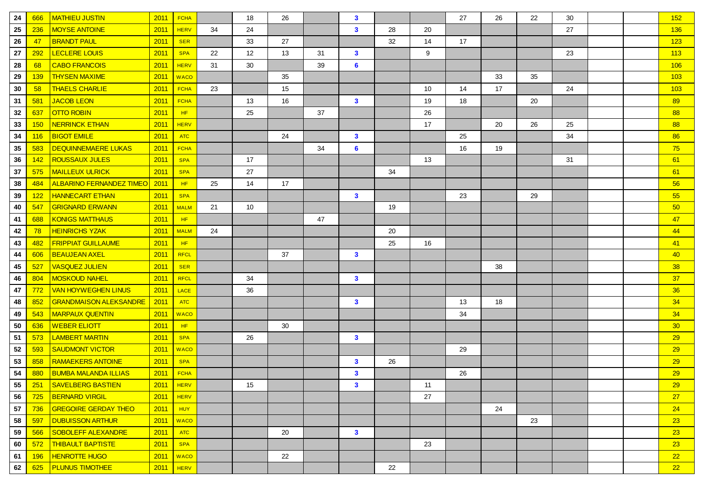| 24     | 666        | <b>MATHIEU JUSTIN</b>           | 2011 | <b>FCHA</b> |    | 18 | 26 |    | $\mathbf{3}$   |    |    | 27 | 26 | 22 | 30 |  | 152             |
|--------|------------|---------------------------------|------|-------------|----|----|----|----|----------------|----|----|----|----|----|----|--|-----------------|
| 25     | 236        | <b>MOYSE ANTOINE</b>            | 2011 | <b>HERV</b> | 34 | 24 |    |    | $\mathbf{3}$   | 28 | 20 |    |    |    | 27 |  | 136             |
| 26     | 47         | <b>BRANDT PAUL</b>              | 2011 | <b>SER</b>  |    | 33 | 27 |    |                | 32 | 14 | 17 |    |    |    |  | 123             |
| 27     | 292        | <b>LECLERE LOUIS</b>            | 2011 | <b>SPA</b>  | 22 | 12 | 13 | 31 | $\mathbf{3}$   |    | 9  |    |    |    | 23 |  | 113             |
| 28     | 68         | <b>CABO FRANCOIS</b>            | 2011 | <b>HERV</b> | 31 | 30 |    | 39 | $6\phantom{a}$ |    |    |    |    |    |    |  | 106             |
| 29     | <b>139</b> | <b>THYSEN MAXIME</b>            | 2011 | <b>WACO</b> |    |    | 35 |    |                |    |    |    | 33 | 35 |    |  | 103             |
| 30     | 58         | <b>THAELS CHARLIE</b>           | 2011 | <b>FCHA</b> | 23 |    | 15 |    |                |    | 10 | 14 | 17 |    | 24 |  | 103             |
| 31     | 581        | <b>JACOB LEON</b>               | 2011 | <b>FCHA</b> |    | 13 | 16 |    | $\mathbf{3}$   |    | 19 | 18 |    | 20 |    |  | 89              |
| 32     | 637        | <b>OTTO ROBIN</b>               | 2011 | HF          |    | 25 |    | 37 |                |    | 26 |    |    |    |    |  | 88              |
| 33     | 150        | <b>NERRINCK ETHAN</b>           | 2011 | <b>HERV</b> |    |    |    |    |                |    | 17 |    | 20 | 26 | 25 |  | 88              |
| 34     | 116        | <b>BIGOT EMILE</b>              | 2011 | <b>ATC</b>  |    |    | 24 |    | $\mathbf{3}$   |    |    | 25 |    |    | 34 |  | 86              |
| 35     | 583        | <b>DEQUINNEMAERE LUKAS</b>      | 2011 | <b>FCHA</b> |    |    |    | 34 | 6              |    |    | 16 | 19 |    |    |  | 75              |
| 36     | 142        | <b>ROUSSAUX JULES</b>           | 2011 | <b>SPA</b>  |    | 17 |    |    |                |    | 13 |    |    |    | 31 |  | 61              |
| 37     | 575        | <b>MAILLEUX ULRICK</b>          | 2011 | <b>SPA</b>  |    | 27 |    |    |                | 34 |    |    |    |    |    |  | 61              |
| 38     | 484        | <b>ALBARINO FERNANDEZ TIMEO</b> | 2011 | HF          | 25 | 14 | 17 |    |                |    |    |    |    |    |    |  | 56              |
| 39     | 122        | <b>HANNECART ETHAN</b>          | 2011 | <b>SPA</b>  |    |    |    |    | $\mathbf{3}$   |    |    | 23 |    | 29 |    |  | 55              |
| 40     | 547        | <b>GRIGNARD ERWANN</b>          | 2011 | <b>MALM</b> | 21 | 10 |    |    |                | 19 |    |    |    |    |    |  | 50              |
| 41     | 688        | <b>KONIGS MATTHAUS</b>          | 2011 | HF          |    |    |    | 47 |                |    |    |    |    |    |    |  | 47              |
| 42     | 78         | <b>HEINRICHS YZAK</b>           | 2011 | <b>MALM</b> | 24 |    |    |    |                | 20 |    |    |    |    |    |  | 44              |
| 43     | 482        | <b>FRIPPIAT GUILLAUME</b>       | 2011 | HF          |    |    |    |    |                | 25 | 16 |    |    |    |    |  | 41              |
| 44     | 606        | <b>BEAUJEAN AXEL</b>            | 2011 | <b>RFCL</b> |    |    | 37 |    | $\mathbf{3}$   |    |    |    |    |    |    |  | 40              |
| 45     | 527        | <b>VASQUEZ JULIEN</b>           | 2011 | <b>SER</b>  |    |    |    |    |                |    |    |    | 38 |    |    |  | 38              |
| 46     | 804        | <b>MOSKOUD NAHEL</b>            | 2011 | RFCL        |    | 34 |    |    | $\mathbf{3}$   |    |    |    |    |    |    |  | 37              |
| 47     | 772        | <b>VAN HOYWEGHEN LINUS</b>      | 2011 | LACE        |    | 36 |    |    |                |    |    |    |    |    |    |  | 36              |
| 48     | 852        | <b>GRANDMAISON ALEKSANDRE</b>   | 2011 | <b>ATC</b>  |    |    |    |    | $\mathbf{3}$   |    |    | 13 | 18 |    |    |  | 34              |
| 49     | 543        | <b>MARPAUX QUENTIN</b>          | 2011 | <b>WACO</b> |    |    |    |    |                |    |    | 34 |    |    |    |  | 34              |
| 50     | 636        | <b>WEBER ELIOTT</b>             | 2011 | HF          |    |    | 30 |    |                |    |    |    |    |    |    |  | 30 <sub>o</sub> |
| 51     | 573        | <b>LAMBERT MARTIN</b>           | 2011 | <b>SPA</b>  |    | 26 |    |    | $\mathbf{3}$   |    |    |    |    |    |    |  | 29              |
| 52     | 593        | <b>SAUDMONT VICTOR</b>          | 2011 | <b>WACO</b> |    |    |    |    |                |    |    | 29 |    |    |    |  | 29              |
| 53     | 858        | <b>RAMAEKERS ANTOINE</b>        | 2011 | <b>SPA</b>  |    |    |    |    | $\mathbf{3}$   | 26 |    |    |    |    |    |  | 29              |
| 54     | 880        | <b>BUMBA MALANDA ILLIAS</b>     | 2011 | <b>FCHA</b> |    |    |    |    | $\mathbf{3}$   |    |    | 26 |    |    |    |  | 29              |
| 55     |            | 251 SAVELBERG BASTIEN           |      | $2011$ HERV |    | 15 |    |    | $\mathbf{3}$   |    | 11 |    |    |    |    |  | 29              |
| 56     | 725        | <b>BERNARD VIRGIL</b>           | 2011 | <b>HERV</b> |    |    |    |    |                |    | 27 |    |    |    |    |  | 27              |
| $57\,$ | 736        | <b>GREGOIRE GERDAY THEO</b>     | 2011 | <b>HUY</b>  |    |    |    |    |                |    |    |    | 24 |    |    |  | 24              |
| 58     | 597        | <b>DUBUISSON ARTHUR</b>         | 2011 | <b>WACO</b> |    |    |    |    |                |    |    |    |    | 23 |    |  | 23              |
| 59     | 566        | <b>SOBOLEFF ALEXANDRE</b>       | 2011 | <b>ATC</b>  |    |    | 20 |    | $\mathbf{3}$   |    |    |    |    |    |    |  | 23              |
| 60     | 572        | <b>THIBAULT BAPTISTE</b>        | 2011 | <b>SPA</b>  |    |    |    |    |                |    | 23 |    |    |    |    |  | 23              |
| 61     | 196        | <b>HENROTTE HUGO</b>            | 2011 | <b>WACO</b> |    |    | 22 |    |                |    |    |    |    |    |    |  | 22              |
| 62     | 625        | <b>PLUNUS TIMOTHEE</b>          | 2011 | HERV        |    |    |    |    |                | 22 |    |    |    |    |    |  | 22              |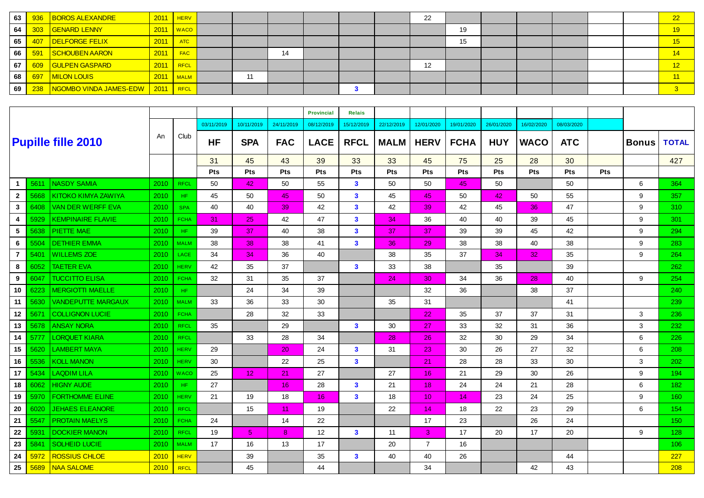| 63   |     | 936 BOROS ALEXANDRE                        | 2011 | $H$ <b>HERV</b> |    |    |  | 22 |    |  |  | 22             |
|------|-----|--------------------------------------------|------|-----------------|----|----|--|----|----|--|--|----------------|
| 64   |     | 303 GENARD LENNY                           | 2011 | <b>V</b> WACO   |    |    |  |    | 19 |  |  | 19             |
| 65   | 407 | DELFORGE FELIX                             | 2011 | <b>ATC</b>      |    |    |  |    | 15 |  |  | $^{\prime}$ 15 |
| 66   | 591 | SCHOUBEN AARON                             | 2011 | <b>FAC</b>      |    | 14 |  |    |    |  |  | 14             |
| 67 I |     | 609 GULPEN GASPARD                         | 2011 | RFCL            |    |    |  | 12 |    |  |  | 12             |
| 68   | 697 | MILON LOUIS                                | 2011 | <b>MALM</b>     | 11 |    |  |    |    |  |  | $\P$ 11        |
| 69 I |     | 238   NGOMBO VINDA JAMES-EDW   2011   RFCL |      |                 |    |    |  |    |    |  |  |                |

|                |      |                            |      |             |            |                 |            | <b>Provincial</b> | <b>Relais</b> |             |                 |             |            |                 |            |            |              |                  |
|----------------|------|----------------------------|------|-------------|------------|-----------------|------------|-------------------|---------------|-------------|-----------------|-------------|------------|-----------------|------------|------------|--------------|------------------|
|                |      |                            |      |             | 03/11/2019 | 10/11/2019      | 24/11/2019 | 08/12/2019        | 15/12/2019    | 22/12/2019  | 12/01/2020      | 19/01/2020  | 26/01/2020 | 16/02/2020      | 08/03/2020 |            |              |                  |
|                |      | <b>Pupille fille 2010</b>  | An   | Club        | <b>HF</b>  | <b>SPA</b>      | <b>FAC</b> | <b>LACE</b>       | <b>RFCL</b>   | <b>MALM</b> | <b>HERV</b>     | <b>FCHA</b> | <b>HUY</b> | <b>WACO</b>     | <b>ATC</b> |            | <b>Bonus</b> | <b>TOTAL</b>     |
|                |      |                            |      |             | 31         | 45              | 43         | 39                | 33            | 33          | 45              | 75          | 25         | 28              | 30         |            |              | 427              |
|                |      |                            |      |             | <b>Pts</b> | Pts             | Pts        | Pts               | Pts           | Pts         | <b>Pts</b>      | Pts         | Pts        | Pts             | Pts        | <b>Pts</b> |              |                  |
| $\mathbf{1}$   | 5611 | <b>NASDY SAMIA</b>         | 2010 | <b>RFCL</b> | 50         | 42              | 50         | 55                | $\mathbf{3}$  | 50          | 50              | 45          | 50         |                 | 50         |            | 6            | 364              |
| $\mathbf{2}$   | 5668 | <b>KITOKO KIMYA ZAWIYA</b> | 2010 | HF.         | 45         | 50              | 45         | 50                | $\mathbf{3}$  | 45          | 45              | 50          | 42         | 50              | 55         |            | 9            | 357              |
| 3              | 6408 | <b>VAN DER WERFF EVA</b>   | 2010 | <b>SPA</b>  | 40         | 40              | 39         | 42                | $\mathbf{3}$  | 42          | 39              | 42          | 45         | 36              | 47         |            | 9            | 310              |
| 4              | 5929 | <b>KEMPINAIRE FLAVIE</b>   | 2010 | <b>FCHA</b> | 31         | 25              | 42         | 47                | $\mathbf{3}$  | 34          | 36              | 40          | 40         | 39              | 45         |            | 9            | 301              |
| 5              | 5638 | <b>PIETTE MAE</b>          | 2010 | HF.         | 39         | 37              | 40         | 38                | $\mathbf{3}$  | 37          | 37              | 39          | 39         | 45              | 42         |            | 9            | 294              |
| 6              | 5504 | <b>DETHIER EMMA</b>        | 2010 | <b>MALM</b> | 38         | 38              | 38         | 41                | $\mathbf{3}$  | 36          | 29              | 38          | 38         | 40              | 38         |            | 9            | 283              |
| $\overline{7}$ | 5401 | <b>WILLEMS ZOE</b>         | 2010 | <b>LACE</b> | 34         | 34              | 36         | 40                |               | 38          | 35              | 37          | 34         | 32 <sub>2</sub> | 35         |            | 9            | 264              |
| 8              | 6052 | <b>TAETER EVA</b>          | 2010 | <b>HERV</b> | 42         | 35              | 37         |                   | $\mathbf{3}$  | 33          | 38              |             | 35         |                 | 39         |            |              | 262              |
| 9              | 6047 | <b>TUCCITTO ELISA</b>      | 2010 | <b>FCHA</b> | 32         | 31              | 35         | 37                |               | 24          | 30              | 34          | 36         | 28              | 40         |            | 9            | 254              |
| 10             | 6223 | <b>MERGIOTTI MAELLE</b>    | 2010 | HF.         |            | 24              | 34         | 39                |               |             | 32              | 36          |            | 38              | 37         |            |              | 240              |
| 11             | 5630 | <b>VANDEPUTTE MARGAUX</b>  | 2010 | <b>MALM</b> | 33         | 36              | 33         | 30                |               | 35          | 31              |             |            |                 | 41         |            |              | 239              |
| 12             | 5671 | <b>COLLIGNON LUCIE</b>     | 2010 | <b>FCHA</b> |            | 28              | 32         | 33                |               |             | 22              | 35          | 37         | 37              | 31         |            | 3            | 236              |
| 13             | 5678 | <b>ANSAY NORA</b>          | 2010 | <b>RFCL</b> | 35         |                 | 29         |                   | $\mathbf{3}$  | 30          | 27              | 33          | 32         | 31              | 36         |            | 3            | 232              |
| 14             | 5777 | <b>LORQUET KIARA</b>       | 2010 | <b>RFCL</b> |            | 33              | 28         | 34                |               | 28          | 26              | 32          | 30         | 29              | 34         |            | 6            | 226              |
| 15             | 5620 | <b>LAMBERT MAYA</b>        | 2010 | <b>HERV</b> | 29         |                 | 20         | 24                | $\mathbf{3}$  | 31          | 23              | 30          | 26         | 27              | 32         |            | 6            | 208              |
| 16             | 5536 | <b>KOLL MANON</b>          | 2010 | <b>HERV</b> | 30         |                 | 22         | 25                | $\mathbf{3}$  |             | 21              | 28          | 28         | 33              | 30         |            | 3            | 202              |
| 17             | 5434 | <b>LAQDIM LILA</b>         | 2010 | <b>WACO</b> | 25         | 12 <sub>1</sub> | 21         | 27                |               | 27          | 16              | 21          | 29         | 30              | 26         |            | 9            | 194              |
| 18             | 6062 | <b>HIGNY AUDE</b>          | 2010 | HF.         | 27         |                 | 16         | 28                | $\mathbf{3}$  | 21          | 18 <sup>°</sup> | 24          | 24         | 21              | 28         |            | 6            | 182 <sub>1</sub> |
| 19             | 5970 | <b>FORTHOMME ELINE</b>     | 2010 | <b>HERV</b> | 21         | 19              | 18         | 16                | $\mathbf{3}$  | 18          | 10 <sup>°</sup> | 14          | 23         | 24              | 25         |            | 9            | 160              |
| 20             | 6020 | <b>JEHAES ELEANORE</b>     | 2010 | <b>RFCL</b> |            | 15              | 11         | 19                |               | 22          | 14              | 18          | 22         | 23              | 29         |            | 6            | 154              |
| 21             | 5547 | <b>PROTAIN MAELYS</b>      | 2010 | <b>FCHA</b> | 24         |                 | 14         | 22                |               |             | 17              | 23          |            | 26              | 24         |            |              | 150              |
| 22             | 5931 | <b>DOCKIER MANON</b>       | 2010 | <b>RFCL</b> | 19         | 5               | 8          | 12                | $\mathbf{3}$  | 11          | 3               | 17          | 20         | 17              | 20         |            | 9            | 128              |
| 23             | 5841 | <b>SOLHEID LUCIE</b>       | 2010 | <b>MALM</b> | 17         | 16              | 13         | 17                |               | 20          | $\overline{7}$  | 16          |            |                 |            |            |              | 106              |
| 24             | 5972 | <b>ROSSIUS CHLOE</b>       | 2010 | <b>HERV</b> |            | 39              |            | 35                | $\mathbf{3}$  | 40          | 40              | 26          |            |                 | 44         |            |              | 227              |
| 25             | 5689 | <b>NAA SALOME</b>          | 2010 | <b>RFCL</b> |            | 45              |            | 44                |               |             | 34              |             |            | 42              | 43         |            |              | 208              |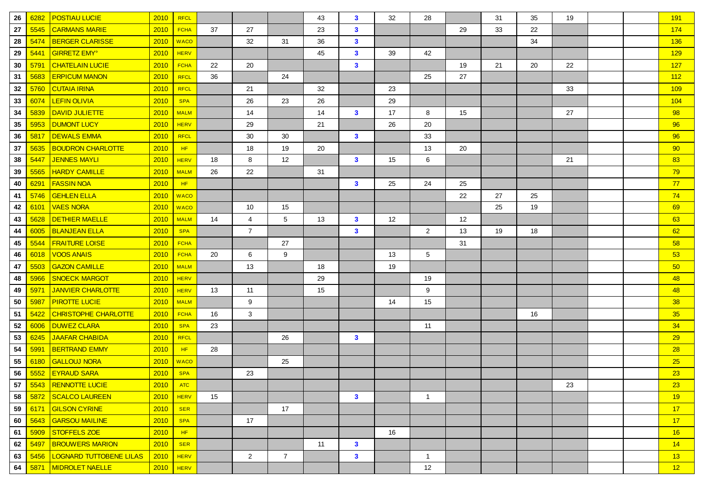| 26 | 6282 | <b>POSTIAU LUCIE</b>           | 2010        | <b>RFCL</b> |    |                |                 | 43 | $\mathbf{3}$ | 32 | 28             |    | 31 | 35 | 19 |  | 191             |
|----|------|--------------------------------|-------------|-------------|----|----------------|-----------------|----|--------------|----|----------------|----|----|----|----|--|-----------------|
| 27 | 5545 | <b>CARMANS MARIE</b>           | 2010        | <b>FCHA</b> | 37 | 27             |                 | 23 | $\mathbf{3}$ |    |                | 29 | 33 | 22 |    |  | 174             |
| 28 | 5474 | <b>BERGER CLARISSE</b>         | 2010        | <b>WACO</b> |    | 32             | 31              | 36 | $\mathbf{3}$ |    |                |    |    | 34 |    |  | 136             |
| 29 | 5441 | <b>GIRRETZ EMY<sup>°</sup></b> | 2010        | <b>HERV</b> |    |                |                 | 45 | $\mathbf{3}$ | 39 | 42             |    |    |    |    |  | 129             |
| 30 | 5791 | <b>CHATELAIN LUCIE</b>         | 2010        | <b>FCHA</b> | 22 | 20             |                 |    | $\mathbf{3}$ |    |                | 19 | 21 | 20 | 22 |  | 127             |
| 31 | 5683 | <b>ERPICUM MANON</b>           | 2010        | <b>RFCL</b> | 36 |                | 24              |    |              |    | 25             | 27 |    |    |    |  | 112             |
| 32 | 5760 | <b>CUTAIA IRINA</b>            | 2010        | <b>RFCL</b> |    | 21             |                 | 32 |              | 23 |                |    |    |    | 33 |  | 109             |
| 33 | 6074 | <b>LEFIN OLIVIA</b>            | 2010        | <b>SPA</b>  |    | 26             | 23              | 26 |              | 29 |                |    |    |    |    |  | 104             |
| 34 | 5839 | <b>DAVID JULIETTE</b>          | 2010        | <b>MALM</b> |    | 14             |                 | 14 | $\mathbf{3}$ | 17 | 8              | 15 |    |    | 27 |  | 98              |
| 35 | 5953 | <b>DUMONT LUCY</b>             | 2010        | <b>HERV</b> |    | 29             |                 | 21 |              | 26 | 20             |    |    |    |    |  | 96              |
| 36 | 5817 | <b>DEWALS EMMA</b>             | 2010        | <b>RFCL</b> |    | 30             | 30              |    | $\mathbf{3}$ |    | 33             |    |    |    |    |  | 96              |
| 37 | 5635 | <b>BOUDRON CHARLOTTE</b>       | 2010        | HF          |    | 18             | 19              | 20 |              |    | 13             | 20 |    |    |    |  | 90              |
| 38 | 5447 | <b>JENNES MAYLI</b>            | 2010        | <b>HERV</b> | 18 | 8              | 12              |    | $\mathbf{3}$ | 15 | 6              |    |    |    | 21 |  | 83              |
| 39 | 5565 | <b>HARDY CAMILLE</b>           | 2010        | <b>MALM</b> | 26 | 22             |                 | 31 |              |    |                |    |    |    |    |  | 79              |
| 40 | 6291 | <b>FASSIN NOA</b>              | 2010        | HF          |    |                |                 |    | $\mathbf{3}$ | 25 | 24             | 25 |    |    |    |  | 77              |
| 41 | 5746 | <b>GEHLEN ELLA</b>             | 2010        | <b>WACO</b> |    |                |                 |    |              |    |                | 22 | 27 | 25 |    |  | 74              |
| 42 | 6101 | <b>VAES NORA</b>               | 2010        | <b>WACO</b> |    | 10             | 15              |    |              |    |                |    | 25 | 19 |    |  | 69              |
| 43 | 5628 | <b>DETHIER MAELLE</b>          | 2010        | <b>MALM</b> | 14 | 4              | $5\phantom{.0}$ | 13 | $\mathbf{3}$ | 12 |                | 12 |    |    |    |  | 63              |
| 44 | 6005 | <b>BLANJEAN ELLA</b>           | 2010        | <b>SPA</b>  |    | $\overline{7}$ |                 |    | $\mathbf{3}$ |    | 2              | 13 | 19 | 18 |    |  | 62              |
| 45 | 5544 | <b>FRAITURE LOISE</b>          | 2010        | <b>FCHA</b> |    |                | 27              |    |              |    |                | 31 |    |    |    |  | 58              |
| 46 | 6018 | <b>VOOS ANAIS</b>              | 2010        | <b>FCHA</b> | 20 | 6              | 9               |    |              | 13 | 5              |    |    |    |    |  | 53              |
| 47 | 5503 | <b>GAZON CAMILLE</b>           | 2010        | <b>MALM</b> |    | 13             |                 | 18 |              | 19 |                |    |    |    |    |  | 50 <sub>o</sub> |
| 48 | 5966 | <b>SNOECK MARGOT</b>           | 2010        | <b>HERV</b> |    |                |                 | 29 |              |    | 19             |    |    |    |    |  | 48              |
| 49 | 5971 | JANVIER CHARLOTTE              | 2010        | <b>HERV</b> | 13 | 11             |                 | 15 |              |    | 9              |    |    |    |    |  | 48              |
| 50 | 5987 | <b>PIROTTE LUCIE</b>           | 2010        | <b>MALM</b> |    | 9              |                 |    |              | 14 | 15             |    |    |    |    |  | 38              |
| 51 | 5422 | <b>CHRISTOPHE CHARLOTTE</b>    | 2010        | <b>FCHA</b> | 16 | 3              |                 |    |              |    |                |    |    | 16 |    |  | 35              |
| 52 | 6006 | <b>DUWEZ CLARA</b>             | 2010        | <b>SPA</b>  | 23 |                |                 |    |              |    | 11             |    |    |    |    |  | 34              |
| 53 | 6245 | <b>JAAFAR CHABIDA</b>          | 2010        | <b>RFCL</b> |    |                | 26              |    | $\mathbf{3}$ |    |                |    |    |    |    |  | 29              |
| 54 | 5991 | <b>BERTRAND EMMY</b>           | 2010        | HF          | 28 |                |                 |    |              |    |                |    |    |    |    |  | 28              |
| 55 | 6180 | <b>GALLOUJ NORA</b>            | 2010        | <b>WACO</b> |    |                | 25              |    |              |    |                |    |    |    |    |  | 25              |
| 56 | 5552 | <b>EYRAUD SARA</b>             | 2010        | <b>SPA</b>  |    | 23             |                 |    |              |    |                |    |    |    |    |  | 23              |
| 57 |      | 5543 RENNOTTE LUCIE            | 2010        | <b>ATC</b>  |    |                |                 |    |              |    |                |    |    |    | 23 |  | 23              |
| 58 | 5872 | SCALCO LAUREEN                 |             | $2010$ HERV | 15 |                |                 |    | $\mathbf{3}$ |    | $\mathbf{1}$   |    |    |    |    |  | 19              |
| 59 | 6171 | <b>GILSON CYRINE</b>           | 2010        | <b>SER</b>  |    |                | 17              |    |              |    |                |    |    |    |    |  | 17              |
| 60 | 5643 | <b>GARSOU MAILINE</b>          | 2010        | <b>SPA</b>  |    | 17             |                 |    |              |    |                |    |    |    |    |  | 17              |
| 61 | 5909 | STOFFELS ZOE                   | 2010        | HF          |    |                |                 |    |              | 16 |                |    |    |    |    |  | 16              |
| 62 | 5497 | <b>BROUWERS MARION</b>         | 2010        | <b>SER</b>  |    |                |                 | 11 | $\mathbf{3}$ |    |                |    |    |    |    |  | 14              |
| 63 | 5456 | <b>LOGNARD TUTTOBENE LILAS</b> | $2010$ HERV |             |    | $\overline{2}$ | $\overline{7}$  |    | $\mathbf{3}$ |    | $\overline{1}$ |    |    |    |    |  | 13              |
| 64 |      | 5871 MIDROLET NAELLE           |             | $2010$ HERV |    |                |                 |    |              |    | 12             |    |    |    |    |  | 12              |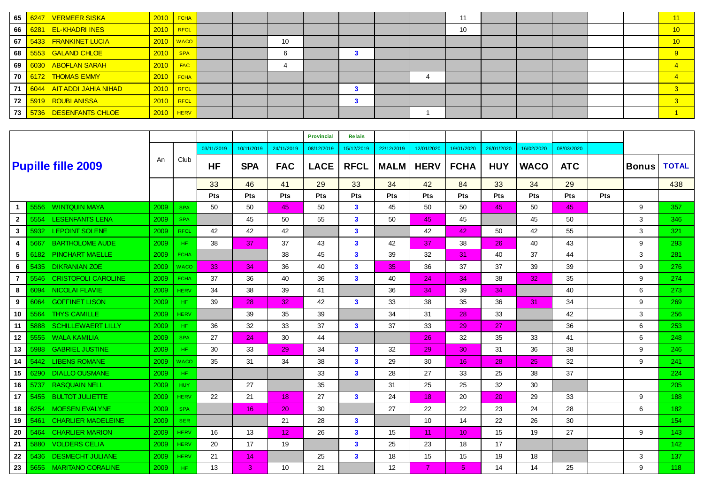| 65 | 6247 | VERMEER SISKA               |             | $2010$ FCHA |  |    |  |  | 44 |  |  | 11  |
|----|------|-----------------------------|-------------|-------------|--|----|--|--|----|--|--|-----|
| 66 |      | 6281 EL-KHADRI INES         | $2010$ RFCL |             |  |    |  |  | 10 |  |  | /10 |
| 67 |      | 5433   FRANKINET LUCIA      |             | $2010$ WACO |  | 10 |  |  |    |  |  | 10  |
| 68 |      | 5553 GALAND CHLOE           | 2010        | <b>SPA</b>  |  |    |  |  |    |  |  | -9  |
| 69 |      | 6030 ABOFLAN SARAH          | 2010        | <b>FAC</b>  |  |    |  |  |    |  |  |     |
| 70 | 6172 | THOMAS EMMY                 |             | $2010$ FCHA |  |    |  |  |    |  |  |     |
| 71 |      | 6044   AIT ADDI JAHIA NIHAD | $2010$ RFCL |             |  |    |  |  |    |  |  |     |
| 72 |      | 5919 ROUBI ANISSA           |             | $2010$ RFCL |  |    |  |  |    |  |  |     |
| 73 | 5736 | DESENFANTS CHLOE            |             | $2010$ HERV |  |    |  |  |    |  |  |     |

|                |      |                            |      |             |                 |            |                 | <b>Provincial</b> | <b>Relais</b>           |                   |             |                 |            |             |            |            |              |              |
|----------------|------|----------------------------|------|-------------|-----------------|------------|-----------------|-------------------|-------------------------|-------------------|-------------|-----------------|------------|-------------|------------|------------|--------------|--------------|
|                |      |                            |      |             | 03/11/2019      | 10/11/2019 | 24/11/2019      | 08/12/2019        | 15/12/2019              | 22/12/2019        | 12/01/2020  | 19/01/2020      | 26/01/2020 | 16/02/2020  | 08/03/2020 |            |              |              |
|                |      | <b>Pupille fille 2009</b>  | An   | Club        | <b>HF</b>       | <b>SPA</b> | <b>FAC</b>      | <b>LACE</b>       | <b>RFCL</b>             | <b>MALM</b>       | <b>HERV</b> | <b>FCHA</b>     | <b>HUY</b> | <b>WACO</b> | <b>ATC</b> |            | <b>Bonus</b> | <b>TOTAL</b> |
|                |      |                            |      |             | 33              | 46         | 41              | 29                | 33                      | 34                | 42          | 84              | 33         | 34          | 29         |            |              | 438          |
|                |      |                            |      |             | Pts             | Pts        | Pts             | <b>Pts</b>        | <b>Pts</b>              | Pts               | Pts         | Pts             | Pts        | <b>Pts</b>  | Pts        | <b>Pts</b> |              |              |
|                | 5556 | <b>WINTQUIN MAYA</b>       | 2009 | <b>SPA</b>  | 50              | 50         | 45              | 50                | 3                       | 45                | 50          | 50              | 45         | 50          | 45         |            | 9            | 357          |
| $\mathbf{2}$   | 5554 | <b>LESENFANTS LENA</b>     | 2009 | <b>SPA</b>  |                 | 45         | 50              | 55                | $\mathbf{3}$            | 50                | 45          | 45              |            | 45          | 50         |            | 3            | 346          |
| 3              | 5932 | <b>LEPOINT SOLENE</b>      | 2009 | <b>RFCL</b> | 42              | 42         | 42              |                   | $\overline{\mathbf{3}}$ |                   | 42          | 42              | 50         | 42          | 55         |            | 3            | 321          |
| 4              | 5667 | <b>BARTHOLOME AUDE</b>     | 2009 | HF.         | 38              | 37         | 37              | 43                | $\mathbf{3}$            | 42                | 37          | 38              | 26         | 40          | 43         |            | 9            | 293          |
| 5              | 6182 | <b>PINCHART MAELLE</b>     | 2009 | <b>FCHA</b> |                 |            | 38              | 45                | $\mathbf{3}$            | 39                | 32          | 31              | 40         | 37          | 44         |            | 3            | 281          |
| 6              | 5435 | <b>DIKRANIAN ZOE</b>       | 2009 | <b>WACO</b> | 33 <sup>°</sup> | 34         | 36              | 40                | $\mathbf{3}$            | 35                | 36          | 37              | 37         | 39          | 39         |            | 9            | 276          |
| $\overline{7}$ | 5546 | <b>CRISTOFOLI CAROLINE</b> | 2009 | <b>FCHA</b> | 37              | 36         | 40              | 36                | $\mathbf{3}$            | 40                | 24          | 34              | 38         | 32          | 35         |            | 9            | 274          |
| 8              | 6094 | <b>NICOLAI FLAVIE</b>      | 2009 | <b>HERV</b> | 34              | 38         | 39              | 41                |                         | 36                | 34          | 39              | 34         |             | 40         |            | 6            | 273          |
| 9              | 6064 | <b>GOFFINET LISON</b>      | 2009 | HF.         | 39              | 28         | 32              | 42                | $\mathbf{3}$            | 33                | 38          | 35              | 36         | 31          | 34         |            | 9            | 269          |
| 10             | 5564 | <b>THYS CAMILLE</b>        | 2009 | <b>HERV</b> |                 | 39         | 35              | 39                |                         | 34                | 31          | 28              | 33         |             | 42         |            | 3            | 256          |
| 11             | 5888 | <b>SCHILLEWAERT LILLY</b>  | 2009 | HF.         | 36              | 32         | 33              | 37                | 3                       | 37                | 33          | 29              | 27         |             | 36         |            | 6            | 253          |
| 12             | 5555 | <b>WALA KAMILIA</b>        | 2009 | <b>SPA</b>  | 27              | 24         | 30              | 44                |                         |                   | 26          | 32              | 35         | 33          | 41         |            | 6            | 248          |
| 13             | 5988 | <b>GABRIEL JUSTINE</b>     | 2009 | HF.         | 30              | 33         | 29              | 34                | $\mathbf{3}$            | 32                | 29          | 30              | 31         | 36          | 38         |            | 9            | 246          |
| 14             | 5442 | <b>LIBENS ROMANE</b>       | 2009 | <b>WACO</b> | 35              | 31         | 34              | 38                | 3                       | 29                | 30          | 16              | 28         | 25          | 32         |            | 9            | 241          |
| 15             | 6290 | <b>DIALLO OUSMANE</b>      | 2009 | HF.         |                 |            |                 | 33                | $\overline{\mathbf{3}}$ | 28                | 27          | 33              | 25         | 38          | 37         |            |              | 224          |
| 16             | 5737 | <b>RASQUAIN NELL</b>       | 2009 | <b>HUY</b>  |                 | 27         |                 | 35                |                         | 31                | 25          | 25              | 32         | 30          |            |            |              | 205          |
| 17             | 5455 | <b>BULTOT JULIETTE</b>     | 2009 | <b>HERV</b> | 22              | 21         | 18 <sup>2</sup> | 27                | $\mathbf{3}$            | 24                | 18          | 20              | 20         | 29          | 33         |            | 9            | 188          |
| 18             | 6254 | <b>MOESEN EVALYNE</b>      | 2009 | <b>SPA</b>  |                 | 16         | 20              | 30                |                         | 27                | 22          | 22              | 23         | 24          | 28         |            | 6            | 182          |
| 19             | 5461 | <b>CHARLIER MADELEINE</b>  | 2009 | <b>SER</b>  |                 |            | 21              | 28                | $\mathbf{3}$            |                   | 10          | 14              | 22         | 26          | 30         |            |              | 154          |
| 20             | 5464 | <b>CHARLIER MARION</b>     | 2009 | <b>HERV</b> | 16              | 13         | 12 <sub>2</sub> | 26                | 3                       | 15                | 11          | 10 <sup>1</sup> | 15         | 19          | 27         |            | 9            | 143.         |
| 21             | 5880 | <b>VOLDERS CELIA</b>       | 2009 | <b>HERV</b> | 20              | 17         | 19              |                   | $\mathbf{3}$            | 25                | 23          | 18              | 17         |             |            |            |              | 142          |
| 22             | 5436 | <b>DESMECHT JULIANE</b>    | 2009 | <b>HERV</b> | 21              | 14         |                 | 25                | $\mathbf{3}$            | 18                | 15          | 15              | 19         | 18          |            |            | 3            | 137          |
| 23             | 5655 | <b>MARITANO CORALINE</b>   | 2009 | HF.         | 13              | 3          | 10              | 21                |                         | $12 \overline{ }$ |             | 5               | 14         | 14          | 25         |            | 9            | 118          |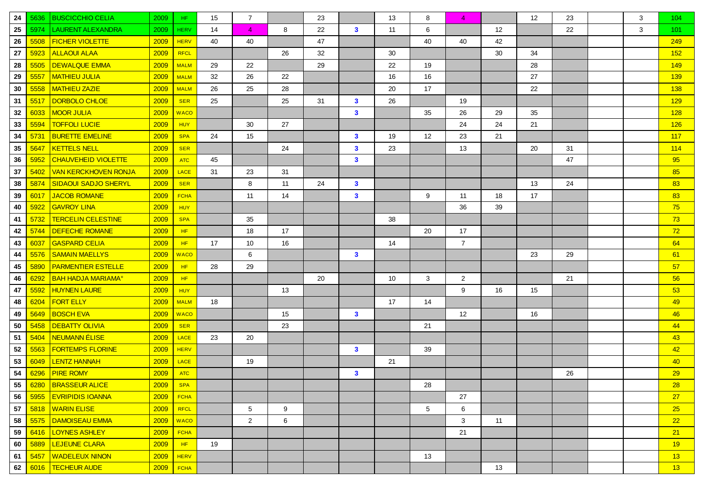| 24 | 5636 | <b>BUSCICCHIO CELIA</b>              | 2009 | HF.         | 15 | $\overline{7}$  |    | 23 |              | 13 | 8  | $\overline{A}$ |    | 12 <sup>°</sup> | 23 | 3 | 104 |
|----|------|--------------------------------------|------|-------------|----|-----------------|----|----|--------------|----|----|----------------|----|-----------------|----|---|-----|
| 25 | 5974 | <b>LAURENT ALEXANDRA</b>             | 2009 | <b>HERV</b> | 14 | $\overline{4}$  | 8  | 22 | $\mathbf{3}$ | 11 | 6  |                | 12 |                 | 22 | 3 | 101 |
| 26 | 5508 | <b>FICHER VIOLETTE</b>               | 2009 | <b>HERV</b> | 40 | 40              |    | 47 |              |    | 40 | 40             | 42 |                 |    |   | 249 |
| 27 | 5923 | <b>ALLAOUI ALAA</b>                  | 2009 | <b>RFCL</b> |    |                 | 26 | 32 |              | 30 |    |                | 30 | 34              |    |   | 152 |
| 28 | 5505 | <b>DEWALQUE EMMA</b>                 | 2009 | <b>MALM</b> | 29 | 22              |    | 29 |              | 22 | 19 |                |    | 28              |    |   | 149 |
| 29 | 5557 | <b>MATHIEU JULIA</b>                 | 2009 | <b>MALM</b> | 32 | 26              | 22 |    |              | 16 | 16 |                |    | 27              |    |   | 139 |
| 30 | 5558 | <b>MATHIEU ZAZIE</b>                 | 2009 | <b>MALM</b> | 26 | 25              | 28 |    |              | 20 | 17 |                |    | 22              |    |   | 138 |
| 31 | 5517 | DORBOLO CHLOE                        | 2009 | <b>SER</b>  | 25 |                 | 25 | 31 | $\mathbf{3}$ | 26 |    | 19             |    |                 |    |   | 129 |
| 32 | 6033 | <b>MOOR JULIA</b>                    | 2009 | <b>WACO</b> |    |                 |    |    | $\mathbf{3}$ |    | 35 | 26             | 29 | 35              |    |   | 128 |
| 33 | 5594 | <b>TOFFOLI LUCIE</b>                 | 2009 | <b>HUY</b>  |    | 30              | 27 |    |              |    |    | 24             | 24 | 21              |    |   | 126 |
| 34 | 5731 | <b>BURETTE EMELINE</b>               | 2009 | <b>SPA</b>  | 24 | 15              |    |    | $\mathbf{3}$ | 19 | 12 | 23             | 21 |                 |    |   | 117 |
| 35 | 5647 | <b>KETTELS NELL</b>                  | 2009 | <b>SER</b>  |    |                 | 24 |    | $\mathbf{3}$ | 23 |    | 13             |    | 20              | 31 |   | 114 |
| 36 | 5952 | CHAUVEHEID VIOLETTE                  | 2009 | <b>ATC</b>  | 45 |                 |    |    | $\mathbf{3}$ |    |    |                |    |                 | 47 |   | 95  |
| 37 | 5402 | <b>VAN KERCKHOVEN RONJA</b>          | 2009 | <b>LACE</b> | 31 | 23              | 31 |    |              |    |    |                |    |                 |    |   | 85  |
| 38 | 5874 | <b>SIDAOUI SADJO SHERYL</b>          | 2009 | <b>SER</b>  |    | 8               | 11 | 24 | $\mathbf{3}$ |    |    |                |    | 13              | 24 |   | 83  |
| 39 | 6017 | <b>JACOB ROMANE</b>                  | 2009 | <b>FCHA</b> |    | 11              | 14 |    | $\mathbf{3}$ |    | 9  | 11             | 18 | 17              |    |   | 83  |
| 40 | 5922 | <b>GAVROY LINA</b>                   | 2009 | <b>HUY</b>  |    |                 |    |    |              |    |    | 36             | 39 |                 |    |   | 75  |
| 41 | 5732 | <b>TERCELIN CELESTINE</b>            | 2009 | <b>SPA</b>  |    | 35              |    |    |              | 38 |    |                |    |                 |    |   | 73  |
| 42 | 5744 | DEFECHE ROMANE                       | 2009 | HF          |    | 18              | 17 |    |              |    | 20 | 17             |    |                 |    |   | 72  |
| 43 | 6037 | <b>GASPARD CELIA</b>                 | 2009 | HF          | 17 | 10              | 16 |    |              | 14 |    | $\overline{7}$ |    |                 |    |   | 64  |
| 44 | 5576 | <b>SAMAIN MAELLYS</b>                | 2009 | <b>WACO</b> |    | 6               |    |    | $\mathbf{3}$ |    |    |                |    | 23              | 29 |   | 61  |
| 45 | 5890 | <b>PARMENTIER ESTELLE</b>            | 2009 | HF          | 28 | 29              |    |    |              |    |    |                |    |                 |    |   | 57  |
| 46 | 6292 | <b>BAH HADJA MARIAMA<sup>®</sup></b> | 2009 | HF          |    |                 |    | 20 |              | 10 | 3  | $\overline{2}$ |    |                 | 21 |   | 56  |
| 47 | 5592 | <b>HUYNEN LAURE</b>                  | 2009 | <b>HUY</b>  |    |                 | 13 |    |              |    |    | 9              | 16 | 15              |    |   | 53  |
| 48 | 6204 | <b>FORT ELLY</b>                     | 2009 | <b>MALM</b> | 18 |                 |    |    |              | 17 | 14 |                |    |                 |    |   | 49  |
| 49 | 5649 | <b>BOSCH EVA</b>                     | 2009 | <b>WACO</b> |    |                 | 15 |    | $\mathbf{3}$ |    |    | 12             |    | 16              |    |   | 46  |
| 50 | 5458 | <b>DEBATTY OLIVIA</b>                | 2009 | <b>SER</b>  |    |                 | 23 |    |              |    | 21 |                |    |                 |    |   | 44  |
| 51 | 5404 | <b>NEUMANN ÉLISE</b>                 | 2009 | <b>LACE</b> | 23 | 20              |    |    |              |    |    |                |    |                 |    |   | 43  |
| 52 | 5563 | <b>FORTEMPS FLORINE</b>              | 2009 | <b>HERV</b> |    |                 |    |    | $\mathbf{3}$ |    | 39 |                |    |                 |    |   | 42  |
| 53 | 6049 | <b>LENTZ HANNAH</b>                  | 2009 | <b>LACE</b> |    | 19              |    |    |              | 21 |    |                |    |                 |    |   | 40  |
| 54 | 6296 | <b>PIRE ROMY</b>                     | 2009 | <b>ATC</b>  |    |                 |    |    | $\mathbf{3}$ |    |    |                |    |                 | 26 |   | 29  |
|    |      | 55 6280 BRASSEUR ALICE               | 2009 | <b>SPA</b>  |    |                 |    |    |              |    | 28 |                |    |                 |    |   | 28  |
| 56 |      | 5955 EVRIPIDIS IOANNA                | 2009 | <b>FCHA</b> |    |                 |    |    |              |    |    | 27             |    |                 |    |   | 27  |
| 57 | 5818 | <b>WARIN ELISE</b>                   | 2009 | RFCL        |    | $5\phantom{.0}$ | 9  |    |              |    | 5  | 6              |    |                 |    |   | 25  |
| 58 | 5575 | DAMOISEAU EMMA                       | 2009 | <b>WACO</b> |    | $\overline{2}$  | 6  |    |              |    |    | 3              | 11 |                 |    |   | 22  |
| 59 | 6416 | <b>LOYNES ASHLEY</b>                 | 2009 | <b>FCHA</b> |    |                 |    |    |              |    |    | 21             |    |                 |    |   | 21  |
| 60 | 5889 | <b>LEJEUNE CLARA</b>                 | 2009 | HF.         | 19 |                 |    |    |              |    |    |                |    |                 |    |   | 19  |
| 61 | 5457 | <b>WADELEUX NINON</b>                | 2009 | <b>HERV</b> |    |                 |    |    |              |    | 13 |                |    |                 |    |   | 13  |
| 62 | 6016 | <b>TECHEUR AUDE</b>                  | 2009 | <b>FCHA</b> |    |                 |    |    |              |    |    |                | 13 |                 |    |   | 13  |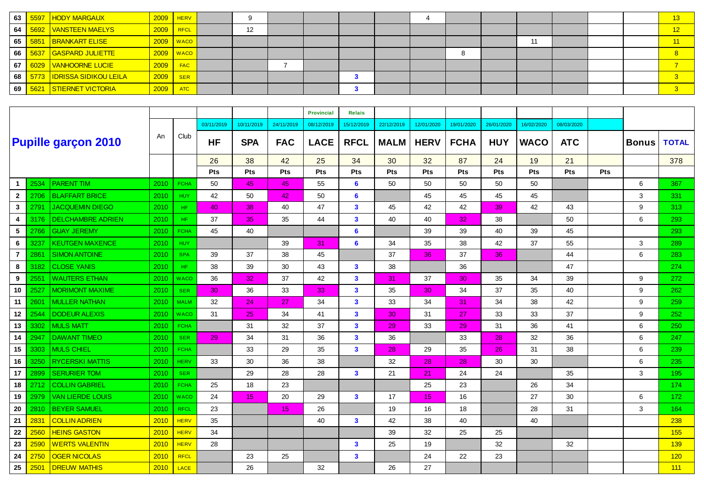| 63 |      | 5597 HODY MARGAUX                    | $2009$ HERV |               |    |  |  |  |    |  | 12          |
|----|------|--------------------------------------|-------------|---------------|----|--|--|--|----|--|-------------|
| 64 |      | 5692   VANSTEEN MAELYS               | $2009$ RFCL |               | 12 |  |  |  |    |  | 12          |
| 65 | 5851 | <b>BRANKART ELISE</b>                |             | $2009$   WACO |    |  |  |  | 11 |  | $\sqrt{11}$ |
| 66 |      | <mark>. 5637 GASPARD JULIETTE</mark> |             | $2009$   WACO |    |  |  |  |    |  |             |
| 67 |      | 6029 VANHOORNE LUCIE                 | 2009        | <b>FAC</b>    |    |  |  |  |    |  |             |
| 68 |      | 5773   IDRISSA SIDIKOU LEILA         | 2009        | <b>SER</b>    |    |  |  |  |    |  |             |
| 69 | 5621 | STIERNET VICTORIA                    | 2009        | <b>ATC</b>    |    |  |  |  |    |  |             |

|                |      |                            |      |             |            |                 |            | <b>Provincial</b> | <b>Relais</b>  |                 |             |             |            |             |            |            |              |              |
|----------------|------|----------------------------|------|-------------|------------|-----------------|------------|-------------------|----------------|-----------------|-------------|-------------|------------|-------------|------------|------------|--------------|--------------|
|                |      |                            |      |             | 03/11/2019 | 10/11/2019      | 24/11/2019 | 08/12/2019        | 15/12/2019     | 22/12/2019      | 12/01/2020  | 19/01/2020  | 26/01/2020 | 16/02/2020  | 08/03/2020 |            |              |              |
|                |      | <b>Pupille garçon 2010</b> | An   | Club        | <b>HF</b>  | <b>SPA</b>      | <b>FAC</b> | <b>LACE</b>       | <b>RFCL</b>    | <b>MALM</b>     | <b>HERV</b> | <b>FCHA</b> | <b>HUY</b> | <b>WACO</b> | <b>ATC</b> |            | <b>Bonus</b> | <b>TOTAL</b> |
|                |      |                            |      |             | 26         | 38              | 42         | 25                | 34             | 30              | 32          | 87          | 24         | 19          | 21         |            |              | 378          |
|                |      |                            |      |             | Pts        | Pts             | Pts        | Pts               | Pts            | Pts             | Pts         | Pts         | Pts        | Pts         | Pts        | <b>Pts</b> |              |              |
| $\mathbf{1}$   | 2534 | <b>PARENT TIM</b>          | 2010 | <b>FCHA</b> | 50         | 45              | 45         | 55                | 6              | 50              | 50          | 50          | 50         | 50          |            |            | 6            | 367          |
| $\mathbf{2}$   | 2706 | <b>BLAFFART BRICE</b>      | 2010 | <b>HUY</b>  | 42         | 50              | 42         | 50                | 6              |                 | 45          | 45          | 45         | 45          |            |            | 3            | 331          |
| 3              | 2791 | <b>JACQUEMIN DIEGO</b>     | 2010 | HF.         | 40         | 38              | 40         | 47                | $\mathbf{3}$   | 45              | 42          | 42          | 39         | 42          | 43         |            | 9            | 313          |
| 4              | 3176 | <b>DELCHAMBRE ADRIEN</b>   | 2010 | HF.         | 37         | 35              | 35         | 44                | $\mathbf{3}$   | 40              | 40          | 32          | 38         |             | 50         |            | 6            | 293          |
| 5              | 2766 | <b>GUAY JEREMY</b>         | 2010 | <b>FCHA</b> | 45         | 40              |            |                   | 6              |                 | 39          | 39          | 40         | 39          | 45         |            |              | 293          |
| 6              | 3237 | <b>KEUTGEN MAXENCE</b>     | 2010 | <b>HUY</b>  |            |                 | 39         | 31                | $6\phantom{1}$ | 34              | 35          | 38          | 42         | 37          | 55         |            | 3            | 289          |
| $\overline{7}$ | 2861 | <b>SIMON ANTOINE</b>       | 2010 | <b>SPA</b>  | 39         | 37              | 38         | 45                |                | 37              | 36          | 37          | 36         |             | 44         |            | 6            | 283          |
| 8              | 3182 | <b>CLOSE YANIS</b>         | 2010 | HF.         | 38         | 39              | 30         | 43                | $\mathbf{3}$   | 38              |             | 36          |            |             | 47         |            |              | 274          |
| 9              | 2551 | <b>WAUTERS ETHAN</b>       | 2010 | <b>WACO</b> | 36         | 32              | 37         | 42                | $\mathbf{3}$   | 31              | 37          | 30          | 35         | 34          | 39         |            | 9            | 272          |
| 10             | 2527 | <b>MORIMONT MAXIME</b>     | 2010 | <b>SER</b>  | 30         | 36              | 33         | 33                | $\mathbf{3}$   | 35              | 30          | 34          | 37         | 35          | 40         |            | 9            | 262          |
| 11             | 2601 | <b>MULLER NATHAN</b>       | 2010 | <b>MALM</b> | 32         | 24              | 27         | 34                | $\mathbf{3}$   | 33              | 34          | 31          | 34         | 38          | 42         |            | 9            | 259          |
| 12             | 2544 | <b>DODEUR ALEXIS</b>       | 2010 | <b>WACO</b> | 31         | 25              | 34         | 41                | $\mathbf{3}$   | 30 <sub>1</sub> | 31          | 27          | 33         | 33          | 37         |            | 9            | 252          |
| 13             | 3302 | <b>MULS MATT</b>           | 2010 | <b>FCHA</b> |            | 31              | 32         | 37                | $\mathbf{3}$   | 29              | 33          | 29          | 31         | 36          | 41         |            | 6            | 250          |
| 14             | 2947 | <b>DAWANT TIMEO</b>        | 2010 | <b>SER</b>  | 29         | 34              | 31         | 36                | $\mathbf{3}$   | 36              |             | 33          | 28         | 32          | 36         |            | 6            | 247          |
| 15             | 3303 | <b>MULS CHIEL</b>          | 2010 | <b>FCHA</b> |            | 33              | 29         | 35                | $\mathbf{3}$   | 28              | 29          | 35          | 26         | 31          | 38         |            | 6            | 239          |
| 16             | 3250 | <b>RYCERSKI MATTIS</b>     | 2010 | <b>HERV</b> | 33         | 30              | 36         | 38                |                | 32              | 28          | 28          | 30         | 30          |            |            | 6            | 235          |
| 17             | 2899 | <b>SERURIER TOM</b>        | 2010 | <b>SER</b>  |            | 29              | 28         | 28                | $\mathbf{3}$   | 21              | 21          | 24          | 24         |             | 35         |            | 3            | 195          |
| 18             | 2712 | <b>COLLIN GABRIEL</b>      | 2010 | <b>FCHA</b> | 25         | 18              | 23         |                   |                |                 | 25          | 23          |            | 26          | 34         |            |              | 174          |
| 19             | 2979 | <b>VAN LIERDE LOUIS</b>    | 2010 | <b>WACO</b> | 24         | 15 <sub>1</sub> | 20         | 29                | $\mathbf{3}$   | 17              | 15          | 16          |            | 27          | 30         |            | 6            | 172          |
| 20             | 2810 | <b>BEYER SAMUEL</b>        | 2010 | <b>RFCL</b> | 23         |                 | 15         | 26                |                | 19              | 16          | 18          |            | 28          | 31         |            | 3            | 164          |
| 21             | 2831 | <b>COLLIN ADRIEN</b>       | 2010 | <b>HERV</b> | 35         |                 |            | 40                | $\mathbf{3}$   | 42              | 38          | 40          |            | 40          |            |            |              | 238          |
| 22             | 2560 | <b>HEINS GASTON</b>        | 2010 | <b>HERV</b> | 34         |                 |            |                   |                | 39              | 32          | 25          | 25         |             |            |            |              | 155          |
| 23             | 2590 | <b>WERTS VALENTIN</b>      | 2010 | <b>HERV</b> | 28         |                 |            |                   | $\mathbf{3}$   | 25              | 19          |             | 32         |             | 32         |            |              | 139          |
| 24             | 2750 | <b>OGER NICOLAS</b>        | 2010 | <b>RFCL</b> |            | 23              | 25         |                   | $\mathbf{3}$   |                 | 24          | 22          | 23         |             |            |            |              | 120          |
| 25             | 2501 | <b>DREUW MATHIS</b>        | 2010 | LACE        |            | 26              |            | 32                |                | 26              | 27          |             |            |             |            |            |              | 111          |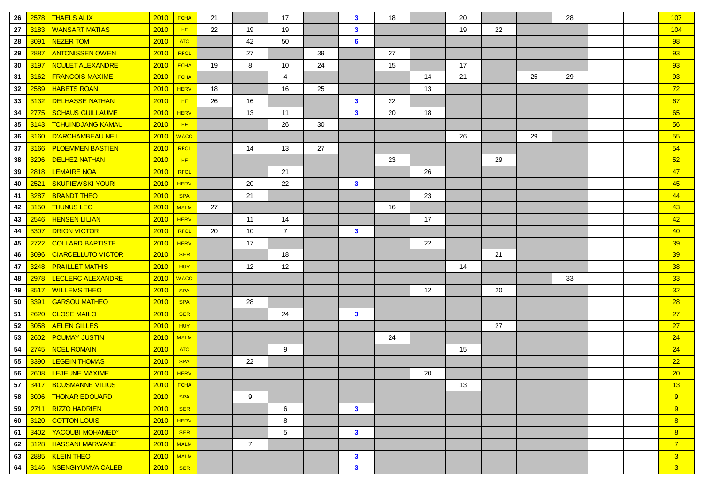| 26 | 2578 | <b>THAELS ALIX</b>           | 2010        | <b>FCHA</b> | 21 |                | 17             |    | $\mathbf{3}$   | 18 |    | 20 |    |    | 28 |  | 107             |
|----|------|------------------------------|-------------|-------------|----|----------------|----------------|----|----------------|----|----|----|----|----|----|--|-----------------|
| 27 | 3183 | <b>WANSART MATIAS</b>        | 2010        | HF          | 22 | 19             | 19             |    | $\mathbf{3}$   |    |    | 19 | 22 |    |    |  | 104             |
| 28 | 3091 | NEZER TOM                    | 2010        | <b>ATC</b>  |    | 42             | 50             |    | 6              |    |    |    |    |    |    |  | 98              |
| 29 | 2887 | <b>ANTONISSEN OWEN</b>       | 2010        | <b>RFCL</b> |    | 27             |                | 39 |                | 27 |    |    |    |    |    |  | 93              |
| 30 | 3197 | NOULET ALEXANDRE             | 2010        | <b>FCHA</b> | 19 | 8              | 10             | 24 |                | 15 |    | 17 |    |    |    |  | 93              |
| 31 | 3162 | <b>FRANCOIS MAXIME</b>       | 2010        | <b>FCHA</b> |    |                | 4              |    |                |    | 14 | 21 |    | 25 | 29 |  | 93              |
| 32 | 2589 | <b>HABETS ROAN</b>           | 2010        | <b>HERV</b> | 18 |                | 16             | 25 |                |    | 13 |    |    |    |    |  | 72              |
| 33 | 3132 | <b>DELHASSE NATHAN</b>       | 2010        | HF          | 26 | 16             |                |    | $\mathbf{3}$   | 22 |    |    |    |    |    |  | 67              |
| 34 | 2775 | <b>SCHAUS GUILLAUME</b>      | 2010        | <b>HERV</b> |    | 13             | 11             |    | $\mathbf{3}$   | 20 | 18 |    |    |    |    |  | 65              |
| 35 | 3143 | <b>TCHUINDJANG KAMAU</b>     | 2010        | HF          |    |                | 26             | 30 |                |    |    |    |    |    |    |  | 56              |
| 36 | 3160 | D'ARCHAMBEAU NEIL            | 2010        | <b>WACO</b> |    |                |                |    |                |    |    | 26 |    | 29 |    |  | 55              |
| 37 | 3166 | <b>PLOEMMEN BASTIEN</b>      | 2010        | RFCL        |    | 14             | 13             | 27 |                |    |    |    |    |    |    |  | 54              |
| 38 | 3206 | <b>DELHEZ NATHAN</b>         | 2010        | HF          |    |                |                |    |                | 23 |    |    | 29 |    |    |  | 52              |
| 39 | 2818 | <b>LEMAIRE NOA</b>           | 2010        | RFCL        |    |                | 21             |    |                |    | 26 |    |    |    |    |  | 47              |
| 40 | 2521 | <b>SKUPIEWSKI YOURI</b>      | 2010        | <b>HERV</b> |    | 20             | 22             |    | $\mathbf{3}$   |    |    |    |    |    |    |  | 45              |
| 41 | 3287 | <b>BRANDT THEO</b>           | 2010        | <b>SPA</b>  |    | 21             |                |    |                |    | 23 |    |    |    |    |  | 44              |
| 42 | 3150 | <b>THUNUS LEO</b>            | 2010        | <b>MALM</b> | 27 |                |                |    |                | 16 |    |    |    |    |    |  | 43              |
| 43 | 2546 | <b>HENSEN LILIAN</b>         | 2010        | <b>HERV</b> |    | 11             | 14             |    |                |    | 17 |    |    |    |    |  | 42              |
| 44 | 3307 | <b>DRION VICTOR</b>          | 2010        | <b>RFCL</b> | 20 | 10             | $\overline{7}$ |    | $\mathbf{3}$   |    |    |    |    |    |    |  | 40 <sup>°</sup> |
| 45 | 2722 | <b>COLLARD BAPTISTE</b>      | 2010        | <b>HERV</b> |    | 17             |                |    |                |    | 22 |    |    |    |    |  | 39              |
| 46 | 3096 | <b>CIARCELLUTO VICTOR</b>    | 2010        | <b>SER</b>  |    |                | 18             |    |                |    |    |    | 21 |    |    |  | 39              |
| 47 | 3248 | <b>PRAILLET MATHIS</b>       | 2010        | HUY         |    | 12             | 12             |    |                |    |    | 14 |    |    |    |  | 38              |
| 48 | 2978 | <b>LECLERC ALEXANDRE</b>     | 2010        | <b>WACO</b> |    |                |                |    |                |    |    |    |    |    | 33 |  | 33 <sub>o</sub> |
| 49 | 3517 | <b>WILLEMS THEO</b>          | 2010        | <b>SPA</b>  |    |                |                |    |                |    | 12 |    | 20 |    |    |  | 32              |
| 50 | 3391 | <b>GARSOU MATHEO</b>         | 2010        | <b>SPA</b>  |    | 28             |                |    |                |    |    |    |    |    |    |  | 28              |
| 51 | 2620 | <b>CLOSE MAILO</b>           | 2010        | <b>SER</b>  |    |                | 24             |    | $\mathbf{3}$   |    |    |    |    |    |    |  | 27              |
| 52 | 3058 | <b>AELEN GILLES</b>          | 2010        | HUY         |    |                |                |    |                |    |    |    | 27 |    |    |  | 27              |
| 53 | 2602 | <b>POUMAY JUSTIN</b>         | 2010        | <b>MALM</b> |    |                |                |    |                | 24 |    |    |    |    |    |  | 24              |
| 54 | 2745 | <b>NOEL ROMAIN</b>           | 2010        | <b>ATC</b>  |    |                | 9              |    |                |    |    | 15 |    |    |    |  | 24              |
| 55 | 3390 | <b>LEGEIN THOMAS</b>         | 2010        | <b>SPA</b>  |    | 22             |                |    |                |    |    |    |    |    |    |  | 22              |
| 56 | 2608 | <b>LEJEUNE MAXIME</b>        | 2010        | <b>HERV</b> |    |                |                |    |                |    | 20 |    |    |    |    |  | 20              |
|    |      | 57 3417 BOUSMANNE VILIUS     | $2010$ FCHA |             |    |                |                |    |                |    |    | 13 |    |    |    |  | 13 <sup>°</sup> |
| 58 |      | 3006   THONAR EDOUARD        | $2010$ SPA  |             |    | 9              |                |    |                |    |    |    |    |    |    |  | 9               |
| 59 |      | 2711 RIZZO HADRIEN           |             | $2010$ SER  |    |                | 6              |    | $\mathbf{3}$   |    |    |    |    |    |    |  | 9               |
| 60 |      | 3120 COTTON LOUIS            | $2010$ HERV |             |    |                | 8              |    |                |    |    |    |    |    |    |  | 8               |
| 61 | 3402 | YACOUBI MOHAMED <sup>®</sup> | $2010$ SER  |             |    |                | $\sqrt{5}$     |    | $\mathbf{3}$   |    |    |    |    |    |    |  | 8               |
| 62 | 3128 | <b>HASSANI MARWANE</b>       |             | $2010$ MALM |    | $\overline{7}$ |                |    |                |    |    |    |    |    |    |  | $\overline{7}$  |
| 63 |      | 2885   KLEIN THEO            |             | $2010$ MALM |    |                |                |    | $\mathbf{3}$   |    |    |    |    |    |    |  | 3 <sup>2</sup>  |
| 64 |      | 3146   NSENGIYUMVA CALEB     | $2010$ SER  |             |    |                |                |    | 3 <sup>1</sup> |    |    |    |    |    |    |  | 3 <sup>°</sup>  |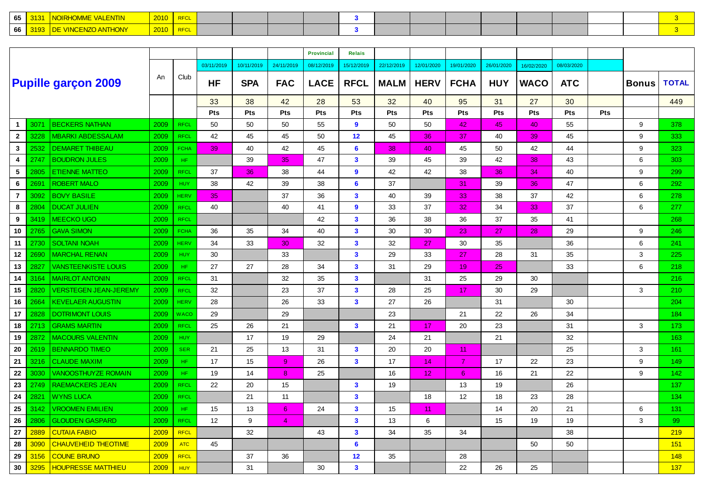| 65 |  |  |  |  |  |  |  |  |  |
|----|--|--|--|--|--|--|--|--|--|
| 66 |  |  |  |  |  |  |  |  |  |

|                |      |                              |      |             |            |            |             | <b>Provincial</b> | <b>Relais</b>           |             |             |                |            |             |            |            |              |              |
|----------------|------|------------------------------|------|-------------|------------|------------|-------------|-------------------|-------------------------|-------------|-------------|----------------|------------|-------------|------------|------------|--------------|--------------|
|                |      |                              |      |             | 03/11/2019 | 10/11/2019 | 24/11/2019  | 08/12/2019        | 15/12/2019              | 22/12/2019  | 12/01/2020  | 19/01/2020     | 26/01/2020 | 16/02/2020  | 08/03/2020 |            |              |              |
|                |      | <b>Pupille garçon 2009</b>   | An   | Club        | <b>HF</b>  | <b>SPA</b> | <b>FAC</b>  | <b>LACE</b>       | <b>RFCL</b>             | <b>MALM</b> | <b>HERV</b> | <b>FCHA</b>    | <b>HUY</b> | <b>WACO</b> | <b>ATC</b> |            | <b>Bonus</b> | <b>TOTAL</b> |
|                |      |                              |      |             | 33         | 38         | 42          | 28                | 53                      | 32          | 40          | 95             | 31         | 27          | 30         |            |              | 449          |
|                |      |                              |      |             | Pts        | Pts        | Pts         | Pts               | Pts                     | Pts         | Pts         | Pts            | <b>Pts</b> | <b>Pts</b>  | <b>Pts</b> | <b>Pts</b> |              |              |
| $\mathbf{1}$   | 307' | <b>BECKERS NATHAN</b>        | 2009 | <b>RFCL</b> | 50         | 50         | 50          | 55                | $\mathbf{9}$            | 50          | 50          | 42             | 45         | 40          | 55         |            | 9            | 378          |
| $\overline{2}$ | 3228 | <b>MBARKI ABDESSALAM</b>     | 2009 | <b>RFCL</b> | 42         | 45         | 45          | 50                | 12                      | 45          | 36          | 37             | 40         | 39          | 45         |            | 9            | 333          |
| $\mathbf{3}$   | 2532 | <b>DEMARET THIBEAU</b>       | 2009 | <b>FCHA</b> | 39         | 40         | 42          | 45                | 6                       | 38          | 40          | 45             | 50         | 42          | 44         |            | 9            | 323          |
| 4              | 2747 | <b>BOUDRON JULES</b>         | 2009 | HF.         |            | 39         | 35          | 47                | 3                       | 39          | 45          | 39             | 42         | 38          | 43         |            | 6            | 303          |
| 5              | 2805 | <b>ETIENNE MATTEO</b>        | 2009 | <b>RFCL</b> | 37         | 36         | 38          | 44                | $\boldsymbol{9}$        | 42          | 42          | 38             | 36         | 34          | 40         |            | 9            | 299          |
| 6              | 2691 | <b>ROBERT MALO</b>           | 2009 | <b>HUY</b>  | 38         | 42         | 39          | 38                | 6                       | 37          |             | 31             | 39         | 36          | 47         |            | 6            | 292          |
| $\overline{7}$ | 3092 | <b>BOVY BASILE</b>           | 2009 | <b>HERV</b> | 35         |            | 37          | 36                | 3                       | 40          | 39          | 33             | 38         | 37          | 42         |            | 6            | 278          |
| 8              | 2804 | <b>DUCAT JULIEN</b>          | 2009 | <b>RFCL</b> | 40         |            | 40          | 41                | $\mathbf{9}$            | 33          | 37          | 32             | 34         | 33          | 37         |            | 6            | 277          |
| 9              | 3419 | <b>MEECKO UGO</b>            | 2009 | <b>RFCL</b> |            |            |             | 42                | $\mathbf{3}$            | 36          | 38          | 36             | 37         | 35          | 41         |            |              | 268          |
| 10             | 2765 | <b>GAVA SIMON</b>            | 2009 | <b>FCHA</b> | 36         | 35         | 34          | 40                | 3                       | 30          | 30          | 23             | 27         | 28          | 29         |            | 9            | 246          |
| 11             | 2730 | <b>SOLTANI NOAH</b>          | 2009 | <b>HERV</b> | 34         | 33         | 30          | 32                | $\mathbf{3}$            | 32          | 27          | 30             | 35         |             | 36         |            | 6            | 241          |
| 12             | 2690 | <b>MARCHAL RENAN</b>         | 2009 | <b>HUY</b>  | 30         |            | 33          |                   | $\mathbf{3}$            | 29          | 33          | 27             | 28         | 31          | 35         |            | 3            | 225          |
| 13             | 2827 | <b>VANSTEENKISTE LOUIS</b>   | 2009 | HF.         | 27         | 27         | 28          | 34                | $\mathbf{3}$            | 31          | 29          | 19             | 25         |             | 33         |            | 6            | 218          |
| 14             | 3164 | <b>MAIRLOT ANTONIN</b>       | 2009 | <b>RFCL</b> | 31         |            | 32          | 35                | $\mathbf{3}$            |             | 31          | 25             | 29         | 30          |            |            |              | 216          |
| 15             | 2820 | <b>VERSTEGEN JEAN-JEREMY</b> | 2009 | <b>RFCL</b> | 32         |            | 23          | 37                | $\mathbf{3}$            | 28          | 25          | 17             | 30         | 29          |            |            | 3            | 210          |
| 16             | 2664 | <b>KEVELAER AUGUSTIN</b>     | 2009 | <b>HERV</b> | 28         |            | 26          | 33                | $\mathbf{3}$            | 27          | 26          |                | 31         |             | 30         |            |              | 204          |
| 17             | 2828 | <b>DOTRIMONT LOUIS</b>       | 2009 | WACO        | 29         |            | 29          |                   |                         | 23          |             | 21             | 22         | 26          | 34         |            |              | 184          |
| 18             | 2713 | <b>GRAMS MARTIN</b>          | 2009 | <b>RFCL</b> | 25         | 26         | 21          |                   | $\mathbf{3}$            | 21          | 17          | 20             | 23         |             | 31         |            | 3            | 173          |
| 19             | 2872 | <b>MACOURS VALENTIN</b>      | 2009 | <b>HUY</b>  |            | 17         | 19          | 29                |                         | 24          | 21          |                | 21         |             | 32         |            |              | 163          |
| 20             | 2619 | <b>BENNARDO TIMEO</b>        | 2009 | <b>SER</b>  | 21         | 25         | 13          | 31                | $\mathbf{3}$            | 20          | 20          | 11             |            |             | 25         |            | 3            | 161          |
| 21             | 3216 | <b>CLAUDE MAXIM</b>          | 2009 | HF.         | 17         | 15         | $9^{\circ}$ | 26                | $\mathbf{3}$            | 17          | 14          | $\overline{7}$ | 17         | 22          | 23         |            | 9            | 149          |
| 22             | 3030 | <b>VANOOSTHUYZE ROMAIN</b>   | 2009 | HF.         | 19         | 14         | 8           | 25                |                         | 16          | 12          | 6              | 16         | 21          | 22         |            | 9            | 142          |
| 23             | 2749 | <b>RAEMACKERS JEAN</b>       | 2009 | <b>RFCL</b> | 22         | 20         | 15          |                   | 3                       | 19          |             | 13             | 19         |             | 26         |            |              | 137          |
| 24             | 2821 | <b>WYNS LUCA</b>             | 2009 | <b>RFCL</b> |            | 21         | 11          |                   | $\overline{\mathbf{3}}$ |             | 18          | 12             | 18         | 23          | 28         |            |              | 134          |
| 25             | 3142 | <b>VROOMEN EMILIEN</b>       | 2009 | HF.         | 15         | 13         | 6           | 24                | 3                       | 15          | 11          |                | 14         | 20          | 21         |            | 6            | 131          |
| 26             | 2806 | <b>GLOUDEN GASPARD</b>       | 2009 | <b>RFCL</b> | 12         | 9          | 4           |                   | $\mathbf{3}$            | 13          | 6           |                | 15         | 19          | 19         |            | 3            | 99           |
| 27             | 2889 | <b>CUTAIA FABIO</b>          | 2009 | <b>RFCL</b> |            | 32         |             | 43                | $\mathbf{3}$            | 34          | 35          | 34             |            |             | 38         |            |              | 219          |
| 28             | 3090 | <b>CHAUVEHEID THEOTIME</b>   | 2009 | <b>ATC</b>  | 45         |            |             |                   | 6                       |             |             |                |            | 50          | 50         |            |              | 151          |
| 29             | 3156 | <b>COUNE BRUNO</b>           | 2009 | <b>RFCL</b> |            | 37         | 36          |                   | 12                      | 35          |             | 28             |            |             |            |            |              | 148          |
| 30             | 3295 | <b>HOUPRESSE MATTHIEU</b>    | 2009 | <b>HUY</b>  |            | 31         |             | 30                | $\mathbf{3}$            |             |             | 22             | 26         | 25          |            |            |              | 137          |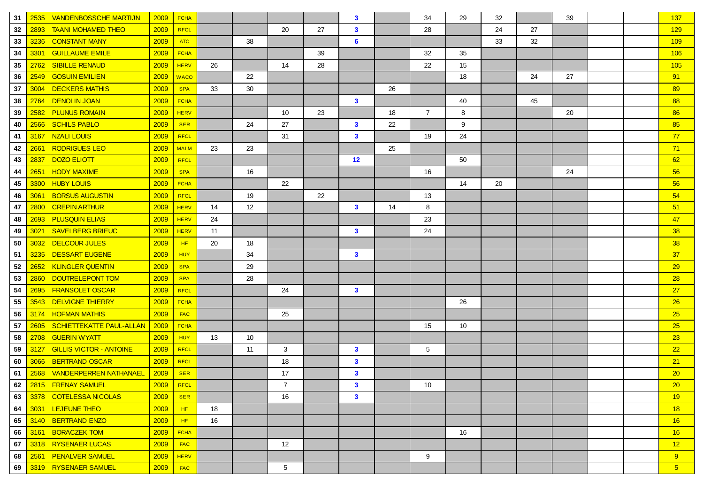| 31 | 2535 | <b>VANDENBOSSCHE MARTIJN</b>    | 2009 | <b>FCHA</b> |    |    |                  |    | $\mathbf{3}$ |    | 34             | 29 | 32 |    | 39 |  | 137             |
|----|------|---------------------------------|------|-------------|----|----|------------------|----|--------------|----|----------------|----|----|----|----|--|-----------------|
| 32 | 2893 | <b>TAANI MOHAMED THEO</b>       | 2009 | RFCL        |    |    | 20               | 27 | $\mathbf{3}$ |    | 28             |    | 24 | 27 |    |  | 129             |
| 33 | 3236 | <b>CONSTANT MANY</b>            | 2009 | <b>ATC</b>  |    | 38 |                  |    | 6            |    |                |    | 33 | 32 |    |  | 109             |
| 34 | 3301 | <b>GUILLAUME EMILE</b>          | 2009 | <b>FCHA</b> |    |    |                  | 39 |              |    | 32             | 35 |    |    |    |  | 106             |
| 35 | 2762 | <b>SIBILLE RENAUD</b>           | 2009 | <b>HERV</b> | 26 |    | 14               | 28 |              |    | 22             | 15 |    |    |    |  | 105             |
| 36 | 2549 | <b>GOSUIN EMILIEN</b>           | 2009 | <b>WACO</b> |    | 22 |                  |    |              |    |                | 18 |    | 24 | 27 |  | 91              |
| 37 | 3004 | <b>DECKERS MATHIS</b>           | 2009 | <b>SPA</b>  | 33 | 30 |                  |    |              | 26 |                |    |    |    |    |  | 89              |
| 38 | 2764 | <b>DENOLIN JOAN</b>             | 2009 | <b>FCHA</b> |    |    |                  |    | $\mathbf{3}$ |    |                | 40 |    | 45 |    |  | 88              |
| 39 | 2582 | <b>PLUNUS ROMAIN</b>            | 2009 | <b>HERV</b> |    |    | 10               | 23 |              | 18 | $\overline{7}$ | 8  |    |    | 20 |  | 86              |
| 40 | 2566 | <b>SCHILS PABLO</b>             | 2009 | <b>SER</b>  |    | 24 | 27               |    | $\mathbf{3}$ | 22 |                | 9  |    |    |    |  | 85              |
| 41 | 3167 | <b>NZALI LOUIS</b>              | 2009 | <b>RFCL</b> |    |    | 31               |    | $\mathbf{3}$ |    | 19             | 24 |    |    |    |  | 77              |
| 42 | 2661 | <b>RODRIGUES LEO</b>            | 2009 | <b>MALM</b> | 23 | 23 |                  |    |              | 25 |                |    |    |    |    |  | 71              |
| 43 | 2837 | <b>DOZO ELIOTT</b>              | 2009 | RFCL        |    |    |                  |    | 12           |    |                | 50 |    |    |    |  | 62              |
| 44 | 2651 | <b>HODY MAXIME</b>              | 2009 | <b>SPA</b>  |    | 16 |                  |    |              |    | 16             |    |    |    | 24 |  | 56              |
| 45 | 3300 | <b>HUBY LOUIS</b>               | 2009 | <b>FCHA</b> |    |    | 22               |    |              |    |                | 14 | 20 |    |    |  | 56              |
| 46 | 3061 | <b>BORSUS AUGUSTIN</b>          | 2009 | <b>RFCL</b> |    | 19 |                  | 22 |              |    | 13             |    |    |    |    |  | 54              |
| 47 | 2800 | <b>CREPIN ARTHUR</b>            | 2009 | <b>HERV</b> | 14 | 12 |                  |    | $\mathbf{3}$ | 14 | 8              |    |    |    |    |  | 51              |
| 48 | 2693 | <b>PLUSQUIN ELIAS</b>           | 2009 | <b>HERV</b> | 24 |    |                  |    |              |    | 23             |    |    |    |    |  | 47              |
| 49 | 3021 | <b>SAVELBERG BRIEUC</b>         | 2009 | <b>HERV</b> | 11 |    |                  |    | $\mathbf{3}$ |    | 24             |    |    |    |    |  | 38              |
| 50 | 3032 | <b>DELCOUR JULES</b>            | 2009 | HF          | 20 | 18 |                  |    |              |    |                |    |    |    |    |  | 38              |
| 51 | 3235 | <b>DESSART EUGENE</b>           | 2009 | <b>HUY</b>  |    | 34 |                  |    | $\mathbf{3}$ |    |                |    |    |    |    |  | 37              |
| 52 | 2652 | <b>KLINGLER QUENTIN</b>         | 2009 | <b>SPA</b>  |    | 29 |                  |    |              |    |                |    |    |    |    |  | 29              |
| 53 | 2860 | <b>DOUTRELEPONT TOM</b>         | 2009 | <b>SPA</b>  |    | 28 |                  |    |              |    |                |    |    |    |    |  | 28              |
| 54 | 2695 | <b>FRANSOLET OSCAR</b>          | 2009 | RFCL        |    |    | 24               |    | $\mathbf{3}$ |    |                |    |    |    |    |  | 27              |
| 55 | 3543 | <b>DELVIGNE THIERRY</b>         | 2009 | <b>FCHA</b> |    |    |                  |    |              |    |                | 26 |    |    |    |  | 26              |
| 56 | 3174 | <b>HOFMAN MATHIS</b>            | 2009 | <b>FAC</b>  |    |    | 25               |    |              |    |                |    |    |    |    |  | 25              |
| 57 | 2605 | <b>SCHIETTEKATTE PAUL-ALLAN</b> | 2009 | <b>FCHA</b> |    |    |                  |    |              |    | 15             | 10 |    |    |    |  | 25              |
| 58 | 2708 | <b>GUERIN WYATT</b>             | 2009 | <b>HUY</b>  | 13 | 10 |                  |    |              |    |                |    |    |    |    |  | 23              |
| 59 | 3127 | <b>GILLIS VICTOR - ANTOINE</b>  | 2009 | <b>RFCL</b> |    | 11 | 3                |    | $\mathbf{3}$ |    | 5              |    |    |    |    |  | 22              |
| 60 | 3066 | <b>BERTRAND OSCAR</b>           | 2009 | <b>RFCL</b> |    |    | 18               |    | $\mathbf{3}$ |    |                |    |    |    |    |  | 21              |
| 61 | 2568 | <b>VANDERPERREN NATHANAEL</b>   | 2009 | <b>SER</b>  |    |    | 17               |    | $\mathbf{3}$ |    |                |    |    |    |    |  | 20 <sub>2</sub> |
| 62 |      | 2815 FRENAY SAMUEL              | 2009 | RFCL        |    |    | $\boldsymbol{7}$ |    | 3            |    | 10             |    |    |    |    |  | 20 <sub>2</sub> |
| 63 |      | 3378   COTELESSA NICOLAS        | 2009 | <b>SER</b>  |    |    | 16               |    | $\mathbf{3}$ |    |                |    |    |    |    |  | 19              |
| 64 | 3031 | <b>LEJEUNE THEO</b>             | 2009 | HF          | 18 |    |                  |    |              |    |                |    |    |    |    |  | 18              |
| 65 | 3140 | <b>BERTRAND ENZO</b>            | 2009 | HF.         | 16 |    |                  |    |              |    |                |    |    |    |    |  | 16              |
| 66 | 3161 | <b>BORACZEK TOM</b>             | 2009 | <b>FCHA</b> |    |    |                  |    |              |    |                | 16 |    |    |    |  | 16              |
| 67 | 3318 | <b>RYSENAER LUCAS</b>           | 2009 | <b>FAC</b>  |    |    | 12               |    |              |    |                |    |    |    |    |  | 12              |
| 68 | 2561 | <b>PENALVER SAMUEL</b>          | 2009 | <b>HERV</b> |    |    |                  |    |              |    | 9              |    |    |    |    |  | 9               |
| 69 |      | 3319   RYSENAER SAMUEL          | 2009 | <b>FAC</b>  |    |    | $5\overline{)}$  |    |              |    |                |    |    |    |    |  | 5 <sub>o</sub>  |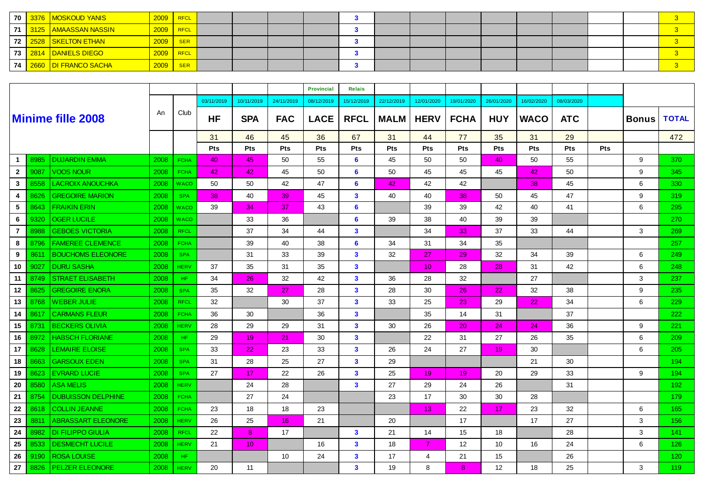|  | <sup>'</sup> 70 <mark>  3376  MOSKOUD YANIS \</mark> | 2009 | RFCL          |  |  |  |  |  |  |  |
|--|------------------------------------------------------|------|---------------|--|--|--|--|--|--|--|
|  | ∣ 71 │ 3125 │AMAASSAN NASSIN ∣                       | 2009 | $ $ RFCL      |  |  |  |  |  |  |  |
|  | 72 2528 SKELTON ETHAN                                | 2009 | <b>SER</b>    |  |  |  |  |  |  |  |
|  | <sup>∣</sup> 73 <mark>∣ 2814 │DANIELS DIEGO │</mark> | 2009 | <b>N</b> RFCL |  |  |  |  |  |  |  |
|  | 74 2660 DI FRANCO SACHA                              | 2009 | <b>SER</b>    |  |  |  |  |  |  |  |

|                 |      |                           |      |             |            |                 |                 | <b>Provincial</b> | <b>Relais</b>           |             |                 |             |            |             |            |     |              |              |
|-----------------|------|---------------------------|------|-------------|------------|-----------------|-----------------|-------------------|-------------------------|-------------|-----------------|-------------|------------|-------------|------------|-----|--------------|--------------|
|                 |      |                           |      |             | 03/11/2019 | 10/11/2019      | 24/11/2019      | 08/12/2019        | 15/12/2019              | 22/12/2019  | 12/01/2020      | 19/01/2020  | 26/01/2020 | 16/02/2020  | 08/03/2020 |     |              |              |
|                 |      | <b>Minime fille 2008</b>  | An   | Club        | HF         | <b>SPA</b>      | <b>FAC</b>      | <b>LACE</b>       | <b>RFCL</b>             | <b>MALM</b> | <b>HERV</b>     | <b>FCHA</b> | <b>HUY</b> | <b>WACO</b> | <b>ATC</b> |     | <b>Bonus</b> | <b>TOTAL</b> |
|                 |      |                           |      |             | 31         | 46              | 45              | 36                | 67                      | 31          | 44              | 77          | 35         | 31          | 29         |     |              | 472          |
|                 |      |                           |      |             | Pts        | Pts             | Pts             | Pts               | Pts                     | Pts         | Pts             | Pts         | Pts        | Pts         | Pts        | Pts |              |              |
| $\mathbf 1$     | 8985 | <b>DUJARDIN EMMA</b>      | 2008 | <b>FCHA</b> | 40         | 45              | 50              | 55                | 6                       | 45          | 50              | 50          | 40         | 50          | 55         |     | 9            | 370          |
| $\mathbf{2}$    | 9087 | <b>VOOS NOUR</b>          | 2008 | <b>FCHA</b> | 42         | 42              | 45              | 50                | 6                       | 50          | 45              | 45          | 45         | 42          | 50         |     | 9            | 345          |
| $\mathbf{3}$    | 8558 | <b>LACROIX ANOUCHKA</b>   | 2008 | <b>WACO</b> | 50         | 50              | 42              | 47                | 6                       | 42          | 42              | 42          |            | 38          | 45         |     | 6            | 330          |
| 4               | 8626 | <b>GREGOIRE MARION</b>    | 2008 | <b>SPA</b>  | 38         | 40              | 39              | 45                | $\mathbf{3}$            | 40          | 40              | 38          | 50         | 45          | 47         |     | 9            | 319          |
| 5               | 8643 | <b>FRAIKIN ERIN</b>       | 2008 | <b>WACO</b> | 39         | 34              | 37              | 43                | 6                       |             | 39              | 39          | 42         | 40          | 41         |     | 6            | 295          |
| 6               | 9320 | <b>OGER LUCILE</b>        | 2008 | <b>WACO</b> |            | 33              | 36              |                   | 6                       | 39          | 38              | 40          | 39         | 39          |            |     |              | 270          |
| $\overline{7}$  | 8988 | <b>GEBOES VICTORIA</b>    | 2008 | <b>RFCL</b> |            | 37              | 34              | 44                | $\mathbf{3}$            |             | 34              | 33          | 37         | 33          | 44         |     | 3            | 269          |
| 8               | 8796 | <b>FAMEREE CLEMENCE</b>   | 2008 | <b>FCHA</b> |            | 39              | 40              | 38                | 6                       | 34          | 31              | 34          | 35         |             |            |     |              | 257          |
| 9               | 8611 | <b>BOUCHOMS ELEONORE</b>  | 2008 | <b>SPA</b>  |            | 31              | 33              | 39                | $\mathbf{3}$            | 32          | 27              | 29          | 32         | 34          | 39         |     | 6            | 249          |
| 10              | 9027 | <b>DURU SASHA</b>         | 2008 | <b>HERV</b> | 37         | 35              | 31              | 35                | $\mathbf{3}$            |             | 10 <sup>°</sup> | 28          | 28         | 31          | 42         |     | 6            | 248          |
| 11              | 8749 | <b>STRAET ELISABETH</b>   | 2008 | HF.         | 34         | 26              | 32              | 42                | $\mathbf{3}$            | 36          | 28              | 32          |            | 27          |            |     | 3            | 237          |
| 12 <sub>2</sub> | 8625 | <b>GREGOIRE ENORA</b>     | 2008 | <b>SPA</b>  | 35         | 32              | 27              | 28                | $\mathbf{3}$            | 28          | 30              | 26          | 22         | 32          | 38         |     | 9            | 235          |
| 13              | 8768 | <b>WEBER JULIE</b>        | 2008 | <b>RFCL</b> | 32         |                 | 30              | 37                | $\mathbf{3}$            | 33          | 25              | 23          | 29         | 22          | 34         |     | 6            | 229          |
| 14              | 8617 | <b>CARMANS FLEUR</b>      | 2008 | <b>FCHA</b> | 36         | 30              |                 | 36                | $\mathbf{3}$            |             | 35              | 14          | 31         |             | 37         |     |              | 222          |
| 15              | 8731 | <b>BECKERS OLIVIA</b>     | 2008 | <b>HERV</b> | 28         | 29              | 29              | 31                | $\mathbf{3}$            | 30          | 26              | 20          | 24         | 24          | 36         |     | 9            | 221          |
| 16              | 8972 | <b>HABSCH FLORIANE</b>    | 2008 | HF.         | 29         | 19              | 21              | 30                | $\mathbf{3}$            |             | 22              | 31          | 27         | 26          | 35         |     | 6            | 209          |
| 17              | 8628 | <b>LEMAIRE ELOISE</b>     | 2008 | <b>SPA</b>  | 33         | 22              | 23              | 33                | $\mathbf{3}$            | 26          | 24              | 27          | 19         | 30          |            |     | 6            | 205          |
| 18              | 8663 | <b>GARSOUX EDEN</b>       | 2008 | <b>SPA</b>  | 31         | 28              | 25              | 27                | $\mathbf{3}$            | 29          |                 |             |            | 21          | 30         |     |              | 194          |
| 19              | 8623 | <b>EVRARD LUCIE</b>       | 2008 | <b>SPA</b>  | 27         | 17              | 22              | 26                | $\mathbf{3}$            | 25          | 19              | 19          | 20         | 29          | 33         |     | 9            | 194          |
| 20              | 8580 | <b>ASA MELIS</b>          | 2008 | <b>HERV</b> |            | 24              | 28              |                   | $\mathbf{3}$            | 27          | 29              | 24          | 26         |             | 31         |     |              | 192          |
| 21              | 8754 | <b>DUBUISSON DELPHINE</b> | 2008 | <b>FCHA</b> |            | 27              | 24              |                   |                         | 23          | 17              | 30          | 30         | 28          |            |     |              | 179          |
| 22              | 8618 | <b>COLLIN JEANNE</b>      | 2008 | <b>FCHA</b> | 23         | 18              | 18              | 23                |                         |             | 13              | 22          | 17         | 23          | 32         |     | 6            | 165          |
| 23              | 8811 | <b>ABRASSART ELEONORE</b> | 2008 | <b>HERV</b> | 26         | 25              | 16              | 21                |                         | 20          |                 | 17          |            | 17          | 27         |     | 3            | 156          |
| 24              | 8982 | <b>DI FILIPPO GIULIA</b>  | 2008 | <b>RFCL</b> | 22         | 8               | 17              |                   | $\mathbf{3}$            | 21          | 14              | 15          | 18         |             | 28         |     | 3            | 141          |
| 25              | 8533 | <b>DESMECHT LUCILE</b>    | 2008 | <b>HERV</b> | 21         | 10 <sup>°</sup> |                 | 16                | $\mathbf{3}$            | 18          | 7               | 12          | 10         | 16          | 24         |     | 6            | 126          |
| 26              | 9190 | <b>ROSA LOUISE</b>        | 2008 | HF.         |            |                 | 10 <sup>°</sup> | 24                | $\mathbf{3}$            | 17          | $\overline{4}$  | 21          | 15         |             | 26         |     |              | 120          |
| 27              | 8826 | PELZER ELEONORE           | 2008 | <b>HERV</b> | 20         | 11              |                 |                   | $\overline{\mathbf{3}}$ | 19          | 8               | 8           | 12         | 18          | 25         |     | 3            | 119          |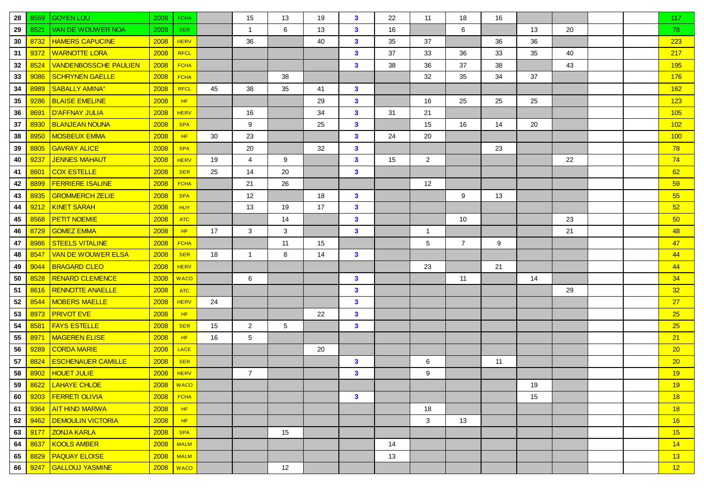| 28 | 8569 | <b>GOYEN LOU</b>                 | 2008 | <b>FCHA</b>   |    | 15             | 13             | 19 | $\mathbf{3}$ | 22 | 11             | 18             | 16 |    |    |  | 117 |
|----|------|----------------------------------|------|---------------|----|----------------|----------------|----|--------------|----|----------------|----------------|----|----|----|--|-----|
| 29 | 8521 | <b>VAN DE WOUWER NOA</b>         | 2008 | <b>SER</b>    |    | $\mathbf{1}$   | 6              | 13 | $\mathbf{3}$ | 16 |                | 6              |    | 13 | 20 |  | 78  |
| 30 | 8732 | <b>HAMERS CAPUCINE</b>           | 2008 | <b>HERV</b>   |    | 36             |                | 40 | $\mathbf{3}$ | 35 | 37             |                | 36 | 36 |    |  | 223 |
| 31 | 9372 | <b>WARNOTTE LORA</b>             | 2008 | <b>RFCL</b>   |    |                |                |    | $\mathbf{3}$ | 37 | 33             | 36             | 33 | 35 | 40 |  | 217 |
| 32 | 8524 | <b>VANDENBOSSCHE PAULIEN</b>     | 2008 | <b>FCHA</b>   |    |                |                |    | $\mathbf{3}$ | 38 | 36             | 37             | 38 |    | 43 |  | 195 |
| 33 | 9086 | <b>SCHRYNEN GAELLE</b>           | 2008 | <b>FCHA</b>   |    |                | 38             |    |              |    | 32             | 35             | 34 | 37 |    |  | 176 |
| 34 | 8989 | <b>SABALLY AMINA<sup>®</sup></b> | 2008 | <b>RFCL</b>   | 45 | 38             | 35             | 41 | $\mathbf{3}$ |    |                |                |    |    |    |  | 162 |
| 35 | 9286 | <b>BLAISE EMELINE</b>            | 2008 | HF            |    |                |                | 29 | $\mathbf{3}$ |    | 16             | 25             | 25 | 25 |    |  | 123 |
| 36 | 8691 | <b>D'AFFNAY JULIA</b>            | 2008 | <b>HERV</b>   |    | 16             |                | 34 | $\mathbf{3}$ | 31 | 21             |                |    |    |    |  | 105 |
| 37 | 8930 | <b>BLANJEAN NOUNA</b>            | 2008 | <b>SPA</b>    |    | 9              |                | 25 | $\mathbf{3}$ |    | 15             | 16             | 14 | 20 |    |  | 102 |
| 38 | 8950 | <b>MOSBEUX EMMA</b>              | 2008 | HF            | 30 | 23             |                |    | $\mathbf{3}$ | 24 | 20             |                |    |    |    |  | 100 |
| 39 | 8805 | <b>GAVRAY ALICE</b>              | 2008 | <b>SPA</b>    |    | 20             |                | 32 | $\mathbf{3}$ |    |                |                | 23 |    |    |  | 78  |
| 40 | 9237 | <b>JENNES MAHAUT</b>             | 2008 | <b>HERV</b>   | 19 | 4              | 9              |    | $\mathbf{3}$ | 15 | $\overline{2}$ |                |    |    | 22 |  | 74  |
| 41 | 8601 | <b>COX ESTELLE</b>               | 2008 | <b>SER</b>    | 25 | 14             | 20             |    | $\mathbf{3}$ |    |                |                |    |    |    |  | 62  |
| 42 | 8899 | <b>FERRIERE ISALINE</b>          | 2008 | <b>FCHA</b>   |    | 21             | 26             |    |              |    | 12             |                |    |    |    |  | 59  |
| 43 | 8935 | <b>GROMMERCH ZELIE</b>           | 2008 | <b>SPA</b>    |    | 12             |                | 18 | $\mathbf{3}$ |    |                | 9              | 13 |    |    |  | 55  |
| 44 | 9212 | <b>KINET SARAH</b>               | 2008 | <b>HUY</b>    |    | 13             | 19             | 17 | $\mathbf{3}$ |    |                |                |    |    |    |  | 52  |
| 45 | 8568 | <b>PETIT NOEMIE</b>              | 2008 | <b>ATC</b>    |    |                | 14             |    | $\mathbf{3}$ |    |                | 10             |    |    | 23 |  | 50  |
| 46 | 8729 | <b>GOMEZ EMMA</b>                | 2008 | HF            | 17 | 3              | 3              |    | $\mathbf{3}$ |    | $\overline{1}$ |                |    |    | 21 |  | 48  |
| 47 | 8986 | <b>STEELS VITALINE</b>           | 2008 | <b>FCHA</b>   |    |                | 11             | 15 |              |    | 5              | $\overline{7}$ | 9  |    |    |  | 47  |
| 48 | 8547 | <b>VAN DE WOUWER ELSA</b>        | 2008 | <b>SER</b>    | 18 | $\overline{1}$ | 8              | 14 | $\mathbf{3}$ |    |                |                |    |    |    |  | 44  |
| 49 | 9044 | <b>BRAGARD CLEO</b>              | 2008 | <b>HERV</b>   |    |                |                |    |              |    | 23             |                | 21 |    |    |  | 44  |
| 50 | 8528 | <b>RENARD CLEMENCE</b>           | 2008 | <b>WACO</b>   |    | 6              |                |    | $\mathbf{3}$ |    |                | 11             |    | 14 |    |  | 34  |
| 51 | 8616 | <b>RENNOTTE ANAELLE</b>          | 2008 | <b>ATC</b>    |    |                |                |    | $\mathbf{3}$ |    |                |                |    |    | 29 |  | 32  |
| 52 | 8544 | <b>MOBERS MAELLE</b>             | 2008 | <b>HERV</b>   | 24 |                |                |    | $\mathbf{3}$ |    |                |                |    |    |    |  | 27  |
| 53 | 8973 | <b>PRIVOT EVE</b>                | 2008 | HF            |    |                |                | 22 | $\mathbf{3}$ |    |                |                |    |    |    |  | 25  |
| 54 | 8581 | <b>FAYS ESTELLE</b>              | 2008 | <b>SER</b>    | 15 | 2              | 5 <sup>5</sup> |    | $\mathbf{3}$ |    |                |                |    |    |    |  | 25  |
| 55 | 8971 | <b>MAGEREN ELISE</b>             | 2008 | HF.           | 16 | 5              |                |    |              |    |                |                |    |    |    |  | 21  |
| 56 | 9289 | <b>CORDA MARIE</b>               | 2008 | <b>LACE</b>   |    |                |                | 20 |              |    |                |                |    |    |    |  | 20  |
| 57 | 8824 | <b>ESCHENAUER CAMILLE</b>        | 2008 | <b>SER</b>    |    |                |                |    | $\mathbf{3}$ |    | 6              |                | 11 |    |    |  | 20  |
| 58 | 8902 | <b>HOUET JULIE</b>               | 2008 | <b>HERV</b>   |    | $\overline{7}$ |                |    | $\mathbf{3}$ |    | 9              |                |    |    |    |  | 19  |
| 59 |      | 8622 LAHAYE CHLOE                |      | $2008$ WACO   |    |                |                |    |              |    |                |                |    | 19 |    |  | 19  |
| 60 | 9203 | <b>FERRETI OLIVIA</b>            | 2008 | <b>FCHA</b>   |    |                |                |    | $\mathbf{3}$ |    |                |                |    | 15 |    |  | 18  |
| 61 | 9364 | <u>AIT HIND MARWA</u>            | 2008 | HF            |    |                |                |    |              |    | 18             |                |    |    |    |  | 18  |
| 62 | 9462 | <b>DEMOULIN VICTORIA</b>         | 2008 | HF            |    |                |                |    |              |    | 3              | 13             |    |    |    |  | 16  |
| 63 | 9177 | <b>ZONJA KARLA</b>               | 2008 | <b>SPA</b>    |    |                | 15             |    |              |    |                |                |    |    |    |  | 15  |
| 64 | 8637 | <b>KOOLS AMBER</b>               | 2008 | <b>MALM</b>   |    |                |                |    |              | 14 |                |                |    |    |    |  | 14  |
| 65 | 8829 | <b>PAQUAY ELOISE</b>             | 2008 | <b>MALM</b>   |    |                |                |    |              | 13 |                |                |    |    |    |  | 13  |
| 66 | 9247 | <b>GALLOUJ YASMINE</b>           |      | $2008$   WACO |    |                | 12             |    |              |    |                |                |    |    |    |  | 12  |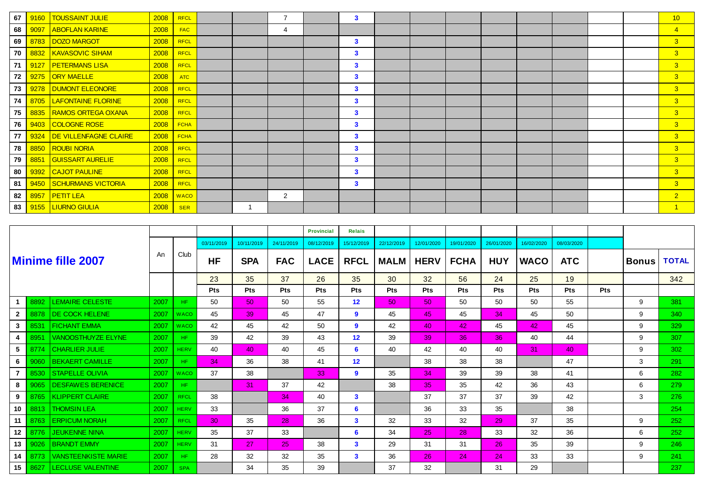| 67 | 9160 | <b>TOUSSAINT JULIE</b>    | 2008 | <b>RFCL</b> |  | $\overline{7}$ | 3            |  |  |  |  | 10             |
|----|------|---------------------------|------|-------------|--|----------------|--------------|--|--|--|--|----------------|
| 68 | 9097 | <b>ABOFLAN KARINE</b>     | 2008 | <b>FAC</b>  |  | 4              |              |  |  |  |  | $\overline{4}$ |
| 69 | 8783 | DOZO MARGOT               | 2008 | <b>RFCL</b> |  |                | $\mathbf{3}$ |  |  |  |  | 3              |
| 70 |      | 8832   KAVASOVIC SIHAM    | 2008 | <b>RFCL</b> |  |                | $\mathbf{3}$ |  |  |  |  | 3 <sup>2</sup> |
| 71 | 9127 | <b>PETERMANS LISA</b>     | 2008 | <b>RFCL</b> |  |                | $\mathbf{3}$ |  |  |  |  | 3 <sup>°</sup> |
| 72 | 9275 | <b>ORY MAELLE</b>         | 2008 | <b>ATC</b>  |  |                | $\mathbf{3}$ |  |  |  |  | 3 <sup>1</sup> |
| 73 |      | 9278   DUMONT ELEONORE    | 2008 | <b>RFCL</b> |  |                | $\mathbf{3}$ |  |  |  |  | 3 <sup>2</sup> |
| 74 |      | 8705   LAFONTAINE FLORINE | 2008 | <b>RFCL</b> |  |                | 3            |  |  |  |  | 3 <sup>°</sup> |
| 75 | 8835 | <b>RAMOS ORTEGA OXANA</b> | 2008 | <b>RFCL</b> |  |                | 3            |  |  |  |  | 3 <sup>2</sup> |
| 76 |      | 9403 COLOGNE ROSE         | 2008 | <b>FCHA</b> |  |                | $\mathbf{3}$ |  |  |  |  | 3 <sup>2</sup> |
| 77 | 9324 | DE VILLENFAGNE CLAIRE     | 2008 | <b>FCHA</b> |  |                | $\mathbf{3}$ |  |  |  |  | 3 <sup>°</sup> |
| 78 | 8850 | <b>ROUBI NORIA</b>        | 2008 | <b>RFCL</b> |  |                | $\mathbf{3}$ |  |  |  |  | 3 <sup>°</sup> |
| 79 | 8851 | <b>GUISSART AURELIE</b>   | 2008 | <b>RFCL</b> |  |                | 3            |  |  |  |  | $\overline{3}$ |
| 80 |      | 9392 CAJOT PAULINE        | 2008 | <b>RFCL</b> |  |                | 3            |  |  |  |  | 3 <sup>°</sup> |
| 81 | 9450 | <b>SCHURMANS VICTORIA</b> | 2008 | <b>RFCL</b> |  |                | $\mathbf{3}$ |  |  |  |  | 3 <sup>2</sup> |
| 82 | 8957 | <b>PETIT LEA</b>          | 2008 | <b>WACO</b> |  | 2              |              |  |  |  |  | 2 <sup>7</sup> |
| 83 | 9155 | <b>LIURNO GIULIA</b>      | 2008 | <b>SER</b>  |  |                |              |  |  |  |  |                |

|                  |      |                            |      |             |            |                 |            | <b>Provincial</b> | <b>Relais</b>     |             |             |             |            |             |            |            |              |              |
|------------------|------|----------------------------|------|-------------|------------|-----------------|------------|-------------------|-------------------|-------------|-------------|-------------|------------|-------------|------------|------------|--------------|--------------|
|                  |      |                            |      |             | 03/11/2019 | 10/11/2019      | 24/11/2019 | 08/12/2019        | 15/12/2019        | 22/12/2019  | 12/01/2020  | 19/01/2020  | 26/01/2020 | 16/02/2020  | 08/03/2020 |            |              |              |
|                  |      | <b>Minime fille 2007</b>   | An   | Club        | <b>HF</b>  | <b>SPA</b>      | <b>FAC</b> | <b>LACE</b>       | <b>RFCL</b>       | <b>MALM</b> | <b>HERV</b> | <b>FCHA</b> | <b>HUY</b> | <b>WACO</b> | <b>ATC</b> |            | <b>Bonus</b> | <b>TOTAL</b> |
|                  |      |                            |      |             | 23         | 35              | 37         | 26                | 35                | 30          | 32          | 56          | 24         | 25          | 19         |            |              | 342          |
|                  |      |                            |      |             | <b>Pts</b> | Pts             | <b>Pts</b> | Pts               | <b>Pts</b>        | Pts         | Pts         | Pts         | <b>Pts</b> | Pts         | <b>Pts</b> | <b>Pts</b> |              |              |
|                  | 8892 | <b>LEMAIRE CELESTE</b>     | 2007 | HF.         | 50         | 50 <sub>2</sub> | 50         | 55                | $12 \overline{ }$ | 50          | 50          | 50          | 50         | 50          | 55         |            | 9            | 381          |
| $\mathbf{2}$     | 8878 | <b>DE COCK HELENE</b>      | 2007 | <b>WACO</b> | 45         | 39              | 45         | 47                | 9                 | 45          | 45          | 45          | 34         | 45          | 50         |            | 9            | 340          |
| 3                | 8531 | <b>FICHANT EMMA</b>        | 2007 | <b>WACO</b> | 42         | 45              | 42         | 50                | 9                 | 42          | 40          | 42          | 45         | 42          | 45         |            | 9            | 329          |
| 4                | 8951 | <b>VANOOSTHUYZE ELYNE</b>  | 2007 | HF.         | 39         | 42              | 39         | 43                | 12                | 39          | 39          | 36          | 36         | 40          | 44         |            | 9            | 307          |
| 5                | 8774 | <b>CHARLIER JULIE</b>      | 2007 | <b>HERV</b> | 40         | 40              | 40         | 45                | 6                 | 40          | 42          | 40          | 40         | 31          | 40         |            | 9            | 302          |
| 6                | 9060 | <b>BEKAERT CAMILLE</b>     | 2007 | HF.         | 34         | 36              | 38         | 41                | 12                |             | 38          | 38          | 38         |             | 47         |            | 3            | 291          |
| $\overline{7}$   | 8530 | <b>STAPELLE OLIVIA</b>     | 2007 | <b>WACO</b> | 37         | 38              |            | 33                | 9                 | 35          | 34          | 39          | 39         | 38          | 41         |            | 6            | 282          |
| 8                | 9065 | <b>DESFAWES BERENICE</b>   | 2007 | HF.         |            | 31              | 37         | 42                |                   | 38          | 35          | 35          | 42         | 36          | 43         |            | 6            | 279          |
| 9                | 8765 | <b>KLIPPERT CLAIRE</b>     | 2007 | <b>RFCL</b> | 38         |                 | 34         | 40                | $\mathbf{3}$      |             | 37          | 37          | 37         | 39          | 42         |            | 3            | 276          |
| 10               | 8813 | <b>THOMSIN LEA</b>         | 2007 | <b>HERV</b> | 33         |                 | 36         | 37                | 6                 |             | 36          | 33          | 35         |             | 38         |            |              | 254          |
| 11               | 8763 | <b>ERPICUM NORAH</b>       | 2007 | <b>RFCL</b> | 30         | 35              | 28         | 36                | $\mathbf{3}$      | 32          | 33          | 32          | 29         | 37          | 35         |            | 9            | 252          |
| 12 <sup>12</sup> | 8776 | <b>JEUKENNE NINA</b>       | 2007 | <b>HERV</b> | 35         | 37              | 33         |                   | 6                 | 34          | 25          | 28          | 33         | 32          | 36         |            | 6            | 252          |
| 13 <sup>1</sup>  | 9026 | <b>BRANDT EMMY</b>         | 2007 | <b>HERV</b> | 31         | 27              | 25         | 38                | $\mathbf{3}$      | 29          | 31          | 31          | 26         | 35          | 39         |            | 9            | 246          |
| 14               | 8773 | <b>VANSTEENKISTE MARIE</b> | 2007 | HF.         | 28         | 32              | 32         | 35                | $\mathbf{3}$      | 36          | 26          | 24          | 24         | 33          | 33         |            | 9            | 241          |
| 15 <sup>1</sup>  | 8627 | <b>LECLUSE VALENTINE</b>   | 2007 | <b>SPA</b>  |            | 34              | 35         | 39                |                   | 37          | 32          |             | 31         | 29          |            |            |              | 237          |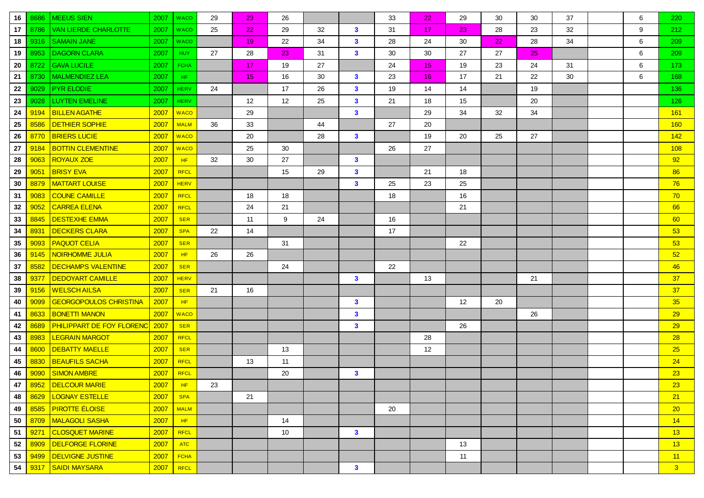| 16 | 8686 | <b>MEEUS SIEN</b>                | 2007 | <b>WACO</b> | 29 | 23              | 26 |    |              | 33 | 22              | 29 | 30 | 30 | 37 | 6 | 220            |
|----|------|----------------------------------|------|-------------|----|-----------------|----|----|--------------|----|-----------------|----|----|----|----|---|----------------|
| 17 | 8786 | <b>VAN LIERDE CHARLOTTE</b>      | 2007 | <b>WACO</b> | 25 | 22 <sub>2</sub> | 29 | 32 | $\mathbf{3}$ | 31 | 17              | 23 | 28 | 23 | 32 | 9 | 212            |
| 18 | 9316 | <b>SAMAIN JANE</b>               | 2007 | <b>WACO</b> |    | 19              | 22 | 34 | $\mathbf{3}$ | 28 | 24              | 30 | 22 | 28 | 34 | 6 | 209            |
| 19 | 8953 | <b>DAGORN CLARA</b>              | 2007 | <b>HUY</b>  | 27 | 28              | 23 | 31 | $\mathbf{3}$ | 30 | 30              | 27 | 27 | 25 |    | 6 | 209            |
| 20 | 8722 | <b>GAVA LUCILE</b>               | 2007 | <b>FCHA</b> |    | 17 <sub>2</sub> | 19 | 27 |              | 24 | 15 <sub>1</sub> | 19 | 23 | 24 | 31 | 6 | 173            |
| 21 | 8730 | <b>MALMENDIEZ LEA</b>            | 2007 | HF.         |    | 15              | 16 | 30 | $\mathbf{3}$ | 23 | 16 <sup>°</sup> | 17 | 21 | 22 | 30 | 6 | 168            |
| 22 | 9029 | <b>PYR ELODIE</b>                | 2007 | <b>HERV</b> | 24 |                 | 17 | 26 | $\mathbf{3}$ | 19 | 14              | 14 |    | 19 |    |   | 136            |
| 23 | 9028 | <b>LUYTEN EMELINE</b>            | 2007 | <b>HERV</b> |    | 12              | 12 | 25 | $\mathbf{3}$ | 21 | 18              | 15 |    | 20 |    |   | 126            |
| 24 | 9194 | <b>BILLEN AGATHE</b>             | 2007 | <b>WACO</b> |    | 29              |    |    | $\mathbf{3}$ |    | 29              | 34 | 32 | 34 |    |   | 161            |
| 25 | 8586 | <b>DETHIER SOPHIE</b>            | 2007 | <b>MALM</b> | 36 | 33              |    | 44 |              | 27 | 20              |    |    |    |    |   | 160            |
| 26 | 8770 | <b>BRIERS LUCIE</b>              | 2007 | <b>WACO</b> |    | 20              |    | 28 | $\mathbf{3}$ |    | 19              | 20 | 25 | 27 |    |   | 142            |
| 27 | 9184 | <b>BOTTIN CLEMENTINE</b>         | 2007 | <b>WACO</b> |    | 25              | 30 |    |              | 26 | 27              |    |    |    |    |   | 108            |
| 28 | 9063 | <b>ROYAUX ZOE</b>                | 2007 | HF          | 32 | 30              | 27 |    | $\mathbf{3}$ |    |                 |    |    |    |    |   | 92             |
| 29 | 9051 | <b>BRISY EVA</b>                 | 2007 | <b>RFCL</b> |    |                 | 15 | 29 | $\mathbf{3}$ |    | 21              | 18 |    |    |    |   | 86             |
| 30 | 8879 | <b>MATTART LOUISE</b>            | 2007 | <b>HERV</b> |    |                 |    |    | $\mathbf{3}$ | 25 | 23              | 25 |    |    |    |   | 76             |
| 31 | 9083 | <b>COUNE CAMILLE</b>             | 2007 | <b>RFCL</b> |    | 18              | 18 |    |              | 18 |                 | 16 |    |    |    |   | 70             |
| 32 | 9052 | <b>CARREA ELENA</b>              | 2007 | <b>RFCL</b> |    | 24              | 21 |    |              |    |                 | 21 |    |    |    |   | 66             |
| 33 | 8845 | <b>DESTEXHE EMMA</b>             | 2007 | <b>SER</b>  |    | 11              | 9  | 24 |              | 16 |                 |    |    |    |    |   | 60             |
| 34 | 8931 | <b>DECKERS CLARA</b>             | 2007 | <b>SPA</b>  | 22 | 14              |    |    |              | 17 |                 |    |    |    |    |   | 53             |
| 35 | 9093 | <b>PAQUOT CELIA</b>              | 2007 | <b>SER</b>  |    |                 | 31 |    |              |    |                 | 22 |    |    |    |   | 53             |
| 36 | 9145 | NOIRHOMME JULIA                  | 2007 | HF.         | 26 | 26              |    |    |              |    |                 |    |    |    |    |   | 52             |
| 37 | 8582 | <b>DECHAMPS VALENTINE</b>        | 2007 | <b>SER</b>  |    |                 | 24 |    |              | 22 |                 |    |    |    |    |   | 46             |
| 38 | 9377 | <b>DEDOYART CAMILLE</b>          | 2007 | <b>HERV</b> |    |                 |    |    | $\mathbf{3}$ |    | 13              |    |    | 21 |    |   | 37             |
| 39 | 9156 | <b>WELSCH AILSA</b>              | 2007 | <b>SER</b>  | 21 | 16              |    |    |              |    |                 |    |    |    |    |   | 37             |
| 40 | 9099 | <b>GEORGOPOULOS CHRISTINA</b>    | 2007 | HF          |    |                 |    |    | $\mathbf{3}$ |    |                 | 12 | 20 |    |    |   | 35             |
| 41 | 8633 | <b>BONETTI MANON</b>             | 2007 | <b>WACO</b> |    |                 |    |    | $\mathbf{3}$ |    |                 |    |    | 26 |    |   | 29             |
| 42 | 8689 | <b>PHILIPPART DE FOY FLORENC</b> | 2007 | <b>SER</b>  |    |                 |    |    | $\mathbf{3}$ |    |                 | 26 |    |    |    |   | 29             |
| 43 | 8983 | <b>LEGRAIN MARGOT</b>            | 2007 | <b>RFCL</b> |    |                 |    |    |              |    | 28              |    |    |    |    |   | 28             |
| 44 | 8600 | <b>DEBATTY MAELLE</b>            | 2007 | <b>SER</b>  |    |                 | 13 |    |              |    | 12              |    |    |    |    |   | 25             |
| 45 | 8830 | <b>BEAUFILS SACHA</b>            | 2007 | <b>RFCL</b> |    | 13              | 11 |    |              |    |                 |    |    |    |    |   | 24             |
| 46 | 9090 | SIMON AMBRE                      | 2007 | <b>RFCL</b> |    |                 | 20 |    | $\mathbf{3}$ |    |                 |    |    |    |    |   | 23             |
| 47 |      | 8952   DELCOUR MARIE             | 2007 | HF          | 23 |                 |    |    |              |    |                 |    |    |    |    |   | 23             |
| 48 | 8629 | <b>LOGNAY ESTELLE</b>            | 2007 | <b>SPA</b>  |    | 21              |    |    |              |    |                 |    |    |    |    |   | 21             |
| 49 | 8585 | <u> PIROTTE ÉLOISE_</u>          | 2007 | <b>MALM</b> |    |                 |    |    |              | 20 |                 |    |    |    |    |   | 20             |
| 50 | 8709 | <u>MALAGOLI SASHA</u>            | 2007 | HF          |    |                 | 14 |    |              |    |                 |    |    |    |    |   | 14             |
| 51 | 9271 | <b>CLOSQUET MARINE</b>           | 2007 | RFCL        |    |                 | 10 |    | $\mathbf{3}$ |    |                 |    |    |    |    |   | 13             |
| 52 | 8909 | <b>DELFORGE FLORINE</b>          | 2007 | <b>ATC</b>  |    |                 |    |    |              |    |                 | 13 |    |    |    |   | 13             |
| 53 | 9499 | DELVIGNE JUSTINE                 | 2007 | <b>FCHA</b> |    |                 |    |    |              |    |                 | 11 |    |    |    |   | 11             |
| 54 | 9317 | <b>SAIDI MAYSARA</b>             | 2007 | RFCL        |    |                 |    |    | $\mathbf{3}$ |    |                 |    |    |    |    |   | 3 <sup>°</sup> |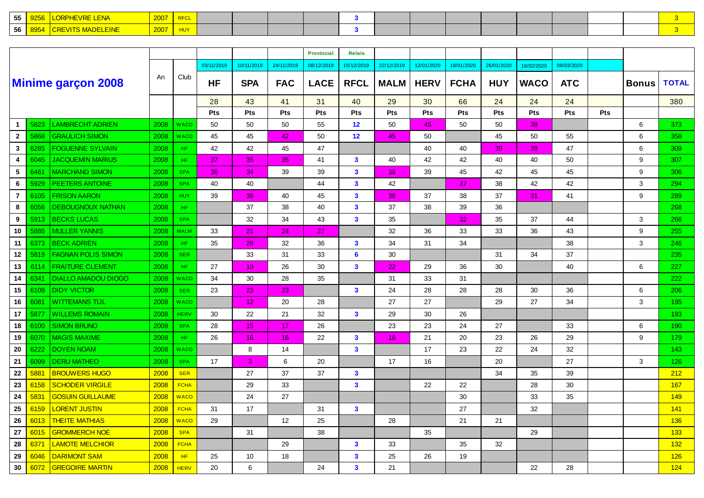| --<br>.  |  |  |  |  |  |  |  |  |  |
|----------|--|--|--|--|--|--|--|--|--|
| hh<br>vv |  |  |  |  |  |  |  |  |  |

|                 |      |                            |      |             |            |            |                 | <b>Provincial</b> | <b>Relais</b>           |             |             |             |            |             |            |     |              |              |
|-----------------|------|----------------------------|------|-------------|------------|------------|-----------------|-------------------|-------------------------|-------------|-------------|-------------|------------|-------------|------------|-----|--------------|--------------|
|                 |      |                            |      |             | 03/11/2019 | 10/11/2019 | 24/11/2019      | 08/12/2019        | 15/12/2019              | 22/12/2019  | 12/01/2020  | 19/01/2020  | 26/01/2020 | 16/02/2020  | 08/03/2020 |     |              |              |
|                 |      | <b>Minime garçon 2008</b>  | An   | Club        | <b>HF</b>  | <b>SPA</b> | <b>FAC</b>      | <b>LACE</b>       | <b>RFCL</b>             | <b>MALM</b> | <b>HERV</b> | <b>FCHA</b> | <b>HUY</b> | <b>WACO</b> | <b>ATC</b> |     | <b>Bonus</b> | <b>TOTAL</b> |
|                 |      |                            |      |             | 28         | 43         | 41              | 31                | 40                      | 29          | 30          | 66          | 24         | 24          | 24         |     |              | 380          |
|                 |      |                            |      |             | Pts        | Pts        | Pts             | Pts               | Pts                     | Pts         | Pts         | Pts         | Pts        | Pts         | <b>Pts</b> | Pts |              |              |
| $\mathbf{1}$    | 5823 | <b>LAMBRECHT ADRIEN</b>    | 2008 | WACO        | 50         | 50         | 50              | 55                | 12                      | 50          | 45          | 50          | 50         | 38          |            |     | 6            | 373          |
| $\mathbf{2}$    | 5868 | <b>GRAULICH SIMON</b>      | 2008 | WACO        | 45         | 45         | 42              | 50                | 12                      | 45          | 50          |             | 45         | 50          | 55         |     | 6            | 358          |
| $3^{\circ}$     | 6285 | <b>FOGUENNE SYLVAIN</b>    | 2008 | HF.         | 42         | 42         | 45              | 47                |                         |             | 40          | 40          | 39         | 39          | 47         |     | 6            | 309          |
| 4               | 6045 | <b>JACQUEMIN MARIUS</b>    | 2008 | HF.         | 37         | 35         | 35              | 41                | $\mathbf{3}$            | 40          | 42          | 42          | 40         | 40          | 50         |     | 9            | 307          |
| $5\phantom{.0}$ | 6461 | <b>MARCHAND SIMON</b>      | 2008 | <b>SPA</b>  | 36         | 34         | 39              | 39                | $\mathbf{3}$            | 38          | 39          | 45          | 42         | 45          | 45         |     | 9            | 306          |
| 6               | 5929 | PEETERS ANTOINE            | 2008 | <b>SPA</b>  | 40         | 40         |                 | 44                | $\mathbf{3}$            | 42          |             | 37          | 38         | 42          | 42         |     | 3            | 294          |
| $\overline{7}$  | 6105 | <b>FRISON AARON</b>        | 2008 | <b>HUY</b>  | 39         | 36         | 40              | 45                | $\mathbf{3}$            | 36          | 37          | 38          | 37         | 31          | 41         |     | 9            | 289          |
| 8               | 6056 | <b>DEBOUGNOUX NATHAN</b>   | 2008 | HF.         |            | 37         | 38              | 40                | $\mathbf{3}$            | 37          | 38          | 39          | 36         |             |            |     |              | 268          |
| 9               | 5913 | <b>BECKS LUCAS</b>         | 2008 | <b>SPA</b>  |            | 32         | 34              | 43                | $\mathbf{3}$            | 35          |             | 32          | 35         | 37          | 44         |     | 3            | 266          |
| 10              | 5886 | <b>MULLER YANNIS</b>       | 2008 | <b>MALM</b> | 33         | 21         | 24              | 27                |                         | 32          | 36          | 33          | 33         | 36          | 43         |     | 9            | 255          |
| 11              | 6373 | <b>BECK ADRIEN</b>         | 2008 | HF.         | 35         | 28         | 32              | 36                | $\mathbf{3}$            | 34          | 31          | 34          |            |             | 38         |     | 3            | 246          |
| 12              | 5819 | <b>FAGNAN POLIS SIMON</b>  | 2008 | <b>SER</b>  |            | 33         | 31              | 33                | 6                       | 30          |             |             | 31         | 34          | 37         |     |              | 235          |
| 13              | 6114 | <b>FRAITURE CLEMENT</b>    | 2008 | HF.         | 27         | 19         | 26              | 30                | $\overline{\mathbf{3}}$ | 22          | 29          | 36          | 30         |             | 40         |     | 6            | 227          |
| 14              | 6341 | <b>DIALLO AMADOU DIOGO</b> | 2008 | WACO        | 34         | $30\,$     | 28              | 35                |                         | 31          | 33          | 31          |            |             |            |     |              | 222          |
| 15              | 6109 | <b>DIDY VICTOR</b>         | 2008 | <b>SER</b>  | 23         | 23         | 23              |                   | $\mathbf{3}$            | 24          | 28          | 28          | 28         | 30          | 36         |     | 6            | 206          |
| 16              | 6081 | <b>WITTEMANS TIJL</b>      | 2008 | <b>WACO</b> |            | 12         | 20              | 28                |                         | 27          | 27          |             | 29         | 27          | 34         |     | 3            | 195          |
| 17              | 5877 | <b>WILLEMS ROMAIN</b>      | 2008 | <b>HERV</b> | 30         | 22         | 21              | 32                | $\mathbf{3}$            | 29          | 30          | 26          |            |             |            |     |              | 193          |
| 18              | 6100 | <b>SIMON BRUNO</b>         | 2008 | <b>SPA</b>  | 28         | 15         | 17 <sub>2</sub> | 26                |                         | 23          | 23          | 24          | 27         |             | 33         |     | 6            | 190          |
| 19              | 6070 | <b>MAGIS MAXIME</b>        | 2008 | HF.         | 26         | 16         | 16              | 22                | $\mathbf{3}$            | 18          | 21          | 20          | 23         | 26          | 29         |     | 9            | 179          |
| 20              | 6222 | <b>DOYEN NOAM</b>          | 2008 | <b>WACO</b> |            | 8          | 14              |                   | $\overline{\mathbf{3}}$ |             | 17          | 23          | 22         | 24          | 32         |     |              | 143          |
| 21              | 6099 | <b>DERU MATHEO</b>         | 2008 | <b>SPA</b>  | 17         | 3          | 6               | 20                |                         | 17          | 16          |             | 20         |             | 27         |     | 3            | 126          |
| 22              | 5881 | <b>BROUWERS HUGO</b>       | 2008 | <b>SER</b>  |            | 27         | 37              | 37                | $\mathbf{3}$            |             |             |             | 34         | 35          | 39         |     |              | 212          |
| 23              | 6158 | <b>SCHODER VIRGILE</b>     | 2008 | <b>FCHA</b> |            | 29         | 33              |                   | $\mathbf{3}$            |             | 22          | 22          |            | 28          | 30         |     |              | 167          |
| 24              | 5831 | <b>GOSUIN GUILLAUME</b>    | 2008 | <b>WACO</b> |            | 24         | 27              |                   |                         |             |             | 30          |            | 33          | 35         |     |              | 149          |
| 25              | 6159 | <mark>LORENT JUSTIN</mark> | 2008 | <b>FCHA</b> | 31         | 17         |                 | 31                | $\mathbf{3}$            |             |             | 27          |            | 32          |            |     |              | 141          |
| 26              | 6013 | <b>THEITE MATHIAS</b>      | 2008 | <b>WACO</b> | 29         |            | 12              | 25                |                         | 28          |             | 21          | 21         |             |            |     |              | 136          |
| 27              | 6015 | <b>GROMMERCH NOE</b>       | 2008 | <b>SPA</b>  |            | 31         |                 | 38                |                         |             | 35          |             |            | 29          |            |     |              | 133          |
| 28              | 6371 | <b>LAMOTE MELCHIOR</b>     | 2008 | <b>FCHA</b> |            |            | 29              |                   | $\mathbf{3}$            | 33          |             | 35          | 32         |             |            |     |              | 132          |
| 29              | 6046 | <b>DARIMONT SAM</b>        | 2008 | HF          | 25         | 10         | 18              |                   | $\mathbf{3}$            | 25          | 26          | 19          |            |             |            |     |              | 126          |
| 30              | 6072 | <b>GREGOIRE MARTIN</b>     | 2008 | <b>HERV</b> | 20         | 6          |                 | 24                | $\mathbf{3}$            | 21          |             |             |            | 22          | 28         |     |              | 124          |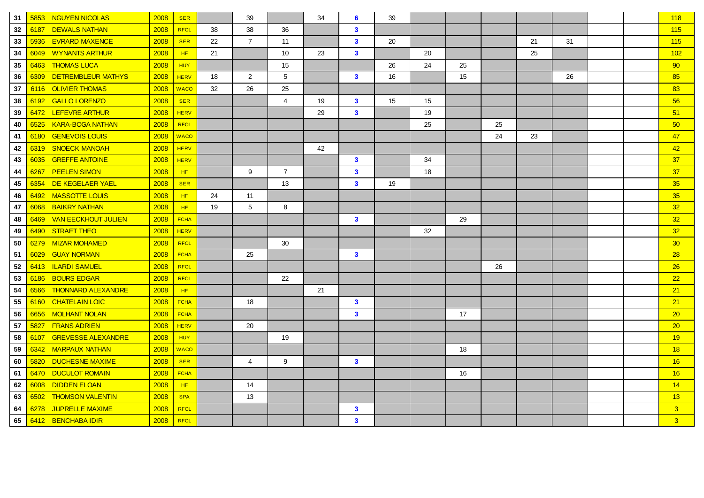| 31 | 5853 | <b>NGUYEN NICOLAS</b>      | 2008 | <b>SER</b>  |    | 39              |                 | 34 | 6            | 39 |    |    |    |    |    |  | 118             |
|----|------|----------------------------|------|-------------|----|-----------------|-----------------|----|--------------|----|----|----|----|----|----|--|-----------------|
| 32 | 6187 | <b>DEWALS NATHAN</b>       | 2008 | <b>RFCL</b> | 38 | 38              | 36              |    | $\mathbf{3}$ |    |    |    |    |    |    |  | 115             |
| 33 | 5936 | <b>EVRARD MAXENCE</b>      | 2008 | <b>SER</b>  | 22 | $\overline{7}$  | 11              |    | $\mathbf{3}$ | 20 |    |    |    | 21 | 31 |  | 115             |
| 34 | 6049 | <b>WYNANTS ARTHUR</b>      | 2008 | HF          | 21 |                 | 10              | 23 | $\mathbf{3}$ |    | 20 |    |    | 25 |    |  | 102             |
| 35 | 6463 | <b>THOMAS LUCA</b>         | 2008 | <b>HUY</b>  |    |                 | 15              |    |              | 26 | 24 | 25 |    |    |    |  | 90              |
| 36 | 6309 | <b>DETREMBLEUR MATHYS</b>  | 2008 | <b>HERV</b> | 18 | $\overline{2}$  | $5\phantom{.0}$ |    | $\mathbf{3}$ | 16 |    | 15 |    |    | 26 |  | 85              |
| 37 | 6116 | <b>OLIVIER THOMAS</b>      | 2008 | <b>WACO</b> | 32 | 26              | 25              |    |              |    |    |    |    |    |    |  | 83              |
| 38 | 6192 | <b>GALLO LORENZO</b>       | 2008 | <b>SER</b>  |    |                 | 4               | 19 | $\mathbf{3}$ | 15 | 15 |    |    |    |    |  | 56              |
| 39 | 6472 | LEFEVRE ARTHUR             | 2008 | <b>HERV</b> |    |                 |                 | 29 | $\mathbf{3}$ |    | 19 |    |    |    |    |  | 51              |
| 40 | 6525 | <b>KARA-BOGA NATHAN</b>    | 2008 | <b>RFCL</b> |    |                 |                 |    |              |    | 25 |    | 25 |    |    |  | 50              |
| 41 | 6180 | <b>GENEVOIS LOUIS</b>      | 2008 | <b>WACO</b> |    |                 |                 |    |              |    |    |    | 24 | 23 |    |  | 47              |
| 42 | 6319 | <b>SNOECK MANOAH</b>       | 2008 | <b>HERV</b> |    |                 |                 | 42 |              |    |    |    |    |    |    |  | 42              |
| 43 | 6035 | <b>GREFFE ANTOINE</b>      | 2008 | <b>HERV</b> |    |                 |                 |    | $\mathbf{3}$ |    | 34 |    |    |    |    |  | 37              |
| 44 | 6267 | <b>PEELEN SIMON</b>        | 2008 | HF          |    | 9               | $\overline{7}$  |    | $\mathbf{3}$ |    | 18 |    |    |    |    |  | 37              |
| 45 | 6354 | DE KEGELAER YAEL           | 2008 | <b>SER</b>  |    |                 | 13              |    | $\mathbf{3}$ | 19 |    |    |    |    |    |  | 35              |
| 46 | 6492 | <b>MASSOTTE LOUIS</b>      | 2008 | HF.         | 24 | 11              |                 |    |              |    |    |    |    |    |    |  | 35              |
| 47 | 6068 | <b>BAIKRY NATHAN</b>       | 2008 | HF          | 19 | $5\phantom{.0}$ | 8               |    |              |    |    |    |    |    |    |  | 32              |
| 48 | 6469 | <b>VAN EECKHOUT JULIEN</b> | 2008 | <b>FCHA</b> |    |                 |                 |    | $\mathbf{3}$ |    |    | 29 |    |    |    |  | 32 <sub>2</sub> |
| 49 | 6490 | <b>STRAET THEO</b>         | 2008 | <b>HERV</b> |    |                 |                 |    |              |    | 32 |    |    |    |    |  | 32 <sub>2</sub> |
| 50 | 6279 | MIZAR MOHAMED              | 2008 | <b>RFCL</b> |    |                 | 30              |    |              |    |    |    |    |    |    |  | 30 <sub>o</sub> |
| 51 | 6029 | <b>GUAY NORMAN</b>         | 2008 | <b>FCHA</b> |    | 25              |                 |    | $\mathbf{3}$ |    |    |    |    |    |    |  | 28              |
| 52 | 6413 | <b>ILARDI SAMUEL</b>       | 2008 | <b>RFCL</b> |    |                 |                 |    |              |    |    |    | 26 |    |    |  | 26              |
| 53 | 6186 | <b>BOURS EDGAR</b>         | 2008 | <b>RFCL</b> |    |                 | 22              |    |              |    |    |    |    |    |    |  | 22              |
| 54 | 6566 | <b>THONNARD ALEXANDRE</b>  | 2008 | HF          |    |                 |                 | 21 |              |    |    |    |    |    |    |  | 21              |
| 55 | 6160 | <b>CHATELAIN LOIC</b>      | 2008 | <b>FCHA</b> |    | 18              |                 |    | $\mathbf{3}$ |    |    |    |    |    |    |  | 21              |
| 56 | 6656 | <b>MOLHANT NOLAN</b>       | 2008 | <b>FCHA</b> |    |                 |                 |    | $\mathbf{3}$ |    |    | 17 |    |    |    |  | 20              |
| 57 | 5827 | <b>FRANS ADRIEN</b>        | 2008 | <b>HERV</b> |    | 20              |                 |    |              |    |    |    |    |    |    |  | 20              |
| 58 | 6107 | <b>GREVESSE ALEXANDRE</b>  | 2008 | <b>HUY</b>  |    |                 | 19              |    |              |    |    |    |    |    |    |  | 19              |
| 59 | 6342 | <b>MARPAUX NATHAN</b>      | 2008 | <b>WACO</b> |    |                 |                 |    |              |    |    | 18 |    |    |    |  | 18              |
| 60 | 5820 | <b>DUCHESNE MAXIME</b>     | 2008 | <b>SER</b>  |    | $\overline{4}$  | 9               |    | $\mathbf{3}$ |    |    |    |    |    |    |  | 16              |
| 61 | 6470 | <b>DUCULOT ROMAIN</b>      | 2008 | <b>FCHA</b> |    |                 |                 |    |              |    |    | 16 |    |    |    |  | 16              |
| 62 | 6008 | <b>DIDDEN ELOAN</b>        | 2008 | HF          |    | 14              |                 |    |              |    |    |    |    |    |    |  | 14              |
| 63 | 6502 | <b>THOMSON VALENTIN</b>    | 2008 | <b>SPA</b>  |    | 13              |                 |    |              |    |    |    |    |    |    |  | 13              |
| 64 | 6278 | <b>JUPRELLE MAXIME</b>     | 2008 | <b>RFCL</b> |    |                 |                 |    | $\mathbf{3}$ |    |    |    |    |    |    |  | 3 <sup>2</sup>  |
| 65 | 6412 | <b>BENCHABA IDIR</b>       | 2008 | <b>RFCL</b> |    |                 |                 |    | $\mathbf{3}$ |    |    |    |    |    |    |  | 3 <sup>5</sup>  |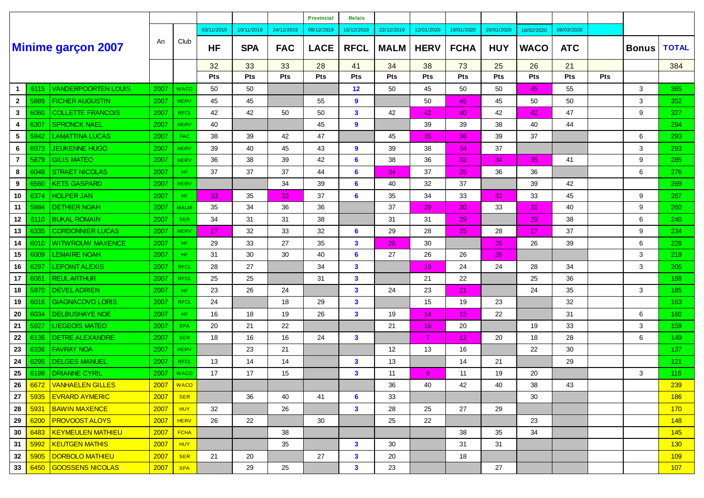|                |      |                            |      |             |            |            |            | <b>Provincial</b> | <b>Relais</b> |             |                |             |            |                 |            |     |              |              |
|----------------|------|----------------------------|------|-------------|------------|------------|------------|-------------------|---------------|-------------|----------------|-------------|------------|-----------------|------------|-----|--------------|--------------|
|                |      |                            |      |             | 03/11/2019 | 10/11/2019 | 24/11/2019 | 08/12/2019        | 15/12/2019    | 22/12/2019  | 12/01/2020     | 19/01/2020  | 26/01/2020 | 16/02/2020      | 08/03/2020 |     |              |              |
|                |      | <b>Minime garçon 2007</b>  | An   | Club        | HF         | <b>SPA</b> | <b>FAC</b> | <b>LACE</b>       | <b>RFCL</b>   | <b>MALM</b> | <b>HERV</b>    | <b>FCHA</b> | <b>HUY</b> | <b>WACO</b>     | <b>ATC</b> |     | <b>Bonus</b> | <b>TOTAL</b> |
|                |      |                            |      |             | 32         | 33         | 33         | 28                | 41            | 34          | 38             | 73          | 25         | 26              | 21         |     |              | 384          |
|                |      |                            |      |             | Pts        | Pts        | Pts        | Pts               | Pts           | Pts         | Pts            | Pts         | Pts        | Pts             | Pts        | Pts |              |              |
| -1             | 6115 | <b>VANDERPOORTEN LOUIS</b> | 2007 | <b>WACO</b> | 50         | 50         |            |                   | 12            | 50          | 45             | 50          | 50         | 45              | 55         |     | 3            | 365          |
| $\overline{2}$ | 5889 | <b>FICHER AUGUSTIN</b>     | 2007 | <b>HERV</b> | 45         | 45         |            | 55                | 9             |             | 50             | 45          | 45         | 50              | 50         |     | 3            | 352          |
| $\mathbf{3}$   | 6060 | <b>COLLETTE FRANCOIS</b>   | 2007 | <b>RFCL</b> | 42         | 42         | 50         | 50                | $\mathbf{3}$  | 42          | 42             | 40          | 42         | 42              | 47         |     | 9            | 327          |
| 4              | 6307 | <b>SPRONCK NAEL</b>        | 2007 | <b>HERV</b> | 40         |            |            | 45                | 9             |             | 39             | 39          | 38         | 40              | 44         |     |              | 294          |
| 5              | 5942 | <b>LAMATTINA LUCAS</b>     | 2007 | <b>FAC</b>  | 38         | 39         | 42         | 47                |               | 45          | 35             | 36          | 39         | 37              |            |     | 6            | 293          |
| 6              | 6073 | <b>JEUKENNE HUGO</b>       | 2007 | <b>HERV</b> | 39         | 40         | 45         | 43                | 9             | 39          | 38             | 34          | 37         |                 |            |     | 3            | 293          |
| $\overline{7}$ | 5879 | <b>GILIS MATEO</b>         | 2007 | <b>HERV</b> | 36         | 38         | 39         | 42                | 6             | 38          | 36             | 32          | 34         | 35 <sub>1</sub> | 41         |     | 9            | 285          |
| 8              | 6048 | <b>STRAET NICOLAS</b>      | 2007 | HF.         | 37         | 37         | 37         | 44                | 6             | 34          | 37             | 35          | 36         | 36              |            |     | 6            | 276          |
| 9              | 6560 | <b>KETS GASPARD</b>        | 2007 | <b>HERV</b> |            |            | 34         | 39                | 6             | 40          | 32             | 37          |            | 39              | 42         |     |              | 269          |
| 10             | 6374 | <b>HOLPER JAN</b>          | 2007 | HF.         | 33         | 35         | 32         | 37                | 6             | 35          | 34             | 33          | 32         | 33              | 45         |     | 9            | 267          |
| 11             | 5884 | <b>DETHIER NOAH</b>        | 2007 | <b>MALM</b> | 35         | 34         | 36         | 36                |               | 37          | 29             | 30          | 33         | 31              | 40         |     | 9            | 260          |
| 12             | 6110 | <b>BUKAL ROMAIN</b>        | 2007 | <b>SER</b>  | 34         | 31         | 31         | 38                |               | 31          | 31             | 29          |            | 29              | 38         |     | 6            | 240          |
| 13             | 6335 | <b>CORDONNIER LUCAS</b>    | 2007 | <b>HERV</b> | 27         | 32         | 33         | 32                | 6             | 29          | 28             | 25          | 28         | 27              | 37         |     | 9            | 234          |
| 14             | 6010 | <b>WITWROUW MAXENCE</b>    | 2007 | HF.         | 29         | 33         | 27         | 35                | $\mathbf{3}$  | 26          | 30             |             | 25         | 26              | 39         |     | 6            | 228          |
| 15             | 6009 | <b>LEMAIRE NOAH</b>        | 2007 | HF.         | 31         | 30         | 30         | 40                | 6             | 27          | 26             | 26          | 26         |                 |            |     | 3            | 219          |
| 16             | 6297 | <b>LEPOINT ALEXIS</b>      | 2007 | <b>RFCL</b> | 28         | 27         |            | 34                | $\mathbf{3}$  |             | 18             | 24          | 24         | 28              | 34         |     | 3            | 205          |
| 17             | 6061 | <b>REUL ARTHUR</b>         | 2007 | <b>RFCL</b> | 25         | 25         |            | 31                | $\mathbf{3}$  |             | 21             | 22          |            | 25              | 36         |     |              | 188          |
| 18             | 5970 | <b>DEVEL ADRIEN</b>        | 2007 | HF.         | 23         | 26         | 24         |                   | $\mathbf{3}$  | 24          | 23             | 21          |            | 24              | 35         |     | 3            | 185          |
| 19             | 6016 | <b>GIAGNACOVO LORIS</b>    | 2007 | <b>RFCL</b> | 24         |            | 18         | 29                | $\mathbf{3}$  |             | 15             | 19          | 23         |                 | 32         |     |              | 163          |
| 20             | 6034 | DELBUSHAYE NOE             | 2007 | HF.         | 16         | 18         | 19         | 26                | $\mathbf{3}$  | 19          | 14             | 15          | 22         |                 | 31         |     | 6            | 160          |
| 21             | 5927 | <b>LIEGEOIS MATEO</b>      | 2007 | <b>SPA</b>  | 20         | 21         | 22         |                   |               | 21          | 16             | 20          |            | 19              | 33         |     | 3            | 159          |
| 22             | 6136 | <b>DETRE ALEXANDRE</b>     | 2007 | <b>SER</b>  | 18         | 16         | 16         | 24                | $\mathbf{3}$  |             | $\overline{7}$ | 12          | 20         | 18              | 28         |     | 6            | 149          |
| 23             | 6336 | <b>FAVRAY NOA</b>          | 2007 | <b>HERV</b> |            | 23         | 21         |                   |               | 12          | 13             | 16          |            | 22              | 30         |     |              | 137          |
| 24             | 6295 | <b>DELGES MANUEL</b>       | 2007 | <b>RFCL</b> | 13         | 14         | 14         |                   | $\mathbf{3}$  | 13          |                | 14          | 21         |                 | 29         |     |              | 121          |
| 25             | 6198 | <b>DRIANNE CYRIL</b>       | 2007 | <b>WACO</b> | 17         | 17         | 15         |                   | $\mathbf{3}$  | 11          | 8              | 11          | 19         | 20              |            |     | 3            | 116          |
| 26             |      | 6672 VANHAELEN GILLES      | 2007 | <b>WACO</b> |            |            |            |                   |               | 36          | 40             | 42          | 40         | 38              | 43         |     |              | 239          |
| 27             | 5935 | <b>EVRARD AYMERIC</b>      | 2007 | <b>SER</b>  |            | 36         | 40         | 41                | 6             | 33          |                |             |            | 30              |            |     |              | 186          |
| 28             | 5931 | <b>BAWIN MAXENCE</b>       | 2007 | HUY         | 32         |            | 26         |                   | $\mathbf{3}$  | 28          | 25             | 27          | 29         |                 |            |     |              | 170          |
| 29             | 6200 | <b>PROVOOST ALOYS</b>      | 2007 | <b>HERV</b> | 26         | 22         |            | 30                |               | 25          | 22             |             |            | 23              |            |     |              | 148          |
| 30             | 6483 | <b>KEYMEULEN MATHIEU</b>   | 2007 | <b>FCHA</b> |            |            | 38         |                   |               |             |                | 38          | 35         | 34              |            |     |              | 145          |
| 31             | 5992 | <b>KEUTGEN MATHIS</b>      | 2007 | HUY         |            |            | 35         |                   | $\mathbf{3}$  | 30          |                | 31          | 31         |                 |            |     |              | 130          |
| 32             | 5905 | <b>DORBOLO MATHIEU</b>     | 2007 | <b>SER</b>  | 21         | 20         |            | 27                | $\mathbf{3}$  | 20          |                | 18          |            |                 |            |     |              | 109          |
| 33             | 6450 | GOOSSENS NICOLAS           | 2007 | <b>SPA</b>  |            | 29         | 25         |                   | $\mathbf{3}$  | 23          |                |             | 27         |                 |            |     |              | 107          |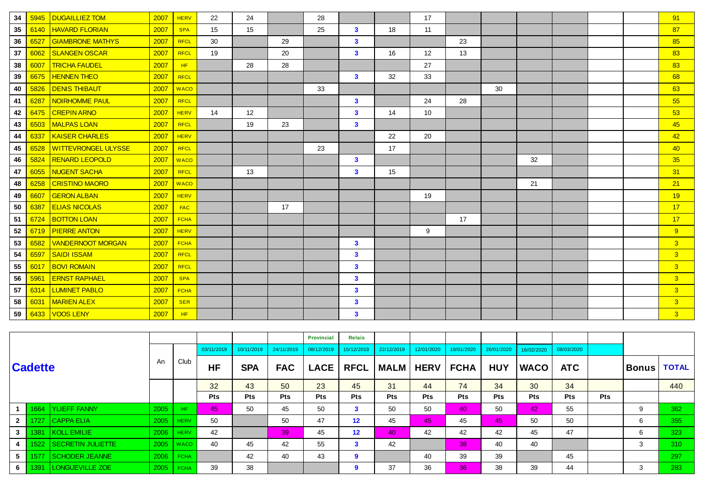| 34 | 5945 | <b>DUGAILLIEZ TOM</b>      | 2007 | <b>HERV</b> | 22 | 24 |    | 28 |                         |    | 17              |    |    |    |  | 91             |
|----|------|----------------------------|------|-------------|----|----|----|----|-------------------------|----|-----------------|----|----|----|--|----------------|
| 35 | 6140 | <b>HAVARD FLORIAN</b>      | 2007 | <b>SPA</b>  | 15 | 15 |    | 25 | $\mathbf{3}$            | 18 | 11              |    |    |    |  | 87             |
| 36 | 6527 | <b>GIAMBRONE MATHYS</b>    | 2007 | <b>RFCL</b> | 30 |    | 29 |    | $\mathbf{3}$            |    |                 | 23 |    |    |  | 85             |
| 37 | 6062 | <b>SLANGEN OSCAR</b>       | 2007 | <b>RFCL</b> | 19 |    | 20 |    | $\mathbf{3}$            | 16 | 12              | 13 |    |    |  | 83             |
| 38 | 6007 | <b>TRICHA FAUDEL</b>       | 2007 | HF          |    | 28 | 28 |    |                         |    | 27              |    |    |    |  | 83             |
| 39 | 6675 | <b>HENNEN THEO</b>         | 2007 | <b>RFCL</b> |    |    |    |    | $\mathbf{3}$            | 32 | 33              |    |    |    |  | 68             |
| 40 | 5826 | <b>DENIS THIBAUT</b>       | 2007 | <b>WACO</b> |    |    |    | 33 |                         |    |                 |    | 30 |    |  | 63             |
| 41 | 6287 | <b>NOIRHOMME PAUL</b>      | 2007 | <b>RFCL</b> |    |    |    |    | $\mathbf{3}$            |    | 24              | 28 |    |    |  | 55             |
| 42 | 6475 | <b>CREPIN ARNO</b>         | 2007 | <b>HERV</b> | 14 | 12 |    |    | $\mathbf{3}$            | 14 | 10 <sup>1</sup> |    |    |    |  | 53             |
| 43 | 6503 | <b>MALPAS LOAN</b>         | 2007 | <b>RFCL</b> |    | 19 | 23 |    | $\overline{\mathbf{3}}$ |    |                 |    |    |    |  | 45             |
| 44 | 6337 | <b>KAISER CHARLES</b>      | 2007 | <b>HERV</b> |    |    |    |    |                         | 22 | 20              |    |    |    |  | 42             |
| 45 | 6528 | <b>WITTEVRONGEL ULYSSE</b> | 2007 | <b>RFCL</b> |    |    |    | 23 |                         | 17 |                 |    |    |    |  | 40             |
| 46 | 5824 | <b>RENARD LEOPOLD</b>      | 2007 | <b>WACO</b> |    |    |    |    | $\mathbf{3}$            |    |                 |    |    | 32 |  | 35             |
| 47 | 6055 | <b>NUGENT SACHA</b>        | 2007 | <b>RFCL</b> |    | 13 |    |    | $\overline{\mathbf{3}}$ | 15 |                 |    |    |    |  | 31             |
| 48 | 6258 | <b>CRISTINO MAORO</b>      | 2007 | <b>WACO</b> |    |    |    |    |                         |    |                 |    |    | 21 |  | 21             |
| 49 | 6607 | <b>GERON ALBAN</b>         | 2007 | <b>HERV</b> |    |    |    |    |                         |    | 19              |    |    |    |  | 19             |
| 50 | 6387 | <b>ELIAS NICOLAS</b>       | 2007 | <b>FAC</b>  |    |    | 17 |    |                         |    |                 |    |    |    |  | 17             |
| 51 | 6724 | <b>BOTTON LOAN</b>         | 2007 | <b>FCHA</b> |    |    |    |    |                         |    |                 | 17 |    |    |  | 17             |
| 52 | 6719 | <b>PIERRE ANTON</b>        | 2007 | <b>HERV</b> |    |    |    |    |                         |    | 9               |    |    |    |  | 9              |
| 53 | 6582 | <b>VANDERNOOT MORGAN</b>   | 2007 | <b>FCHA</b> |    |    |    |    | 3                       |    |                 |    |    |    |  | 3 <sup>2</sup> |
| 54 | 6597 | <b>SAIDI ISSAM</b>         | 2007 | <b>RFCL</b> |    |    |    |    | $\mathbf{3}$            |    |                 |    |    |    |  | $\overline{3}$ |
| 55 | 6017 | <b>BOVI ROMAIN</b>         | 2007 | <b>RFCL</b> |    |    |    |    | $\mathbf{3}$            |    |                 |    |    |    |  | $\overline{3}$ |
| 56 | 5961 | <b>ERNST RAPHAEL</b>       | 2007 | <b>SPA</b>  |    |    |    |    | $\mathbf{3}$            |    |                 |    |    |    |  | $\overline{3}$ |
| 57 | 6314 | <b>LUMINET PABLO</b>       | 2007 | <b>FCHA</b> |    |    |    |    | $\mathbf{3}$            |    |                 |    |    |    |  | $\overline{3}$ |
| 58 | 6031 | <b>MARIEN ALEX</b>         | 2007 | <b>SER</b>  |    |    |    |    | $\mathbf{3}$            |    |                 |    |    |    |  | 3              |
| 59 | 6433 | <b>VOOS LENY</b>           | 2007 | HF          |    |    |    |    | 3                       |    |                 |    |    |    |  | 3 <sup>2</sup> |

|                |                |                        |      |             |            |            |            | <b>Provincial</b> | <b>Relais</b>     |             |             |             |            |             |            |            |          |              |
|----------------|----------------|------------------------|------|-------------|------------|------------|------------|-------------------|-------------------|-------------|-------------|-------------|------------|-------------|------------|------------|----------|--------------|
|                |                |                        |      |             | 03/11/2019 | 10/11/2019 | 24/11/2019 | 08/12/2019        | 15/12/2019        | 22/12/2019  | 12/01/2020  | 19/01/2020  | 26/01/2020 | 16/02/2020  | 08/03/2020 |            |          |              |
|                | <b>Cadette</b> |                        | An   | Club        | <b>HF</b>  | <b>SPA</b> | <b>FAC</b> | <b>LACE</b>       | <b>RFCL</b>       | <b>MALM</b> | <b>HERV</b> | <b>FCHA</b> | <b>HUY</b> | <b>WACO</b> | <b>ATC</b> |            | ∣Bonus ∣ | <b>TOTAL</b> |
|                |                |                        |      |             | 32         | 43         | 50         | 23                | 45                | 31          | 44          | 74          | 34         | 30          | 34         |            |          | 440          |
|                |                |                        |      |             | <b>Pts</b> | <b>Pts</b> | <b>Pts</b> | <b>Pts</b>        | Pts               | <b>Pts</b>  | Pts         | <b>Pts</b>  | <b>Pts</b> | <b>Pts</b>  | <b>Pts</b> | <b>Pts</b> |          |              |
|                |                | 1664 YLIEFF FANNY      | 2005 | HF.         | 45         | 50         | 45         | 50                | $\mathbf{3}$      | 50          | 50          | 40          | 50         | 42          | 55         |            | 9        | 362          |
| 2 <sup>1</sup> |                | 1727 CAPPA ELIA        | 2005 | <b>HERV</b> | 50         |            | 50         | 47                | $12 \overline{ }$ | 45          | 45          | 45          | 45         | 50          | 50         |            | 6        | 355          |
| 3 <sup>1</sup> |                | 1381   KOLL EMILIE     | 2006 | <b>HERV</b> | 42         |            | 39         | 45                | 12                | 40          | 42          | 42          | 42         | 45          | 47         |            | 6        | 323          |
|                |                | 1522 SECRETIN JULIETTE | 2005 | <b>WACO</b> | 40         | 45         | 42         | 55                | 3                 | 42          |             | 38          | 40         | 40          |            |            | 3        | 310          |
| 5 <sub>1</sub> |                | 1577 SCHODER JEANNE    |      | $2006$ FCHA |            | 42         | 40         | 43                | 9                 |             | 40          | 39          | 39         |             | 45         |            |          | 297          |
| 6 <sup>1</sup> |                | 1391 LONGUEVILLE ZOE   | 2005 | FCHA        | 39         | 38         |            |                   | 9                 | 37          | 36          | 36          | 38         | 39          | 44         |            |          | 283          |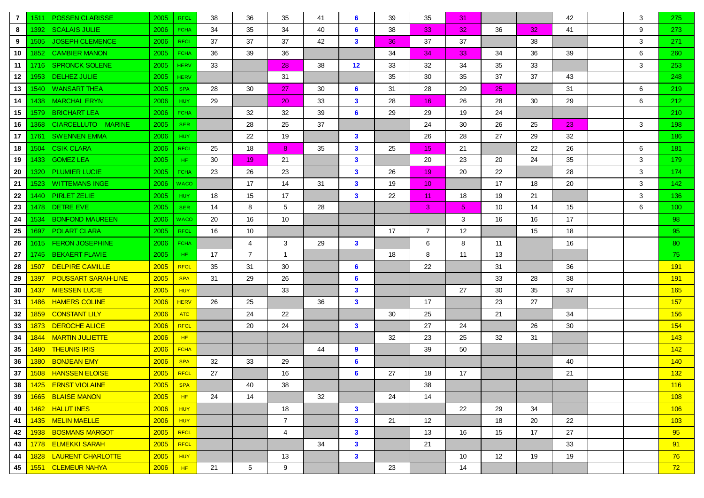| 7  | 1511 | <b>POSSEN CLARISSE</b>     | 2005 | <b>RFCL</b> | 38 | 36             | 35              | 41 | 6              | 39 | 35              | 31 |                   |                 | 42 | 3 | 275              |
|----|------|----------------------------|------|-------------|----|----------------|-----------------|----|----------------|----|-----------------|----|-------------------|-----------------|----|---|------------------|
| 8  | 1392 | <b>SCALAIS JULIE</b>       | 2006 | <b>FCHA</b> | 34 | 35             | 34              | 40 | 6              | 38 | 33              | 32 | 36                | 32 <sub>1</sub> | 41 | 9 | 273              |
| 9  | 1505 | <b>JOSEPH CLEMENCE</b>     | 2006 | <b>RFCL</b> | 37 | 37             | 37              | 42 | $\mathbf{3}$   | 36 | 37              | 37 |                   | 38              |    | 3 | 271              |
| 10 | 1852 | <b>CAMBIER MANON</b>       | 2005 | <b>FCHA</b> | 36 | 39             | 36              |    |                | 34 | 34              | 33 | 34                | 36              | 39 | 6 | 260              |
| 11 | 1716 | <b>SPRONCK SOLENE</b>      | 2005 | <b>HERV</b> | 33 |                | 28              | 38 | 12             | 33 | 32              | 34 | 35                | 33              |    | 3 | 253              |
| 12 | 1953 | <b>DELHEZ JULIE</b>        | 2005 | <b>HERV</b> |    |                | 31              |    |                | 35 | 30              | 35 | 37                | 37              | 43 |   | 248              |
| 13 | 1540 | <b>WANSART THEA</b>        | 2005 | <b>SPA</b>  | 28 | 30             | 27              | 30 | 6              | 31 | 28              | 29 | 25                |                 | 31 | 6 | 219              |
| 14 | 1438 | <b>MARCHAL ERYN</b>        | 2006 | <b>HUY</b>  | 29 |                | 20              | 33 | $\mathbf{3}$   | 28 | 16              | 26 | 28                | 30              | 29 | 6 | 212              |
| 15 | 1579 | <b>BRICHART LEA</b>        | 2006 | <b>FCHA</b> |    | 32             | 32              | 39 | 6              | 29 | 29              | 19 | 24                |                 |    |   | 210              |
| 16 | 1368 | CIARCELLUTO MARINE         | 2005 | <b>SER</b>  |    | 28             | 25              | 37 |                |    | 24              | 30 | 26                | 25              | 23 | 3 | 198              |
| 17 | 1761 | <b>SWENNEN EMMA</b>        | 2006 | <b>HUY</b>  |    | 22             | 19              |    | $\mathbf{3}$   |    | 26              | 28 | 27                | 29              | 32 |   | 186              |
| 18 | 1504 | <b>CSIK CLARA</b>          | 2006 | <b>RFCL</b> | 25 | 18             | 8               | 35 | $\mathbf{3}$   | 25 | 15              | 21 |                   | 22              | 26 | 6 | 181              |
| 19 | 1433 | <b>GOMEZ LEA</b>           | 2005 | HF.         | 30 | 19             | 21              |    | $\mathbf{3}$   |    | 20              | 23 | 20                | 24              | 35 | 3 | 179              |
| 20 | 1320 | <b>PLUMIER LUCIE</b>       | 2005 | <b>FCHA</b> | 23 | 26             | 23              |    | $\mathbf{3}$   | 26 | 19              | 20 | 22                |                 | 28 | 3 | 174              |
| 21 | 1523 | <b>WITTEMANS INGE</b>      | 2006 | <b>WACO</b> |    | 17             | 14              | 31 | $\mathbf{3}$   | 19 | 10 <sup>°</sup> |    | 17                | 18              | 20 | 3 | 142 <sub>2</sub> |
| 22 | 1440 | <b>PIRLET ZELIE</b>        | 2005 | <b>HUY</b>  | 18 | 15             | 17              |    | $\mathbf{3}$   | 22 | 11              | 18 | 19                | 21              |    | 3 | 136              |
| 23 | 1478 | <b>DETRE EVE</b>           | 2005 | <b>SER</b>  | 14 | 8              | $5\phantom{.0}$ | 28 |                |    | 3               | 5  | 10                | 14              | 15 | 6 | 100 <sub>1</sub> |
| 24 | 1534 | <b>BONFOND MAUREEN</b>     | 2006 | <b>WACO</b> | 20 | 16             | 10              |    |                |    |                 | 3  | 16                | 16              | 17 |   | 98               |
| 25 | 1697 | <b>POLART CLARA</b>        | 2005 | <b>RFCL</b> | 16 | 10             |                 |    |                | 17 | $\overline{7}$  | 12 |                   | 15              | 18 |   | 95 <sub>1</sub>  |
| 26 | 1615 | <b>FERON JOSEPHINE</b>     | 2006 | <b>FCHA</b> |    | 4              | 3               | 29 | $\mathbf{3}$   |    | 6               | 8  | 11                |                 | 16 |   | 80               |
| 27 | 1745 | <b>BEKAERT FLAVIE</b>      | 2005 | HF.         | 17 | $\overline{7}$ | $\mathbf{1}$    |    |                | 18 | 8               | 11 | 13                |                 |    |   | 75.              |
| 28 | 1507 | <b>DELPIRE CAMILLE</b>     | 2005 | <b>RFCL</b> | 35 | 31             | 30              |    | 6              |    | 22              |    | 31                |                 | 36 |   | 191              |
| 29 | 1397 | <b>POUSSART SARAH-LINE</b> | 2005 | <b>SPA</b>  | 31 | 29             | 26              |    | 6              |    |                 |    | 33                | 28              | 38 |   | 191              |
| 30 | 1437 | <b>MIESSEN LUCIE</b>       | 2005 | <b>HUY</b>  |    |                | 33              |    | $\mathbf{3}$   |    |                 | 27 | 30                | 35              | 37 |   | 165              |
| 31 | 1486 | <b>HAMERS COLINE</b>       | 2006 | <b>HERV</b> | 26 | 25             |                 | 36 | $\mathbf{3}$   |    | 17              |    | 23                | 27              |    |   | 157              |
| 32 | 1859 | <b>CONSTANT LILY</b>       | 2006 | ATC         |    | 24             | 22              |    |                | 30 | 25              |    | 21                |                 | 34 |   | 156              |
| 33 | 1873 | <b>DEROCHE ALICE</b>       | 2006 | <b>RFCL</b> |    | 20             | 24              |    | $\mathbf{3}$   |    | 27              | 24 |                   | 26              | 30 |   | 154              |
| 34 | 1844 | <b>MARTIN JULIETTE</b>     | 2006 | HF          |    |                |                 |    |                | 32 | 23              | 25 | 32                | 31              |    |   | 143              |
| 35 | 1480 | <b>THEUNIS IRIS</b>        | 2006 | <b>FCHA</b> |    |                |                 | 44 | 9              |    | 39              | 50 |                   |                 |    |   | 142              |
| 36 | 1380 | <b>BONJEAN EMY</b>         | 2006 | <b>SPA</b>  | 32 | 33             | 29              |    | $6\phantom{1}$ |    |                 |    |                   |                 | 40 |   | 140              |
| 37 | 1508 | <b>HANSSEN ELOISE</b>      | 2005 | <b>RFCL</b> | 27 |                | 16              |    | 6              | 27 | 18              | 17 |                   |                 | 21 |   | 132              |
|    |      | 38 1425 ERNST VIOLAINE     | 2005 | <b>SPA</b>  |    | 40             | 38              |    |                |    | 38              |    |                   |                 |    |   | 116              |
| 39 |      | 1665 BLAISE MANON          | 2005 | HF          | 24 | 14             |                 | 32 |                | 24 | 14              |    |                   |                 |    |   | 108              |
| 40 | 1462 | <b>HALUT INES</b>          | 2006 | HUY         |    |                | 18              |    | $\mathbf{3}$   |    |                 | 22 | 29                | 34              |    |   | 106              |
| 41 | 1435 | <b>MELIN MAELLE</b>        | 2006 | <b>HUY</b>  |    |                | $\overline{7}$  |    | $\mathbf{3}$   | 21 | 12              |    | 18                | 20              | 22 |   | 103              |
| 42 | 1938 | <b>BOSMANS MARGOT</b>      | 2005 | <b>RFCL</b> |    |                | 4               |    | $\mathbf{3}$   |    | 13              | 16 | 15                | 17              | 27 |   | 95               |
| 43 | 1778 | <b>ELMEKKI SARAH</b>       | 2005 | <b>RFCL</b> |    |                |                 | 34 | $\mathbf{3}$   |    | 21              |    |                   |                 | 33 |   | 91               |
| 44 | 1828 | <b>LAURENT CHARLOTTE</b>   | 2005 | <b>HUY</b>  |    |                | 13              |    | $\mathbf{3}$   |    |                 | 10 | $12 \overline{ }$ | 19              | 19 |   | 76               |
| 45 | 1551 | <b>CLEMEUR NAHYA</b>       | 2006 | HF          | 21 | $\overline{5}$ | 9               |    |                | 23 |                 | 14 |                   |                 |    |   | 72               |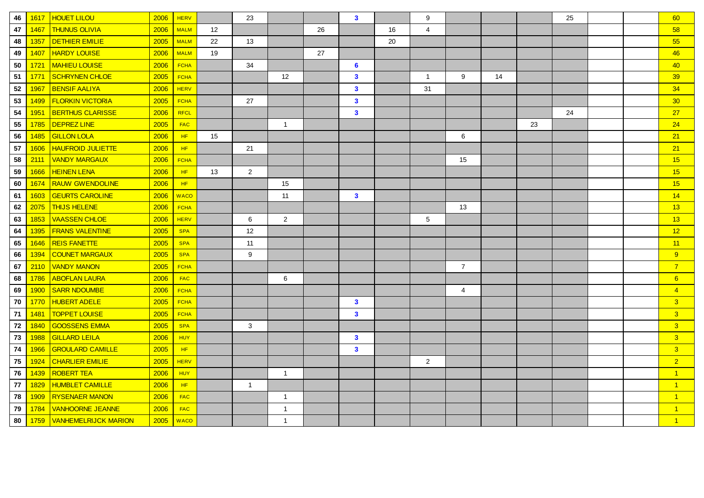| 46 | 1617 | <b>HOUET LILOU</b>          | 2006 | <b>HERV</b> |    | 23             |                   |    | $\mathbf{3}$    |    | 9              |                |    |    | 25 |  | 60                      |
|----|------|-----------------------------|------|-------------|----|----------------|-------------------|----|-----------------|----|----------------|----------------|----|----|----|--|-------------------------|
| 47 | 1467 | <b>THUNUS OLIVIA</b>        | 2006 | <b>MALM</b> | 12 |                |                   | 26 |                 | 16 | 4              |                |    |    |    |  | 58                      |
| 48 | 1357 | <b>DETHIER EMILIE</b>       | 2005 | <b>MALM</b> | 22 | 13             |                   |    |                 | 20 |                |                |    |    |    |  | 55                      |
| 49 | 1407 | <b>HARDY LOUISE</b>         | 2006 | <b>MALM</b> | 19 |                |                   | 27 |                 |    |                |                |    |    |    |  | 46                      |
| 50 | 1721 | <b>MAHIEU LOUISE</b>        | 2006 | <b>FCHA</b> |    | 34             |                   |    | $6\phantom{1}6$ |    |                |                |    |    |    |  | 40                      |
| 51 | 1771 | SCHRYNEN CHLOE              | 2005 | <b>FCHA</b> |    |                | $12 \overline{ }$ |    | $\mathbf{3}$    |    | $\mathbf{1}$   | 9              | 14 |    |    |  | 39                      |
| 52 | 1967 | <b>BENSIF AALIYA</b>        | 2006 | <b>HERV</b> |    |                |                   |    | $\mathbf{3}$    |    | 31             |                |    |    |    |  | 34                      |
| 53 | 1499 | <b>FLORKIN VICTORIA</b>     | 2005 | <b>FCHA</b> |    | 27             |                   |    | $\mathbf{3}$    |    |                |                |    |    |    |  | 30                      |
| 54 | 1951 | <b>BERTHUS CLARISSE</b>     | 2006 | RFCL        |    |                |                   |    | $\mathbf{3}$    |    |                |                |    |    | 24 |  | 27                      |
| 55 | 1785 | <b>DEPREZ LINE</b>          | 2005 | <b>FAC</b>  |    |                | $\overline{1}$    |    |                 |    |                |                |    | 23 |    |  | 24                      |
| 56 | 1485 | <b>GILLON LOLA</b>          | 2006 | HF.         | 15 |                |                   |    |                 |    |                | 6              |    |    |    |  | 21                      |
| 57 | 1606 | <b>HAUFROID JULIETTE</b>    | 2006 | HF          |    | 21             |                   |    |                 |    |                |                |    |    |    |  | 21                      |
| 58 | 2111 | <b>VANDY MARGAUX</b>        | 2006 | <b>FCHA</b> |    |                |                   |    |                 |    |                | 15             |    |    |    |  | 15                      |
| 59 | 1666 | <b>HEINEN LENA</b>          | 2006 | HF          | 13 | $\overline{2}$ |                   |    |                 |    |                |                |    |    |    |  | 15                      |
| 60 | 1674 | <b>RAUW GWENDOLINE</b>      | 2006 | HF          |    |                | 15                |    |                 |    |                |                |    |    |    |  | 15                      |
| 61 | 1603 | <b>GEURTS CAROLINE</b>      | 2006 | <b>WACO</b> |    |                | 11                |    | $\mathbf{3}$    |    |                |                |    |    |    |  | 14                      |
| 62 | 2075 | <b>THIJS HELENE</b>         | 2006 | <b>FCHA</b> |    |                |                   |    |                 |    |                | 13             |    |    |    |  | 13                      |
| 63 | 1853 | <b>VAASSEN CHLOE</b>        | 2006 | <b>HERV</b> |    | 6              | $\overline{2}$    |    |                 |    | 5              |                |    |    |    |  | 13                      |
| 64 | 1395 | <b>FRANS VALENTINE</b>      | 2005 | <b>SPA</b>  |    | 12             |                   |    |                 |    |                |                |    |    |    |  | 12                      |
| 65 | 1646 | <b>REIS FANETTE</b>         | 2005 | <b>SPA</b>  |    | 11             |                   |    |                 |    |                |                |    |    |    |  | 11                      |
| 66 | 1394 | COUNET MARGAUX              | 2005 | <b>SPA</b>  |    | 9              |                   |    |                 |    |                |                |    |    |    |  | 9                       |
| 67 | 2110 | <b>VANDY MANON</b>          | 2005 | <b>FCHA</b> |    |                |                   |    |                 |    |                | $\overline{7}$ |    |    |    |  | $\overline{7}$          |
| 68 | 1786 | <b>ABOFLAN LAURA</b>        | 2006 | <b>FAC</b>  |    |                | 6                 |    |                 |    |                |                |    |    |    |  | 6                       |
| 69 | 1900 | <b>SARR NDOUMBE</b>         | 2006 | <b>FCHA</b> |    |                |                   |    |                 |    |                | 4              |    |    |    |  | $\overline{4}$          |
| 70 | 1770 | <b>HUBERT ADELE</b>         | 2005 | <b>FCHA</b> |    |                |                   |    | $\mathbf{3}$    |    |                |                |    |    |    |  | 3                       |
| 71 | 1481 | <b>TOPPET LOUISE</b>        | 2005 | <b>FCHA</b> |    |                |                   |    | $\mathbf{3}$    |    |                |                |    |    |    |  | $\overline{\mathbf{3}}$ |
| 72 | 1840 | <b>GOOSSENS EMMA</b>        | 2005 | <b>SPA</b>  |    | 3              |                   |    |                 |    |                |                |    |    |    |  | 3 <sup>2</sup>          |
| 73 | 1988 | <b>GILLARD LEILA</b>        | 2006 | <b>HUY</b>  |    |                |                   |    | $\mathbf{3}$    |    |                |                |    |    |    |  | 3 <sup>2</sup>          |
| 74 | 1966 | <b>GROULARD CAMILLE</b>     | 2005 | HF          |    |                |                   |    | $\mathbf{3}$    |    |                |                |    |    |    |  | 3                       |
| 75 | 1924 | <b>CHARLIER EMILIE</b>      | 2005 | <b>HERV</b> |    |                |                   |    |                 |    | $\overline{2}$ |                |    |    |    |  | 2 <sup>1</sup>          |
| 76 | 1439 | <b>ROBERT TEA</b>           | 2006 | <b>HUY</b>  |    |                | $\overline{1}$    |    |                 |    |                |                |    |    |    |  | $\overline{1}$          |
| 77 | 1829 | <b>HUMBLET CAMILLE</b>      | 2006 | HF          |    | $\mathbf{1}$   |                   |    |                 |    |                |                |    |    |    |  | $\overline{1}$          |
| 78 | 1909 | <b>RYSENAER MANON</b>       | 2006 | <b>FAC</b>  |    |                | $\mathbf{1}$      |    |                 |    |                |                |    |    |    |  | $\vert$ 1               |
| 79 | 1784 | <b>VANHOORNE JEANNE</b>     | 2006 | FAC         |    |                | $\mathbf{1}$      |    |                 |    |                |                |    |    |    |  | $\mathbf{1}$            |
| 80 |      | 1759   VANHEMELRIJCK MARION | 2005 | <b>WACO</b> |    |                | $\overline{1}$    |    |                 |    |                |                |    |    |    |  | $\overline{1}$          |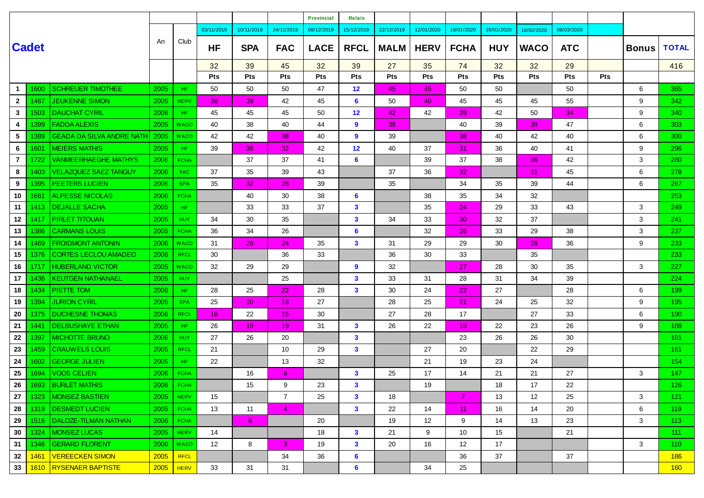|                 |              |                                  |      |             |                 |                 |                  | <b>Provincial</b> | <b>Relais</b>   |             |             |                   |            |                 |            |            |              |                  |
|-----------------|--------------|----------------------------------|------|-------------|-----------------|-----------------|------------------|-------------------|-----------------|-------------|-------------|-------------------|------------|-----------------|------------|------------|--------------|------------------|
|                 |              |                                  |      |             | 03/11/2019      | 10/11/2019      | 24/11/2019       | 08/12/2019        | 15/12/2019      | 22/12/2019  | 12/01/2020  | 19/01/2020        | 26/01/2020 | 16/02/2020      | 08/03/2020 |            |              |                  |
|                 | <b>Cadet</b> |                                  | An   | Club        | <b>HF</b>       | <b>SPA</b>      | <b>FAC</b>       | <b>LACE</b>       | <b>RFCL</b>     | <b>MALM</b> | <b>HERV</b> | <b>FCHA</b>       | <b>HUY</b> | <b>WACO</b>     | <b>ATC</b> |            | <b>Bonus</b> | <b>TOTAL</b>     |
|                 |              |                                  |      |             | 32              | 39              | 45               | 32                | 39              | 27          | 35          | 74                | 32         | 32              | 29         |            |              | 416              |
|                 |              |                                  |      |             | Pts             | <b>Pts</b>      | <b>Pts</b>       | <b>Pts</b>        | Pts             | <b>Pts</b>  | <b>Pts</b>  | <b>Pts</b>        | <b>Pts</b> | <b>Pts</b>      | <b>Pts</b> | <b>Pts</b> |              |                  |
| $\mathbf 1$     | 1600         | <b>SCHREUER TIMOTHEE</b>         | 2005 | HF.         | 50              | 50              | 50               | 47                | 12 <sup>2</sup> | 45          | 45          | 50                | 50         |                 | 50         |            | 6            | 365              |
| $\mathbf{2}$    | 1467         | <b>JEUKENNE SIMON</b>            | 2005 | <b>HERV</b> | 38              | 39              | 42               | 45                | 6               | 50          | 40          | 45                | 45         | 45              | 55         |            | 9            | 342              |
| $\mathbf{3}$    | 1503         | <b>DAUCHAT CYRIL</b>             | 2006 | HF.         | 45              | 45              | 45               | 50                | 12              | 42          | 42          | 39                | 42         | 50              | 34         |            | 9            | 340              |
| 4               | 1399         | <b>FADDA ALEXIS</b>              | 2005 | WACO        | 40              | 38              | 40               | 44                | 9               | 38          |             | 40                | 39         | 38              | 47         |            | 6            | 303              |
| 5               | 1389         | <b>GEADA DA SILVA ANDRE NATH</b> | 2005 | <b>WACO</b> | 42              | 42              | 38               | 40                | 9               | 39          |             | 38                | 40         | 42              | 40         |            | 6            | 300              |
| 6               | 1601         | <b>MEIERS MATHIS</b>             | 2005 | HF.         | 39              | 36              | 32               | 42                | 12              | 40          | 37          | 31                | 36         | 40              | 41         |            | 9            | 296              |
| $\mathbf{7}$    | 1722.        | <b>VANMEERHAEGHE MATHYS</b>      | 2006 | <b>FCHA</b> |                 | 37              | 37               | 41                | 6               |             | 39          | 37                | 38         | 36              | 42         |            | 3            | 280              |
| 8               | 1403         | <b>VELAZQUEZ SAEZ TANGUY</b>     | 2006 | FAC.        | 37              | 35              | 39               | 43                |                 | 37          | 36          | 32                |            | 31              | 45         |            | 6            | 278              |
| 9               | 1395         | <b>PEETERS LUCIEN</b>            | 2006 | <b>SPA</b>  | 35              | 32 <sub>2</sub> | 28               | 39                |                 | 35          |             | 34                | 35         | 39              | 44         |            | 6            | 267              |
| 10              | 1661         | <b>ALPESSE NICOLAS</b>           | 2006 | <b>FCHA</b> |                 | 40              | 30               | 38                | 6               |             | 38          | 35                | 34         | 32              |            |            |              | 253              |
| 11              | 1413.        | <b>DEJALLE SACHA</b>             | 2005 | HF.         |                 | 33              | 33               | 37                | 3               |             | 35          | 24                | 29         | 33              | 43         |            | 3            | 249              |
| 12 <sub>2</sub> | 1417         | <b>PIRLET TITOUAN</b>            | 2005 | <b>HUY</b>  | 34              | 30              | 35               |                   | $\mathbf{3}$    | 34          | 33          | 30                | 32         | 37              |            |            | 3            | 241              |
| 13              | 1386         | <b>CARMANS LOUIS</b>             | 2005 | <b>FCHA</b> | 36              | 34              | 26               |                   | 6               |             | 32          | 26                | 33         | 29              | 38         |            | 3            | 237              |
| 14              | 1469         | <b>FROIDMONT ANTONIN</b>         | 2006 | WACO        | 31              | 28              | 24               | 35                | $\mathbf{3}$    | 31          | 29          | 29                | 30         | 28              | 36         |            | 9            | 233              |
| 15              | 1376         | <b>CORTES LECLOU AMADEO</b>      | 2006 | <b>RFCL</b> | 30              |                 | 36               | 33                |                 | 36          | 30          | 33                |            | 35              |            |            |              | 233              |
| 16              | 1717         | <b>HUBERLAND VICTOR</b>          | 2005 | <b>WACO</b> | 32              | 29              | 29               |                   | 9               | 32          |             | 27                | 28         | 30              | 35         |            | 3            | 227              |
| 17              | 1436         | <b>KEUTGEN NATHANAEL</b>         | 2005 | <b>HUY</b>  |                 |                 | 25               |                   | 3               | 33          | 31          | 28                | 31         | 34              | 39         |            |              | 224              |
| 18              | 1434         | PIETTE TOM                       | 2006 | HF.         | 28              | 25              | 22               | 28                | 3               | 30          | 24          | 22                | 27         |                 | 28         |            | 6            | 199              |
| 19              | 1394         | <b>JURION CYRIL</b>              | 2005 | <b>SPA</b>  | 25              | 20 <sub>2</sub> | 18               | 27                |                 | 28          | 25          | 21                | 24         | 25              | 32         |            | 9            | 195 <sub>1</sub> |
| 20              | 1375         | <b>DUCHESNE THOMAS</b>           | 2006 | <b>RFCL</b> | 16              | 22              | 15 <sub>15</sub> | 30                |                 | 27          | 28          | 17                |            | 27              | 33         |            | 6            | 190 <sub>1</sub> |
| 21              | 1441         | <b>DELBUSHAYE ETHAN</b>          | 2005 | HF.         | 26              | 19              | 19               | 31                | $\mathbf{3}$    | 26          | 22          | 18                | 22         | 23              | 26         |            | 9            | 188              |
| 22              | 1397         | <b>MICHOTTE BRUNO</b>            | 2006 | <b>HUY</b>  | 27              | 26              | 20               |                   | $\mathbf{3}$    |             |             | 23                | 26         | 26              | 30         |            |              | 181              |
| 23              | 1459.        | <b>CRAUWELS LOUIS</b>            | 2005 | <b>RFCL</b> | 21              |                 | 10               | 29                | $\mathbf{3}$    |             | 27          | 20                |            | 22              | 29         |            |              | 161              |
| 24              | 1602         | <b>GEORGE JULIEN</b>             | 2005 | HF.         | 22              |                 | 13               | 32                |                 |             | 21          | 19                | 23         | 24              |            |            |              | 154              |
| 25              | 1694         | <b>VOOS CELIEN</b>               | 2006 | <b>FCHA</b> |                 | 16              | 8                |                   | 3               | 25          | 17          | 14                | 21         | 21              | 27         |            | 3            | 147              |
| 26              |              | 1693   BURLET MATHIS             | 2006 | FCHA        |                 | 15              | 9                | 23                | $\mathbf{3}$    |             | 19          |                   | 18         | $17$            | 22         |            |              | 126              |
| 27              |              | 1323   MONSEZ BASTIEN            | 2005 | <b>HERV</b> | 15              |                 | $\overline{7}$   | 25                | $\mathbf{3}$    | 18          |             | 7                 | 13         | 12 <sup>°</sup> | 25         |            | 3            | 121              |
| 28              |              | 1319 <b>DESMEDT LUCIEN</b>       | 2005 | FCHA        | 13              | 11              | $\overline{4}$   |                   | $\mathbf{3}$    | 22          | 14          | 11                | 16         | 14              | 20         |            | 6            | 119 <sup>°</sup> |
| 29              |              | 1516   DALOZE-TILMAN NATHAN      | 2006 | <b>FCHA</b> |                 | 6               |                  | 20                |                 | 19          | 12          | 9                 | 14         | 13              | 23         |            | 3            | $113 -$          |
| 30              | 1324         | MONSEZ LUCAS                     | 2005 | <b>HERV</b> | 14              |                 |                  | 18                | $\mathbf{3}$    | 21          | 9           | 10                | 15         |                 | 21         |            |              | 111              |
| 31              | 1346         | <b>GERARD FLORENT</b>            | 2006 | <b>WACO</b> | 12 <sup>°</sup> | 8               | $\mathbf{3}$     | 19                | $\mathbf{3}$    | 20          | 16          | $12 \overline{ }$ | 17         |                 |            |            | 3            | 110              |
| 32              | 1461         | VEREECKEN SIMON                  | 2005 | <b>RFCL</b> |                 |                 | 34               | 36                | 6               |             |             | 36                | 37         |                 | 37         |            |              | 186              |
| 33              |              | 1610   RYSENAER BAPTISTE         | 2005 | HERV        | 33              | 31              | 31               |                   | 6               |             | 34          | 25                |            |                 |            |            |              | 160 <sub>1</sub> |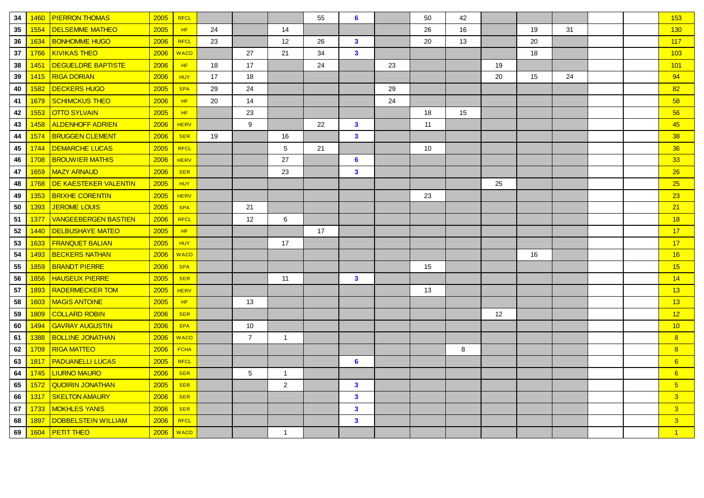| 34 | 1460 | <b>PIERRON THOMAS</b>       | 2005 | <b>RFCL</b> |    |                |                | 55 | 6              |    | 50 | 42 |    |    |    |  | 153             |
|----|------|-----------------------------|------|-------------|----|----------------|----------------|----|----------------|----|----|----|----|----|----|--|-----------------|
| 35 | 1554 | <b>DELSEMME MATHEO</b>      | 2005 | HF          | 24 |                | 14             |    |                |    | 26 | 16 |    | 19 | 31 |  | 130             |
| 36 | 1634 | <b>BONHOMME HUGO</b>        | 2006 | <b>RFCL</b> | 23 |                | 12             | 26 | $\mathbf{3}$   |    | 20 | 13 |    | 20 |    |  | 117             |
| 37 | 1766 | <b>KIVIKAS THEO</b>         | 2006 | <b>WACO</b> |    | 27             | 21             | 34 | $\mathbf{3}$   |    |    |    |    | 18 |    |  | 103             |
| 38 | 1451 | <b>DEGUELDRE BAPTISTE</b>   | 2006 | HF.         | 18 | 17             |                | 24 |                | 23 |    |    | 19 |    |    |  | 101             |
| 39 | 1415 | <b>RIGA DORIAN</b>          | 2006 | <b>HUY</b>  | 17 | 18             |                |    |                |    |    |    | 20 | 15 | 24 |  | 94              |
| 40 | 1582 | <b>DECKERS HUGO</b>         | 2005 | <b>SPA</b>  | 29 | 24             |                |    |                | 29 |    |    |    |    |    |  | 82              |
| 41 | 1679 | <b>SCHIMCKUS THEO</b>       | 2006 | HF          | 20 | 14             |                |    |                | 24 |    |    |    |    |    |  | 58              |
| 42 | 1553 | <b>OTTO SYLVAIN</b>         | 2005 | HF          |    | 23             |                |    |                |    | 18 | 15 |    |    |    |  | 56              |
| 43 | 1458 | <b>ALDENHOFF ADRIEN</b>     | 2006 | <b>HERV</b> |    | 9              |                | 22 | $\mathbf{3}$   |    | 11 |    |    |    |    |  | 45              |
| 44 | 1574 | <b>BRUGGEN CLEMENT</b>      | 2006 | <b>SER</b>  | 19 |                | 16             |    | $\mathbf{3}$   |    |    |    |    |    |    |  | 38              |
| 45 | 1744 | <b>DEMARCHE LUCAS</b>       | 2005 | <b>RFCL</b> |    |                | $\sqrt{5}$     | 21 |                |    | 10 |    |    |    |    |  | 36              |
| 46 | 1708 | <b>BROUWIER MATHIS</b>      | 2006 | <b>HERV</b> |    |                | 27             |    | 6              |    |    |    |    |    |    |  | 33 <sub>o</sub> |
| 47 | 1659 | <b>MAZY ARNAUD</b>          | 2006 | <b>SER</b>  |    |                | 23             |    | $\mathbf{3}$   |    |    |    |    |    |    |  | 26              |
| 48 | 1768 | DE KAESTEKER VALENTIN       | 2005 | <b>HUY</b>  |    |                |                |    |                |    |    |    | 25 |    |    |  | 25              |
| 49 | 1353 | <b>BRIXHE CORENTIN</b>      | 2005 | <b>HERV</b> |    |                |                |    |                |    | 23 |    |    |    |    |  | 23              |
| 50 | 1393 | <b>JEROME LOUIS</b>         | 2005 | <b>SPA</b>  |    | 21             |                |    |                |    |    |    |    |    |    |  | 21              |
| 51 | 1377 | <b>VANGEEBERGEN BASTIEN</b> | 2006 | <b>RFCL</b> |    | 12             | 6              |    |                |    |    |    |    |    |    |  | 18              |
| 52 | 1440 | <b>DELBUSHAYE MATEO</b>     | 2005 | HF          |    |                |                | 17 |                |    |    |    |    |    |    |  | 17              |
| 53 | 1633 | <b>FRANQUET BALIAN</b>      | 2005 | <b>HUY</b>  |    |                | 17             |    |                |    |    |    |    |    |    |  | 17              |
| 54 | 1493 | <b>BECKERS NATHAN</b>       | 2006 | <b>WACO</b> |    |                |                |    |                |    |    |    |    | 16 |    |  | 16              |
| 55 | 1859 | <b>BRANDT PIERRE</b>        | 2006 | <b>SPA</b>  |    |                |                |    |                |    | 15 |    |    |    |    |  | 15              |
| 56 | 1856 | <b>HAUSEUX PIERRE</b>       | 2005 | <b>SER</b>  |    |                | 11             |    | $\mathbf{3}$   |    |    |    |    |    |    |  | 14              |
| 57 | 1893 | <b>RADERMECKER TOM</b>      | 2005 | <b>HERV</b> |    |                |                |    |                |    | 13 |    |    |    |    |  | 13              |
| 58 | 1603 | <b>MAGIS ANTOINE</b>        | 2005 | HF          |    | 13             |                |    |                |    |    |    |    |    |    |  | 13              |
| 59 | 1809 | <b>COLLARD ROBIN</b>        | 2006 | <b>SER</b>  |    |                |                |    |                |    |    |    | 12 |    |    |  | 12              |
| 60 | 1494 | <b>GAVRAY AUGUSTIN</b>      | 2006 | <b>SPA</b>  |    | 10             |                |    |                |    |    |    |    |    |    |  | 10              |
| 61 | 1388 | <b>BOLLINE JONATHAN</b>     | 2006 | <b>WACO</b> |    | $\overline{7}$ | $\mathbf{1}$   |    |                |    |    |    |    |    |    |  | 8               |
| 62 | 1709 | <b>RIGA MATTEO</b>          | 2006 | <b>FCHA</b> |    |                |                |    |                |    |    | 8  |    |    |    |  | 8               |
| 63 | 1817 | <b>PADUANELLI LUCAS</b>     | 2005 | <b>RFCL</b> |    |                |                |    | $6\phantom{1}$ |    |    |    |    |    |    |  | 6               |
| 64 | 1745 | <b>LIURNO MAURO</b>         | 2006 | <b>SER</b>  |    | 5              | $\mathbf{1}$   |    |                |    |    |    |    |    |    |  | 6               |
| 65 | 1572 | <b>QUOIRIN JONATHAN</b>     | 2005 | <b>SER</b>  |    |                | $\overline{2}$ |    | $\mathbf{3}$   |    |    |    |    |    |    |  | 5 <sup>5</sup>  |
| 66 | 1317 | <b>SKELTON AMAURY</b>       | 2006 | <b>SER</b>  |    |                |                |    | $\mathbf{3}$   |    |    |    |    |    |    |  | 3 <sup>2</sup>  |
| 67 | 1733 | <b>MOKHLES YANIS</b>        | 2006 | <b>SER</b>  |    |                |                |    | $\mathbf{3}$   |    |    |    |    |    |    |  | 3 <sup>2</sup>  |
| 68 | 1897 | <b>DOBBELSTEIN WILLIAM</b>  | 2006 | <b>RFCL</b> |    |                |                |    | $\mathbf{3}$   |    |    |    |    |    |    |  | 3 <sup>2</sup>  |
| 69 | 1604 | <b>PETIT THEO</b>           | 2006 | <b>WACO</b> |    |                | $\mathbf{1}$   |    |                |    |    |    |    |    |    |  | $\overline{1}$  |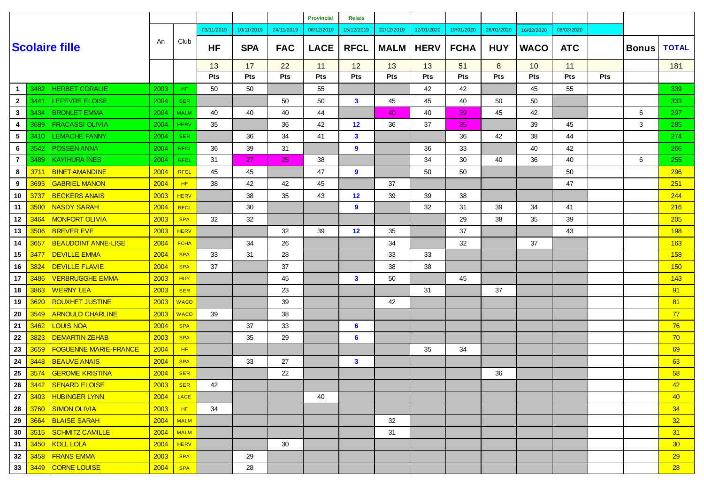|                |      |                              |            |             |            |            |            | <b>Provincial</b> | <b>Relais</b> |             |             |             |            |             |            |     |              |                 |
|----------------|------|------------------------------|------------|-------------|------------|------------|------------|-------------------|---------------|-------------|-------------|-------------|------------|-------------|------------|-----|--------------|-----------------|
|                |      |                              |            |             | 03/11/2019 | 10/11/2019 | 24/11/2019 | 08/12/2019        | 15/12/2019    | 22/12/2019  | 12/01/2020  | 19/01/2020  | 26/01/2020 | 16/02/2020  | 08/03/2020 |     |              |                 |
|                |      | <b>Scolaire fille</b>        | An         | Club        | <b>HF</b>  | <b>SPA</b> | <b>FAC</b> | <b>LACE</b>       | <b>RFCL</b>   | <b>MALM</b> | <b>HERV</b> | <b>FCHA</b> | <b>HUY</b> | <b>WACO</b> | <b>ATC</b> |     | <b>Bonus</b> | <b>TOTAL</b>    |
|                |      |                              |            |             | 13         | 17         | 22         | 11                | 12            | 13          | 13          | 51          | 8          | 10          | 11         |     |              | 181             |
|                |      |                              |            |             | <b>Pts</b> | Pts        | Pts        | Pts               | Pts           | Pts         | Pts         | Pts         | Pts        | Pts         | Pts        | Pts |              |                 |
| -1             | 3482 | <b>HERBET CORALIE</b>        | 2003       | HF.         | 50         | 50         |            | 55                |               |             | 42          | 42          |            | 45          | 55         |     |              | 339             |
| $\mathbf{2}$   | 3441 | LEFEVRE ELOISE               | 2004       | <b>SER</b>  |            |            | 50         | 50                | $\mathbf{3}$  | 45          | 45          | 40          | 50         | 50          |            |     |              | 333             |
| $\mathbf{3}$   | 3434 | <b>BRONLET EMMA</b>          | 2004       | <b>MALM</b> | 40         | 40         | 40         | 44                |               | 40          | 40          | 39          | 45         | 42          |            |     | 6            | 297             |
| 4              | 3689 | <b>FRACASSI OLIVIA</b>       | 2004       | <b>HERV</b> | 35         |            | 36         | 42                | 12            | 36          | 37          | 35          |            | 39          | 45         |     | 3            | 285             |
| 5              | 3410 | <b>LEMACHE FANNY</b>         | 2004       | <b>SER</b>  |            | 36         | 34         | 41                | $\mathbf{3}$  |             |             | 36          | 42         | 38          | 44         |     |              | 274             |
| 6              | 3542 | POSSEN ANNA                  | 2004       | <b>RFCL</b> | 36         | 39         | 31         |                   | 9             |             | 36          | 33          |            | 40          | 42         |     |              | 266             |
| $\overline{7}$ | 3489 | <b>KAYIHURA INES</b>         | 2004       | <b>RFCL</b> | 31         | 27         | 25         | 38                |               |             | 34          | 30          | 40         | 36          | 40         |     | 6            | 255             |
| 8              | 3711 | <b>BINET AMANDINE</b>        | 2004       | <b>RFCL</b> | 45         | 45         |            | 47                | 9             |             | 50          | 50          |            |             | 50         |     |              | 296             |
| 9              | 3695 | <b>GABRIEL MANON</b>         | 2004       | HF          | 38         | 42         | 42         | 45                |               | 37          |             |             |            |             | 47         |     |              | 251             |
| 10             | 3737 | <b>BECKERS ANAIS</b>         | 2003       | <b>HERV</b> |            | 38         | 35         | 43                | 12            | 39          | 39          | 38          |            |             |            |     |              | 244             |
| 11             | 3500 | <b>NASDY SARAH</b>           | 2004       | <b>RFCL</b> |            | 30         |            |                   | 9             |             | 32          | 31          | 39         | 34          | 41         |     |              | 216             |
| 12             | 3464 | <b>MONFORT OLIVIA</b>        | 2003       | <b>SPA</b>  | 32         | 32         |            |                   |               |             |             | 29          | 38         | 35          | 39         |     |              | 205             |
| 13             | 3506 | <b>BREVER EVE</b>            | 2003       | <b>HERV</b> |            |            | 32         | 39                | 12            | 35          |             | 37          |            |             | 43         |     |              | <b>198</b>      |
| 14             | 3657 | <b>BEAUDOINT ANNE-LISE</b>   | 2004       | <b>FCHA</b> |            | 34         | 26         |                   |               | 34          |             | 32          |            | 37          |            |     |              | 163             |
| 15             | 3477 | <b>DEVILLE EMMA</b>          | 2004       | <b>SPA</b>  | 33         | 31         | 28         |                   |               | 33          | 33          |             |            |             |            |     |              | 158             |
| 16             | 3824 | <b>DEVILLE FLAVIE</b>        | 2004       | <b>SPA</b>  | 37         |            | 37         |                   |               | 38          | 38          |             |            |             |            |     |              | 150             |
| 17             | 3486 | <b>VERBRUGGHE EMMA</b>       | 2003       | <b>HUY</b>  |            |            | 45         |                   | $\mathbf{3}$  | 50          |             | 45          |            |             |            |     |              | 143             |
| 18             | 3863 | <b>WERNY LEA</b>             | 2003       | <b>SER</b>  |            |            | 23         |                   |               |             | 31          |             | 37         |             |            |     |              | 91              |
| 19             | 3620 | <b>ROUXHET JUSTINE</b>       | 2003       | <b>WACO</b> |            |            | 39         |                   |               | 42          |             |             |            |             |            |     |              | 81              |
| 20             | 3549 | <b>ARNOULD CHARLINE</b>      | 2003       | <b>WACO</b> | 39         |            | 38         |                   |               |             |             |             |            |             |            |     |              | 77              |
| 21             | 3462 | <b>LOUIS NOA</b>             | 2004       | <b>SPA</b>  |            | 37         | 33         |                   | 6             |             |             |             |            |             |            |     |              | 76              |
| ${\bf 22}$     | 3823 | <b>DEMARTIN ZEHAB</b>        | 2003       | <b>SPA</b>  |            | 35         | 29         |                   | 6             |             |             |             |            |             |            |     |              | 70              |
| 23             | 3659 | <b>FOGUENNE MARIE-FRANCE</b> | 2004       | HF          |            |            |            |                   |               |             | 35          | 34          |            |             |            |     |              | 69              |
| 24             | 3448 | <b>BEAUVE ANAIS</b>          | 2004       | <b>SPA</b>  |            | 33         | 27         |                   | $\mathbf{3}$  |             |             |             |            |             |            |     |              | 63              |
| 25             | 3574 | <b>GEROME KRISTINA</b>       | 2004       | <b>SER</b>  |            |            | 22         |                   |               |             |             |             | 36         |             |            |     |              | 58              |
| 26             |      | 3442 SENARD ELOISE           | $2003$ SER |             | 42         |            |            |                   |               |             |             |             |            |             |            |     |              | 42              |
| 27             |      | 3403   HUBINGER LYNN         | 2004       | LACE        |            |            |            | 40                |               |             |             |             |            |             |            |     |              | 40              |
| 28             | 3760 | SIMON OLIVIA                 | 2003       | HF          | 34         |            |            |                   |               |             |             |             |            |             |            |     |              | 34              |
| 29             | 3664 | <b>BLAISE SARAH</b>          | 2004       | <b>MALM</b> |            |            |            |                   |               | 32          |             |             |            |             |            |     |              | 32              |
| 30             | 3515 | SCHMITZ CAMILLE              | 2004       | <b>MALM</b> |            |            |            |                   |               | 31          |             |             |            |             |            |     |              | 31              |
| 31             | 3450 | KOLL LOLA                    | 2004       | <b>HERV</b> |            |            | 30         |                   |               |             |             |             |            |             |            |     |              | 30 <sub>o</sub> |
| 32             | 3458 | <b>FRANS EMMA</b>            | 2003       | <b>SPA</b>  |            | 29         |            |                   |               |             |             |             |            |             |            |     |              | 29              |
| 33             | 3449 | <b>CORNE LOUISE</b>          | 2004       | <b>SPA</b>  |            | 28         |            |                   |               |             |             |             |            |             |            |     |              | 28              |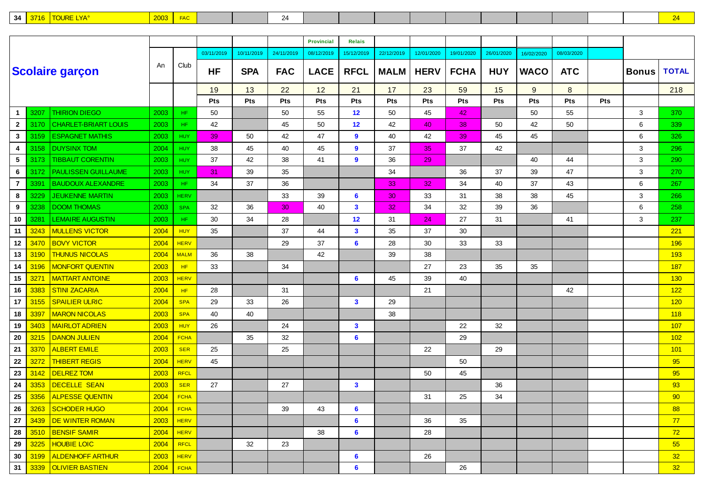| $\sim$<br>. .<br>- - -<br>$\overline{\phantom{a}}$ |  |
|----------------------------------------------------|--|
|----------------------------------------------------|--|

|                 |      |                             |             |             |            |            |            | <b>Provincial</b> | Relais       |             |             |             |            |             |            |            |              |              |
|-----------------|------|-----------------------------|-------------|-------------|------------|------------|------------|-------------------|--------------|-------------|-------------|-------------|------------|-------------|------------|------------|--------------|--------------|
|                 |      |                             |             |             | 03/11/2019 | 10/11/2019 | 24/11/2019 | 08/12/2019        | 15/12/2019   | 22/12/2019  | 12/01/2020  | 19/01/2020  | 26/01/2020 | 16/02/2020  | 08/03/2020 |            |              |              |
|                 |      | <b>Scolaire garçon</b>      | An          | Club        | <b>HF</b>  | <b>SPA</b> | <b>FAC</b> | <b>LACE</b>       | <b>RFCL</b>  | <b>MALM</b> | <b>HERV</b> | <b>FCHA</b> | <b>HUY</b> | <b>WACO</b> | <b>ATC</b> |            | <b>Bonus</b> | <b>TOTAL</b> |
|                 |      |                             |             |             | 19         | 13         | 22         | 12                | 21           | 17          | 23          | 59          | 15         | 9           | 8          |            |              | 218          |
|                 |      |                             |             |             | Pts        | Pts        | Pts        | Pts               | Pts          | Pts         | Pts         | Pts         | Pts        | <b>Pts</b>  | <b>Pts</b> | <b>Pts</b> |              |              |
| $\mathbf{1}$    | 3207 | <b>THIRION DIEGO</b>        | 2003        | HF.         | 50         |            | 50         | 55                | 12           | 50          | 45          | 42          |            | 50          | 55         |            | 3            | 370          |
| $\mathbf{2}$    | 3170 | <b>CHARLET-BRIART LOUIS</b> | 2003        | HF.         | 42         |            | 45         | 50                | 12           | 42          | 40          | 38          | 50         | 42          | 50         |            | 6            | 339          |
| $\mathbf{3}$    | 3159 | <b>ESPAGNET MATHIS</b>      | 2003        | <b>HUY</b>  | 39         | 50         | 42         | 47                | 9            | 40          | 42          | 39          | 45         | 45          |            |            | 6            | 326          |
| 4               | 3158 | <b>DUYSINX TOM</b>          | 2004        | <b>HUY</b>  | 38         | 45         | 40         | 45                | 9            | 37          | 35          | 37          | 42         |             |            |            | 3            | 296          |
| $5\phantom{.0}$ | 3173 | <b>TIBBAUT CORENTIN</b>     | 2003        | <b>HUY</b>  | 37         | 42         | 38         | 41                | 9            | 36          | 29          |             |            | 40          | 44         |            | 3            | 290          |
| 6               | 3172 | <b>PAULISSEN GUILLAUME</b>  | 2003        | <b>HUY</b>  | 31         | 39         | 35         |                   |              | 34          |             | 36          | 37         | 39          | 47         |            | 3            | 270          |
| $\overline{7}$  | 3391 | <b>BAUDOUX ALEXANDRE</b>    | 2003        | HF.         | 34         | 37         | 36         |                   |              | 33          | 32          | 34          | 40         | 37          | 43         |            | 6            | 267          |
| 8               | 3229 | <b>JEUKENNE MARTIN</b>      | 2003        | <b>HERV</b> |            |            | 33         | 39                | 6            | 30          | 33          | 31          | 38         | 38          | 45         |            | 3            | 266          |
| 9               | 3238 | <b>DOOM THOMAS</b>          | 2003        | <b>SPA</b>  | 32         | 36         | 30         | 40                | 3            | 32          | 34          | 32          | 39         | 36          |            |            | 6            | 258          |
| 10              | 3281 | <b>LEMAIRE AUGUSTIN</b>     | 2003        | HF.         | 30         | 34         | 28         |                   | 12           | 31          | 24          | 27          | 31         |             | 41         |            | 3            | 237          |
| 11              | 3243 | <b>MULLENS VICTOR</b>       | 2004        | <b>HUY</b>  | 35         |            | 37         | 44                | 3            | 35          | 37          | 30          |            |             |            |            |              | 221          |
| 12              | 3470 | <b>BOVY VICTOR</b>          | 2004        | <b>HERV</b> |            |            | 29         | 37                | 6            | 28          | 30          | 33          | 33         |             |            |            |              | 196          |
| 13              | 3190 | <b>THUNUS NICOLAS</b>       | 2004        | <b>MALM</b> | 36         | 38         |            | 42                |              | 39          | 38          |             |            |             |            |            |              | 193          |
| 14              | 3196 | <b>MONFORT QUENTIN</b>      | 2003        | HF.         | 33         |            | 34         |                   |              |             | 27          | 23          | 35         | 35          |            |            |              | 187          |
| 15              | 3271 | <b>MATTART ANTOINE</b>      | 2003        | <b>HERV</b> |            |            |            |                   | 6            | 45          | 39          | 40          |            |             |            |            |              | 130          |
| 16              | 3383 | <b>STINI ZACARIA</b>        | 2004        | HF.         | 28         |            | 31         |                   |              |             | 21          |             |            |             | 42         |            |              | 122          |
| 17              | 3155 | <b>SPAILIER ULRIC</b>       | 2004        | <b>SPA</b>  | 29         | 33         | 26         |                   | 3            | 29          |             |             |            |             |            |            |              | 120          |
| 18              | 3397 | <b>MARON NICOLAS</b>        | 2003        | <b>SPA</b>  | 40         | 40         |            |                   |              | 38          |             |             |            |             |            |            |              | 118          |
| 19              | 3403 | <b>MAIRLOT ADRIEN</b>       | 2003        | <b>HUY</b>  | 26         |            | 24         |                   | $\mathbf{3}$ |             |             | 22          | 32         |             |            |            |              | 107          |
| 20              | 3215 | <b>DANON JULIEN</b>         | 2004        | <b>FCHA</b> |            | 35         | 32         |                   | 6            |             |             | 29          |            |             |            |            |              | 102          |
| 21              | 3370 | <b>ALBERT EMILE</b>         | 2003        | <b>SER</b>  | 25         |            | 25         |                   |              |             | 22          |             | 29         |             |            |            |              | 101          |
| 22              | 3272 | <b>THIBERT REGIS</b>        | 2004        | <b>HERV</b> | 45         |            |            |                   |              |             |             | 50          |            |             |            |            |              | 95           |
| 23              | 3142 | <b>DELREZ TOM</b>           | 2003        | <b>RFCL</b> |            |            |            |                   |              |             | 50          | 45          |            |             |            |            |              | 95           |
| 24              | 3353 | DECELLE SEAN                | 2003        | <b>SER</b>  | 27         |            | 27         |                   | $\mathbf{3}$ |             |             |             | 36         |             |            |            |              | 93           |
| 25              | 3356 | <b>ALPESSE QUENTIN</b>      | 2004        | <b>FCHA</b> |            |            |            |                   |              |             | 31          | 25          | 34         |             |            |            |              | 90           |
| 26              |      | 3263 SCHODER HUGO           | $2004$ FCHA |             |            |            | 39         | 43                | 6            |             |             |             |            |             |            |            |              | 88           |
| 27              |      | 3439 DE WINTER ROMAN        | 2003        | <b>HERV</b> |            |            |            |                   | 6            |             | 36          | 35          |            |             |            |            |              | 77           |
| 28              |      | 3510 BENSIF SAMIR           | 2004        | <b>HERV</b> |            |            |            | 38                | 6            |             | 28          |             |            |             |            |            |              | 72           |
| 29              | 3225 | <b>HOUBIE LOIC</b>          | 2004        | RFCL        |            | 32         | 23         |                   |              |             |             |             |            |             |            |            |              | 55           |
| 30              | 3199 | <b>ALDENHOFF ARTHUR</b>     | <b>2003</b> | <b>HERV</b> |            |            |            |                   | 6            |             | 26          |             |            |             |            |            |              | 32           |
| 31              |      | 3339   OLIVIER BASTIEN      | 2004        | <b>FCHA</b> |            |            |            |                   | 6            |             |             | 26          |            |             |            |            |              | 32           |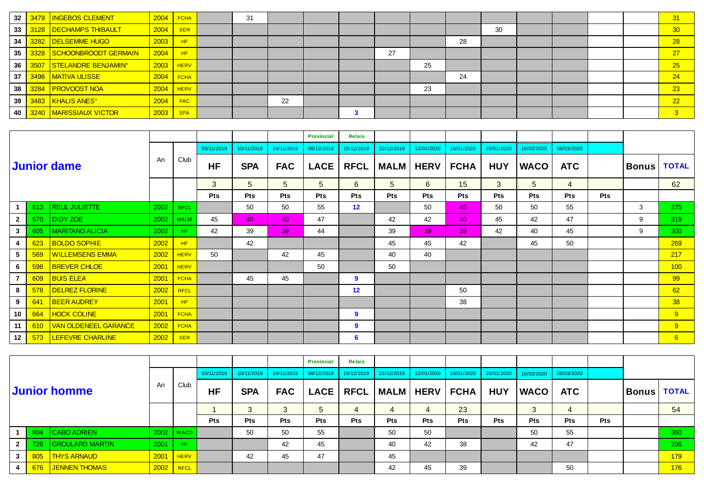| 32 |      | 3479   INGEBOS CLEMENT          |             | $2004$ FCHA | 31 |    |  |    |    |    |    |  |  | 31           |
|----|------|---------------------------------|-------------|-------------|----|----|--|----|----|----|----|--|--|--------------|
| 33 |      | 3128   DECHAMPS THIBAULT        | 2004        | <b>SER</b>  |    |    |  |    |    |    | 30 |  |  | 30           |
| 34 |      | 3282   DELSEMME HUGO            | 2003        | HF          |    |    |  |    |    | 28 |    |  |  | 28           |
| 35 |      | 3328 SCHOONBROODT GERMAIN       | 2004        | HF.         |    |    |  | 27 |    |    |    |  |  | 27           |
| 36 | 3507 | STELANDRE BENJAMIN <sup>®</sup> | 2003        | <b>HERV</b> |    |    |  |    | 25 |    |    |  |  | 25           |
| 37 |      | 3496   MATIVA ULISSE            | $2004$ FCHA |             |    |    |  |    |    | 24 |    |  |  | 24           |
| 38 | 3284 | <b>PROVOOST NOA</b>             | 2004        | <b>HERV</b> |    |    |  |    | 23 |    |    |  |  | 23           |
| 39 |      | 3483   KHALIS ANES°             | 2004        | <b>FAC</b>  |    | 22 |  |    |    |    |    |  |  | 22           |
| 40 | 3240 | <b>MARISSIAUX VICTOR</b>        | 2003        | <b>SPA</b>  |    |    |  |    |    |    |    |  |  | $\mathbf{3}$ |

|                |     |                             |      |             |            |                |            | <b>Provincial</b> | <b>Relais</b> |             |             |             |            |             |                |            |              |              |
|----------------|-----|-----------------------------|------|-------------|------------|----------------|------------|-------------------|---------------|-------------|-------------|-------------|------------|-------------|----------------|------------|--------------|--------------|
|                |     |                             |      |             | 03/11/2019 | 10/11/2019     | 24/11/2019 | 08/12/2019        | 15/12/2019    | 22/12/2019  | 12/01/2020  | 19/01/2020  | 26/01/2020 | 16/02/2020  | 08/03/2020     |            |              |              |
|                |     | <b>Junior dame</b>          | An   | Club        | <b>HF</b>  | <b>SPA</b>     | <b>FAC</b> | <b>LACE</b>       | <b>RFCL</b>   | <b>MALM</b> | <b>HERV</b> | <b>FCHA</b> | <b>HUY</b> | <b>WACO</b> | <b>ATC</b>     |            | <b>Bonus</b> | <b>TOTAL</b> |
|                |     |                             |      |             | 3          | 5 <sup>5</sup> | 5          | 5                 | 6             | $5^{\circ}$ | 6           | 15          | 3          | 5           | $\overline{4}$ |            |              | 62           |
|                |     |                             |      |             | <b>Pts</b> | <b>Pts</b>     | <b>Pts</b> | Pts               | <b>Pts</b>    | <b>Pts</b>  | <b>Pts</b>  | <b>Pts</b>  | <b>Pts</b> | <b>Pts</b>  | <b>Pts</b>     | <b>Pts</b> |              |              |
|                | 613 | <b>REUL JULIETTE</b>        | 2002 | <b>RFCL</b> |            | 50             | 50         | 55                | 12            |             | 50          | 45          | 50         | 50          | 55             |            | 3            | 375          |
| $\mathbf{2}$   | 570 | DIDY ZOE                    | 2002 | <b>MALM</b> | 45         | 40             | 40         | 47                |               | 42          | 42          | 40          | 45         | 42          | 47             |            | 9            | 319          |
| $\mathbf{3}$   | 605 | <b>MARITANO ALICIA</b>      | 2002 | HF.         | 42         | 39             | 39         | 44                |               | 39          | 39          | 39          | 42         | 40          | 45             |            | 9            | 300          |
| 4              | 623 | <b>BOLDO SOPHIE</b>         | 2002 | HF          |            | 42             |            |                   |               | 45          | 45          | 42          |            | 45          | 50             |            |              | 269          |
| $5^{\circ}$    | 569 | <b>WILLEMSENS EMMA</b>      | 2002 | <b>HERV</b> | 50         |                | 42         | 45                |               | 40          | 40          |             |            |             |                |            |              | 217          |
| 6              | 598 | <b>BREVER CHLOE</b>         | 2001 | <b>HERV</b> |            |                |            | 50                |               | 50          |             |             |            |             |                |            |              | 100          |
| $\overline{7}$ | 609 | <u>BUIS ÉLEA</u>            | 2001 | <b>FCHA</b> |            | 45             | 45         |                   | 9             |             |             |             |            |             |                |            |              | 99           |
| 8              | 578 | <b>DELREZ FLORINE</b>       | 2002 | <b>RFCL</b> |            |                |            |                   | 12            |             |             | 50          |            |             |                |            |              | 62           |
| 9              | 641 | <b>BEER AUDREY</b>          | 2001 | HF          |            |                |            |                   |               |             |             | 38          |            |             |                |            |              | 38           |
| 10             | 664 | <b>HOCK COLINE</b>          | 2001 | <b>FCHA</b> |            |                |            |                   | 9             |             |             |             |            |             |                |            |              | 9            |
| 11             | 610 | <b>VAN OLDENEEL GARANCE</b> | 2002 | <b>FCHA</b> |            |                |            |                   | 9             |             |             |             |            |             |                |            |              | 9            |
| 12             | 573 | LEFEVRE CHARLINE            | 2002 | <b>SER</b>  |            |                |            |                   | 6             |             |             |             |            |             |                |            |              | $6^{\circ}$  |

|                |     |                        |      |               |            |            |            | <b>Provincial</b> | <b>Relais</b> |                           |            |                       |            |             |            |            |          |              |
|----------------|-----|------------------------|------|---------------|------------|------------|------------|-------------------|---------------|---------------------------|------------|-----------------------|------------|-------------|------------|------------|----------|--------------|
|                |     |                        |      |               | 03/11/2019 | 10/11/2019 | 24/11/2019 | 08/12/2019        | 15/12/2019    | $\frac{1}{22/12/2019}$    | 12/01/2020 | 19/01/2020 26/01/2020 |            | 16/02/2020  | 08/03/2020 |            |          |              |
|                |     | Junior homme           | An   | Club          | <b>HF</b>  | <b>SPA</b> | <b>FAC</b> |                   |               | LACE   RFCL   MALM   HERV |            | <b>FCHA</b>           | <b>HUY</b> | <b>WACO</b> | <b>ATC</b> |            | ∣Bonus ∣ | <b>TOTAL</b> |
|                |     |                        |      |               |            | 3          | 3          | $5^{\circ}$       | 4             | 4                         |            | 23                    |            | 3           |            |            |          | 54           |
|                |     |                        |      |               | <b>Pts</b> | <b>Pts</b> | <b>Pts</b> | <b>Pts</b>        | <b>Pts</b>    | <b>Pts</b>                | <b>Pts</b> | <b>Pts</b>            | <b>Pts</b> | <b>Pts</b>  | <b>Pts</b> | <b>Pts</b> |          |              |
|                | 804 | CABO ADRIEN            |      | $2002$   WACO |            | 50         | 50         | 55                |               | 50                        | 50         |                       |            | 50          | 55         |            |          | 360          |
| 2 <sup>1</sup> | 726 | <b>GROULARD MARTIN</b> | 2001 | <b>HF</b>     |            |            | 42         | 45                |               | 40                        | 42         | 38                    |            | 42          | 47         |            |          | 296          |
| 3 <sup>1</sup> |     | 805 THYS ARNAUD        | 2001 | <b>HERV</b>   |            | 42         | 45         | 47                |               | 45                        |            |                       |            |             |            |            |          | 179          |
|                |     | 676 JENNEN THOMAS      | 2002 | <b>RFCL</b>   |            |            |            |                   |               | 42                        | 45         | 39                    |            |             | 50         |            |          | 176          |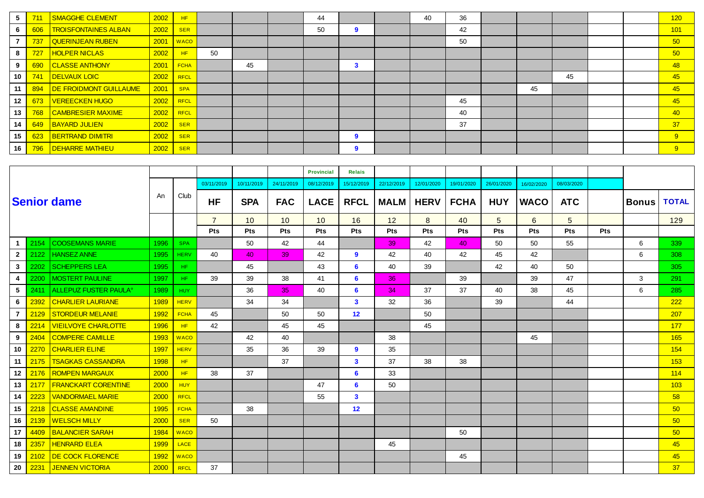| 5  | 711 | <b>SMAGGHE CLEMENT</b>      | 2002 | HF <sub>1</sub> |    |    | 44 |   | 40 | 36 |    |    |  | 120   |
|----|-----|-----------------------------|------|-----------------|----|----|----|---|----|----|----|----|--|-------|
| 6  | 606 | <b>TROISFONTAINES ALBAN</b> | 2002 | <b>SER</b>      |    |    | 50 | 9 |    | 42 |    |    |  | 101   |
|    | 737 | <b>QUERINJEAN RUBEN</b>     | 2001 | <b>WACO</b>     |    |    |    |   |    | 50 |    |    |  | 50    |
| 8  | 727 | <b>HOLPER NICLAS</b>        | 2002 | <b>HF</b>       | 50 |    |    |   |    |    |    |    |  | 50    |
| 9  | 690 | <b>CLASSE ANTHONY</b>       | 2001 | <b>FCHA</b>     |    | 45 |    | 3 |    |    |    |    |  | 48    |
| 10 | 741 | <b>DELVAUX LOIC</b>         | 2002 | <b>RFCL</b>     |    |    |    |   |    |    |    | 45 |  | 45    |
| 11 | 894 | DE FROIDMONT GUILLAUME      | 2001 | <b>SPA</b>      |    |    |    |   |    |    | 45 |    |  | 45    |
| 12 | 673 | <b>VEREECKEN HUGO</b>       | 2002 | <b>RFCL</b>     |    |    |    |   |    | 45 |    |    |  | 45    |
| 13 | 768 | <b>CAMBRESIER MAXIME</b>    | 2002 | <b>RFCL</b>     |    |    |    |   |    | 40 |    |    |  | $-40$ |
| 14 | 649 | <b>BAYARD JULIEN</b>        | 2002 | <b>SER</b>      |    |    |    |   |    | 37 |    |    |  | 37    |
| 15 | 623 | <b>BERTRAND DIMITRI</b>     | 2002 | <b>SER</b>      |    |    |    |   |    |    |    |    |  | 9     |
| 16 | 796 | <b>DEHARRE MATHIEU</b>      | 2002 | <b>SER</b>      |    |    |    | 9 |    |    |    |    |  | 9     |

|              |      |                            |      |             |                |            |                 | <b>Provincial</b> | <b>Relais</b>  |             |             |             |            |             |            |            |              |              |
|--------------|------|----------------------------|------|-------------|----------------|------------|-----------------|-------------------|----------------|-------------|-------------|-------------|------------|-------------|------------|------------|--------------|--------------|
|              |      |                            |      |             | 03/11/2019     | 10/11/2019 | 24/11/2019      | 08/12/2019        | 15/12/2019     | 22/12/2019  | 12/01/2020  | 19/01/2020  | 26/01/2020 | 16/02/2020  | 08/03/2020 |            |              |              |
|              |      | <b>Senior dame</b>         | An   | Club        | <b>HF</b>      | <b>SPA</b> | <b>FAC</b>      | <b>LACE</b>       | <b>RFCL</b>    | <b>MALM</b> | <b>HERV</b> | <b>FCHA</b> | <b>HUY</b> | <b>WACO</b> | <b>ATC</b> |            | <b>Bonus</b> | <b>TOTAL</b> |
|              |      |                            |      |             | $\overline{7}$ | 10         | 10              | 10                | 16             | 12          | 8           | 40          | 5          | 6           | 5          |            |              | 129          |
|              |      |                            |      |             | Pts            | <b>Pts</b> | Pts             | <b>Pts</b>        | Pts            | <b>Pts</b>  | Pts         | <b>Pts</b>  | Pts        | Pts         | Pts        | <b>Pts</b> |              |              |
| -1           | 2154 | <b>COOSEMANS MARIE</b>     | 1996 | <b>SPA</b>  |                | 50         | 42              | 44                |                | 39          | 42          | 40          | 50         | 50          | 55         |            | 6            | 339          |
| $\mathbf{2}$ | 2122 | <b>HANSEZ ANNE</b>         | 1995 | <b>HERV</b> | 40             | 40         | 39              | 42                | 9              | 42          | 40          | 42          | 45         | 42          |            |            | 6            | 308          |
| 3            | 2202 | <b>SCHEPPERS LEA</b>       | 1995 | HF.         |                | 45         |                 | 43                | 6              | 40          | 39          |             | 42         | 40          | 50         |            |              | 305          |
| 4            | 2200 | <b>MOSTERT PAULINE</b>     | 1997 | HF.         | 39             | 39         | 38              | 41                | $6\phantom{1}$ | 36          |             | 39          |            | 39          | 47         |            | 3            | 291          |
| 5            | 2411 | ALLEPUZ FUSTER PAULA°      | 1989 | <b>HUY</b>  |                | 36         | 35 <sub>1</sub> | 40                | 6              | 34          | 37          | 37          | 40         | 38          | 45         |            | 6            | 285          |
| 6.           | 2392 | <b>CHARLIER LAURIANE</b>   | 1989 | <b>HERV</b> |                | 34         | 34              |                   | $\mathbf{3}$   | 32          | 36          |             | 39         |             | 44         |            |              | 222          |
|              | 2129 | <b>STORDEUR MELANIE</b>    | 1992 | <b>FCHA</b> | 45             |            | 50              | 50                | 12             |             | 50          |             |            |             |            |            |              | 207          |
| 8            | 2214 | <b>VIEILVOYE CHARLOTTE</b> | 1996 | HF.         | 42             |            | 45              | 45                |                |             | 45          |             |            |             |            |            |              | 177          |
| 9            | 2404 | <b>COMPERE CAMILLE</b>     | 1993 | <b>WACO</b> |                | 42         | 40              |                   |                | 38          |             |             |            | 45          |            |            |              | 165          |
| 10           | 2270 | <b>CHARLIER ELINE</b>      | 1997 | <b>HERV</b> |                | 35         | 36              | 39                | 9              | 35          |             |             |            |             |            |            |              | 154          |
| 11           | 2175 | <b>TSAGKAS CASSANDRA</b>   | 1998 | HF          |                |            | 37              |                   | $\mathbf{3}$   | 37          | 38          | 38          |            |             |            |            |              | 153          |
| 12           | 2176 | <b>ROMPEN MARGAUX</b>      | 2000 | HF.         | 38             | 37         |                 |                   | 6              | 33          |             |             |            |             |            |            |              | 114          |
| 13           | 2177 | <b>FRANCKART CORENTINE</b> | 2000 | <b>HUY</b>  |                |            |                 | 47                | 6              | 50          |             |             |            |             |            |            |              | 103          |
| 14           | 2223 | <b>VANDORMAEL MARIE</b>    | 2000 | <b>RFCL</b> |                |            |                 | 55                | $\mathbf{3}$   |             |             |             |            |             |            |            |              | 58           |
| 15           | 2218 | <b>CLASSE AMANDINE</b>     | 1995 | <b>FCHA</b> |                | 38         |                 |                   | 12             |             |             |             |            |             |            |            |              | 50           |
| 16           | 2139 | <b>WELSCH MILLY</b>        | 2000 | <b>SER</b>  | 50             |            |                 |                   |                |             |             |             |            |             |            |            |              | 50           |
| 17           | 4409 | <b>BALANCIER SARAH</b>     | 1984 | <b>WACO</b> |                |            |                 |                   |                |             |             | 50          |            |             |            |            |              | 50           |
| 18           | 2357 | <b>HENRARD ELEA</b>        | 1999 | <b>LACE</b> |                |            |                 |                   |                | 45          |             |             |            |             |            |            |              | 45           |
| 19           | 2102 | DE COCK FLORENCE           | 1992 | <b>WACO</b> |                |            |                 |                   |                |             |             | 45          |            |             |            |            |              | 45           |
| 20           | 2231 | <b>JENNEN VICTORIA</b>     | 2000 | <b>RFCL</b> | 37             |            |                 |                   |                |             |             |             |            |             |            |            |              | 37           |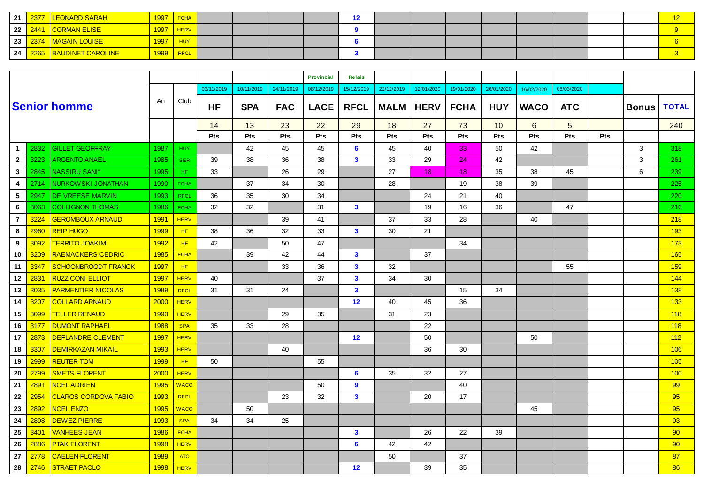| 21              |      | <b>LEONARD SARAH</b>     |      | <b>FCHA</b> |  |  |  |  |  |  |  |
|-----------------|------|--------------------------|------|-------------|--|--|--|--|--|--|--|
| 22              |      | 2441 CORMAN ELISE        | 1997 | <b>HERV</b> |  |  |  |  |  |  |  |
| 23 <sub>1</sub> | 2374 | <b>MAGAIN LOUISE</b>     | 1997 | <b>HUY</b>  |  |  |  |  |  |  |  |
| 24              | 2265 | <b>BAUDINET CAROLINE</b> |      | <b>RFCL</b> |  |  |  |  |  |  |  |

|                |      |                                 |             |             |            |            |            | <b>Provincial</b> | <b>Relais</b> |             |             |             |            |             |                 |            |              |                 |
|----------------|------|---------------------------------|-------------|-------------|------------|------------|------------|-------------------|---------------|-------------|-------------|-------------|------------|-------------|-----------------|------------|--------------|-----------------|
|                |      |                                 |             |             | 03/11/2019 | 10/11/2019 | 24/11/2019 | 08/12/2019        | 15/12/2019    | 22/12/2019  | 12/01/2020  | 19/01/2020  | 26/01/2020 | 16/02/2020  | 08/03/2020      |            |              |                 |
|                |      | <b>Senior homme</b>             | An          | Club        | <b>HF</b>  | <b>SPA</b> | <b>FAC</b> | <b>LACE</b>       | <b>RFCL</b>   | <b>MALM</b> | <b>HERV</b> | <b>FCHA</b> | <b>HUY</b> | <b>WACO</b> | <b>ATC</b>      |            | <b>Bonus</b> | <b>TOTAL</b>    |
|                |      |                                 |             |             | 14         | 13         | 23         | 22                | 29            | 18          | 27          | 73          | 10         | 6           | $5\overline{)}$ |            |              | 240             |
|                |      |                                 |             |             | Pts        | <b>Pts</b> | <b>Pts</b> | <b>Pts</b>        | Pts           | Pts         | Pts         | <b>Pts</b>  | Pts        | Pts         | <b>Pts</b>      | <b>Pts</b> |              |                 |
| $\mathbf{1}$   | 2832 | <b>GILLET GEOFFRAY</b>          | 1987        | <b>HUY</b>  |            | 42         | 45         | 45                | 6             | 45          | 40          | 33          | 50         | 42          |                 |            | 3            | 318             |
| $\mathbf{2}$   | 3223 | <b>ARGENTO ANAEL</b>            | 1985        | <b>SER</b>  | 39         | 38         | 36         | 38                | $\mathbf{3}$  | 33          | 29          | 24          | 42         |             |                 |            | 3            | 261             |
| $\mathbf{3}$   | 2845 | <b>NASSIRU SANI<sup>°</sup></b> | 1995        | HF.         | 33         |            | 26         | 29                |               | 27          | 18          | 18          | 35         | 38          | 45              |            | 6            | 239             |
| 4              | 2714 | NURKOWSKI JONATHAN              | 1990        | <b>FCHA</b> |            | 37         | 34         | 30                |               | 28          |             | 19          | 38         | 39          |                 |            |              | 225             |
| 5              | 2947 | DE VREESE MARVIN                | 1993        | <b>RFCL</b> | 36         | 35         | 30         | 34                |               |             | 24          | 21          | 40         |             |                 |            |              | 220             |
| 6              | 3063 | <b>COLLIGNON THOMAS</b>         | 1986        | <b>FCHA</b> | 32         | 32         |            | 31                | $\mathbf{3}$  |             | 19          | 16          | 36         |             | 47              |            |              | 216             |
| $\overline{7}$ | 3224 | <b>GEROMBOUX ARNAUD</b>         | 1991        | <b>HERV</b> |            |            | 39         | 41                |               | 37          | 33          | 28          |            | 40          |                 |            |              | 218             |
| 8              | 2960 | <b>REIP HUGO</b>                | 1999        | HF.         | 38         | 36         | 32         | 33                | $\mathbf{3}$  | 30          | 21          |             |            |             |                 |            |              | 193             |
| 9              | 3092 | <b>TERRITO JOAKIM</b>           | <b>1992</b> | HF.         | 42         |            | 50         | 47                |               |             |             | 34          |            |             |                 |            |              | 173             |
| 10             | 3209 | <b>RAEMACKERS CEDRIC</b>        | 1985        | <b>FCHA</b> |            | 39         | 42         | 44                | $\mathbf{3}$  |             | 37          |             |            |             |                 |            |              | 165             |
| 11             | 3347 | <b>SCHOONBROODT FRANCK</b>      | 1997        | HF          |            |            | 33         | 36                | $\mathbf{3}$  | 32          |             |             |            |             | 55              |            |              | 159             |
| 12             | 2831 | <b>RUZZICONI ELLIOT</b>         | 1997        | <b>HERV</b> | 40         |            |            | 37                | $\mathbf{3}$  | 34          | 30          |             |            |             |                 |            |              | 144             |
| 13             | 3035 | <b>PARMENTIER NICOLAS</b>       | 1989        | <b>RFCL</b> | 31         | 31         | 24         |                   | $\mathbf{3}$  |             |             | 15          | 34         |             |                 |            |              | 138             |
| 14             | 3207 | <b>COLLARD ARNAUD</b>           | 2000        | <b>HERV</b> |            |            |            |                   | 12            | 40          | 45          | 36          |            |             |                 |            |              | 133             |
| 15             | 3099 | <b>TELLER RENAUD</b>            | 1990        | <b>HERV</b> |            |            | 29         | 35                |               | 31          | 23          |             |            |             |                 |            |              | 118             |
| 16             | 3177 | <b>DUMONT RAPHAEL</b>           | 1988        | <b>SPA</b>  | 35         | 33         | 28         |                   |               |             | 22          |             |            |             |                 |            |              | 118             |
| 17             | 2873 | DEFLANDRE CLEMENT               | 1997        | <b>HERV</b> |            |            |            |                   | 12            |             | 50          |             |            | 50          |                 |            |              | 112             |
| 18             | 3307 | <b>DEMIRKAZAN MIKAIL</b>        | 1993        | <b>HERV</b> |            |            | 40         |                   |               |             | 36          | 30          |            |             |                 |            |              | 106             |
| 19             | 2999 | <b>REUTER TOM</b>               | 1999        | HF.         | 50         |            |            | 55                |               |             |             |             |            |             |                 |            |              | 105             |
| 20             | 2799 | <b>SMETS FLORENT</b>            | 2000        | <b>HERV</b> |            |            |            |                   | 6             | 35          | 32          | 27          |            |             |                 |            |              | 100             |
| 21             | 2891 | <b>NOEL ADRIEN</b>              | 1995        | <b>WACO</b> |            |            |            | 50                | 9             |             |             | 40          |            |             |                 |            |              | 99              |
| 22             | 2954 | <b>CLAROS CORDOVA FABIO</b>     | 1993        | <b>RFCL</b> |            |            | 23         | 32                | $\mathbf{3}$  |             | 20          | 17          |            |             |                 |            |              | 95              |
| 23             | 2892 | <b>NOEL ENZO</b>                | 1995        | <b>WACO</b> |            | 50         |            |                   |               |             |             |             |            | 45          |                 |            |              | 95              |
| 24             | 2898 | <b>DEWEZ PIERRE</b>             | 1993        | <b>SPA</b>  | 34         | 34         | 25         |                   |               |             |             |             |            |             |                 |            |              | 93              |
| 25             | 3401 | <b>VANHEES JEAN</b>             | 1986        | <b>FCHA</b> |            |            |            |                   | $\mathbf{3}$  |             | 26          | 22          | 39         |             |                 |            |              | 90              |
| 26             | 2886 | <b>PTAK FLORENT</b>             | 1998        | <b>HERV</b> |            |            |            |                   | 6             | 42          | 42          |             |            |             |                 |            |              | 90 <sup>°</sup> |
| 27             | 2778 | <b>CAELEN FLORENT</b>           | 1989        | <b>ATC</b>  |            |            |            |                   |               | 50          |             | 37          |            |             |                 |            |              | 87              |
| 28             | 2746 | <b>STRAET PAOLO</b>             | 1998        | <b>HERV</b> |            |            |            |                   | 12            |             | 39          | 35          |            |             |                 |            |              | 86              |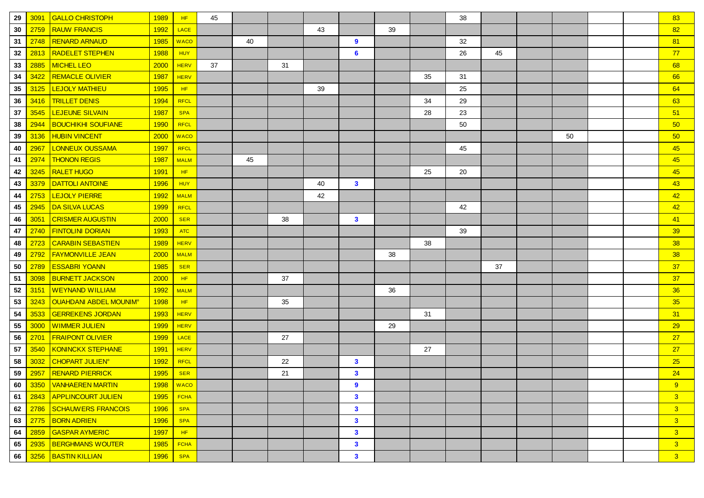| 29 | 3091 | <b>GALLO CHRISTOPH</b>                   | 1989        | HF          | 45 |    |    |    |                         |    |    | 38 |    |    |  | 83             |
|----|------|------------------------------------------|-------------|-------------|----|----|----|----|-------------------------|----|----|----|----|----|--|----------------|
| 30 | 2759 | <b>RAUW FRANCIS</b>                      | 1992        | <b>LACE</b> |    |    |    | 43 |                         | 39 |    |    |    |    |  | 82             |
| 31 | 2748 | <b>RENARD ARNAUD</b>                     | 1985        | <b>WACO</b> |    | 40 |    |    | 9                       |    |    | 32 |    |    |  | 81             |
| 32 | 2813 | <b>RADELET STEPHEN</b>                   | 1988        | <b>HUY</b>  |    |    |    |    | 6                       |    |    | 26 | 45 |    |  | 77             |
| 33 | 2885 | <b>MICHEL LEO</b>                        | 2000        | <b>HERV</b> | 37 |    | 31 |    |                         |    |    |    |    |    |  | 68             |
| 34 | 3422 | <b>REMACLE OLIVIER</b>                   | 1987        | <b>HERV</b> |    |    |    |    |                         |    | 35 | 31 |    |    |  | 66             |
| 35 | 3125 | LEJOLY MATHIEU                           | 1995        | HF          |    |    |    | 39 |                         |    |    | 25 |    |    |  | 64             |
| 36 | 3416 | <b>TRILLET DENIS</b>                     | 1994        | <b>RFCL</b> |    |    |    |    |                         |    | 34 | 29 |    |    |  | 63             |
| 37 | 3545 | <b>LEJEUNE SILVAIN</b>                   | 1987        | <b>SPA</b>  |    |    |    |    |                         |    | 28 | 23 |    |    |  | 51             |
| 38 | 2944 | <b>BOUCHIKHI SOUFIANE</b>                | 1990        | <b>RFCL</b> |    |    |    |    |                         |    |    | 50 |    |    |  | 50             |
| 39 | 3136 | <b>HUBIN VINCENT</b>                     | 2000        | <b>WACO</b> |    |    |    |    |                         |    |    |    |    | 50 |  | 50             |
| 40 | 2967 | LONNEUX OUSSAMA                          | 1997        | <b>RFCL</b> |    |    |    |    |                         |    |    | 45 |    |    |  | 45             |
| 41 | 2974 | <b>THONON REGIS</b>                      | <b>1987</b> | <b>MALM</b> |    | 45 |    |    |                         |    |    |    |    |    |  | 45             |
| 42 | 3245 | <b>RALET HUGO</b>                        | 1991        | HF          |    |    |    |    |                         |    | 25 | 20 |    |    |  | 45             |
| 43 | 3379 | <b>DATTOLI ANTOINE</b>                   | 1996        | <b>HUY</b>  |    |    |    | 40 | 3                       |    |    |    |    |    |  | 43             |
| 44 | 2753 | <b>LEJOLY PIERRE</b>                     | 1992        | <b>MALM</b> |    |    |    | 42 |                         |    |    |    |    |    |  | 42             |
| 45 | 2945 | <b>DA SILVA LUCAS</b>                    | 1999        | <b>RFCL</b> |    |    |    |    |                         |    |    | 42 |    |    |  | 42             |
| 46 | 3051 | <b>CRISMER AUGUSTIN</b>                  | 2000        | <b>SER</b>  |    |    | 38 |    | 3                       |    |    |    |    |    |  | 41             |
| 47 | 2740 | <b>FINTOLINI DORIAN</b>                  | 1993        | <b>ATC</b>  |    |    |    |    |                         |    |    | 39 |    |    |  | 39             |
| 48 | 2723 | <b>CARABIN SEBASTIEN</b>                 | 1989        | <b>HERV</b> |    |    |    |    |                         |    | 38 |    |    |    |  | 38             |
| 49 | 2792 | <b>FAYMONVILLE JEAN</b>                  | 2000        | <b>MALM</b> |    |    |    |    |                         | 38 |    |    |    |    |  | 38             |
| 50 | 2789 | <b>ESSABRI YOANN</b>                     | 1985        | <b>SER</b>  |    |    |    |    |                         |    |    |    | 37 |    |  | 37             |
| 51 | 3098 | <b>BURNETT JACKSON</b>                   | 2000        | HF          |    |    | 37 |    |                         |    |    |    |    |    |  | 37             |
| 52 | 3151 | <b>WEYNAND WILLIAM</b>                   | 1992        | <b>MALM</b> |    |    |    |    |                         | 36 |    |    |    |    |  | 36             |
| 53 | 3243 | <b>OUAHDANI ABDEL MOUNIM<sup>®</sup></b> | 1998        | HF          |    |    | 35 |    |                         |    |    |    |    |    |  | 35             |
| 54 | 3533 | <b>GERREKENS JORDAN</b>                  | 1993        | <b>HERV</b> |    |    |    |    |                         |    | 31 |    |    |    |  | 31             |
| 55 | 3000 | <b>WIMMER JULIEN</b>                     | 1999        | <b>HERV</b> |    |    |    |    |                         | 29 |    |    |    |    |  | 29             |
| 56 | 2701 | <b>FRAIPONT OLIVIER</b>                  | 1999        | LACE        |    |    | 27 |    |                         |    |    |    |    |    |  | 27             |
| 57 | 3540 | <b>KONINCKX STEPHANE</b>                 | 1991        | <b>HERV</b> |    |    |    |    |                         |    | 27 |    |    |    |  | 27             |
| 58 | 3032 | <b>CHOPART JULIEN<sup>®</sup></b>        | 1992        | RFCL        |    |    | 22 |    | $\mathbf{3}$            |    |    |    |    |    |  | 25             |
| 59 | 2957 | <b>RENARD PIERRICK</b>                   | 1995        | <b>SER</b>  |    |    | 21 |    | 3                       |    |    |    |    |    |  | 24             |
| 60 | 3350 | VANHAEREN MARTIN                         |             | 1998   WACO |    |    |    |    | 9                       |    |    |    |    |    |  | 9              |
| 61 |      | 2843 APPLINCOURT JULIEN                  | 1995        | <b>FCHA</b> |    |    |    |    | $\mathbf{3}$            |    |    |    |    |    |  | 3 <sup>1</sup> |
| 62 | 2786 | <b>SCHAUWERS FRANCOIS</b>                | 1996        | <b>SPA</b>  |    |    |    |    | $\mathbf{3}$            |    |    |    |    |    |  | 3 <sup>7</sup> |
| 63 | 2775 | <b>BORN ADRIEN</b>                       | 1996        | <b>SPA</b>  |    |    |    |    | $\mathbf{3}$            |    |    |    |    |    |  | 3 <sup>2</sup> |
| 64 | 2859 | <b>GASPAR AYMERIC</b>                    | <b>1997</b> | HF          |    |    |    |    | $\mathbf{3}$            |    |    |    |    |    |  | 3 <sup>7</sup> |
| 65 | 2935 | <b>BERGHMANS WOUTER</b>                  | 1985        | <b>FCHA</b> |    |    |    |    | $\mathbf{3}$            |    |    |    |    |    |  | 3 <sup>7</sup> |
| 66 |      | 3256 BASTIN KILLIAN                      | 1996        | <b>SPA</b>  |    |    |    |    | $\overline{\mathbf{3}}$ |    |    |    |    |    |  | 3 <sup>°</sup> |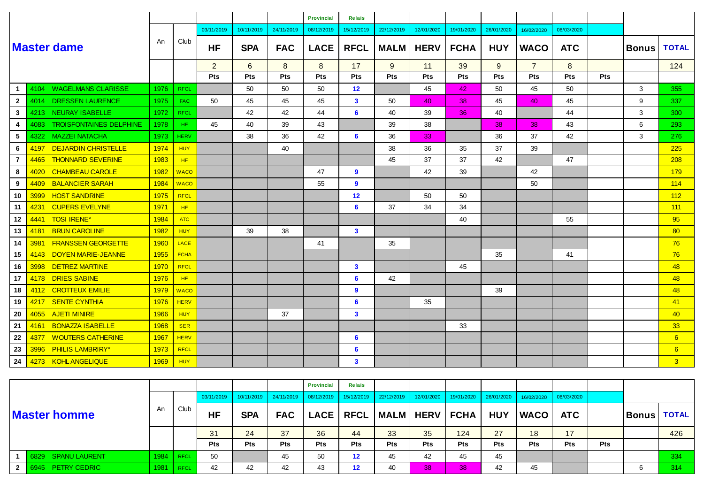|                |      |                                    |      |             |                |                 |            | <b>Provincial</b> | <b>Relais</b>  |             |             |             |            |                |            |            |              |                 |
|----------------|------|------------------------------------|------|-------------|----------------|-----------------|------------|-------------------|----------------|-------------|-------------|-------------|------------|----------------|------------|------------|--------------|-----------------|
|                |      |                                    |      |             | 03/11/2019     | 10/11/2019      | 24/11/2019 | 08/12/2019        | 15/12/2019     | 22/12/2019  | 12/01/2020  | 19/01/2020  | 26/01/2020 | 16/02/2020     | 08/03/2020 |            |              |                 |
|                |      | <b>Master dame</b>                 | An   | Club        | <b>HF</b>      | <b>SPA</b>      | <b>FAC</b> | <b>LACE</b>       | <b>RFCL</b>    | <b>MALM</b> | <b>HERV</b> | <b>FCHA</b> | <b>HUY</b> | <b>WACO</b>    | <b>ATC</b> |            | <b>Bonus</b> | <b>TOTAL</b>    |
|                |      |                                    |      |             | $\overline{2}$ | $6\overline{6}$ | 8          | 8                 | 17             | 9           | 11          | 39          | 9          | $\overline{7}$ | 8          |            |              | 124             |
|                |      |                                    |      |             | Pts            | Pts             | Pts        | Pts               | Pts            | Pts         | Pts         | Pts         | Pts        | Pts            | Pts        | <b>Pts</b> |              |                 |
| $\mathbf{1}$   | 4104 | <b>WAGELMANS CLARISSE</b>          | 1976 | <b>RFCL</b> |                | 50              | 50         | 50                | 12             |             | 45          | 42          | 50         | 45             | 50         |            | 3            | 355             |
| $\overline{2}$ | 4014 | <b>DRESSEN LAURENCE</b>            | 1975 | FAC         | 50             | 45              | 45         | 45                | $\mathbf{3}$   | 50          | 40          | 38          | 45         | 40             | 45         |            | 9            | 337             |
| 3              | 4213 | <b>NEURAY ISABELLE</b>             | 1972 | <b>RFCL</b> |                | 42              | 42         | 44                | 6              | 40          | 39          | 36          | 40         |                | 44         |            | 3            | 300             |
| 4              | 4083 | <b>TROISFONTAINES DELPHINE</b>     | 1978 | HF.         | 45             | 40              | 39         | 43                |                | 39          | 38          |             | 38         | 38             | 43         |            | 6            | 293             |
| 5              | 4322 | <b>MAZZEI NATACHA</b>              | 1973 | <b>HERV</b> |                | 38              | 36         | 42                | $6\phantom{1}$ | 36          | 33          |             | 36         | 37             | 42         |            | 3            | 276             |
| 6              | 4197 | <b>DEJARDIN CHRISTELLE</b>         | 1974 | <b>HUY</b>  |                |                 | 40         |                   |                | 38          | 36          | 35          | 37         | 39             |            |            |              | 225             |
| $\overline{7}$ | 4465 | <b>THONNARD SEVERINE</b>           | 1983 | HF          |                |                 |            |                   |                | 45          | 37          | 37          | 42         |                | 47         |            |              | 208             |
| 8              | 4020 | <b>CHAMBEAU CAROLE</b>             | 1982 | <b>WACO</b> |                |                 |            | 47                | 9              |             | 42          | 39          |            | 42             |            |            |              | 179             |
| 9              | 4409 | <b>BALANCIER SARAH</b>             | 1984 | <b>WACO</b> |                |                 |            | 55                | 9              |             |             |             |            | 50             |            |            |              | 114             |
| 10             | 3999 | <b>HOST SANDRINE</b>               | 1975 | <b>RFCL</b> |                |                 |            |                   | 12             |             | 50          | 50          |            |                |            |            |              | 112             |
| 11             | 4231 | <b>CUPERS EVELYNE</b>              | 1971 | HF          |                |                 |            |                   | 6              | 37          | 34          | 34          |            |                |            |            |              | 111             |
| 12             | 4441 | <b>TOSI IRENE<sup>®</sup></b>      | 1984 | <b>ATC</b>  |                |                 |            |                   |                |             |             | 40          |            |                | 55         |            |              | 95              |
| 13             | 4181 | <b>BRUN CAROLINE</b>               | 1982 | <b>HUY</b>  |                | 39              | 38         |                   | $\mathbf{3}$   |             |             |             |            |                |            |            |              | 80              |
| 14             | 3981 | <b>FRANSSEN GEORGETTE</b>          | 1960 | <b>LACE</b> |                |                 |            | 41                |                | 35          |             |             |            |                |            |            |              | 76              |
| 15             | 4143 | <b>DOYEN MARIE-JEANNE</b>          | 1955 | <b>FCHA</b> |                |                 |            |                   |                |             |             |             | 35         |                | 41         |            |              | 76              |
| 16             | 3998 | <b>DETREZ MARTINE</b>              | 1970 | <b>RFCL</b> |                |                 |            |                   | $\mathbf{3}$   |             |             | 45          |            |                |            |            |              | 48              |
| 17             | 4178 | <b>DRIES SABINE</b>                | 1976 | HF          |                |                 |            |                   | 6              | 42          |             |             |            |                |            |            |              | 48              |
| 18             | 4112 | <b>CROTTEUX EMILIE</b>             | 1979 | <b>WACO</b> |                |                 |            |                   | 9              |             |             |             | 39         |                |            |            |              | 48              |
| 19             | 4217 | <b>SENTE CYNTHIA</b>               | 1976 | <b>HERV</b> |                |                 |            |                   | 6              |             | 35          |             |            |                |            |            |              | 41              |
| 20             | 4055 | <b>AJETI MINIRE</b>                | 1966 | <b>HUY</b>  |                |                 | 37         |                   | $\mathbf{3}$   |             |             |             |            |                |            |            |              | 40              |
| 21             | 4161 | <b>BONAZZA ISABELLE</b>            | 1968 | <b>SER</b>  |                |                 |            |                   |                |             |             | 33          |            |                |            |            |              | 33 <sub>o</sub> |
| 22             | 4377 | <b>WOUTERS CATHERINE</b>           | 1967 | <b>HERV</b> |                |                 |            |                   | 6              |             |             |             |            |                |            |            |              | 6               |
| 23             | 3996 | <b>PHILIS LAMBRIRY<sup>®</sup></b> | 1973 | <b>RFCL</b> |                |                 |            |                   | 6              |             |             |             |            |                |            |            |              | 6               |
| 24             | 4273 | <b>KOHL ANGELIQUE</b>              | 1969 | <b>HUY</b>  |                |                 |            |                   | $\mathbf{3}$   |             |             |             |            |                |            |            |              | $\overline{3}$  |

|  |                     |             |             |            |            |                           | <b>Provincial</b> | <b>Relais</b>         |                                  |            |                                                                |            |             |            |     |               |     |
|--|---------------------|-------------|-------------|------------|------------|---------------------------|-------------------|-----------------------|----------------------------------|------------|----------------------------------------------------------------|------------|-------------|------------|-----|---------------|-----|
|  |                     |             |             | 03/11/2019 |            | $10/11/2019$   24/11/2019 |                   | 08/12/2019 15/12/2019 | $22/12/2019$                     |            | 12/01/2020   19/01/2020   26/01/2020   16/02/2020   08/03/2020 |            |             |            |     |               |     |
|  | <b>Master homme</b> | An          | Club        | <b>HF</b>  | <b>SPA</b> | <b>FAC</b>                |                   |                       | LACE   RFCL   MALM   HERV   FCHA |            |                                                                | <b>HUY</b> | <b>WACO</b> | <b>ATC</b> |     | Bonus   TOTAL |     |
|  |                     |             |             | 31         | 24         | 37                        | 36                | 44                    | 33                               | 35         | 124                                                            | 27         | 18          | 17         |     |               | 426 |
|  |                     |             |             | <b>Pts</b> | <b>Pts</b> | <b>Pts</b>                | <b>Pts</b>        | Pts                   | <b>Pts</b>                       | <b>Pts</b> | <b>Pts</b>                                                     | <b>Pts</b> | <b>Pts</b>  | <b>Pts</b> | Pts |               |     |
|  | 6829 SPANU LAURENT  | $1984$ RFCL |             | 50         |            | 45                        | 50                | $12 \overline{ }$     | 45                               | 42         | 45                                                             | 45         |             |            |     |               | 334 |
|  | 2 6945 PETRY CEDRIC |             | $1981$ RFCL | 42         | 42         | 42                        | 43                | $12 \overline{ }$     | 40                               | 38         | 38                                                             | 42         | 45          |            |     |               | 314 |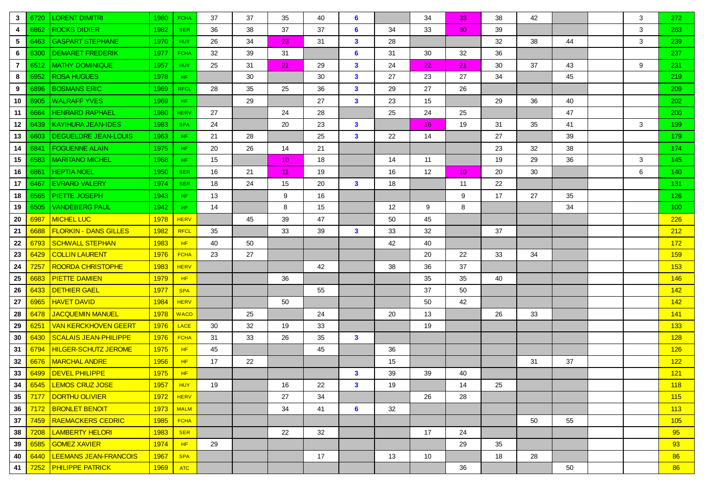| 3              | 6720 | <b>LORENT DIMITRI</b>        | 1980        | <b>FCHA</b> | 37 | 37 | 35              | 40 | 6              |    | 34                | 33              | 38 | 42 |    | 3 | 272              |
|----------------|------|------------------------------|-------------|-------------|----|----|-----------------|----|----------------|----|-------------------|-----------------|----|----|----|---|------------------|
| 4              | 6862 | <b>ROCKS DIDIER</b>          | 1982        | <b>SER</b>  | 36 | 38 | 37              | 37 | 6              | 34 | 33                | 30 <sub>o</sub> | 39 |    |    | 3 | 263              |
| 5              | 6463 | <b>GASPART STEPHANE</b>      | 1970        | <b>HUY</b>  | 26 | 34 | 23              | 31 | $\mathbf{3}$   | 28 |                   |                 | 32 | 38 | 44 | 3 | 239              |
| 6              | 6300 | <b>DEMARET FREDERIK</b>      | 1977        | <b>FCHA</b> | 32 | 39 | 31              |    | 6              | 31 | 30                | 32              | 36 |    |    |   | 237              |
| $\overline{7}$ | 6512 | <b>MATHY DOMINIQUE</b>       | 1957        | <b>HUY</b>  | 25 | 31 | 21              | 29 | $\mathbf{3}$   | 24 | 22                | 21              | 30 | 37 | 43 | 9 | 231              |
| 8              | 6952 | <b>ROSA HUGUES</b>           | 1978        | HF.         |    | 30 |                 | 30 | $\mathbf{3}$   | 27 | 23                | 27              | 34 |    | 45 |   | 219              |
| 9              | 6896 | <b>BOSMANS ERIC</b>          | 1969        | <b>RFCL</b> | 28 | 35 | 25              | 36 | $\mathbf{3}$   | 29 | 27                | 26              |    |    |    |   | 209              |
| 10             | 6905 | <b>WALRAFF YVES</b>          | 1969        | HF.         |    | 29 |                 | 27 | $\mathbf{3}$   | 23 | 15                |                 | 29 | 36 | 40 |   | 202              |
| 11             | 6664 | <b>HENRARD RAPHAEL</b>       | 1980        | <b>HERV</b> | 27 |    | 24              | 28 |                | 25 | 24                | 25              |    |    | 47 |   | <b>200</b>       |
| 12             | 6439 | <b>KAYIHURA JEAN-IDES</b>    | 1983        | <b>SPA</b>  | 24 |    | 20              | 23 | $\mathbf{3}$   |    | 16 <sup>1</sup>   | 19              | 31 | 35 | 41 | 3 | 199              |
| 13             | 6603 | <b>DEGUELDRE JEAN-LOUIS</b>  | 1963        | HF.         | 21 | 28 |                 | 25 | $\mathbf{3}$   | 22 | 14                |                 | 27 |    | 39 |   | 179              |
| 14             | 6841 | <b>FOGUENNE ALAIN</b>        | 1975        | HF.         | 20 | 26 | 14              | 21 |                |    |                   |                 | 23 | 32 | 38 |   | 174              |
| 15             | 6583 | <b>MARITANO MICHEL</b>       | 1968        | HF.         | 15 |    | 10 <sup>°</sup> | 18 |                | 14 | 11                |                 | 19 | 29 | 36 | 3 | 145              |
| 16             | 6861 | <b>HEPTIA NOEL</b>           | 1950        | <b>SER</b>  | 16 | 21 | 11              | 19 |                | 16 | $12 \overline{ }$ | 10 <sup>°</sup> | 20 | 30 |    | 6 | 140 <sub>1</sub> |
| 17             | 6467 | <b>EVRARD VALERY</b>         | 1974        | <b>SER</b>  | 18 | 24 | 15              | 20 | $\mathbf{3}$   | 18 |                   | 11              | 22 |    |    |   | 131              |
| 18             | 6565 | PIETTE JOSEPH                | 1943        | HF.         | 13 |    | 9               | 16 |                |    |                   | 9               | 17 | 27 | 35 |   | 126              |
| 19             | 6505 | <b>VANDEBERG PAUL</b>        | 1942        | HF.         | 14 |    | 8               | 15 |                | 12 | 9                 | 8               |    |    | 34 |   | 100              |
| 20             | 6987 | <b>MICHEL LUC</b>            | 1978        | <b>HERV</b> |    | 45 | 39              | 47 |                | 50 | 45                |                 |    |    |    |   | 226              |
| 21             | 6688 | <b>FLORKIN - DANS GILLES</b> | 1982        | <b>RFCL</b> | 35 |    | 33              | 39 | $\mathbf{3}$   | 33 | 32                |                 | 37 |    |    |   | 212              |
| 22             | 6793 | <b>SCHWALL STEPHAN</b>       | 1983        | HF.         | 40 | 50 |                 |    |                | 42 | 40                |                 |    |    |    |   | 172              |
| 23             | 6429 | <b>COLLIN LAURENT</b>        | 1976        | <b>FCHA</b> | 23 | 27 |                 |    |                |    | 20                | 22              | 33 | 34 |    |   | 159              |
| 24             | 7257 | <b>ROORDA CHRISTOPHE</b>     | 1983        | <b>HERV</b> |    |    |                 | 42 |                | 38 | 36                | 37              |    |    |    |   | 153              |
| 25             | 6683 | <b>PIETTE DAMIEN</b>         | 1979        | HF          |    |    | 36              |    |                |    | 35                | 35              | 40 |    |    |   | 146              |
| 26             | 6433 | <b>DETHIER GAEL</b>          | 1977        | <b>SPA</b>  |    |    |                 | 55 |                |    | 37                | 50              |    |    |    |   | 142              |
| 27             | 6965 | <b>HAVET DAVID</b>           | 1984        | <b>HERV</b> |    |    | 50              |    |                |    | 50                | 42              |    |    |    |   | 142              |
| 28             | 6478 | <b>JACQUEMIN MANUEL</b>      | 1978        | <b>WACO</b> |    | 25 |                 | 24 |                | 20 | 13                |                 | 26 | 33 |    |   | 141              |
| 29             | 6251 | <b>VAN KERCKHOVEN GEERT</b>  | 1976        | <b>LACE</b> | 30 | 32 | 19              | 33 |                |    | 19                |                 |    |    |    |   | 133              |
| 30             | 6430 | <b>SCALAIS JEAN-PHILIPPE</b> | 1976        | <b>FCHA</b> | 31 | 33 | 26              | 35 | $\mathbf{3}$   |    |                   |                 |    |    |    |   | 128              |
| 31             | 6794 | <b>HILGER-SCHUTZ JEROME</b>  | <b>1975</b> | HF          | 45 |    |                 | 45 |                | 36 |                   |                 |    |    |    |   | 126              |
| 32             | 6676 | <b>MARCHAL ANDRE</b>         | 1956        | HF          | 17 | 22 |                 |    |                | 15 |                   |                 |    | 31 | 37 |   | 122              |
| 33             | 6499 | <b>DEVEL PHILIPPE</b>        | 1975        | HF          |    |    |                 |    | $\mathbf{3}$   | 39 | 39                | 40              |    |    |    |   | 121              |
|                |      | 34 6545 EEMOS CRUZ JOSE      |             | 1957   HUY  | 19 |    | 16              | 22 | $\mathbf{3}$   | 19 |                   | 14              | 25 |    |    |   | 118              |
| $35 \mid$      |      | 7177   DORTHU OLIVIER        | 1972        | <b>HERV</b> |    |    | 27              | 34 |                |    | 26                | 28              |    |    |    |   | 115              |
| 36             | 7172 | <b>BRONLET BENOIT</b>        |             | $1973$ MALM |    |    | 34              | 41 | $6\phantom{1}$ | 32 |                   |                 |    |    |    |   | 113              |
| 37             | 7459 | <b>RAEMACKERS CEDRIC</b>     | 1985        | <b>FCHA</b> |    |    |                 |    |                |    |                   |                 |    | 50 | 55 |   | 105              |
| 38             | 7208 | <b>LAMBERTY HELORI</b>       | 1983        | <b>SER</b>  |    |    | 22              | 32 |                |    | 17                | 24              |    |    |    |   | 95               |
| 39             | 6585 | <b>GOMEZ XAVIER</b>          | 1974        | HF          | 29 |    |                 |    |                |    |                   | 29              | 35 |    |    |   | 93               |
| 40             | 6440 | <b>LEEMANS JEAN-FRANCOIS</b> | 1967        | <b>SPA</b>  |    |    |                 | 17 |                | 13 | 10                |                 | 18 | 28 |    |   | 86               |
| 41             |      | 7252 PHILIPPE PATRICK        | 1969        | ATC         |    |    |                 |    |                |    |                   | 36              |    |    | 50 |   | 86               |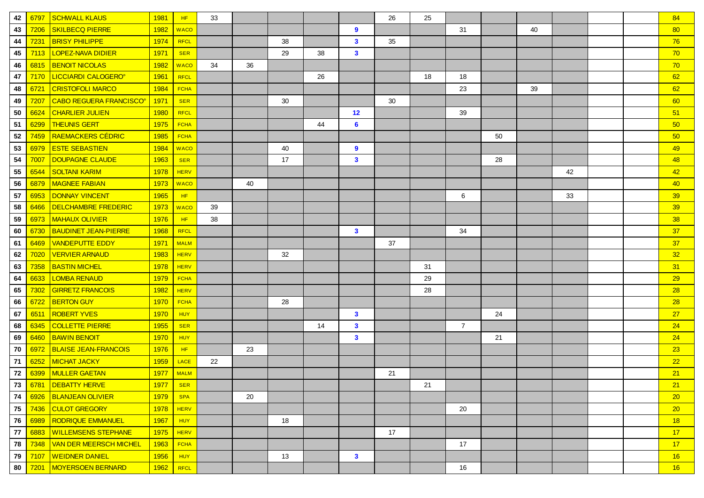| 42 | 6797 | <b>SCHWALL KLAUS</b>           | 1981        | HF          | 33 |    |    |    |              | 26 | 25 |                |    |    |    |  | 84 |
|----|------|--------------------------------|-------------|-------------|----|----|----|----|--------------|----|----|----------------|----|----|----|--|----|
| 43 | 7206 | <b>SKILBECQ PIERRE</b>         | 1982        | <b>WACO</b> |    |    |    |    | 9            |    |    | 31             |    | 40 |    |  | 80 |
| 44 | 7231 | <b>BRISY PHILIPPE</b>          | 1974        | RFCL        |    |    | 38 |    | $\mathbf{3}$ | 35 |    |                |    |    |    |  | 76 |
| 45 | 7113 | <b>LOPEZ-NAVA DIDIER</b>       | 1971        | <b>SER</b>  |    |    | 29 | 38 | $\mathbf{3}$ |    |    |                |    |    |    |  | 70 |
| 46 | 6815 | <b>BENOIT NICOLAS</b>          | 1982        | <b>WACO</b> | 34 | 36 |    |    |              |    |    |                |    |    |    |  | 70 |
| 47 | 7170 | <b>LICCIARDI CALOGERO®</b>     | 1961        | RFCL        |    |    |    | 26 |              |    | 18 | 18             |    |    |    |  | 62 |
| 48 | 6721 | <b>CRISTOFOLI MARCO</b>        | 1984        | <b>FCHA</b> |    |    |    |    |              |    |    | 23             |    | 39 |    |  | 62 |
| 49 | 7207 | <b>CABO REGUERA FRANCISCO®</b> | 1971        | <b>SER</b>  |    |    | 30 |    |              | 30 |    |                |    |    |    |  | 60 |
| 50 | 6624 | <b>CHARLIER JULIEN</b>         | 1980        | RFCL        |    |    |    |    | 12           |    |    | 39             |    |    |    |  | 51 |
| 51 | 6299 | <b>THEUNIS GERT</b>            | 1975        | <b>FCHA</b> |    |    |    | 44 | 6            |    |    |                |    |    |    |  | 50 |
| 52 | 7459 | <b>RAEMACKERS CÉDRIC</b>       | 1985        | <b>FCHA</b> |    |    |    |    |              |    |    |                | 50 |    |    |  | 50 |
| 53 | 6979 | <b>ESTE SEBASTIEN</b>          | 1984        | <b>WACO</b> |    |    | 40 |    | 9            |    |    |                |    |    |    |  | 49 |
| 54 | 7007 | DOUPAGNE CLAUDE                | 1963        | <b>SER</b>  |    |    | 17 |    | $\mathbf{3}$ |    |    |                | 28 |    |    |  | 48 |
| 55 | 6544 | <b>SOLTANI KARIM</b>           | 1978        | <b>HERV</b> |    |    |    |    |              |    |    |                |    |    | 42 |  | 42 |
| 56 | 6879 | <b>MAGNEE FABIAN</b>           | 1973        | <b>WACO</b> |    | 40 |    |    |              |    |    |                |    |    |    |  | 40 |
| 57 | 6953 | <b>DONNAY VINCENT</b>          | 1965        | HF          |    |    |    |    |              |    |    | 6              |    |    | 33 |  | 39 |
| 58 | 6466 | <b>DELCHAMBRE FREDERIC</b>     | 1973        | <b>WACO</b> | 39 |    |    |    |              |    |    |                |    |    |    |  | 39 |
| 59 | 6973 | <b>MAHAUX OLIVIER</b>          | 1976        | HF.         | 38 |    |    |    |              |    |    |                |    |    |    |  | 38 |
| 60 | 6730 | <b>BAUDINET JEAN-PIERRE</b>    | 1968        | <b>RFCL</b> |    |    |    |    | $\mathbf{3}$ |    |    | 34             |    |    |    |  | 37 |
| 61 | 6469 | <b>VANDEPUTTE EDDY</b>         | 1971        | <b>MALM</b> |    |    |    |    |              | 37 |    |                |    |    |    |  | 37 |
| 62 | 7020 | <b>VERVIER ARNAUD</b>          | 1983        | <b>HERV</b> |    |    | 32 |    |              |    |    |                |    |    |    |  | 32 |
| 63 | 7358 | <b>BASTIN MICHEL</b>           | 1978        | <b>HERV</b> |    |    |    |    |              |    | 31 |                |    |    |    |  | 31 |
| 64 | 6633 | <b>LOMBA RENAUD</b>            | 1979        | <b>FCHA</b> |    |    |    |    |              |    | 29 |                |    |    |    |  | 29 |
| 65 | 7302 | <b>GIRRETZ FRANCOIS</b>        | 1982        | <b>HERV</b> |    |    |    |    |              |    | 28 |                |    |    |    |  | 28 |
| 66 | 6722 | <b>BERTON GUY</b>              | <b>1970</b> | <b>FCHA</b> |    |    | 28 |    |              |    |    |                |    |    |    |  | 28 |
| 67 | 6511 | <b>ROBERT YVES</b>             | 1970        | HUY         |    |    |    |    | $\mathbf{3}$ |    |    |                | 24 |    |    |  | 27 |
| 68 | 6345 | <b>COLLETTE PIERRE</b>         | 1955        | <b>SER</b>  |    |    |    | 14 | $\mathbf{3}$ |    |    | $\overline{7}$ |    |    |    |  | 24 |
| 69 | 6460 | <b>BAWIN BENOIT</b>            | 1970        | <b>HUY</b>  |    |    |    |    | $\mathbf{3}$ |    |    |                | 21 |    |    |  | 24 |
| 70 | 6972 | <b>BLAISE JEAN-FRANCOIS</b>    | 1976        | HF          |    | 23 |    |    |              |    |    |                |    |    |    |  | 23 |
| 71 | 6252 | <u>MICHAT JACKY</u>            | 1959        | LACE        | 22 |    |    |    |              |    |    |                |    |    |    |  | 22 |
| 72 | 6399 | <b>MULLER GAETAN</b>           | 1977        | <b>MALM</b> |    |    |    |    |              | 21 |    |                |    |    |    |  | 21 |
| 73 |      | 6781 DEBATTY HERVE             | 1977 SER    |             |    |    |    |    |              |    | 21 |                |    |    |    |  | 21 |
| 74 |      | 6926 BLANJEAN OLIVIER          | 1979        | <b>SPA</b>  |    | 20 |    |    |              |    |    |                |    |    |    |  | 20 |
| 75 | 7436 | <b>CULOT GREGORY</b>           | 1978        | <b>HERV</b> |    |    |    |    |              |    |    | 20             |    |    |    |  | 20 |
| 76 | 6989 | <b>RODRIQUE EMMANUEL</b>       | 1967        | <b>HUY</b>  |    |    | 18 |    |              |    |    |                |    |    |    |  | 18 |
| 77 | 6883 | <u>WILLEMSENS STEPHANE</u>     | 1975        | <b>HERV</b> |    |    |    |    |              | 17 |    |                |    |    |    |  | 17 |
| 78 | 7348 | <u>VAN DER MEERSCH MICHEL</u>  | 1963        | <b>FCHA</b> |    |    |    |    |              |    |    | 17             |    |    |    |  | 17 |
| 79 | 7107 | <b>WEIDNER DANIEL</b>          | 1956        | <b>HUY</b>  |    |    | 13 |    | $\mathbf{3}$ |    |    |                |    |    |    |  | 16 |
| 80 | 7201 | <b>MOYERSOEN BERNARD</b>       | 1962        | RFCL        |    |    |    |    |              |    |    | 16             |    |    |    |  | 16 |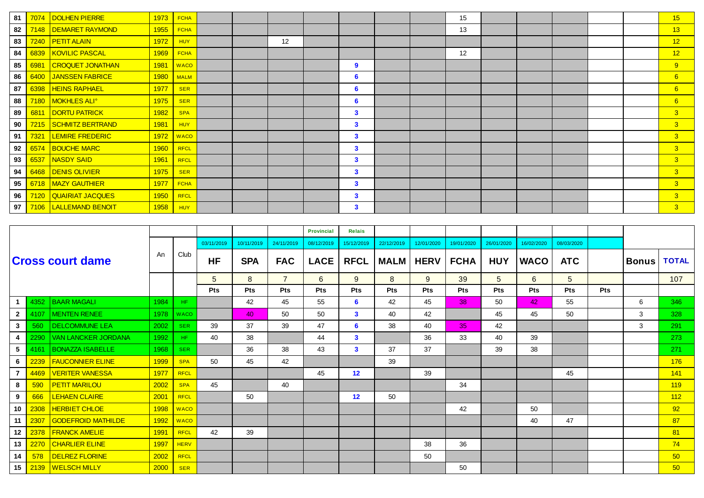| 81 | 7074 | DOLHEN PIERRE                 | 1973 | <b>FCHA</b> |  |    |              |  | 15 |  |  | 15               |
|----|------|-------------------------------|------|-------------|--|----|--------------|--|----|--|--|------------------|
| 82 |      | 7148   DEMARET RAYMOND        | 1955 | <b>FCHA</b> |  |    |              |  | 13 |  |  | 13               |
| 83 |      | 7240   PETIT ALAIN            | 1972 | <b>HUY</b>  |  | 12 |              |  |    |  |  | 12               |
| 84 |      | 6839   KOVILIC PASCAL         | 1969 | <b>FCHA</b> |  |    |              |  | 12 |  |  | 12               |
| 85 | 6981 | <b>CROQUET JONATHAN</b>       | 1981 | <b>WACO</b> |  |    | 9            |  |    |  |  | 9                |
| 86 | 6400 | JANSSEN FABRICE               | 1980 | <b>MALM</b> |  |    | 6            |  |    |  |  | 6                |
| 87 | 6398 | <b>HEINS RAPHAEL</b>          | 1977 | <b>SER</b>  |  |    | 6            |  |    |  |  | $6 \overline{6}$ |
| 88 |      | 7180 MOKHLES ALI <sup>®</sup> | 1975 | <b>SER</b>  |  |    | 6            |  |    |  |  | $6 \overline{6}$ |
| 89 | 6811 | <b>DORTU PATRICK</b>          | 1982 | <b>SPA</b>  |  |    | $\mathbf{3}$ |  |    |  |  | 3 <sup>2</sup>   |
| 90 | 7215 | SCHMITZ BERTRAND              | 1981 | <b>HUY</b>  |  |    | $\mathbf{3}$ |  |    |  |  | 3 <sup>2</sup>   |
| 91 | 7321 | <b>LEMIRE FREDERIC</b>        | 1972 | <b>WACO</b> |  |    | $\mathbf{3}$ |  |    |  |  | 3 <sup>2</sup>   |
| 92 | 6574 | <b>BOUCHE MARC</b>            | 1960 | <b>RFCL</b> |  |    | $\mathbf{3}$ |  |    |  |  | 3 <sup>°</sup>   |
| 93 | 6537 | NASDY SAID                    | 1961 | <b>RFCL</b> |  |    | 3            |  |    |  |  | 3 <sup>2</sup>   |
| 94 | 6468 | DENIS OLIVIER                 | 1975 | <b>SER</b>  |  |    | $\mathbf{3}$ |  |    |  |  | 3 <sup>°</sup>   |
| 95 |      | 6718   MAZY GAUTHIER          | 1977 | <b>FCHA</b> |  |    | $\mathbf{3}$ |  |    |  |  | 3 <sup>°</sup>   |
| 96 |      | 7120   QUAIRIAT JACQUES       | 1950 | <b>RFCL</b> |  |    | $\mathbf{3}$ |  |    |  |  | 3 <sup>2</sup>   |
| 97 | 7106 | <b>LALLEMAND BENOIT</b>       | 1958 | <b>HUY</b>  |  |    | $\mathbf{3}$ |  |    |  |  | 3 <sup>°</sup>   |

|              |      |                            |             |             |                 |            |                | Provincial  | <b>Relais</b> |             |             |                 |            |             |            |            |       |              |
|--------------|------|----------------------------|-------------|-------------|-----------------|------------|----------------|-------------|---------------|-------------|-------------|-----------------|------------|-------------|------------|------------|-------|--------------|
|              |      |                            |             |             | 03/11/2019      | 10/11/2019 | 24/11/2019     | 08/12/2019  | 15/12/2019    | 22/12/2019  | 12/01/2020  | 19/01/2020      | 26/01/2020 | 16/02/2020  | 08/03/2020 |            |       |              |
|              |      | <b>Cross court dame</b>    | An          | Club        | <b>HF</b>       | <b>SPA</b> | <b>FAC</b>     | <b>LACE</b> | <b>RFCL</b>   | <b>MALM</b> | <b>HERV</b> | <b>FCHA</b>     | <b>HUY</b> | <b>WACO</b> | <b>ATC</b> |            | Bonus | <b>TOTAL</b> |
|              |      |                            |             |             | $5\overline{)}$ | 8          | $\overline{7}$ | 6           | 9             | 8           | 9           | 39              | 5          | 6           | 5          |            |       | 107          |
|              |      |                            |             |             | <b>Pts</b>      | <b>Pts</b> | <b>Pts</b>     | <b>Pts</b>  | Pts           | <b>Pts</b>  | <b>Pts</b>  | <b>Pts</b>      | <b>Pts</b> | <b>Pts</b>  | <b>Pts</b> | <b>Pts</b> |       |              |
|              | 4352 | <b>BAAR MAGALI</b>         | 1984        | HF.         |                 | 42         | 45             | 55          | 6             | 42          | 45          | 38              | 50         | 42          | 55         |            | 6     | 346          |
| $\mathbf{2}$ | 4107 | <b>MENTEN RENEE</b>        | 1978        | <b>WACO</b> |                 | 40         | 50             | 50          | $\mathbf{3}$  | 40          | 42          |                 | 45         | 45          | 50         |            | 3     | 328          |
| $\mathbf{3}$ | 560  | <b>DELCOMMUNE LEA</b>      | 2002        | <b>SER</b>  | 39              | 37         | 39             | 47          | 6             | 38          | 40          | 35 <sub>1</sub> | 42         |             |            |            | 3     | 291          |
| 4            | 2290 | <b>VAN LANCKER JORDANA</b> | 1992        | HF.         | 40              | 38         |                | 44          | $\mathbf{3}$  |             | 36          | 33              | 40         | 39          |            |            |       | 273          |
| 5            | 4161 | <b>BONAZZA ISABELLE</b>    | 1968        | <b>SER</b>  |                 | 36         | 38             | 43          | 3             | 37          | 37          |                 | 39         | 38          |            |            |       | 271          |
| 6            | 2239 | <b>FAUCONNIER ELINE</b>    | <b>1999</b> | <b>SPA</b>  | 50              | 45         | 42             |             |               | 39          |             |                 |            |             |            |            |       | 176          |
|              | 4469 | <b>VERITER VANESSA</b>     | 1977        | <b>RFCL</b> |                 |            |                | 45          | 12            |             | 39          |                 |            |             | 45         |            |       | 141          |
| 8            | 590  | <b>PETIT MARILOU</b>       | 2002        | <b>SPA</b>  | 45              |            | 40             |             |               |             |             | 34              |            |             |            |            |       | 119          |
| 9            | 666  | <b>LEHAEN CLAIRE</b>       | 2001        | <b>RFCL</b> |                 | 50         |                |             | 12            | 50          |             |                 |            |             |            |            |       | 112          |
| 10           | 2308 | <b>HERBIET CHLOE</b>       | 1998        | <b>WACO</b> |                 |            |                |             |               |             |             | 42              |            | 50          |            |            |       | 92           |
| 11           | 2307 | <b>GODEFROID MATHILDE</b>  | 1992        | <b>WACO</b> |                 |            |                |             |               |             |             |                 |            | 40          | 47         |            |       | 87           |
| 12           | 2378 | <b>FRANCK AMELIE</b>       | 1991        | <b>RFCL</b> | 42              | 39         |                |             |               |             |             |                 |            |             |            |            |       | 81           |
| 13           | 2270 | <b>CHARLIER ELINE</b>      | 1997        | <b>HERV</b> |                 |            |                |             |               |             | 38          | 36              |            |             |            |            |       | 74           |
| 14           | 578  | <b>DELREZ FLORINE</b>      | 2002        | <b>RFCL</b> |                 |            |                |             |               |             | 50          |                 |            |             |            |            |       | 50           |
| 15           | 2139 | <b>WELSCH MILLY</b>        | 2000        | <b>SER</b>  |                 |            |                |             |               |             |             | 50              |            |             |            |            |       | 50           |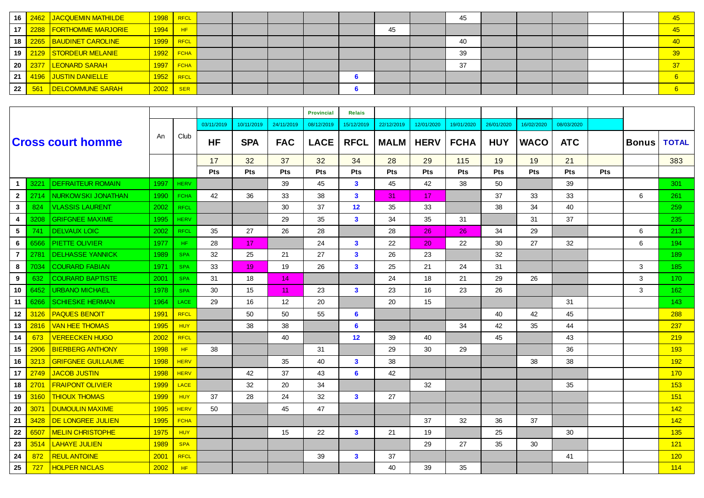| 16              |     | 2462 JACQUEMIN MATHILDE  | $1998$ RFCL              |             |  |  |    | 45 |  |  | 45    |
|-----------------|-----|--------------------------|--------------------------|-------------|--|--|----|----|--|--|-------|
| 17 <sup>2</sup> |     | 2288 FORTHOMME MARJORIE  | 1994                     | HF          |  |  | 45 |    |  |  | 45    |
| 18              |     | 2265   BAUDINET CAROLINE | $1999$ RFCL              |             |  |  |    | 40 |  |  | $-40$ |
| 19              |     | 2129 STORDEUR MELANIE    |                          | $1992$ FCHA |  |  |    | 39 |  |  | 39    |
| 20 <sup>1</sup> |     | 2377 LEONARD SARAH       | <mark>1997   FCHA</mark> |             |  |  |    | 37 |  |  | 37    |
| 21              |     | 4196 JUSTIN DANIELLE     | $1952$ RFCL              |             |  |  |    |    |  |  |       |
| 22              | 561 | DELCOMMUNE SARAH         | 2002                     | <b>SER</b>  |  |  |    |    |  |  |       |

|                |      |                           |      |             |            |            |            | <b>Provincial</b> | <b>Relais</b>     |             |             |             |            |             |            |            |              |                  |
|----------------|------|---------------------------|------|-------------|------------|------------|------------|-------------------|-------------------|-------------|-------------|-------------|------------|-------------|------------|------------|--------------|------------------|
|                |      |                           |      |             | 03/11/2019 | 10/11/2019 | 24/11/2019 | 08/12/2019        | 15/12/2019        | 22/12/2019  | 12/01/2020  | 19/01/2020  | 26/01/2020 | 16/02/2020  | 08/03/2020 |            |              |                  |
|                |      | <b>Cross court homme</b>  | An.  | Club        | <b>HF</b>  | <b>SPA</b> | <b>FAC</b> | <b>LACE</b>       | <b>RFCL</b>       | <b>MALM</b> | <b>HERV</b> | <b>FCHA</b> | <b>HUY</b> | <b>WACO</b> | <b>ATC</b> |            | <b>Bonus</b> | <b>TOTAL</b>     |
|                |      |                           |      |             | 17         | 32         | 37         | 32                | 34                | 28          | 29          | 115         | 19         | 19          | 21         |            |              | 383              |
|                |      |                           |      |             | <b>Pts</b> | Pts        | Pts        | Pts               | Pts               | <b>Pts</b>  | <b>Pts</b>  | <b>Pts</b>  | Pts        | Pts         | Pts        | <b>Pts</b> |              |                  |
| $\mathbf{1}$   | 3221 | <b>DEFRAITEUR ROMAIN</b>  | 1997 | <b>HERV</b> |            |            | 39         | 45                | $\mathbf{3}$      | 45          | 42          | 38          | 50         |             | 39         |            |              | 301              |
| $\mathbf{2}$   | 2714 | NURKOWSKI JONATHAN        | 1990 | <b>FCHA</b> | 42         | 36         | 33         | 38                | $\mathbf{3}$      | 31          | 17          |             | 37         | 33          | 33         |            | 6            | 261              |
| $\mathbf{3}$   | 824  | <b>VLASSIS LAURENT</b>    | 2002 | <b>RFCL</b> |            |            | 30         | 37                | $12 \overline{ }$ | 35          | 33          |             | 38         | 34          | 40         |            |              | 259              |
| 4              | 3208 | <b>GRIFGNEE MAXIME</b>    | 1995 | <b>HERV</b> |            |            | 29         | 35                | $\mathbf{3}$      | 34          | 35          | 31          |            | 31          | 37         |            |              | 235              |
| 5              | 741  | <b>DELVAUX LOIC</b>       | 2002 | <b>RFCL</b> | 35         | 27         | 26         | 28                |                   | 28          | 26          | 26          | 34         | 29          |            |            | 6            | 213              |
| 6              | 6566 | <b>PIETTE OLIVIER</b>     | 1977 | HF.         | 28         | 17         |            | 24                | $\mathbf{3}$      | 22          | 20          | 22          | 30         | 27          | 32         |            | 6            | 194              |
| $\overline{7}$ | 2781 | <b>DELHASSE YANNICK</b>   | 1989 | <b>SPA</b>  | 32         | 25         | 21         | 27                | $\mathbf{3}$      | 26          | 23          |             | 32         |             |            |            |              | 189              |
| 8              | 7034 | <b>COURARD FABIAN</b>     | 1971 | <b>SPA</b>  | 33         | 19         | 19         | 26                | $\mathbf{3}$      | 25          | 21          | 24          | 31         |             |            |            | 3            | 185              |
| 9              | 632  | <b>COURARD BAPTISTE</b>   | 2001 | <b>SPA</b>  | 31         | 18         | 14         |                   |                   | 24          | 18          | 21          | 29         | 26          |            |            | 3            | 170 <sub>1</sub> |
| 10             | 6452 | <b>URBANO MICHAEL</b>     | 1978 | <b>SPA</b>  | 30         | 15         | 11         | 23                | $\mathbf{3}$      | 23          | 16          | 23          | 26         |             |            |            | 3            | 162              |
| 11             | 6266 | <b>SCHIESKE HERMAN</b>    | 1964 | <b>LACE</b> | 29         | 16         | 12         | 20                |                   | 20          | 15          |             |            |             | 31         |            |              | 143              |
| 12             | 3126 | <b>PAQUES BENOIT</b>      | 1991 | <b>RFCL</b> |            | 50         | 50         | 55                | 6                 |             |             |             | 40         | 42          | 45         |            |              | 288              |
| 13             | 2816 | <b>VAN HEE THOMAS</b>     | 1995 | <b>HUY</b>  |            | 38         | 38         |                   | 6                 |             |             | 34          | 42         | 35          | 44         |            |              | 237              |
| 14             | 673  | <b>VEREECKEN HUGO</b>     | 2002 | <b>RFCL</b> |            |            | 40         |                   | 12                | 39          | 40          |             | 45         |             | 43         |            |              | 219              |
| 15             | 2906 | <b>BIERBERG ANTHONY</b>   | 1998 | HF          | 38         |            |            | 31                |                   | 29          | 30          | 29          |            |             | 36         |            |              | 193              |
| 16             | 3213 | <b>GRIFGNEE GUILLAUME</b> | 1998 | <b>HERV</b> |            |            | 35         | 40                | $\mathbf{3}$      | 38          |             |             |            | 38          | 38         |            |              | 192              |
| 17             | 2749 | <b>JACOB JUSTIN</b>       | 1998 | <b>HERV</b> |            | 42         | 37         | 43                | 6                 | 42          |             |             |            |             |            |            |              | <b>170</b>       |
| 18             | 2701 | <b>FRAIPONT OLIVIER</b>   | 1999 | <b>LACE</b> |            | 32         | 20         | 34                |                   |             | 32          |             |            |             | 35         |            |              | 153              |
| 19             | 3160 | <b>THIOUX THOMAS</b>      | 1999 | <b>HUY</b>  | 37         | 28         | 24         | 32                | $\mathbf{3}$      | 27          |             |             |            |             |            |            |              | 151              |
| 20             | 3071 | <b>DUMOULIN MAXIME</b>    | 1995 | <b>HERV</b> | 50         |            | 45         | 47                |                   |             |             |             |            |             |            |            |              | 142              |
| 21             | 3428 | DE LONGREE JULIEN         | 1995 | <b>FCHA</b> |            |            |            |                   |                   |             | 37          | 32          | 36         | 37          |            |            |              | 142              |
| 22             | 6507 | <b>MELIN CHRISTOPHE</b>   | 1975 | <b>HUY</b>  |            |            | 15         | 22                | $\mathbf{3}$      | 21          | 19          |             | 25         |             | 30         |            |              | 135              |
| 23             | 3514 | <b>LAHAYE JULIEN</b>      | 1989 | <b>SPA</b>  |            |            |            |                   |                   |             | 29          | 27          | 35         | 30          |            |            |              | 121              |
| 24             | 872  | <b>REUL ANTOINE</b>       | 2001 | <b>RFCL</b> |            |            |            | 39                | $\mathbf{3}$      | 37          |             |             |            |             | 41         |            |              | 120              |
| 25             | 727  | <b>HOLPER NICLAS</b>      | 2002 | HF          |            |            |            |                   |                   | 40          | 39          | 35          |            |             |            |            |              | 114              |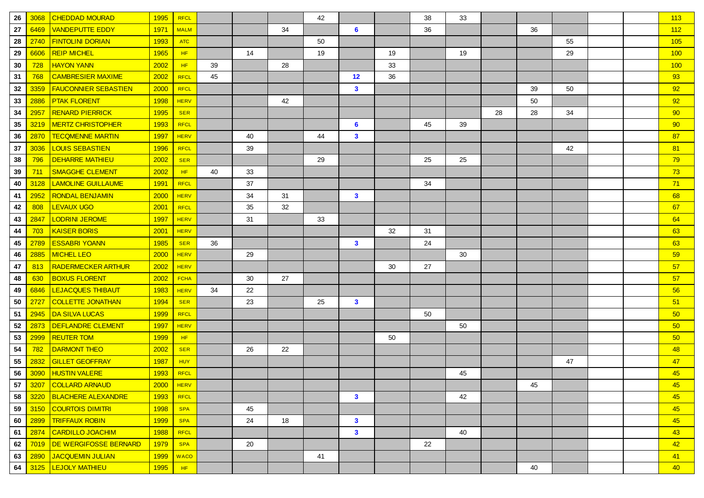| 26 | 3068 | <b>CHEDDAD MOURAD</b>       | 1995        | <b>RFCL</b> |    |    |    | 42 |                |    | 38 | 33 |    |    |    |  | 113             |
|----|------|-----------------------------|-------------|-------------|----|----|----|----|----------------|----|----|----|----|----|----|--|-----------------|
| 27 | 6469 | <b>VANDEPUTTE EDDY</b>      | 1971        | <b>MALM</b> |    |    | 34 |    | $6\phantom{1}$ |    | 36 |    |    | 36 |    |  | 112             |
| 28 | 2740 | <b>FINTOLINI DORIAN</b>     | 1993        | <b>ATC</b>  |    |    |    | 50 |                |    |    |    |    |    | 55 |  | 105             |
| 29 | 6606 | <b>REIP MICHEL</b>          | 1965        | HF.         |    | 14 |    | 19 |                | 19 |    | 19 |    |    | 29 |  | 100             |
| 30 | 728  | <b>HAYON YANN</b>           | 2002        | HF          | 39 |    | 28 |    |                | 33 |    |    |    |    |    |  | 100             |
| 31 | 768  | <b>CAMBRESIER MAXIME</b>    | 2002        | <b>RFCL</b> | 45 |    |    |    | 12             | 36 |    |    |    |    |    |  | 93              |
| 32 | 3359 | <b>FAUCONNIER SEBASTIEN</b> | 2000        | <b>RFCL</b> |    |    |    |    | $\mathbf{3}$   |    |    |    |    | 39 | 50 |  | 92              |
| 33 | 2886 | <b>PTAK FLORENT</b>         | 1998        | <b>HERV</b> |    |    | 42 |    |                |    |    |    |    | 50 |    |  | 92              |
| 34 | 2957 | <b>RENARD PIERRICK</b>      | 1995        | <b>SER</b>  |    |    |    |    |                |    |    |    | 28 | 28 | 34 |  | 90              |
| 35 | 3219 | <b>MERTZ CHRISTOPHER</b>    | <b>1993</b> | <b>RFCL</b> |    |    |    |    | 6              |    | 45 | 39 |    |    |    |  | 90              |
| 36 | 2870 | <b>TECQMENNE MARTIN</b>     | 1997        | <b>HERV</b> |    | 40 |    | 44 | $\mathbf{3}$   |    |    |    |    |    |    |  | 87              |
| 37 | 3036 | <b>LOUIS SEBASTIEN</b>      | 1996        | <b>RFCL</b> |    | 39 |    |    |                |    |    |    |    |    | 42 |  | 81              |
| 38 | 796  | <b>DEHARRE MATHIEU</b>      | 2002        | <b>SER</b>  |    |    |    | 29 |                |    | 25 | 25 |    |    |    |  | 79              |
| 39 | 711  | SMAGGHE CLEMENT             | 2002        | HF          | 40 | 33 |    |    |                |    |    |    |    |    |    |  | 73              |
| 40 | 3128 | <b>LAMOLINE GUILLAUME</b>   | <b>1991</b> | <b>RFCL</b> |    | 37 |    |    |                |    | 34 |    |    |    |    |  | 71              |
| 41 | 2952 | <b>RONDAL BENJAMIN</b>      | 2000        | <b>HERV</b> |    | 34 | 31 |    | $\mathbf{3}$   |    |    |    |    |    |    |  | 68              |
| 42 | 808  | <b>LEVAUX UGO</b>           | 2001        | <b>RFCL</b> |    | 35 | 32 |    |                |    |    |    |    |    |    |  | 67              |
| 43 | 2847 | <b>LODRINI JEROME</b>       | 1997        | <b>HERV</b> |    | 31 |    | 33 |                |    |    |    |    |    |    |  | 64              |
| 44 | 703  | <b>KAISER BORIS</b>         | 2001        | <b>HERV</b> |    |    |    |    |                | 32 | 31 |    |    |    |    |  | 63              |
| 45 | 2789 | <b>ESSABRI YOANN</b>        | 1985        | <b>SER</b>  | 36 |    |    |    | $\mathbf{3}$   |    | 24 |    |    |    |    |  | 63              |
| 46 | 2885 | <b>MICHEL LEO</b>           | 2000        | <b>HERV</b> |    | 29 |    |    |                |    |    | 30 |    |    |    |  | 59              |
| 47 | 813  | <b>RADERMECKER ARTHUR</b>   | 2002        | <b>HERV</b> |    |    |    |    |                | 30 | 27 |    |    |    |    |  | 57              |
| 48 | 630  | <b>BOXUS FLORENT</b>        | 2002        | <b>FCHA</b> |    | 30 | 27 |    |                |    |    |    |    |    |    |  | 57              |
| 49 | 6846 | LEJACQUES THIBAUT           | 1983        | <b>HERV</b> | 34 | 22 |    |    |                |    |    |    |    |    |    |  | 56              |
| 50 | 2727 | <b>COLLETTE JONATHAN</b>    | 1994        | <b>SER</b>  |    | 23 |    | 25 | $\mathbf{3}$   |    |    |    |    |    |    |  | 51              |
| 51 | 2945 | <b>DA SILVA LUCAS</b>       | 1999        | <b>RFCL</b> |    |    |    |    |                |    | 50 |    |    |    |    |  | 50              |
| 52 | 2873 | <b>DEFLANDRE CLEMENT</b>    | 1997        | <b>HERV</b> |    |    |    |    |                |    |    | 50 |    |    |    |  | 50              |
| 53 | 2999 | <b>REUTER TOM</b>           | 1999        | HF          |    |    |    |    |                | 50 |    |    |    |    |    |  | 50 <sub>0</sub> |
| 54 | 782  | <b>DARMONT THEO</b>         | 2002        | <b>SER</b>  |    | 26 | 22 |    |                |    |    |    |    |    |    |  | 48              |
| 55 | 2832 | <b>GILLET GEOFFRAY</b>      | 1987        | HUY         |    |    |    |    |                |    |    |    |    |    | 47 |  | 47              |
| 56 | 3090 | <b>HUSTIN VALERE</b>        | 1993        | <b>RFCL</b> |    |    |    |    |                |    |    | 45 |    |    |    |  | 45              |
|    |      | 57 3207 COLLARD ARNAUD      | 2000        | HERV        |    |    |    |    |                |    |    |    |    | 45 |    |  | 45              |
| 58 |      | 3220   BLACHERE ALEXANDRE   | 1993        | RFCL        |    |    |    |    | $\mathbf{3}$   |    |    | 42 |    |    |    |  | 45              |
| 59 | 3150 | <b>COURTOIS DIMITRI</b>     | 1998        | <b>SPA</b>  |    | 45 |    |    |                |    |    |    |    |    |    |  | 45              |
| 60 | 2899 | <b>TRIFFAUX ROBIN</b>       | <b>1999</b> | <b>SPA</b>  |    | 24 | 18 |    | $\mathbf{3}$   |    |    |    |    |    |    |  | 45              |
| 61 | 2874 | <b>CARDILLO JOACHIM</b>     | 1988        | RFCL        |    |    |    |    | $\mathbf{3}$   |    |    | 40 |    |    |    |  | 43              |
| 62 | 7019 | DE WERGIFOSSE BERNARD       | 1979        | <b>SPA</b>  |    | 20 |    |    |                |    | 22 |    |    |    |    |  | 42              |
| 63 | 2890 | JACQUEMIN JULIAN            | 1999        | <b>WACO</b> |    |    |    | 41 |                |    |    |    |    |    |    |  | 41              |
| 64 | 3125 | <b>LEJOLY MATHIEU</b>       | 1995        | HF          |    |    |    |    |                |    |    |    |    | 40 |    |  | 40 <sub>1</sub> |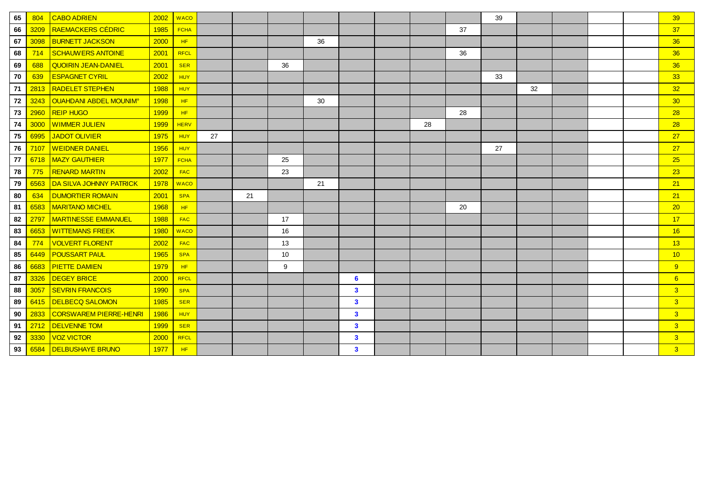| 65         | 804  | <b>CABO ADRIEN</b>                       | 2002 | <b>WACO</b> |    |    |    |    |                         |    |    | 39 |    |  | 39             |
|------------|------|------------------------------------------|------|-------------|----|----|----|----|-------------------------|----|----|----|----|--|----------------|
| 66         | 3209 | <b>RAEMACKERS CÉDRIC</b>                 | 1985 | <b>FCHA</b> |    |    |    |    |                         |    | 37 |    |    |  | 37             |
| 67         | 3098 | <b>BURNETT JACKSON</b>                   | 2000 | HF          |    |    |    | 36 |                         |    |    |    |    |  | 36             |
| 68         | 714  | <b>SCHAUWERS ANTOINE</b>                 | 2001 | <b>RFCL</b> |    |    |    |    |                         |    | 36 |    |    |  | 36             |
| 69         | 688  | <b>QUOIRIN JEAN-DANIEL</b>               | 2001 | <b>SER</b>  |    |    | 36 |    |                         |    |    |    |    |  | 36             |
| 70         | 639  | <b>ESPAGNET CYRIL</b>                    | 2002 | <b>HUY</b>  |    |    |    |    |                         |    |    | 33 |    |  | 33             |
| 71         | 2813 | <b>RADELET STEPHEN</b>                   | 1988 | <b>HUY</b>  |    |    |    |    |                         |    |    |    | 32 |  | 32             |
| 72         | 3243 | <b>OUAHDANI ABDEL MOUNIM<sup>®</sup></b> | 1998 | HF          |    |    |    | 30 |                         |    |    |    |    |  | 30             |
| 73         | 2960 | <b>REIP HUGO</b>                         | 1999 | HF          |    |    |    |    |                         |    | 28 |    |    |  | 28             |
| 74         | 3000 | <b>WIMMER JULIEN</b>                     | 1999 | <b>HERV</b> |    |    |    |    |                         | 28 |    |    |    |  | 28             |
| 75         | 6995 | <b>JADOT OLIVIER</b>                     | 1975 | <b>HUY</b>  | 27 |    |    |    |                         |    |    |    |    |  | 27             |
| 76         | 7107 | <u>WEIDNER DANIEL</u>                    | 1956 | <b>HUY</b>  |    |    |    |    |                         |    |    | 27 |    |  | 27             |
| 77         | 6718 | <b>MAZY GAUTHIER</b>                     | 1977 | <b>FCHA</b> |    |    | 25 |    |                         |    |    |    |    |  | 25             |
| ${\bf 78}$ | 775  | <b>RENARD MARTIN</b>                     | 2002 | <b>FAC</b>  |    |    | 23 |    |                         |    |    |    |    |  | 23             |
| 79         | 6563 | DA SILVA JOHNNY PATRICK                  | 1978 | <b>WACO</b> |    |    |    | 21 |                         |    |    |    |    |  | 21             |
| 80         | 634  | <b>DUMORTIER ROMAIN</b>                  | 2001 | <b>SPA</b>  |    | 21 |    |    |                         |    |    |    |    |  | 21             |
| 81         | 6583 | <b>MARITANO MICHEL</b>                   | 1968 | HF          |    |    |    |    |                         |    | 20 |    |    |  | 20             |
| 82         | 2797 | <b>MARTINESSE EMMANUEL</b>               | 1988 | <b>FAC</b>  |    |    | 17 |    |                         |    |    |    |    |  | 17             |
| 83         | 6653 | <b>WITTEMANS FREEK</b>                   | 1980 | <b>WACO</b> |    |    | 16 |    |                         |    |    |    |    |  | 16             |
| 84         | 774  | <b>VOLVERT FLORENT</b>                   | 2002 | <b>FAC</b>  |    |    | 13 |    |                         |    |    |    |    |  | 13             |
| 85         | 6449 | <b>POUSSART PAUL</b>                     | 1965 | <b>SPA</b>  |    |    | 10 |    |                         |    |    |    |    |  | 10             |
| 86         | 6683 | <b>PIETTE DAMIEN</b>                     | 1979 | HF          |    |    | 9  |    |                         |    |    |    |    |  | 9              |
| 87         | 3326 | <b>DEGEY BRICE</b>                       | 2000 | RFCL        |    |    |    |    | 6                       |    |    |    |    |  | $6^{\circ}$    |
| 88         | 3057 | <b>SEVRIN FRANCOIS</b>                   | 1990 | <b>SPA</b>  |    |    |    |    | $\mathbf{3}$            |    |    |    |    |  | 3 <sup>°</sup> |
| 89         | 6415 | <b>DELBECQ SALOMON</b>                   | 1985 | <b>SER</b>  |    |    |    |    | $\mathbf{3}$            |    |    |    |    |  | 3 <sup>°</sup> |
| 90         | 2833 | <b>CORSWAREM PIERRE-HENRI</b>            | 1986 | <b>HUY</b>  |    |    |    |    | $\mathbf{3}$            |    |    |    |    |  | 3 <sup>1</sup> |
| 91         | 2712 | <b>DELVENNE TOM</b>                      | 1999 | <b>SER</b>  |    |    |    |    | $\mathbf{3}$            |    |    |    |    |  | 3 <sup>2</sup> |
| 92         | 3330 | <b>VOZ VICTOR</b>                        | 2000 | <b>RFCL</b> |    |    |    |    | $\overline{\mathbf{3}}$ |    |    |    |    |  | 3 <sup>°</sup> |
| 93         | 6584 | <b>DELBUSHAYE BRUNO</b>                  | 1977 | HF          |    |    |    |    | $\mathbf{3}$            |    |    |    |    |  | 3 <sup>1</sup> |
|            |      |                                          |      |             |    |    |    |    |                         |    |    |    |    |  |                |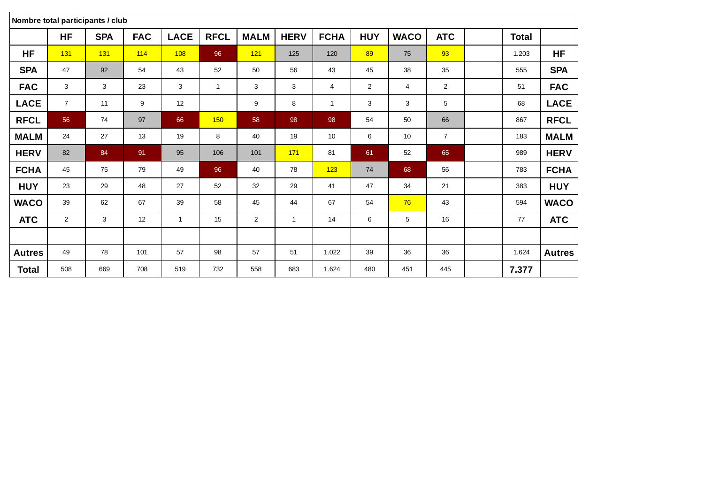|               |                | Nombre total participants / club |            |                |              |                |              |              |                |             |                |              |               |
|---------------|----------------|----------------------------------|------------|----------------|--------------|----------------|--------------|--------------|----------------|-------------|----------------|--------------|---------------|
|               | <b>HF</b>      | <b>SPA</b>                       | <b>FAC</b> | <b>LACE</b>    | <b>RFCL</b>  | <b>MALM</b>    | <b>HERV</b>  | <b>FCHA</b>  | <b>HUY</b>     | <b>WACO</b> | <b>ATC</b>     | <b>Total</b> |               |
| <b>HF</b>     | 131            | 131                              | 114        | 108            | 96           | 121            | 125          | 120          | 89             | 75          | 93             | 1.203        | <b>HF</b>     |
| <b>SPA</b>    | 47             | 92                               | 54         | 43             | 52           | 50             | 56           | 43           | 45             | 38          | 35             | 555          | <b>SPA</b>    |
| <b>FAC</b>    | 3              | 3                                | 23         | 3              | $\mathbf{1}$ | 3              | 3            | 4            | $\overline{2}$ | 4           | $\overline{2}$ | 51           | <b>FAC</b>    |
| <b>LACE</b>   | $\overline{7}$ | 11                               | 9          | 12             |              | 9              | 8            | $\mathbf{1}$ | 3              | 3           | 5              | 68           | <b>LACE</b>   |
| <b>RFCL</b>   | 56             | 74                               | 97         | 66             | 150          | 58             | 98           | 98           | 54             | 50          | 66             | 867          | <b>RFCL</b>   |
| <b>MALM</b>   | 24             | 27                               | 13         | 19             | 8            | 40             | 19           | 10           | 6              | 10          | $\overline{7}$ | 183          | <b>MALM</b>   |
| <b>HERV</b>   | 82             | 84                               | 91         | 95             | 106          | 101            | 171          | 81           | 61             | 52          | 65             | 989          | <b>HERV</b>   |
| <b>FCHA</b>   | 45             | 75                               | 79         | 49             | 96           | 40             | 78           | 123          | 74             | 68          | 56             | 783          | <b>FCHA</b>   |
| <b>HUY</b>    | 23             | 29                               | 48         | 27             | 52           | 32             | 29           | 41           | 47             | 34          | 21             | 383          | <b>HUY</b>    |
| <b>WACO</b>   | 39             | 62                               | 67         | 39             | 58           | 45             | 44           | 67           | 54             | 76          | 43             | 594          | <b>WACO</b>   |
| <b>ATC</b>    | $\overline{2}$ | 3                                | 12         | $\overline{1}$ | 15           | $\overline{2}$ | $\mathbf{1}$ | 14           | 6              | 5           | 16             | 77           | <b>ATC</b>    |
|               |                |                                  |            |                |              |                |              |              |                |             |                |              |               |
| <b>Autres</b> | 49             | 78                               | 101        | 57             | 98           | 57             | 51           | 1.022        | 39             | 36          | 36             | 1.624        | <b>Autres</b> |
| <b>Total</b>  | 508            | 669                              | 708        | 519            | 732          | 558            | 683          | 1.624        | 480            | 451         | 445            | 7.377        |               |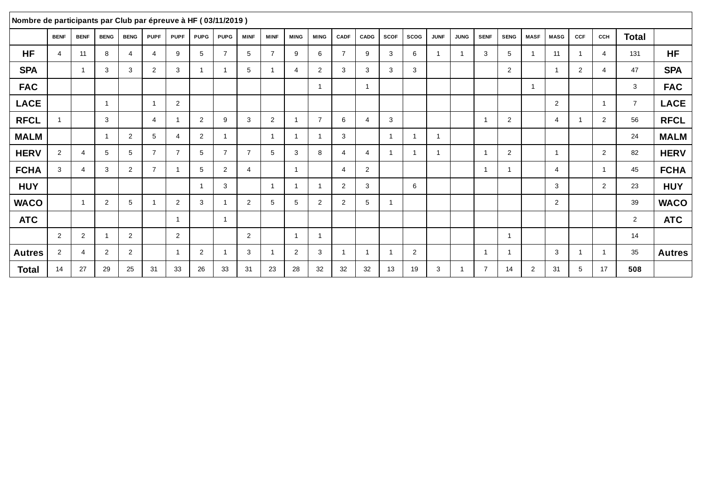| Nombre de participants par Club par épreuve à HF (03/11/2019) |                |                |                         |                |                         |                         |                |                |                |                |             |                         |                |                |             |                |                         |             |                         |                |                |                |            |                |                |               |
|---------------------------------------------------------------|----------------|----------------|-------------------------|----------------|-------------------------|-------------------------|----------------|----------------|----------------|----------------|-------------|-------------------------|----------------|----------------|-------------|----------------|-------------------------|-------------|-------------------------|----------------|----------------|----------------|------------|----------------|----------------|---------------|
|                                                               | <b>BENF</b>    | <b>BENF</b>    | <b>BENG</b>             | <b>BENG</b>    | <b>PUPF</b>             | <b>PUPF</b>             | <b>PUPG</b>    | <b>PUPG</b>    | <b>MINF</b>    | <b>MINF</b>    | <b>MING</b> | <b>MING</b>             | <b>CADF</b>    | CADG           | <b>SCOF</b> | <b>SCOG</b>    | <b>JUNF</b>             | <b>JUNG</b> | <b>SENF</b>             | <b>SENG</b>    | <b>MASF</b>    | <b>MASG</b>    | <b>CCF</b> | CCH            | <b>Total</b>   |               |
| <b>HF</b>                                                     | $\overline{4}$ | 11             | 8                       | $\overline{4}$ | 4                       | 9                       | 5              | $\overline{7}$ | 5              | $\overline{7}$ | 9           | 6                       | $\overline{7}$ | 9              | 3           | 6              |                         | -1          | 3                       | 5              | $\overline{1}$ | 11             |            | $\overline{4}$ | 131            | <b>HF</b>     |
| <b>SPA</b>                                                    |                | 1              | 3                       | 3              | $\overline{2}$          | 3                       | $\mathbf{1}$   | -1             | 5              |                | 4           | 2                       | 3              | 3              | 3           | 3              |                         |             |                         | 2              |                | $\overline{1}$ | 2          | $\overline{4}$ | 47             | <b>SPA</b>    |
| <b>FAC</b>                                                    |                |                |                         |                |                         |                         |                |                |                |                |             | $\overline{1}$          |                | $\overline{1}$ |             |                |                         |             |                         |                | $\overline{1}$ |                |            |                | 3              | <b>FAC</b>    |
| <b>LACE</b>                                                   |                |                | $\overline{1}$          |                | $\overline{\mathbf{1}}$ | 2                       |                |                |                |                |             |                         |                |                |             |                |                         |             |                         |                |                | $\overline{2}$ |            | $\overline{1}$ | $\overline{7}$ | <b>LACE</b>   |
| <b>RFCL</b>                                                   | -1             |                | 3                       |                | $\overline{4}$          |                         | $\overline{2}$ | 9              | 3              | 2              |             | $\overline{7}$          | 6              | $\overline{4}$ | 3           |                |                         |             |                         | 2              |                | 4              |            | 2              | 56             | <b>RFCL</b>   |
| <b>MALM</b>                                                   |                |                | $\overline{\mathbf{1}}$ | 2              | $5^{\circ}$             | $\overline{4}$          | $\overline{2}$ |                |                | -1             |             | $\overline{\mathbf{1}}$ | 3              |                | -1          | -1             | $\overline{\mathbf{1}}$ |             |                         |                |                |                |            |                | 24             | <b>MALM</b>   |
| <b>HERV</b>                                                   | 2              | $\overline{4}$ | 5                       | 5              | $\overline{7}$          | $\overline{7}$          | 5              | $\overline{7}$ | $\overline{7}$ | 5              | 3           | 8                       | $\overline{4}$ | $\overline{4}$ | 1           | $\overline{1}$ | -1                      |             | $\overline{\mathbf{1}}$ | $\overline{2}$ |                | $\overline{1}$ |            | 2              | 82             | <b>HERV</b>   |
| <b>FCHA</b>                                                   | 3              | $\overline{4}$ | 3                       | $\overline{2}$ | $\overline{7}$          |                         | 5              | 2              | $\overline{4}$ |                | - 1         |                         | $\overline{4}$ | 2              |             |                |                         |             | -1                      | -1             |                | 4              |            | $\overline{1}$ | 45             | <b>FCHA</b>   |
| <b>HUY</b>                                                    |                |                |                         |                |                         |                         | $\overline{1}$ | 3              |                | -1             |             | - 1                     | 2              | 3              |             | 6              |                         |             |                         |                |                | 3              |            | 2              | 23             | <b>HUY</b>    |
| <b>WACO</b>                                                   |                | $\overline{1}$ | 2                       | 5              |                         | 2                       | 3              |                | $\overline{2}$ | 5              | 5           | 2                       | $\overline{2}$ | 5              | 1           |                |                         |             |                         |                |                | $\overline{2}$ |            |                | 39             | <b>WACO</b>   |
| <b>ATC</b>                                                    |                |                |                         |                |                         |                         |                | $\mathbf{1}$   |                |                |             |                         |                |                |             |                |                         |             |                         |                |                |                |            |                | $\overline{2}$ | <b>ATC</b>    |
|                                                               | 2              | $\overline{2}$ |                         | 2              |                         | 2                       |                |                | $\overline{2}$ |                |             | $\overline{\mathbf{1}}$ |                |                |             |                |                         |             |                         | $\overline{1}$ |                |                |            |                | 14             |               |
| <b>Autres</b>                                                 | $\overline{2}$ | $\overline{4}$ | 2                       | $\overline{2}$ |                         | $\overline{\mathbf{1}}$ | 2              |                | 3              |                | 2           | 3                       | -1             | $\overline{1}$ | -1          | 2              |                         |             | $\overline{1}$          | $\overline{1}$ |                | 3              |            | $\overline{1}$ | 35             | <b>Autres</b> |
| Total                                                         | 14             | 27             | 29                      | 25             | 31                      | 33                      | 26             | 33             | 31             | 23             | 28          | 32                      | 32             | 32             | 13          | 19             | 3                       |             | $\overline{7}$          | 14             | 2              | 31             | 5          | 17             | 508            |               |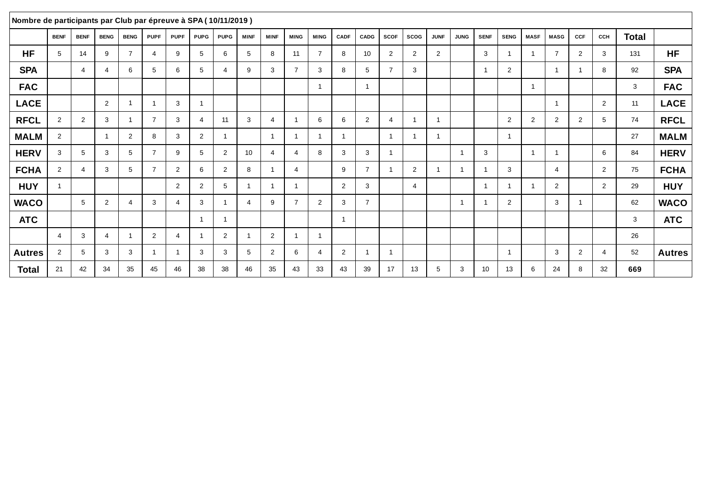| Nombre de participants par Club par épreuve à SPA (10/11/2019) |                |                |                         |                         |                |                |                          |                |                         |                         |                         |                |                |                |                         |                |                |                          |                         |                         |                |                |                         |                |       |               |
|----------------------------------------------------------------|----------------|----------------|-------------------------|-------------------------|----------------|----------------|--------------------------|----------------|-------------------------|-------------------------|-------------------------|----------------|----------------|----------------|-------------------------|----------------|----------------|--------------------------|-------------------------|-------------------------|----------------|----------------|-------------------------|----------------|-------|---------------|
|                                                                | <b>BENF</b>    | <b>BENF</b>    | <b>BENG</b>             | <b>BENG</b>             | <b>PUPF</b>    | <b>PUPF</b>    | <b>PUPG</b>              | <b>PUPG</b>    | <b>MINF</b>             | <b>MINF</b>             | <b>MING</b>             | <b>MING</b>    | CADF           | <b>CADG</b>    | <b>SCOF</b>             | <b>SCOG</b>    | <b>JUNF</b>    | <b>JUNG</b>              | <b>SENF</b>             | <b>SENG</b>             | <b>MASF</b>    | <b>MASG</b>    | <b>CCF</b>              | CCH            | Total |               |
| <b>HF</b>                                                      | 5              | 14             | 9                       | $\overline{7}$          |                | 9              | 5                        | 6              | 5                       | 8                       | 11                      | $\overline{7}$ | 8              | 10             | 2                       | $\overline{2}$ | $\overline{2}$ |                          | 3                       |                         |                | $\overline{7}$ | 2                       | 3              | 131   | <b>HF</b>     |
| <b>SPA</b>                                                     |                | 4              | 4                       | 6                       | 5              | 6              | 5                        | 4              | 9                       | 3                       | $\overline{7}$          | 3              | 8              | 5              | $\overline{7}$          | 3              |                |                          | $\overline{1}$          | 2                       |                |                | $\overline{\mathbf{1}}$ | 8              | 92    | <b>SPA</b>    |
| <b>FAC</b>                                                     |                |                |                         |                         |                |                |                          |                |                         |                         |                         | -1             |                |                |                         |                |                |                          |                         |                         | -1             |                |                         |                | 3     | <b>FAC</b>    |
| <b>LACE</b>                                                    |                |                | 2                       | $\overline{1}$          |                | 3              | $\overline{\mathbf{1}}$  |                |                         |                         |                         |                |                |                |                         |                |                |                          |                         |                         |                |                |                         | $\overline{2}$ | 11    | <b>LACE</b>   |
| <b>RFCL</b>                                                    | $\overline{2}$ | $\overline{2}$ | 3                       | $\overline{\mathbf{1}}$ | $\overline{7}$ | 3              | 4                        | 11             | 3                       | 4                       | $\overline{\mathbf{1}}$ | 6              | 6              | 2              | $\boldsymbol{\Delta}$   |                | $\overline{1}$ |                          |                         | 2                       | $\overline{2}$ | $\overline{2}$ | 2                       | 5              | 74    | <b>RFCL</b>   |
| <b>MALM</b>                                                    | 2              |                | $\overline{\mathbf{1}}$ | 2                       | 8              | 3              | $\overline{2}$           | -1             |                         | $\overline{\mathbf{1}}$ | $\overline{\mathbf{1}}$ | -1             | -1             |                | $\overline{\mathbf{A}}$ |                | $\overline{1}$ |                          |                         | - 1                     |                |                |                         |                | 27    | <b>MALM</b>   |
| <b>HERV</b>                                                    | 3              | 5              | 3                       | 5                       | $\overline{7}$ | 9              | 5                        | $\overline{2}$ | 10 <sup>°</sup>         | 4                       | $\overline{4}$          | 8              | 3              | 3              | -1                      |                |                | $\overline{1}$           | 3                       |                         | $\overline{1}$ |                |                         | 6              | 84    | <b>HERV</b>   |
| <b>FCHA</b>                                                    | 2              | 4              | 3                       | 5                       | $\overline{7}$ | 2              | 6                        | 2              | 8                       |                         | $\overline{4}$          |                | 9              | $\overline{7}$ |                         | $\overline{2}$ | -1             | $\overline{\phantom{a}}$ | $\overline{1}$          | 3                       |                | $\overline{4}$ |                         | 2              | 75    | <b>FCHA</b>   |
| <b>HUY</b>                                                     |                |                |                         |                         |                | 2              | $\overline{2}$           | 5              | $\overline{1}$          | $\overline{ }$          | $\overline{\mathbf{1}}$ |                | 2              | 3              |                         | $\overline{4}$ |                |                          | $\overline{1}$          |                         | -1             | $\overline{2}$ |                         | 2              | 29    | <b>HUY</b>    |
| <b>WACO</b>                                                    |                | 5              | 2                       | $\overline{4}$          | 3              | $\overline{4}$ | 3                        | -1             | $\overline{4}$          | 9                       | $\overline{7}$          | $\overline{2}$ | 3              | $\overline{7}$ |                         |                |                | -1                       | $\overline{\mathbf{1}}$ | 2                       |                | 3              | $\overline{\mathbf{1}}$ |                | 62    | <b>WACO</b>   |
| <b>ATC</b>                                                     |                |                |                         |                         |                |                | -1                       | -1             |                         |                         |                         |                | $\overline{1}$ |                |                         |                |                |                          |                         |                         |                |                |                         |                | 3     | <b>ATC</b>    |
|                                                                | -4             | 3              | $\overline{4}$          | $\overline{\mathbf{1}}$ | $\overline{2}$ | $\overline{4}$ | $\overline{\phantom{a}}$ | 2              | $\overline{\mathbf{1}}$ | $\overline{2}$          | $\overline{\mathbf{1}}$ | -1             |                |                |                         |                |                |                          |                         |                         |                |                |                         |                | 26    |               |
| <b>Autres</b>                                                  | $\overline{2}$ | 5              | 3                       | 3                       |                | $\overline{1}$ | 3                        | 3              | 5                       | $\mathbf{2}^{\circ}$    | 6                       | 4              | 2              |                | $\overline{1}$          |                |                |                          |                         | $\overline{\mathbf{1}}$ |                | 3              | 2                       | $\overline{4}$ | 52    | <b>Autres</b> |
| <b>Total</b>                                                   | 21             | 42             | 34                      | 35                      | 45             | 46             | 38                       | 38             | 46                      | 35                      | 43                      | 33             | 43             | 39             | 17                      | 13             | 5              | 3                        | 10                      | 13                      | 6              | 24             | 8                       | 32             | 669   |               |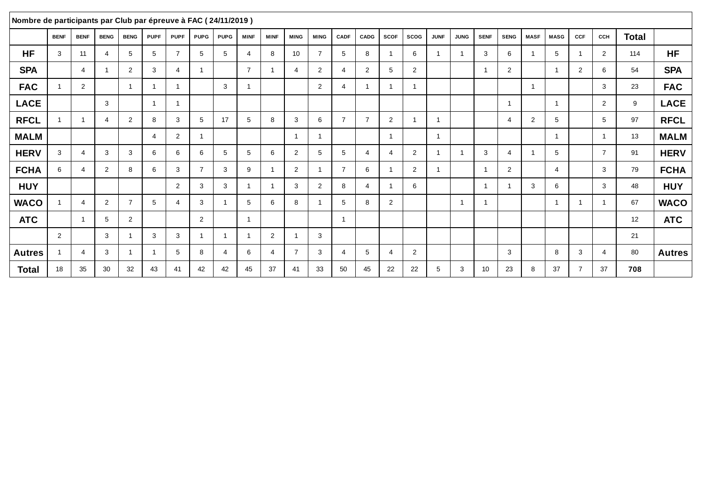| Nombre de participants par Club par épreuve à FAC (24/11/2019) |             |                |                |                         |             |                 |                |             |                         |                |                |                         |                       |                |                |                |                         |                |                         |                |                |                |                |                |       |               |
|----------------------------------------------------------------|-------------|----------------|----------------|-------------------------|-------------|-----------------|----------------|-------------|-------------------------|----------------|----------------|-------------------------|-----------------------|----------------|----------------|----------------|-------------------------|----------------|-------------------------|----------------|----------------|----------------|----------------|----------------|-------|---------------|
|                                                                | <b>BENF</b> | <b>BENF</b>    | <b>BENG</b>    | <b>BENG</b>             | <b>PUPF</b> | <b>PUPF</b>     | <b>PUPG</b>    | <b>PUPG</b> | <b>MINF</b>             | <b>MINF</b>    | <b>MING</b>    | <b>MING</b>             | <b>CADF</b>           | CADG           | <b>SCOF</b>    | <b>SCOG</b>    | <b>JUNF</b>             | <b>JUNG</b>    | <b>SENF</b>             | <b>SENG</b>    | <b>MASF</b>    | <b>MASG</b>    | CCF            | CCH            | Total |               |
| <b>HF</b>                                                      | 3           | 11             |                | 5                       | 5           | $\overline{7}$  | 5              | 5           | $\overline{\mathbf{A}}$ | 8              | 10             | $\overline{7}$          | 5                     | 8              |                | 6              |                         |                | 3                       | 6              |                | 5              |                | 2              | 114   | <b>HF</b>     |
| <b>SPA</b>                                                     |             | 4              |                | 2                       | 3           | $\overline{4}$  | $\mathbf{1}$   |             | $\overline{7}$          |                | $\overline{4}$ | 2                       | $\overline{4}$        | 2              | 5              | 2              |                         |                | $\mathbf{1}$            | $\overline{2}$ |                | $\overline{1}$ | $\overline{2}$ | 6              | 54    | <b>SPA</b>    |
| <b>FAC</b>                                                     |             | $\overline{2}$ |                | $\overline{1}$          |             |                 |                | 3           | -1                      |                |                | 2                       | 4                     | $\overline{1}$ |                | -1             |                         |                |                         |                | -1             |                |                | 3              | 23    | <b>FAC</b>    |
| <b>LACE</b>                                                    |             |                | 3              |                         | -1          |                 |                |             |                         |                |                |                         |                       |                |                |                |                         |                |                         | $\overline{1}$ |                | $\overline{1}$ |                | $\overline{2}$ | 9     | <b>LACE</b>   |
| <b>RFCL</b>                                                    |             | $\overline{1}$ | 4              | $\overline{2}$          | 8           | 3               | 5              | 17          | 5                       | 8              | 3              | 6                       | $\overline{7}$        | $\overline{7}$ | 2              | -1             | $\overline{\mathbf{1}}$ |                |                         | $\overline{4}$ | $\overline{2}$ | 5              |                | 5              | 97    | <b>RFCL</b>   |
| <b>MALM</b>                                                    |             |                |                |                         | 4           | $\overline{2}$  | $\mathbf{1}$   |             |                         |                | - 1            | $\overline{\mathbf{1}}$ |                       |                | -1             |                | $\overline{1}$          |                |                         |                |                | $\overline{1}$ |                | $\overline{ }$ | 13    | <b>MALM</b>   |
| <b>HERV</b>                                                    | 3           | 4              | 3              | 3                       | 6           | 6               | 6              | 5           | 5                       | 6              | 2              | 5                       | 5                     | $\overline{4}$ | 4              | 2              | -1                      | -1             | 3                       | 4              | -1             | 5              |                | $\overline{7}$ | 91    | <b>HERV</b>   |
| <b>FCHA</b>                                                    | 6           | 4              | 2              | 8                       | 6           | 3               | $\overline{7}$ | 3           | 9                       |                | 2              | -1                      | $\overline{7}$        | 6              |                | 2              | -1                      |                | $\overline{1}$          | $\overline{2}$ |                | 4              |                | 3              | 79    | <b>FCHA</b>   |
| <b>HUY</b>                                                     |             |                |                |                         |             | 2               | 3              | 3           | $\overline{1}$          |                | 3              | 2                       | 8                     | $\overline{4}$ |                | 6              |                         |                | $\overline{\mathbf{1}}$ |                | 3              | 6              |                | 3              | 48    | <b>HUY</b>    |
| <b>WACO</b>                                                    |             | 4              | $\overline{2}$ | $\overline{7}$          | 5           | $\overline{4}$  | 3              |             | 5                       | 6              | 8              |                         | 5                     | 8              | $\overline{2}$ |                |                         | $\overline{1}$ | $\overline{1}$          |                |                | -1             | -1             |                | 67    | <b>WACO</b>   |
| <b>ATC</b>                                                     |             | $\overline{1}$ | 5              | 2                       |             |                 | 2              |             | $\overline{1}$          |                |                |                         | -1                    |                |                |                |                         |                |                         |                |                |                |                |                | 12    | <b>ATC</b>    |
|                                                                | 2           |                | 3              | -1                      | 3           | 3               | $\mathbf{1}$   | -1          | $\overline{1}$          | $\overline{2}$ | -1             | 3                       |                       |                |                |                |                         |                |                         |                |                |                |                |                | 21    |               |
| <b>Autres</b>                                                  |             | 4              | 3              | $\overline{\mathbf{1}}$ | -1          | $5\overline{5}$ | 8              | 4           | 6                       | 4              | $\overline{7}$ | 3                       | $\boldsymbol{\Delta}$ | 5              | 4              | $\overline{2}$ |                         |                |                         | 3              |                | 8              | 3              | $\overline{4}$ | 80    | <b>Autres</b> |
| <b>Total</b>                                                   | 18          | 35             | 30             | 32                      | 43          | 41              | 42             | 42          | 45                      | 37             | 41             | 33                      | 50                    | 45             | 22             | 22             | 5                       | 3              | 10                      | 23             | 8              | 37             | $\overline{7}$ | 37             | 708   |               |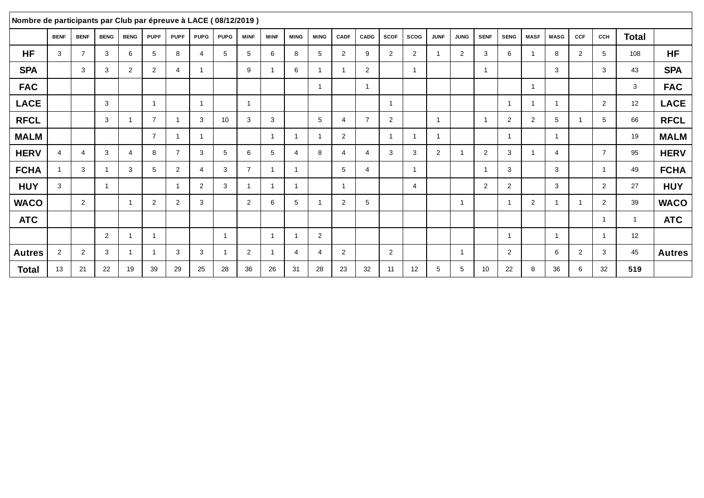| Nombre de participants par Club par épreuve à LACE (08/12/2019) |                |                |                         |                         |                |                |                |             |                |             |                |                         |                |                |                |                |                         |                |                 |                |                |                |                |                 |                |               |
|-----------------------------------------------------------------|----------------|----------------|-------------------------|-------------------------|----------------|----------------|----------------|-------------|----------------|-------------|----------------|-------------------------|----------------|----------------|----------------|----------------|-------------------------|----------------|-----------------|----------------|----------------|----------------|----------------|-----------------|----------------|---------------|
|                                                                 | <b>BENF</b>    | <b>BENF</b>    | <b>BENG</b>             | <b>BENG</b>             | <b>PUPF</b>    | <b>PUPF</b>    | <b>PUPG</b>    | <b>PUPG</b> | <b>MINF</b>    | <b>MINF</b> | <b>MING</b>    | <b>MING</b>             | <b>CADF</b>    | CADG           | <b>SCOF</b>    | <b>SCOG</b>    | <b>JUNF</b>             | <b>JUNG</b>    | <b>SENF</b>     | <b>SENG</b>    | <b>MASF</b>    | <b>MASG</b>    | CCF            | CCH             | <b>Total</b>   |               |
| <b>HF</b>                                                       | 3              | $\overline{7}$ | 3                       | 6                       | 5              | 8              | 4              | 5           | 5              | 6           | 8              | 5                       | $\overline{2}$ | 9              | 2              | 2              |                         | $\overline{2}$ | 3               | 6              | -1             | 8              | $\overline{2}$ | 5               | 108            | <b>HF</b>     |
| <b>SPA</b>                                                      |                | 3              | 3                       | 2                       | $\overline{2}$ | $\overline{4}$ | $\mathbf{1}$   |             | 9              |             | 6              | $\overline{\mathbf{1}}$ | -1             | 2              |                | $\overline{1}$ |                         |                | $\overline{1}$  |                |                | 3              |                | 3               | 43             | <b>SPA</b>    |
| <b>FAC</b>                                                      |                |                |                         |                         |                |                |                |             |                |             |                | $\overline{\mathbf{1}}$ |                | $\overline{1}$ |                |                |                         |                |                 |                | $\overline{1}$ |                |                |                 | 3              | <b>FAC</b>    |
| <b>LACE</b>                                                     |                |                | 3                       |                         | $\overline{1}$ |                | $\overline{1}$ |             | $\overline{1}$ |             |                |                         |                |                | $\overline{1}$ |                |                         |                |                 | $\overline{1}$ | $\overline{1}$ | $\overline{1}$ |                | $\overline{2}$  | 12             | <b>LACE</b>   |
| <b>RFCL</b>                                                     |                |                | 3                       | -1                      | $\overline{7}$ |                | 3              | 10          | 3              | 3           |                | 5                       | 4              | $\overline{7}$ | 2              |                | $\overline{1}$          |                | $\overline{1}$  | 2              | 2              | 5              |                | $5\overline{5}$ | 66             | <b>RFCL</b>   |
| <b>MALM</b>                                                     |                |                |                         |                         | $\overline{7}$ |                | $\mathbf{1}$   |             |                |             | - 1            | $\overline{\mathbf{1}}$ | 2              |                | ٠              | -1             | $\overline{\mathbf{1}}$ |                |                 | -1             |                | $\overline{1}$ |                |                 | 19             | <b>MALM</b>   |
| <b>HERV</b>                                                     | $\overline{4}$ | 4              | 3                       | $\overline{4}$          | 8              | $\overline{7}$ | 3              | 5           | 6              | 5           | $\overline{4}$ | 8                       | $\overline{4}$ | $\overline{4}$ | 3              | 3              | 2                       | -1             | 2               | 3              | $\overline{1}$ | 4              |                | $\overline{7}$  | 95             | <b>HERV</b>   |
| <b>FCHA</b>                                                     |                | 3              |                         | 3                       | 5              | 2              | 4              | 3           | $\overline{7}$ |             | -1             |                         | 5              | $\overline{4}$ |                | $\overline{1}$ |                         |                | $\overline{1}$  | 3              |                | 3              |                | $\overline{1}$  | 49             | <b>FCHA</b>   |
| <b>HUY</b>                                                      | 3              |                | $\overline{\mathbf{1}}$ |                         |                |                | 2              | 3           | $\overline{1}$ |             | - 1            |                         | $\overline{1}$ |                |                | $\overline{4}$ |                         |                | $\overline{2}$  | $\overline{2}$ |                | 3              |                | 2               | 27             | <b>HUY</b>    |
| <b>WACO</b>                                                     |                | $\overline{2}$ |                         | $\overline{\mathbf{1}}$ | 2              | $\overline{2}$ | 3              |             | $\overline{2}$ | 6           | 5              |                         | $\overline{2}$ | 5              |                |                |                         | $\overline{1}$ |                 |                | 2              |                | -1             | $\overline{2}$  | 39             | <b>WACO</b>   |
| <b>ATC</b>                                                      |                |                |                         |                         |                |                |                |             |                |             |                |                         |                |                |                |                |                         |                |                 |                |                |                |                | $\overline{ }$  | $\overline{1}$ | <b>ATC</b>    |
|                                                                 |                |                | 2                       | $\overline{\mathbf{A}}$ | -1             |                |                | -1          |                |             | -1             | 2                       |                |                |                |                |                         |                |                 | 1              |                | $\overline{1}$ |                | $\overline{ }$  | 12             |               |
| <b>Autres</b>                                                   | 2              | 2              | 3                       | $\overline{1}$          | -1             | 3              | 3              |             | $\overline{2}$ |             | $\overline{4}$ | 4                       | 2              |                | 2              |                |                         | $\overline{1}$ |                 | 2              |                | 6              | 2              | 3               | 45             | <b>Autres</b> |
| <b>Total</b>                                                    | 13             | 21             | 22                      | 19                      | 39             | 29             | 25             | 28          | 36             | 26          | 31             | 28                      | 23             | 32             | 11             | 12             | 5                       | 5              | 10 <sup>1</sup> | 22             | 8              | 36             | 6              | 32              | 519            |               |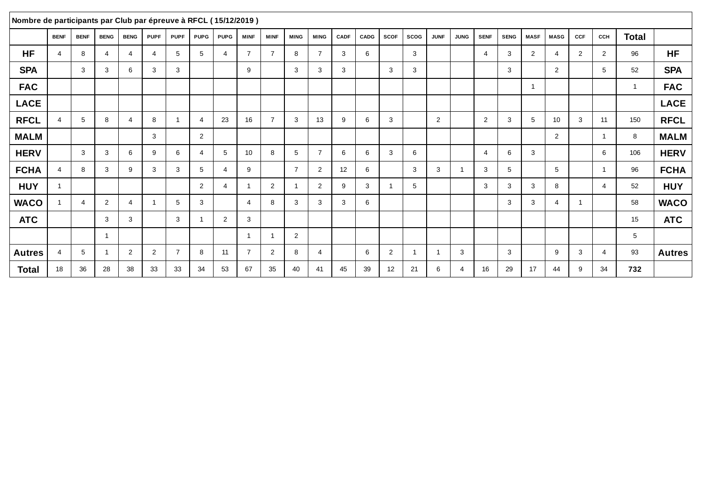| Nombre de participants par Club par épreuve à RFCL (15/12/2019) |                |             |                |                |                |                |                |                          |                         |                |                |                |             |      |             |                |                         |             |                |             |                |                |                |                |                |               |
|-----------------------------------------------------------------|----------------|-------------|----------------|----------------|----------------|----------------|----------------|--------------------------|-------------------------|----------------|----------------|----------------|-------------|------|-------------|----------------|-------------------------|-------------|----------------|-------------|----------------|----------------|----------------|----------------|----------------|---------------|
|                                                                 | <b>BENF</b>    | <b>BENF</b> | <b>BENG</b>    | <b>BENG</b>    | <b>PUPF</b>    | <b>PUPF</b>    | <b>PUPG</b>    | <b>PUPG</b>              | <b>MINF</b>             | <b>MINF</b>    | <b>MING</b>    | <b>MING</b>    | <b>CADF</b> | CADG | <b>SCOF</b> | <b>SCOG</b>    | <b>JUNF</b>             | <b>JUNG</b> | <b>SENF</b>    | <b>SENG</b> | <b>MASF</b>    | <b>MASG</b>    | CCF            | CCH            | <b>Total</b>   |               |
| <b>HF</b>                                                       | $\overline{4}$ | 8           | 4              | $\overline{4}$ | 4              | 5              | 5              | $\boldsymbol{\varDelta}$ | $\overline{7}$          | $\overline{7}$ | 8              | $\overline{7}$ | 3           | 6    |             | 3              |                         |             | $\overline{4}$ | 3           | $\overline{2}$ | 4              | $\overline{2}$ | 2              | 96             | <b>HF</b>     |
| <b>SPA</b>                                                      |                | 3           | 3              | 6              | 3              | 3              |                |                          | 9                       |                | 3              | 3              | 3           |      | 3           | 3              |                         |             |                | 3           |                | 2              |                | 5              | 52             | <b>SPA</b>    |
| <b>FAC</b>                                                      |                |             |                |                |                |                |                |                          |                         |                |                |                |             |      |             |                |                         |             |                |             | -1             |                |                |                | $\overline{1}$ | <b>FAC</b>    |
| <b>LACE</b>                                                     |                |             |                |                |                |                |                |                          |                         |                |                |                |             |      |             |                |                         |             |                |             |                |                |                |                |                | <b>LACE</b>   |
| <b>RFCL</b>                                                     | $\overline{4}$ | 5           | 8              | $\overline{4}$ | 8              |                | $\overline{4}$ | 23                       | 16                      | $\overline{7}$ | 3              | 13             | 9           | 6    | 3           |                | 2                       |             | $\overline{2}$ | 3           | 5              | 10             | 3              | 11             | 150            | <b>RFCL</b>   |
| <b>MALM</b>                                                     |                |             |                |                | $\mathbf{3}$   |                | 2              |                          |                         |                |                |                |             |      |             |                |                         |             |                |             |                | $\overline{2}$ |                | $\overline{ }$ | 8              | <b>MALM</b>   |
| <b>HERV</b>                                                     |                | 3           | 3              | 6              | 9              | 6              | 4              | 5                        | 10                      | 8              | 5              | $\overline{7}$ | 6           | 6    | 3           | 6              |                         |             | $\overline{4}$ | 6           | 3              |                |                | 6              | 106            | <b>HERV</b>   |
| <b>FCHA</b>                                                     | 4              | 8           | 3              | 9              | 3              | 3              | 5              | $\boldsymbol{\varDelta}$ | 9                       |                | $\overline{7}$ | 2              | 12          | 6    |             | 3              | 3                       | -1          | 3              | 5           |                | 5              |                | $\overline{1}$ | 96             | <b>FCHA</b>   |
| <b>HUY</b>                                                      |                |             |                |                |                |                | 2              | 4                        | $\overline{\mathbf{1}}$ | $\overline{2}$ | - 1            | 2              | 9           | 3    |             | 5              |                         |             | 3              | 3           | 3              | 8              |                | $\overline{4}$ | 52             | <b>HUY</b>    |
| <b>WACO</b>                                                     |                | 4           | 2              | $\overline{4}$ |                | 5              | 3              |                          | $\overline{4}$          | 8              | 3              | 3              | 3           | 6    |             |                |                         |             |                | 3           | 3              | 4              | $\overline{1}$ |                | 58             | <b>WACO</b>   |
| <b>ATC</b>                                                      |                |             | 3              | 3              |                | 3              | $\mathbf{1}$   | $\overline{2}$           | 3                       |                |                |                |             |      |             |                |                         |             |                |             |                |                |                |                | 15             | <b>ATC</b>    |
|                                                                 |                |             | $\overline{1}$ |                |                |                |                |                          | $\overline{\mathbf{1}}$ |                | 2              |                |             |      |             |                |                         |             |                |             |                |                |                |                | 5              |               |
| <b>Autres</b>                                                   | $\overline{4}$ | 5           |                | 2              | $\overline{2}$ | $\overline{7}$ | 8              | 11                       | $\overline{7}$          | $\overline{2}$ | 8              | $\overline{4}$ |             | 6    | 2           | $\overline{1}$ | $\overline{\mathbf{1}}$ | 3           |                | 3           |                | 9              | 3              | $\overline{4}$ | 93             | <b>Autres</b> |
| <b>Total</b>                                                    | 18             | 36          | 28             | 38             | 33             | 33             | 34             | 53                       | 67                      | 35             | 40             | 41             | 45          | 39   | 12          | 21             | 6                       | 4           | 16             | 29          | 17             | 44             | 9              | 34             | 732            |               |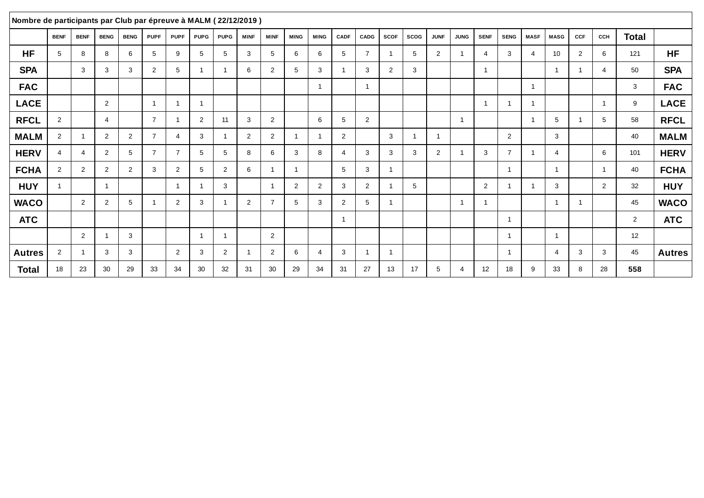| Nombre de participants par Club par épreuve à MALM (22/12/2019) |                |                |                |             |                |                |                         |                          |                |                         |                         |                |                |                |                         |             |                |                          |                |                          |             |                |                         |                |                |               |
|-----------------------------------------------------------------|----------------|----------------|----------------|-------------|----------------|----------------|-------------------------|--------------------------|----------------|-------------------------|-------------------------|----------------|----------------|----------------|-------------------------|-------------|----------------|--------------------------|----------------|--------------------------|-------------|----------------|-------------------------|----------------|----------------|---------------|
|                                                                 | <b>BENF</b>    | <b>BENF</b>    | <b>BENG</b>    | <b>BENG</b> | <b>PUPF</b>    | <b>PUPF</b>    | <b>PUPG</b>             | <b>PUPG</b>              | <b>MINF</b>    | <b>MINF</b>             | <b>MING</b>             | <b>MING</b>    | CADF           | <b>CADG</b>    | <b>SCOF</b>             | <b>SCOG</b> | <b>JUNF</b>    | <b>JUNG</b>              | <b>SENF</b>    | <b>SENG</b>              | <b>MASF</b> | <b>MASG</b>    | <b>CCF</b>              | CCH            | Total          |               |
| <b>HF</b>                                                       | 5              | 8              | 8              | 6           | 5              | 9              | 5                       | 5                        | 3              | 5                       | 6                       | 6              | 5              | $\overline{7}$ |                         | 5           | $\overline{2}$ | $\overline{\phantom{a}}$ | $\overline{4}$ | 3                        | 4           | 10             | 2                       | 6              | 121            | <b>HF</b>     |
| <b>SPA</b>                                                      |                | 3              | 3              | 3           | 2              | 5              | -1                      | -1                       | 6              | $\mathbf{2}^{\circ}$    | 5                       | 3              | -1             | 3              | 2                       | 3           |                |                          | $\overline{1}$ |                          |             |                | -1                      | $\overline{4}$ | 50             | <b>SPA</b>    |
| <b>FAC</b>                                                      |                |                |                |             |                |                |                         |                          |                |                         |                         | -1             |                |                |                         |             |                |                          |                |                          | -1          |                |                         |                | 3              | <b>FAC</b>    |
| <b>LACE</b>                                                     |                |                | $\overline{2}$ |             |                | $\overline{1}$ | $\overline{\mathbf{1}}$ |                          |                |                         |                         |                |                |                |                         |             |                |                          | $\overline{1}$ | $\overline{\phantom{a}}$ | -1          |                |                         | $\overline{1}$ | 9              | <b>LACE</b>   |
| <b>RFCL</b>                                                     | 2              |                | $\overline{4}$ |             | $\overline{7}$ | -1             | $\overline{2}$          | 11                       | 3              | $\mathbf{2}$            |                         | 6              | 5              | 2              |                         |             |                | $\overline{1}$           |                |                          | -1          | 5              | -1                      | 5              | 58             | <b>RFCL</b>   |
| <b>MALM</b>                                                     | 2              | $\mathbf{1}$   | 2              | 2           | $\overline{7}$ | $\overline{4}$ | 3                       | $\overline{\phantom{a}}$ | $\overline{2}$ | $\overline{2}$          | $\overline{\mathbf{1}}$ | -1             | 2              |                | 3                       |             | $\overline{1}$ |                          |                | 2                        |             | 3              |                         |                | 40             | <b>MALM</b>   |
| <b>HERV</b>                                                     | $\overline{4}$ | 4              | 2              | 5           | $\overline{7}$ | $\overline{7}$ | 5                       | 5                        | 8              | 6                       | 3                       | 8              | $\overline{4}$ | 3              | 3                       | 3           | $\overline{2}$ | -1                       | 3              | $\overline{7}$           | -1          | $\overline{4}$ |                         | 6              | 101            | <b>HERV</b>   |
| <b>FCHA</b>                                                     | 2              | $\overline{2}$ | 2              | 2           | 3              | 2              | 5                       | 2                        | 6              | -1                      | $\mathbf{1}$            |                | 5              | 3              | 1                       |             |                |                          |                | -1                       |             |                |                         | $\mathbf{1}$   | 40             | <b>FCHA</b>   |
| <b>HUY</b>                                                      |                |                | -1             |             |                | $\overline{1}$ |                         | 3                        |                | $\overline{\mathbf{1}}$ | 2                       | $\overline{2}$ | 3              | $\overline{2}$ |                         | 5           |                |                          | 2              |                          | -1          | 3              |                         | $\overline{2}$ | 32             | <b>HUY</b>    |
| <b>WACO</b>                                                     |                | 2              | 2              | 5           |                | 2              | 3                       | -1                       | $\overline{2}$ | $\overline{7}$          | 5                       | 3              | 2              | 5              | $\overline{\mathbf{A}}$ |             |                | $\overline{1}$           | $\overline{1}$ |                          |             |                | $\overline{\mathbf{1}}$ |                | 45             | <b>WACO</b>   |
| <b>ATC</b>                                                      |                |                |                |             |                |                |                         |                          |                |                         |                         |                | 1              |                |                         |             |                |                          |                | $\overline{\phantom{a}}$ |             |                |                         |                | $\overline{2}$ | <b>ATC</b>    |
|                                                                 |                | 2              |                | 3           |                |                | $\overline{\mathbf{1}}$ | $\overline{1}$           |                | $\overline{2}$          |                         |                |                |                |                         |             |                |                          |                | - 1                      |             |                |                         |                | 12             |               |
| <b>Autres</b>                                                   | 2              | $\mathbf{1}$   | 3              | 3           |                | $\overline{2}$ | 3                       | 2                        | $\overline{1}$ | $\overline{2}$          | 6                       | 4              | 3              |                | $\overline{1}$          |             |                |                          |                | -1                       |             | $\overline{4}$ | 3                       | 3              | 45             | <b>Autres</b> |
| <b>Total</b>                                                    | 18             | 23             | 30             | 29          | 33             | 34             | 30                      | 32                       | 31             | 30                      | 29                      | 34             | 31             | 27             | 13                      | 17          | 5              | 4                        | 12             | 18                       | 9           | 33             | 8                       | 28             | 558            |               |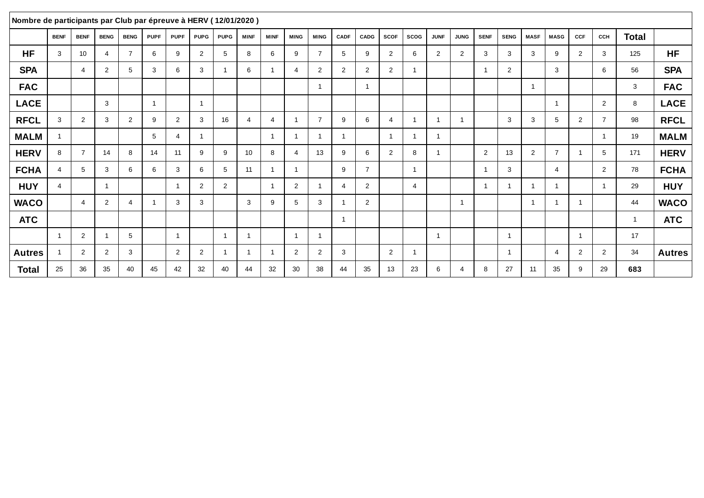| Nombre de participants par Club par épreuve à HERV (12/01/2020) |                |                |                |                |                |             |                |                         |                         |                |                |                         |                       |                |                |                         |                         |                |                |                |                |                         |                |                |                |               |
|-----------------------------------------------------------------|----------------|----------------|----------------|----------------|----------------|-------------|----------------|-------------------------|-------------------------|----------------|----------------|-------------------------|-----------------------|----------------|----------------|-------------------------|-------------------------|----------------|----------------|----------------|----------------|-------------------------|----------------|----------------|----------------|---------------|
|                                                                 | <b>BENF</b>    | <b>BENF</b>    | <b>BENG</b>    | <b>BENG</b>    | <b>PUPF</b>    | <b>PUPF</b> | <b>PUPG</b>    | <b>PUPG</b>             | <b>MINF</b>             | <b>MINF</b>    | <b>MING</b>    | <b>MING</b>             | CADF                  | CADG           | <b>SCOF</b>    | <b>SCOG</b>             | <b>JUNF</b>             | <b>JUNG</b>    | <b>SENF</b>    | <b>SENG</b>    | <b>MASF</b>    | <b>MASG</b>             | CCF            | CCH            | Total          |               |
| <b>HF</b>                                                       | 3              | 10             | 4              | $\overline{7}$ | 6              | 9           | 2              | 5                       | 8                       | 6              | 9              | $\overline{7}$          | 5                     | 9              | 2              | 6                       | 2                       | $\overline{2}$ | 3              | 3              | 3              | 9                       | $\overline{2}$ | 3              | 125            | <b>HF</b>     |
| <b>SPA</b>                                                      |                | 4              | 2              | 5              | 3              | 6           | 3              |                         | 6                       |                | $\overline{4}$ | 2                       | 2                     | $\overline{2}$ | 2              | -1                      |                         |                | $\overline{1}$ | 2              |                | 3                       |                | 6              | 56             | <b>SPA</b>    |
| <b>FAC</b>                                                      |                |                |                |                |                |             |                |                         |                         |                |                | $\overline{\mathbf{1}}$ |                       | $\overline{1}$ |                |                         |                         |                |                |                | $\overline{1}$ |                         |                |                | 3              | <b>FAC</b>    |
| <b>LACE</b>                                                     |                |                | 3              |                | $\overline{1}$ |             | $\overline{1}$ |                         |                         |                |                |                         |                       |                |                |                         |                         |                |                |                |                | $\overline{1}$          |                | $\overline{2}$ | 8              | <b>LACE</b>   |
| <b>RFCL</b>                                                     | 3              | $\overline{2}$ | 3              | $\overline{2}$ | 9              | 2           | 3              | 16                      | $\overline{4}$          | 4              | -1             | $\overline{7}$          | 9                     | 6              | 4              | $\overline{\mathbf{1}}$ | $\overline{\mathbf{1}}$ | -1             |                | 3              | 3              | 5                       | $\overline{2}$ | $\overline{7}$ | 98             | <b>RFCL</b>   |
| <b>MALM</b>                                                     |                |                |                |                | 5              | -4          | $\mathbf{1}$   |                         |                         | $\overline{ }$ | - 1            | -4                      | -1                    |                | ٠              | -1                      | $\overline{\mathbf{1}}$ |                |                |                |                |                         |                |                | 19             | <b>MALM</b>   |
| <b>HERV</b>                                                     | 8              | $\overline{7}$ | 14             | 8              | 14             | 11          | 9              | 9                       | 10                      | 8              | $\overline{4}$ | 13                      | 9                     | 6              | $\overline{2}$ | 8                       | - 1                     |                | $\overline{2}$ | 13             | 2              | $\overline{7}$          | -1             | 5              | 171            | <b>HERV</b>   |
| <b>FCHA</b>                                                     | $\overline{4}$ | 5              | 3              | 6              | 6              | 3           | 6              | 5                       | 11                      |                | -1             |                         | 9                     | $\overline{7}$ |                | $\overline{1}$          |                         |                | $\overline{1}$ | 3              |                | 4                       |                | 2              | 78             | <b>FCHA</b>   |
| <b>HUY</b>                                                      | $\overline{4}$ |                | -1             |                |                |             | 2              | 2                       |                         |                | 2              |                         | $\boldsymbol{\Delta}$ | 2              |                | $\overline{4}$          |                         |                | $\overline{1}$ |                | -1             | $\overline{\mathbf{1}}$ |                |                | 29             | <b>HUY</b>    |
| <b>WACO</b>                                                     |                | 4              | $\overline{2}$ | $\overline{4}$ |                | 3           | 3              |                         | 3                       | 9              | 5              | 3                       |                       | $\overline{2}$ |                |                         |                         | $\overline{1}$ |                |                | $\overline{1}$ | - 1                     | $\overline{1}$ |                | 44             | <b>WACO</b>   |
| <b>ATC</b>                                                      |                |                |                |                |                |             |                |                         |                         |                |                |                         | $\overline{1}$        |                |                |                         |                         |                |                |                |                |                         |                |                | $\overline{1}$ | <b>ATC</b>    |
|                                                                 |                | 2              |                | 5              |                |             |                | $\overline{\mathbf{1}}$ | $\overline{1}$          |                | -1             | $\overline{\mathbf{1}}$ |                       |                |                |                         | $\overline{\mathbf{1}}$ |                |                | -1             |                |                         | $\overline{1}$ |                | 17             |               |
| <b>Autres</b>                                                   |                | $\overline{2}$ | $\overline{2}$ | 3              |                | 2           | $\overline{2}$ |                         | $\overline{\mathbf{1}}$ |                | $\overline{2}$ | 2                       | 3                     |                | 2              | -1                      |                         |                |                | $\overline{1}$ |                | 4                       | 2              | 2              | 34             | <b>Autres</b> |
| <b>Total</b>                                                    | 25             | 36             | 35             | 40             | 45             | 42          | 32             | 40                      | 44                      | 32             | 30             | 38                      | 44                    | 35             | 13             | 23                      | 6                       | 4              | 8              | 27             | 11             | 35                      | 9              | 29             | 683            |               |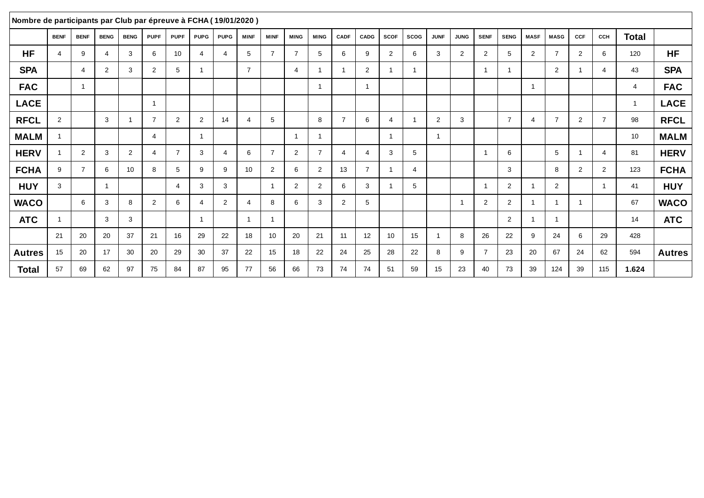| Nombre de participants par Club par épreuve à FCHA (19/01/2020) |                |                |                          |                          |                |                |                |                        |                 |                         |                |                |                |                |             |                |                |             |                |                |                |                          |                |                |                |               |
|-----------------------------------------------------------------|----------------|----------------|--------------------------|--------------------------|----------------|----------------|----------------|------------------------|-----------------|-------------------------|----------------|----------------|----------------|----------------|-------------|----------------|----------------|-------------|----------------|----------------|----------------|--------------------------|----------------|----------------|----------------|---------------|
|                                                                 | <b>BENF</b>    | <b>BENF</b>    | <b>BENG</b>              | <b>BENG</b>              | <b>PUPF</b>    | <b>PUPF</b>    | <b>PUPG</b>    | <b>PUPG</b>            | <b>MINF</b>     | <b>MINF</b>             | <b>MING</b>    | <b>MING</b>    | <b>CADF</b>    | CADG           | <b>SCOF</b> | <b>SCOG</b>    | <b>JUNF</b>    | <b>JUNG</b> | <b>SENF</b>    | <b>SENG</b>    | <b>MASF</b>    | <b>MASG</b>              | CCF            | CCH            | Total          |               |
| <b>HF</b>                                                       | $\overline{4}$ | 9              | $\boldsymbol{\varDelta}$ | 3                        | 6              | 10             | $\overline{4}$ | $\boldsymbol{\Lambda}$ | 5               | $\overline{7}$          | 7              | 5              | 6              | 9              | 2           | 6              | 3              | 2           | 2              | 5              | $\overline{2}$ | $\overline{7}$           | 2              | 6              | 120            | <b>HF</b>     |
| <b>SPA</b>                                                      |                | $\overline{4}$ | 2                        | 3                        | $\overline{2}$ | 5              | $\overline{1}$ |                        | $\overline{7}$  |                         | $\overline{4}$ | $\mathbf{1}$   | -1             | $\overline{2}$ |             |                |                |             | $\mathbf{1}$   |                |                | 2                        | -1             | $\overline{4}$ | 43             | <b>SPA</b>    |
| <b>FAC</b>                                                      |                | $\overline{1}$ |                          |                          |                |                |                |                        |                 |                         |                | $\mathbf{1}$   |                | $\overline{1}$ |             |                |                |             |                |                | -1             |                          |                |                | $\overline{4}$ | <b>FAC</b>    |
| <b>LACE</b>                                                     |                |                |                          |                          | -1             |                |                |                        |                 |                         |                |                |                |                |             |                |                |             |                |                |                |                          |                |                | $\mathbf{1}$   | <b>LACE</b>   |
| <b>RFCL</b>                                                     | $\overline{2}$ |                | 3                        | $\overline{\phantom{a}}$ | $\overline{7}$ | 2              | 2              | 14                     | $\overline{4}$  | 5                       |                | 8              | $\overline{7}$ | 6              | $\Delta$    |                | 2              | 3           |                | $\overline{7}$ | 4              | $\overline{7}$           | 2              | $\overline{7}$ | 98             | <b>RFCL</b>   |
| <b>MALM</b>                                                     | $\overline{1}$ |                |                          |                          | $\overline{4}$ |                | $\mathbf{1}$   |                        |                 |                         |                | $\mathbf{1}$   |                |                |             |                | $\mathbf{1}$   |             |                |                |                |                          |                |                | 10             | <b>MALM</b>   |
| <b>HERV</b>                                                     |                | 2              | 3                        | $\overline{2}$           | 4              | $\overline{7}$ | 3              | 4                      | 6               | $\overline{7}$          | 2              | $\overline{7}$ | 4              | 4              | 3           | 5              |                |             | $\overline{1}$ | 6              |                | 5                        | -1             | $\overline{4}$ | 81             | <b>HERV</b>   |
| <b>FCHA</b>                                                     | 9              | $\overline{7}$ | 6                        | 10                       | 8              | 5              | 9              | 9                      | 10 <sup>1</sup> | $\overline{2}$          | 6              | $\overline{2}$ | 13             | $\overline{7}$ |             | $\overline{4}$ |                |             |                | 3              |                | 8                        | 2              | 2              | 123            | <b>FCHA</b>   |
| <b>HUY</b>                                                      | 3              |                | $\overline{\mathbf{1}}$  |                          |                | $\overline{4}$ | 3              | 3                      |                 | $\overline{\mathbf{1}}$ | $\overline{2}$ | $\overline{2}$ | 6              | 3              |             | 5              |                |             | $\overline{1}$ | $\overline{2}$ |                | $\overline{2}$           |                | $\overline{ }$ | 41             | <b>HUY</b>    |
| <b>WACO</b>                                                     |                | 6              | 3                        | 8                        | $\overline{2}$ | 6              | $\overline{4}$ | 2                      | 4               | 8                       | 6              | 3              | 2              | 5              |             |                |                | -1          | $\overline{2}$ | 2              | -1             | $\overline{\phantom{a}}$ | $\overline{1}$ |                | 67             | <b>WACO</b>   |
| <b>ATC</b>                                                      | -1             |                | 3                        | 3                        |                |                | $\mathbf{1}$   |                        | -1              |                         |                |                |                |                |             |                |                |             |                | 2              |                | - 1                      |                |                | 14             | <b>ATC</b>    |
|                                                                 | 21             | 20             | 20                       | 37                       | 21             | 16             | 29             | 22                     | 18              | 10                      | 20             | 21             | 11             | 12             | 10          | 15             | $\overline{1}$ | 8           | 26             | 22             | 9              | 24                       | 6              | 29             | 428            |               |
| <b>Autres</b>                                                   | 15             | 20             | 17                       | 30                       | 20             | 29             | 30             | 37                     | 22              | 15                      | 18             | 22             | 24             | 25             | 28          | 22             | 8              | 9           | $\overline{7}$ | 23             | 20             | 67                       | 24             | 62             | 594            | <b>Autres</b> |
| Total                                                           | 57             | 69             | 62                       | 97                       | 75             | 84             | 87             | 95                     | 77              | 56                      | 66             | 73             | 74             | 74             | 51          | 59             | 15             | 23          | 40             | 73             | 39             | 124                      | 39             | 115            | 1.624          |               |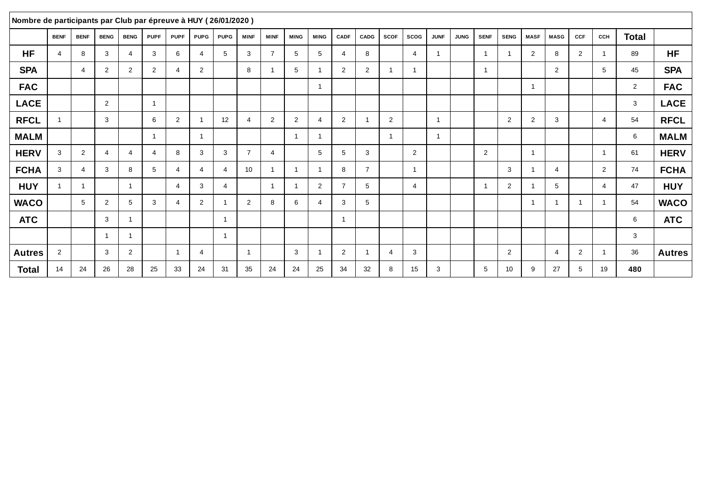| Nombre de participants par Club par épreuve à HUY (26/01/2020) |                |                |                |                |             |                |                         |                |                 |                         |                         |                |                |                |                         |                |                |             |                |                |                |                |                         |                |                |               |
|----------------------------------------------------------------|----------------|----------------|----------------|----------------|-------------|----------------|-------------------------|----------------|-----------------|-------------------------|-------------------------|----------------|----------------|----------------|-------------------------|----------------|----------------|-------------|----------------|----------------|----------------|----------------|-------------------------|----------------|----------------|---------------|
|                                                                | <b>BENF</b>    | <b>BENF</b>    | <b>BENG</b>    | <b>BENG</b>    | <b>PUPF</b> | <b>PUPF</b>    | <b>PUPG</b>             | <b>PUPG</b>    | <b>MINF</b>     | <b>MINF</b>             | <b>MING</b>             | <b>MING</b>    | CADF           | <b>CADG</b>    | <b>SCOF</b>             | <b>SCOG</b>    | <b>JUNF</b>    | <b>JUNG</b> | <b>SENF</b>    | <b>SENG</b>    | <b>MASF</b>    | <b>MASG</b>    | <b>CCF</b>              | CCH            | <b>Total</b>   |               |
| <b>HF</b>                                                      | $\overline{4}$ | 8              | 3              | $\overline{4}$ | 3           | 6              | 4                       | 5              | 3               | $\overline{7}$          | 5                       | 5              | $\overline{4}$ | 8              |                         | $\overline{4}$ | $\overline{1}$ |             | $\overline{1}$ |                | $\overline{2}$ | 8              | 2                       |                | 89             | <b>HF</b>     |
| <b>SPA</b>                                                     |                | 4              | 2              | 2              | 2           | $\overline{4}$ | $\overline{2}$          |                | 8               |                         | 5                       | -1             | 2              | 2              | 1                       | -1             |                |             | $\overline{1}$ |                |                | 2              |                         | 5              | 45             | <b>SPA</b>    |
| <b>FAC</b>                                                     |                |                |                |                |             |                |                         |                |                 |                         |                         | -1             |                |                |                         |                |                |             |                |                | -1             |                |                         |                | $\overline{2}$ | <b>FAC</b>    |
| <b>LACE</b>                                                    |                |                | $\overline{2}$ |                |             |                |                         |                |                 |                         |                         |                |                |                |                         |                |                |             |                |                |                |                |                         |                | 3              | <b>LACE</b>   |
| <b>RFCL</b>                                                    |                |                | 3              |                | 6           | $\overline{2}$ |                         | 12             | $\overline{4}$  | $\overline{2}$          | 2                       | 4              | 2              |                | 2                       |                | $\overline{1}$ |             |                | 2              | $\overline{2}$ | 3              |                         | $\overline{4}$ | 54             | <b>RFCL</b>   |
| <b>MALM</b>                                                    |                |                |                |                |             |                | $\overline{\mathbf{1}}$ |                |                 |                         | $\overline{\mathbf{1}}$ | -1             |                |                | $\overline{\mathbf{1}}$ |                | $\overline{1}$ |             |                |                |                |                |                         |                | 6              | <b>MALM</b>   |
| <b>HERV</b>                                                    | 3              | $\overline{2}$ | 4              | $\overline{4}$ | 4           | 8              | 3                       | 3              | $\overline{7}$  | 4                       |                         | 5              | 5              | 3              |                         | $\overline{2}$ |                |             | 2              |                | $\overline{1}$ |                |                         | $\overline{1}$ | 61             | <b>HERV</b>   |
| <b>FCHA</b>                                                    | 3              | 4              | 3              | 8              | 5           | $\overline{4}$ | 4                       | 4              | 10 <sup>°</sup> | -1                      | -1                      |                | 8              | $\overline{7}$ |                         | $\overline{1}$ |                |             |                | 3              | -1             | 4              |                         | $\overline{2}$ | 74             | <b>FCHA</b>   |
| <b>HUY</b>                                                     |                | $\mathbf{1}$   |                | $\overline{1}$ |             | $\overline{4}$ | 3                       | 4              |                 | $\overline{\mathbf{1}}$ | -1                      | $\overline{2}$ | $\overline{7}$ | 5              |                         | $\overline{4}$ |                |             | $\overline{1}$ | $\overline{2}$ | -1             | 5              |                         | $\overline{4}$ | 47             | <b>HUY</b>    |
| <b>WACO</b>                                                    |                | 5              | 2              | 5              | 3           | $\overline{4}$ | $\overline{2}$          | -1             | $\overline{2}$  | 8                       | 6                       | 4              | 3              | 5              |                         |                |                |             |                |                | $\mathbf 1$    |                | $\overline{\mathbf{1}}$ | $\overline{ }$ | 54             | <b>WACO</b>   |
| <b>ATC</b>                                                     |                |                | 3              | $\overline{1}$ |             |                |                         | $\overline{1}$ |                 |                         |                         |                | 1              |                |                         |                |                |             |                |                |                |                |                         |                | 6              | <b>ATC</b>    |
|                                                                |                |                | $\overline{1}$ | $\overline{1}$ |             |                |                         | $\overline{1}$ |                 |                         |                         |                |                |                |                         |                |                |             |                |                |                |                |                         |                | 3              |               |
| <b>Autres</b>                                                  | 2              |                | 3              | 2              |             | $\overline{1}$ | 4                       |                | $\overline{1}$  |                         | $\mathbf{3}$            | -1             | 2              |                | $\overline{4}$          | 3              |                |             |                | 2              |                | $\overline{4}$ | 2                       | $\overline{1}$ | 36             | <b>Autres</b> |
| <b>Total</b>                                                   | 14             | 24             | 26             | 28             | 25          | 33             | 24                      | 31             | 35              | 24                      | 24                      | 25             | 34             | 32             | 8                       | 15             | 3              |             | 5              | 10             | 9              | 27             | 5                       | 19             | 480            |               |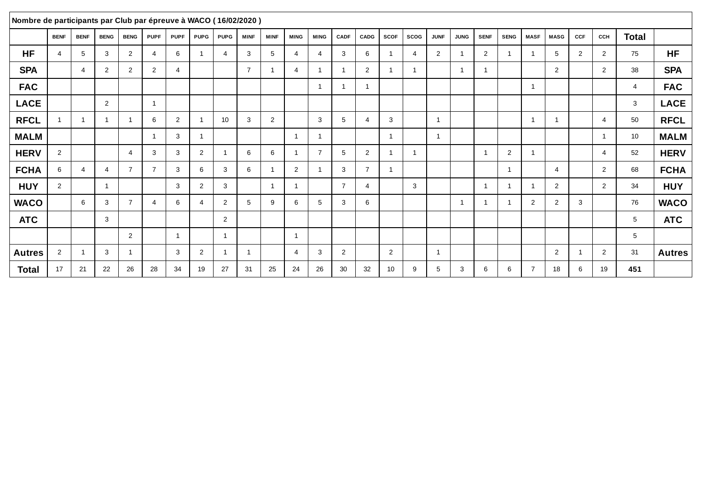| Nombre de participants par Club par épreuve à WACO (16/02/2020) |                |                |                |                |                          |                |                |                          |                |             |                |                         |                |                         |                |                |                |             |                |                |                |                |     |                |              |               |
|-----------------------------------------------------------------|----------------|----------------|----------------|----------------|--------------------------|----------------|----------------|--------------------------|----------------|-------------|----------------|-------------------------|----------------|-------------------------|----------------|----------------|----------------|-------------|----------------|----------------|----------------|----------------|-----|----------------|--------------|---------------|
|                                                                 | <b>BENF</b>    | <b>BENF</b>    | <b>BENG</b>    | <b>BENG</b>    | <b>PUPF</b>              | <b>PUPF</b>    | <b>PUPG</b>    | <b>PUPG</b>              | <b>MINF</b>    | <b>MINF</b> | <b>MING</b>    | <b>MING</b>             | <b>CADF</b>    | CADG                    | <b>SCOF</b>    | <b>SCOG</b>    | <b>JUNF</b>    | <b>JUNG</b> | <b>SENF</b>    | <b>SENG</b>    | <b>MASF</b>    | <b>MASG</b>    | CCF | CCH            | <b>Total</b> |               |
| <b>HF</b>                                                       | $\overline{4}$ | 5              | 3              | 2              | $\boldsymbol{\Delta}$    | 6              | $\overline{1}$ | $\boldsymbol{\varDelta}$ | 3              | 5           | 4              | 4                       | 3              | 6                       |                | $\overline{4}$ | 2              |             | 2              |                | -1             | 5              | 2   | 2              | 75           | <b>HF</b>     |
| <b>SPA</b>                                                      |                | $\overline{4}$ | 2              | 2              | $\overline{2}$           | $\overline{4}$ |                |                          | $\overline{7}$ |             | $\overline{4}$ | $\overline{\mathbf{1}}$ | -1             | 2                       |                | -1             |                | -1          | $\mathbf{1}$   |                |                | 2              |     | 2              | 38           | <b>SPA</b>    |
| <b>FAC</b>                                                      |                |                |                |                |                          |                |                |                          |                |             |                | $\overline{\mathbf{1}}$ |                | $\overline{\mathbf{1}}$ |                |                |                |             |                |                | $\overline{1}$ |                |     |                | 4            | <b>FAC</b>    |
| <b>LACE</b>                                                     |                |                | 2              |                | $\overline{1}$           |                |                |                          |                |             |                |                         |                |                         |                |                |                |             |                |                |                |                |     |                | 3            | <b>LACE</b>   |
| <b>RFCL</b>                                                     |                | $\overline{1}$ | -1             | $\overline{1}$ | 6                        | 2              | $\overline{1}$ | 10                       | 3              | 2           |                | 3                       | 5              | $\overline{4}$          | 3              |                | $\overline{1}$ |             |                |                | -1             | -1             |     | $\overline{4}$ | 50           | <b>RFCL</b>   |
| <b>MALM</b>                                                     |                |                |                |                | $\overline{\phantom{a}}$ | 3              | $\mathbf{1}$   |                          |                |             | - 1            | $\overline{\mathbf{1}}$ |                |                         | -1             |                | $\overline{1}$ |             |                |                |                |                |     |                | 10           | <b>MALM</b>   |
| <b>HERV</b>                                                     | $\overline{2}$ |                |                | $\overline{4}$ | 3                        | 3              | $\overline{2}$ | -1                       | 6              | 6           | -1             | $\overline{7}$          | 5              | $\overline{2}$          | 1              | $\overline{1}$ |                |             | $\overline{1}$ | $\overline{2}$ | $\mathbf{1}$   |                |     | $\overline{4}$ | 52           | <b>HERV</b>   |
| <b>FCHA</b>                                                     | 6              | 4              | 4              | $\overline{7}$ | $\overline{7}$           | 3              | 6              | 3                        | 6              |             | 2              | -1                      | 3              | $\overline{7}$          |                |                |                |             |                | -1             |                | 4              |     | 2              | 68           | <b>FCHA</b>   |
| <b>HUY</b>                                                      | 2              |                | $\overline{1}$ |                |                          | 3              | 2              | 3                        |                |             | - 1            |                         | $\overline{7}$ | $\overline{4}$          |                | 3              |                |             | $\overline{1}$ |                | -1             | $\overline{2}$ |     | 2              | 34           | <b>HUY</b>    |
| <b>WACO</b>                                                     |                | 6              | 3              | $\overline{7}$ | 4                        | 6              | 4              | $\overline{2}$           | 5              | 9           | 6              | 5                       | 3              | 6                       |                |                |                | -1          |                |                | $\overline{2}$ | $\overline{2}$ | 3   |                | 76           | <b>WACO</b>   |
| <b>ATC</b>                                                      |                |                | 3              |                |                          |                |                | $\overline{2}$           |                |             |                |                         |                |                         |                |                |                |             |                |                |                |                |     |                | 5            | <b>ATC</b>    |
|                                                                 |                |                |                | 2              |                          |                |                | -1                       |                |             | - 1            |                         |                |                         |                |                |                |             |                |                |                |                |     |                | 5            |               |
| <b>Autres</b>                                                   | 2              | $\overline{1}$ | 3              | $\overline{1}$ |                          | 3              | 2              | - 1                      | $\overline{1}$ |             | $\overline{4}$ | 3                       | 2              |                         | $\overline{2}$ |                | $\overline{1}$ |             |                |                |                | 2              | -1  | 2              | 31           | <b>Autres</b> |
| <b>Total</b>                                                    | 17             | 21             | 22             | 26             | 28                       | 34             | 19             | 27                       | 31             | 25          | 24             | 26                      | 30             | 32                      | 10             | 9              | 5              | 3           | 6              | 6              | $\overline{7}$ | 18             | 6   | 19             | 451          |               |